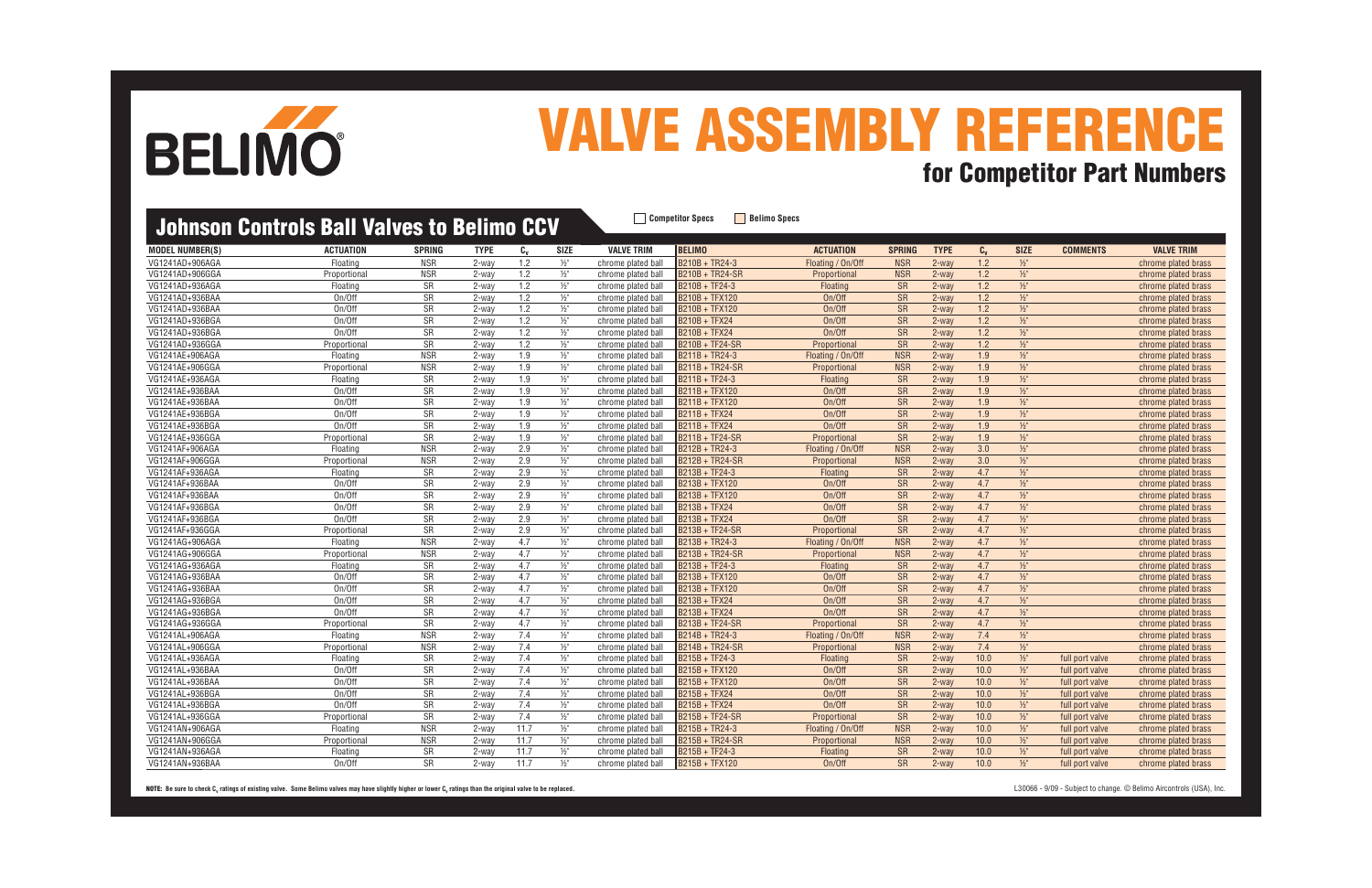| UUNNUN VUNNUD DUN TUNUU 10 DUNNU UUT |                  |                        |             |                  |                          |                    |                  |                   |                        |             |                  |               |                 |                     |
|--------------------------------------|------------------|------------------------|-------------|------------------|--------------------------|--------------------|------------------|-------------------|------------------------|-------------|------------------|---------------|-----------------|---------------------|
| <b>MODEL NUMBER(S)</b>               | <b>ACTUATION</b> | <b>SPRING</b>          | <b>TYPE</b> | $C_{v}$          | SIZE                     | <b>VALVE TRIM</b>  | <b>BELIMO</b>    | <b>ACTUATION</b>  | <b>SPRING</b>          | <b>TYPE</b> | $c_{v}$          | <b>SIZE</b>   | <b>COMMENTS</b> | <b>VALVE TRIM</b>   |
| VG1241AD+906AGA                      | Floating         | <b>NSR</b>             | $2$ -way    | 1.2              | $1/2$ "                  | chrome plated ball | B210B + TR24-3   | Floating / On/Off | <b>NSR</b>             | $2$ -way    | 1.2              | $1/2$ "       |                 | chrome plated brass |
| VG1241AD+906GGA                      | Proportional     | <b>NSR</b>             | 2-way       | 1.2              | $1/2$ "                  | chrome plated ball | B210B + TR24-SR  | Proportional      | <b>NSR</b>             | $2-way$     | 1.2              | $1/2$ "       |                 | chrome plated brass |
| VG1241AD+936AGA                      | Floating         | <b>SR</b>              | 2-way       | 1.2              | $1/2$ "                  | chrome plated ball | B210B + TF24-3   | Floating          | <b>SR</b>              | 2-way       | 1.2              | $1/2$ "       |                 | chrome plated brass |
| VG1241AD+936BAA                      | On/Off           | SR                     | 2-way       | 1.2              | $\frac{1}{2}$            | chrome plated ball | B210B + TFX120   | On/Off            | SR                     | 2-way       | 1.2              | $\frac{1}{2}$ |                 | chrome plated brass |
| VG1241AD+936BAA                      | On/Off           | SR                     | $2$ -way    | 1.2              | $1/2$ "                  | chrome plated ball | B210B + TFX120   | On/Off            | <b>SR</b>              | 2-way       | 1.2              | $\frac{1}{2}$ |                 | chrome plated brass |
| VG1241AD+936BGA                      | On/Off           | SR                     | 2-way       | 1.2              | $1/2$ "                  | chrome plated ball | B210B + TFX24    | On/Off            | SR                     | 2-way       | 1.2              | $1/2$ "       |                 | chrome plated brass |
| VG1241AD+936BGA                      | On/Off           | SR                     | 2-way       | 1.2              | $1/2$ "                  | chrome plated ball | B210B + TFX24    | On/Off            | SR                     | $2 - way$   | 1.2              | $\frac{1}{2}$ |                 | chrome plated brass |
| VG1241AD+936GGA                      | Proportional     | $\overline{\text{SR}}$ | 2-way       | 1.2              | $\frac{1}{2}$            | chrome plated ball | B210B + TF24-SR  | Proportional      | <b>SR</b>              | 2-way       | 1.2              | $1/2$ "       |                 | chrome plated brass |
| VG1241AE+906AGA                      | Floating         | <b>NSR</b>             | 2-way       | 1.9              | $1/2$ "                  | chrome plated ball | $B211B + TR24-3$ | Floating / On/Off | <b>NSR</b>             | 2-way       | 1.9              | $1/2$ "       |                 | chrome plated brass |
| VG1241AE+906GGA                      | Proportional     | <b>NSR</b>             | $2$ -way    | 1.9              | $1/2$ "                  | chrome plated ball | B211B + TR24-SR  | Proportional      | <b>NSR</b>             | 2-way       | 1.9              | $1/2$ "       |                 | chrome plated brass |
| VG1241AE+936AGA                      | Floating         | $\overline{\text{SR}}$ | 2-way       | $\overline{1.9}$ | $1/2$ "                  | chrome plated ball | $B211B + TF24-3$ | <b>Floating</b>   | $\overline{\text{SR}}$ | $2 - way$   | $\overline{1.9}$ | $\frac{1}{2}$ |                 | chrome plated brass |
| VG1241AE+936BAA                      | On/Off           | SR                     | 2-way       | 1.9              | $1/2$ "                  | chrome plated ball | B211B + TFX120   | On/Off            | SR                     | $2 - way$   | 1.9              | $1/2$ "       |                 | chrome plated brass |
| VG1241AE+936BAA                      | On/Off           | SR                     | 2-way       | 1.9              | $1/2$ "                  | chrome plated ball | B211B + TFX120   | On/Off            | <b>SR</b>              | $2$ -way    | 1.9              | $1/2$ "       |                 | chrome plated brass |
| VG1241AE+936BGA                      | On/Off           | <b>SR</b>              | $2$ -way    | 1.9              | $1/2$ "                  | chrome plated ball | B211B + TFX24    | On/Off            | $\overline{\text{SR}}$ | $2$ -way    | 1.9              | $1/2$ "       |                 | chrome plated brass |
| VG1241AE+936BGA                      | On/Off           | $\overline{\text{SR}}$ | 2-way       | 1.9              | $\overline{\frac{1}{2}}$ | chrome plated ball | B211B + TFX24    | On/Off            | $\overline{\text{SR}}$ | 2-way       | 1.9              | $\frac{1}{2}$ |                 | chrome plated brass |
| VG1241AE+936GGA                      | Proportional     | SR                     | 2-way       | 1.9              | $1/2$ "                  | chrome plated ball | B211B + TF24-SR  | Proportional      | SR                     | $2$ -way    | 1.9              | $1/2$ "       |                 | chrome plated brass |
| VG1241AF+906AGA                      | Floating         | <b>NSR</b>             | $2$ -way    | 2.9              | $1/2$ "                  | chrome plated ball | B212B + TR24-3   | Floating / On/Off | <b>NSR</b>             | 2-way       | 3.0              | $1/2$ "       |                 | chrome plated brass |
| VG1241AF+906GGA                      | Proportional     | <b>NSR</b>             | 2-way       | 2.9              | $1/2$ "                  | chrome plated ball | B212B + TR24-SR  | Proportional      | <b>NSR</b>             | 2-way       | 3.0              | $\frac{1}{2}$ |                 | chrome plated brass |
| VG1241AF+936AGA                      | Floating         | <b>SR</b>              | $2$ -way    | 2.9              | $1/2$ "                  | chrome plated ball | $B213B + TF24-3$ | <b>Floating</b>   | <b>SR</b>              | 2-way       | 4.7              | $\frac{1}{2}$ |                 | chrome plated brass |
| VG1241AF+936BAA                      | On/Off           | SR                     | 2-way       | 2.9              | $1/2$ "                  | chrome plated ball | B213B + TFX120   | On/Off            | <b>SR</b>              | $2$ -way    | 4.7              | $1/2$ "       |                 | chrome plated brass |
| VG1241AF+936BAA                      | On/Off           | $\overline{\text{SR}}$ | 2-way       | 2.9              | $1/2$ "                  | chrome plated ball | B213B + TFX120   | On/Off            | $\overline{\text{SR}}$ | $2$ -way    | 4.7              | $1/2$ "       |                 | chrome plated brass |
| VG1241AF+936BGA                      | On/Off           | $\overline{\text{SR}}$ | $2$ -way    | 2.9              | $1/2$ "                  | chrome plated ball | B213B + TFX24    | On/Off            | $\overline{\text{SR}}$ | 2-way       | 4.7              | $\frac{1}{2}$ |                 | chrome plated brass |
| VG1241AF+936BGA                      | On/Off           | $\overline{\text{SR}}$ | 2-way       | 2.9              | $1/2$ "                  | chrome plated ball | B213B + TFX24    | On/Off            | $\overline{\text{SR}}$ | $2$ -way    | 4.7              | $\frac{1}{2}$ |                 | chrome plated brass |
| VG1241AF+936GGA                      | Proportional     | SR                     | 2-way       | 2.9              | $1/2$ "                  | chrome plated ball | B213B + TF24-SR  | Proportional      | <b>SR</b>              | 2-way       | 4.7              | $1/2"$        |                 | chrome plated brass |
| VG1241AG+906AGA                      | Floating         | <b>NSR</b>             | 2-way       | 4.7              | $\frac{1}{2}$            | chrome plated ball | B213B + TR24-3   | Floating / On/Off | <b>NSR</b>             | 2-way       | 4.7              | $1/2$ "       |                 | chrome plated brass |
| VG1241AG+906GGA                      | Proportional     | <b>NSR</b>             | $2$ -way    | 4.7              | $1/2$ "                  | chrome plated ball | B213B + TR24-SR  | Proportional      | <b>NSR</b>             | $2-way$     | 4.7              | $\frac{1}{2}$ |                 | chrome plated brass |
| VG1241AG+936AGA                      | Floating         | SR                     | 2-way       | 4.7              | $1/2$ "                  | chrome plated ball | B213B + TF24-3   | Floating          | SR                     | 2-way       | 4.7              | $1/2$ "       |                 | chrome plated brass |
| VG1241AG+936BAA                      | On/Off           | SR                     | 2-way       | 4.7              | $1/2$ "                  | chrome plated ball | B213B + TFX120   | On/Off            | <b>SR</b>              | $2 - way$   | 4.7              | $\frac{1}{2}$ |                 | chrome plated brass |
| VG1241AG+936BAA                      | On/Off           | $\overline{\text{SR}}$ | 2-way       | 4.7              | $1/2$ "                  | chrome plated ball | B213B + TFX120   | On/Off            | <b>SR</b>              | 2-way       | 4.7              | $1/2$ "       |                 | chrome plated brass |
| VG1241AG+936BGA                      | On/Off           | SR                     | $2$ -way    | 4.7              | $1/2$ "                  | chrome plated ball | B213B + TFX24    | On/Off            | <b>SR</b>              | 2-way       | 4.7              | $1/2$ "       |                 | chrome plated brass |
| VG1241AG+936BGA                      | On/Off           | $\overline{\text{SR}}$ | $2$ -way    | 4.7              | $1/2$ "                  | chrome plated ball | B213B + TFX24    | On/Off            | $\overline{\text{SR}}$ | 2-way       | 4.7              | $1/2$ "       |                 | chrome plated brass |
| VG1241AG+936GGA                      | Proportional     | $\overline{\text{SR}}$ | 2-way       | 4.7              | $1/2$ "                  | chrome plated ball | B213B + TF24-SR  | Proportional      | <b>SR</b>              | 2-way       | 4.7              | $1/2$ "       |                 | chrome plated brass |
| VG1241AL+906AGA                      | Floating         | <b>NSR</b>             | 2-way       | 7.4              | $1/2$ "                  | chrome plated ball | $B214B + TR24-3$ | Floating / On/Off | <b>NSR</b>             | $2$ -way    | 7.4              | $\frac{1}{2}$ |                 | chrome plated brass |
| VG1241AL+906GGA                      | Proportional     | <b>NSR</b>             | 2-way       | 7.4              | $1/2$ "                  | chrome plated ball | B214B + TR24-SR  | Proportional      | <b>NSR</b>             | 2-way       | 7.4              | $1/2$ "       |                 | chrome plated brass |
| VG1241AL+936AGA                      | Floating         | SR                     | 2-way       | 7.4              | $1/2$ "                  | chrome plated ball | B215B + TF24-3   | <b>Floating</b>   | <b>SR</b>              | 2-way       | 10.0             | $\frac{1}{2}$ | full port valve | chrome plated brass |
| VG1241AL+936BAA                      | On/Off           | $\overline{\text{SR}}$ | 2-way       | 7.4              | $1/2$ "                  | chrome plated ball | B215B + TFX120   | On/Off            | S <sub>R</sub>         | $2-way$     | 10.0             | $1/2$ "       | full port valve | chrome plated brass |
| VG1241AL+936BAA                      | On/Off           | SR                     | 2-way       | 7.4              | $1/2$ "                  | chrome plated ball | B215B + TFX120   | On/Off            | SR                     | $2$ -way    | $\frac{10.0}{ }$ | $1/2"$        | full port valve | chrome plated brass |
| VG1241AL+936BGA                      | On/Off           | SR                     | 2-way       | 7.4              | $\frac{1}{2}$            | chrome plated ball | B215B + TFX24    | On/Off            | <b>SR</b>              | 2-way       | 10.0             | $1/2$ "       | full port valve | chrome plated brass |
| VG1241AL+936BGA                      | On/Off           | SR                     | $2$ -way    | 7.4              | $1/2$ "                  | chrome plated ball | $B215B + TFX24$  | On/Off            | <b>SR</b>              | 2-way       | 10.0             | $\frac{1}{2}$ | full port valve | chrome plated brass |
| VG1241AL+936GGA                      | Proportional     | SR                     | $2$ -way    | 7.4              | $1/2$ "                  | chrome plated ball | B215B + TF24-SR  | Proportional      | $\overline{\text{SR}}$ | 2-way       | 10.0             | $1/2$ "       | full port valve | chrome plated brass |
| VG1241AN+906AGA                      | Floating         | <b>NSR</b>             | 2-way       | 11.7             | $1/2$ "                  | chrome plated ball | B215B + TR24-3   | Floating / On/Off | <b>NSR</b>             | 2-way       | 10.0             | $1/2$ "       | full port valve | chrome plated brass |
| VG1241AN+906GGA                      | Proportional     | <b>NSR</b>             | $2$ -way    | 11.7             | $\frac{1}{2}$            | chrome plated ball | B215B + TR24-SR  | Proportional      | <b>NSR</b>             | 2-way       | 10.0             | $1/2$ "       | full port valve | chrome plated brass |
| VG1241AN+936AGA                      | Floating         | <b>SR</b>              | $2$ -way    | 11.7             | $1/2$ "                  | chrome plated ball | $B215B + TF24-3$ | <b>Floating</b>   | <b>SR</b>              | $2$ -way    | 10.0             | $\frac{1}{2}$ | full port valve | chrome plated brass |
| VG1241AN+936BAA                      | On/Off           | <b>SR</b>              | 2-way       | 11.7             | $\frac{1}{2}$            | chrome plated ball | B215B + TFX120   | On/Off            | <b>SR</b>              | 2-way       | 10.0             | $1/2$ "       | full port valve | chrome plated brass |
|                                      |                  |                        |             |                  |                          |                    |                  |                   |                        |             |                  |               |                 |                     |

NOTE: Be sure to check C<sub>v</sub> ratings of existing valve. Some Belimo valves may have slightly higher or lower C<sub>v</sub> ratings than the original valve to be replaced. Children to the computation of the computation of the substan

| <b>SIZE</b>     | <b>COMMENTS</b> | <b>VALVE TRIM</b>   |
|-----------------|-----------------|---------------------|
| $\frac{1}{2}$ " |                 | chrome plated brass |
| $\frac{1}{2}$ " |                 | chrome plated brass |
| $\frac{1}{2}$ " |                 | chrome plated brass |
| $\frac{1}{2}$ " |                 | chrome plated brass |
| $\frac{1}{2}$ " |                 | chrome plated brass |
| $\frac{1}{2}$ " |                 | chrome plated brass |
| $\frac{1}{2}$ " |                 | chrome plated brass |
| $\frac{1}{2}$ " |                 | chrome plated brass |
| $\frac{1}{2}$ " |                 | chrome plated brass |
| $1/2$ "         |                 | chrome plated brass |
| $1/2$ "         |                 | chrome plated brass |
| $\frac{1}{2}$   |                 | chrome plated brass |
| $1/2$ "         |                 | chrome plated brass |
| $\frac{1}{2}$   |                 | chrome plated brass |
| $\frac{1}{2}$ " |                 | chrome plated brass |
| $\frac{1}{2}$   |                 | chrome plated brass |
| $\frac{1}{2}$ " |                 | chrome plated brass |
| $\frac{1}{2}$ " |                 | chrome plated brass |
| $\frac{1}{2}$ " |                 | chrome plated brass |
| $\frac{1}{2}$ " |                 | chrome plated brass |
| $\frac{1}{2}$ " |                 | chrome plated brass |
| $\frac{1}{2}$ " |                 | chrome plated brass |
| $1/2$ "         |                 | chrome plated brass |
| $1/2$ "         |                 | chrome plated brass |
| $\frac{1}{2}$   |                 | chrome plated brass |
| $\frac{1}{2}$ " |                 | chrome plated brass |
| $1/2$ "         |                 | chrome plated brass |
| $\frac{1}{2}$ " |                 | chrome plated brass |
| $\frac{1}{2}$ " |                 | chrome plated brass |
| $1/2$ "         |                 | chrome plated brass |
| $1/2$ "         |                 | chrome plated brass |
| $\frac{1}{2}$ " |                 | chrome plated brass |
| $\frac{1}{2}$ " |                 | chrome plated brass |
| $\frac{1}{2}$ " |                 | chrome plated brass |
| $\frac{1}{2}$   | full port valve | chrome plated brass |
| $\frac{1}{2}$   | full port valve | chrome plated brass |
| $\frac{1}{2}$ " | full port valve | chrome plated brass |
| $\frac{1}{2}$   | full port valve | chrome plated brass |
| $1/2$ "         | full port valve | chrome plated brass |
| $1/2$ "         | full port valve | chrome plated brass |
| $1/2$ "         | full port valve | chrome plated brass |
| $\frac{1}{2}$   | full port valve | chrome plated brass |
| $\frac{1}{2}$   | full port valve | chrome plated brass |
| $1/2$ "         | full port valve | chrome plated brass |



# **VALVE ASSEMBLY REFERENCE for Competitor Part Numbers**

### **Johnson Controls Ball Valves to Belimo CCV**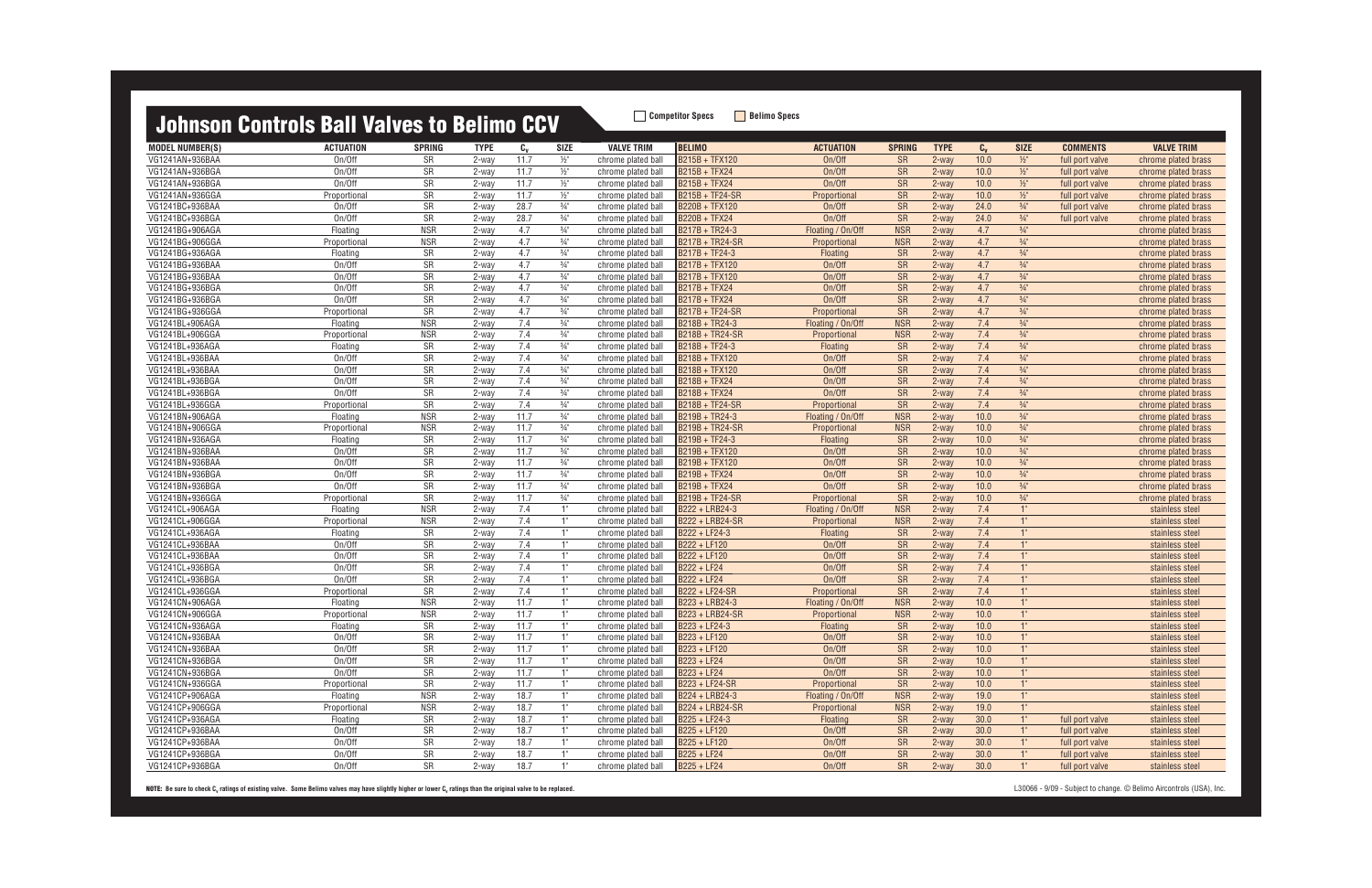MODEL NUMBER(S) ACTUATION SPRING TYPE C<sub>v</sub> SIZE VALVE TRIM |BELIMO ACTUATION SPRING TYPE C<sub>v</sub> SIZE COMMENTS VALVE TRIM VG1241AN+936BAA On/Off SR 2-way 11.7 ½" chrome plated ball B215B + TFX120 On/Off SR 2-way 10.0 ½" full port valve chrome plated brass VG1241AN+936BGA On/Off SR 2-way 11.7 ½" chrome plated ball B215B + TFX24 On/Off SR 2-way 10.0 ½" full port valve chrome plated brass VG1241AN+936BGA On/Off SR 2-way 11.7 ½" chrome plated ball B215B + TFX24 On/Off SR 2-way 10.0 ½" full port valve chrome plated brass VG1241AN+936GGA Proportional SR 2-way 11.7 ½" chrome plated ball B215B + TF24-SR Proportional SR 2-way 10.0 ½" full port valve chrome plated brass VG1241BC+936BAA On/Off SR 2-way 28.7 ¾" chrome plated ball B220B + TFX120 On/Off SR 2-way 24.0 ¾" full port valve chrome plated brass VG1241BC+936BGA On/Off SR 2-way 28.7 ¾" chrome plated ball B220B + TFX24 On/Off SR 2-way 24.0 ¾" full port valve chrome plated brass VG1241BG+906AGA Floating NSR 2-way 4.7 ¾" chrome plated ball B217B + TR24-3 Floating / On/Off NSR 2-way 4.7 ¾" chrome plated brass VG1241BG+906GGA Proportional NSR 2-way 4.7 ¾" chrome plated ball B217B + TR24-SR Proportional NSR 2-way 4.7 ¾" chrome plated brass VG1241BG+936AGA Floating SR 2-way 4.7 ¾" chrome plated ball B217B + TF24-3 Floating SR 2-way 4.7 ¾" chrome plated brass VG1241BG+936BAA On/Off SR 2-way 4.7 ¾" chrome plated ball B217B + TFX120 On/Off SR 2-way 4.7 ¾" chrome plated brass VG1241BG+936BAA On/Off SR 2-way 4.7 ¾" chrome plated ball B217B + TFX120 On/Off SR 2-way 4.7 ¾" chrome plated brass VG1241BG+936BGA On/Off SR 2-way 4.7 ¾" chrome plated ball B217B + TFX24 On/Off SR 2-way 4.7 ¾" chrome plated brass VG1241BG+936BGA On/Off SR 2-way 4.7 ¾" chrome plated ball B217B + TFX24 On/Off SR 2-way 4.7 ¾" chrome plated brass VG1241BG+936GGA Proportional SR 2-way 4.7 ¾" chrome plated ball B217B + TF24-SR Proportional SR 2-way 4.7 ¾" chrome plated brass VG1241BL+906AGA Floating NSR 2-way 7.4 ¾" chrome plated ball B218B + TR24-3 Floating / On/Off NSR 2-way 7.4 ¾" chrome plated brass VG1241BL+906GGA Proportional NSR 2-way 7.4 ¾" chrome plated ball B218B + TR24-SR Proportional NSR 2-way 7.4 ¾" chrome plated brass VG1241BL+936AGA Floating SR 2-way 7.4 ¾" chrome plated ball B218B + TF24-3 Floating SR 2-way 7.4 ¾" chrome plated brass VG1241BL+936BAA On/Off SR 2-way 7.4 ¾" chrome plated ball B218B + TFX120 On/Off SR 2-way 7.4 ¾" chrome plated brass VG1241BL+936BAA On/Off SR 2-way 7.4 ¾" chrome plated ball B218B + TFX120 On/Off SR 2-way 7.4 ¾" chrome plated brass VG1241BL+936BGA On/Off SR 2-way 7.4 ¾" chrome plated ball B218B + TFX24 On/Off SR 2-way 7.4 ¾" chrome plated brass VG1241BL+936BGA On/Off SR 2-way 7.4 ¾" chrome plated ball B218B + TFX24 On/Off SR 2-way 7.4 ¾" chrome plated brass VG1241BL+936GGA Proportional SR 2-way 7.4 ¾" chrome plated ball B218B + TF24-SR Proportional SR 2-way 7.4 ¾" chrome plated brass VG1241BN+906AGA Floating NSR 2-way 11.7 ¾" chrome plated ball B219B + TR24-3 Floating / On/Off NSR 2-way 10.0 ¾" chrome plated brass VG1241BN+906GGA Proportional NSR 2-way 11.7 ¾" chrome plated ball B219B + TR24-SR Proportional NSR 2-way 10.0 ¾" chrome plated brass VG1241BN+936AGA Floating SR 2-way 11.7 ¾" chrome plated ball B219B + TF24-3 Floating SR 2-way 10.0 ¾" chrome plated brass VG1241BN+936BAA On/Off SR 2-way 11.7 ¾" chrome plated ball B219B + TFX120 On/Off SR 2-way 10.0 ¾" chrome plated brass VG1241BN+936BAA On/Off SR 2-way 11.7 ¾" chrome plated ball B219B + TFX120 On/Off SR 2-way 10.0 ¾" chrome plated brass VG1241BN+936BGA On/Off SR 2-way 11.7 ¾" chrome plated ball B219B + TFX24 On/Off SR 2-way 10.0 ¾" chrome plated brass VG1241BN+936BGA On/Off SR 2-way 11.7 ¾" chrome plated ball B219B + TFX24 On/Off SR 2-way 10.0 ¾" chrome plated brass VG1241BN+936GGA Proportional SR 2-way 11.7 ¾" chrome plated ball B219B + TF24-SR Proportional SR 2-way 10.0 ¾" chrome plated brass VG1241CL+906AGA Floating NSR 2-way 7.4 1" chrome plated ball B222 + LRB24-3 Floating / On/Off NSR 2-way 7.4 1" stainless steel VG1241CL+906GGA Proportional NSR 2-way 7.4 1" chrome plated ball <mark>IB222 + LRB24-SR Proportional NSR 2-way 7.4 1" stainless steel</mark> VG1241CL+936AGA Floating SR 2-way 7.4 1" chrome plated ball B222 + LF24-3 Floating SR 2-way 7.4 1" stainless steel VG1241CL+936BAA On/Off SR 2-way 7.4 1" chrome plated ball B222 + LF120 On/Off SR 2-way 7.4 1" stainless steel VG1241CL+936BAA On/Off SR 2-way 7.4 1" chrome plated ball B222 + LF120 On/Off SR 2-way 7.4 1" stainless steel VG1241CL+936BGA On/Off SR 2-way 7.4 1" chrome plated ball B222 + LF24 On/Off SR 2-way 7.4 1" stainless steel VG1241CL+936BGA On/Off SR 2-way 7.4 1" chrome plated ball B222 + LF24 On/Off SR 2-way 7.4 1" stainless steel VG1241CL+936GGA Proportional SR 2-way 7.4 1" chrome plated ball <mark>B222 + LF24-SR Proportional SR 2-way 7.4 stainless steel</mark> VG1241CN+906AGA Floating NSR 2-way 11.7 1" chrome plated ball B223 + LRB24-3 Floating / On/Off NSR 2-way 10.0 1" stainless steel VG1241CN+906GGA Proportional NSR 2-way 11.7 1" chrome plated ball B223 + LRB24-SR Proportional NSR 2-way 10.0 1" stainless steel VG1241CN+936AGA Floating SR 2-way 11.7 1" chrome plated ball B223 + LF24-3 Floating SR 2-way 10.0 1" stainless steel VG1241CN+936BAA On/Off SR 2-way 11.7 1" chrome plated ball B223 + LF120 On/Off SR 2-way 10.0 1" stainless steel VG1241CN+936BAA On/Off SR 2-way 11.7 1" chrome plated ball B223 + LF120 On/Off SR 2-way 10.0 1" stainless steel VG1241CN+936BGA On/Off SR 2-way 11.7 1" chrome plated ball B223 + LF24 On/Off SR 2-way 10.0 1" stainless steel VG1241CN+936BGA On/Off SR 2-way 11.7 1" chrome plated ball B223 + LF24 On/Off SR 2-way 10.0 1" stainless steel VG1241CN+936GGA Proportional SR 2-way 11.7 1" chrome plated ball <mark>IB223 + LF24-SR Proportional SR 2-way 10.0 1" stainless steel</mark> VG1241CP+906AGA Floating NSR 2-way 18.7 1" chrome plated ball B224 + LRB24-3 Floating / On/Off NSR 2-way 19.0 1" stainless steel VG1241CP+906GGA Proportional NSR 2-way 18.7 1" chrome plated ball B224 + LRB24-SR Proportional NSR 2-way 19.0 1" stainless steel VG1241CP+936AGA Floating SR 2-way 18.7 1" chrome plated ball B225 + LF24-3 Floating SR 2-way 30.0 1" full port valve stainless steel VG1241CP+936BAA On/Off SR 2-way 18.7 1" chrome plated ball B225 + LF120 On/Off SR 2-way 30.0 1" full port valve stainless steel VG1241CP+936BAA On/Off SR 2-way 18.7 1" chrome plated ball B225 + LF120 On/Off SR 2-way 30.0 1" full port valve stainless steel VG1241CP+936BGA On/Off SR 2-way 18.7 1" chrome plated ball B225 + LF24 On/Off SR 2-way 30.0 1" full port valve stainless steel VG1241CP+936BGA On/Off SR 2-way 18.7 1" chrome plated ball B225 + LF24 On/Off SR 2-way 30.0 1" full port valve stainless steel

| <b>SIZE</b>                        | COMMENTS                           | <b>VALVE TRIM</b>                          |
|------------------------------------|------------------------------------|--------------------------------------------|
| $\frac{1}{2}$ "                    | full port valve                    | chrome plated brass                        |
| $1/2$ "                            | full port valve                    | chrome plated brass                        |
| $1/2$ "                            | full port valve                    | chrome plated brass                        |
| $\frac{1}{2}$ "                    | full port valve                    | chrome plated brass                        |
| $\frac{3}{4}$ "                    |                                    |                                            |
| $\frac{3}{4}$ "                    | full port valve<br>full port valve | chrome plated brass<br>chrome plated brass |
|                                    |                                    |                                            |
| $\frac{3}{4}$ "<br>$\frac{3}{4}$ " |                                    | chrome plated brass                        |
| $\frac{3}{4}$ "                    |                                    | chrome plated brass                        |
|                                    |                                    | chrome plated brass                        |
| $\frac{3}{4}$ "<br>$\frac{3}{4}$ " |                                    | chrome plated brass                        |
|                                    |                                    | chrome plated brass                        |
| $\frac{3}{4}$ "                    |                                    | chrome plated brass                        |
| $\frac{3}{4}$ "                    |                                    | chrome plated brass                        |
| $\frac{3}{4}$ "                    |                                    | chrome plated brass                        |
| $\frac{3}{4}$ "                    |                                    | chrome plated brass                        |
| $\frac{3}{4}$ "                    |                                    | chrome plated brass                        |
| $\frac{3}{4}$ "                    |                                    | chrome plated brass                        |
| $\frac{3}{4}$ "                    |                                    | chrome plated brass                        |
| $\frac{3}{4}$ "                    |                                    | chrome plated brass                        |
| $\frac{3}{4}$ "                    |                                    | chrome plated brass                        |
| $\frac{3}{4}$ "                    |                                    | chrome plated brass                        |
| $\frac{3}{4}$ "                    |                                    | chrome plated brass                        |
| $\frac{3}{4}$ "                    |                                    | chrome plated brass                        |
| $\frac{3}{4}$ "                    |                                    | chrome plated brass                        |
| $\frac{3}{4}$ "                    |                                    | chrome plated brass                        |
| $\frac{3}{4}$ "                    |                                    | chrome plated brass                        |
| $\frac{3}{4}$ "                    |                                    | chrome plated brass                        |
| $\frac{3}{4}$ "                    |                                    | chrome plated brass                        |
| $\frac{3}{4}$ "                    |                                    | chrome plated brass                        |
| $\frac{3}{4}$ "                    |                                    | chrome plated brass                        |
| 1"                                 |                                    | stainless steel                            |
| 1"                                 |                                    | stainless steel                            |
| 1 <sup>0</sup>                     |                                    | stainless steel                            |
| $1^{\circ}$                        |                                    | stainless steel                            |
| 1 <sup>0</sup>                     |                                    | stainless steel                            |
| $1^{\circ}$                        |                                    | stainless steel                            |
| 1 <sup>°</sup>                     |                                    | stainless steel                            |
| $\overline{1}$                     |                                    | stainless steel                            |
| $1^{\circ}$                        |                                    | stainless steel                            |
| 1"                                 |                                    | stainless steel                            |
| $1^{\circ}$                        |                                    | stainless steel                            |
| $1^{\circ}$                        |                                    | stainless steel                            |
| $1^{\circ}$                        |                                    | stainless steel                            |
| $\overline{1}$                     |                                    | stainless steel                            |
| $\overline{1}$                     |                                    | stainless steel                            |
| $1^{\circ}$                        |                                    | stainless steel                            |
| $\overline{1}$                     |                                    | stainless steel                            |
| $\overline{1}$                     |                                    | stainless steel                            |
| $\overline{1}$                     | full port valve                    | stainless steel                            |
| $1^{\circ}$                        | full port valve                    | stainless steel                            |
| $1^{\circ}$                        | full port valve                    | stainless steel                            |
| $\overline{1}$ "                   | full port valve                    | stainless steel                            |
| $\overline{1}$ "                   |                                    | stainless steel                            |
|                                    | full port valve                    |                                            |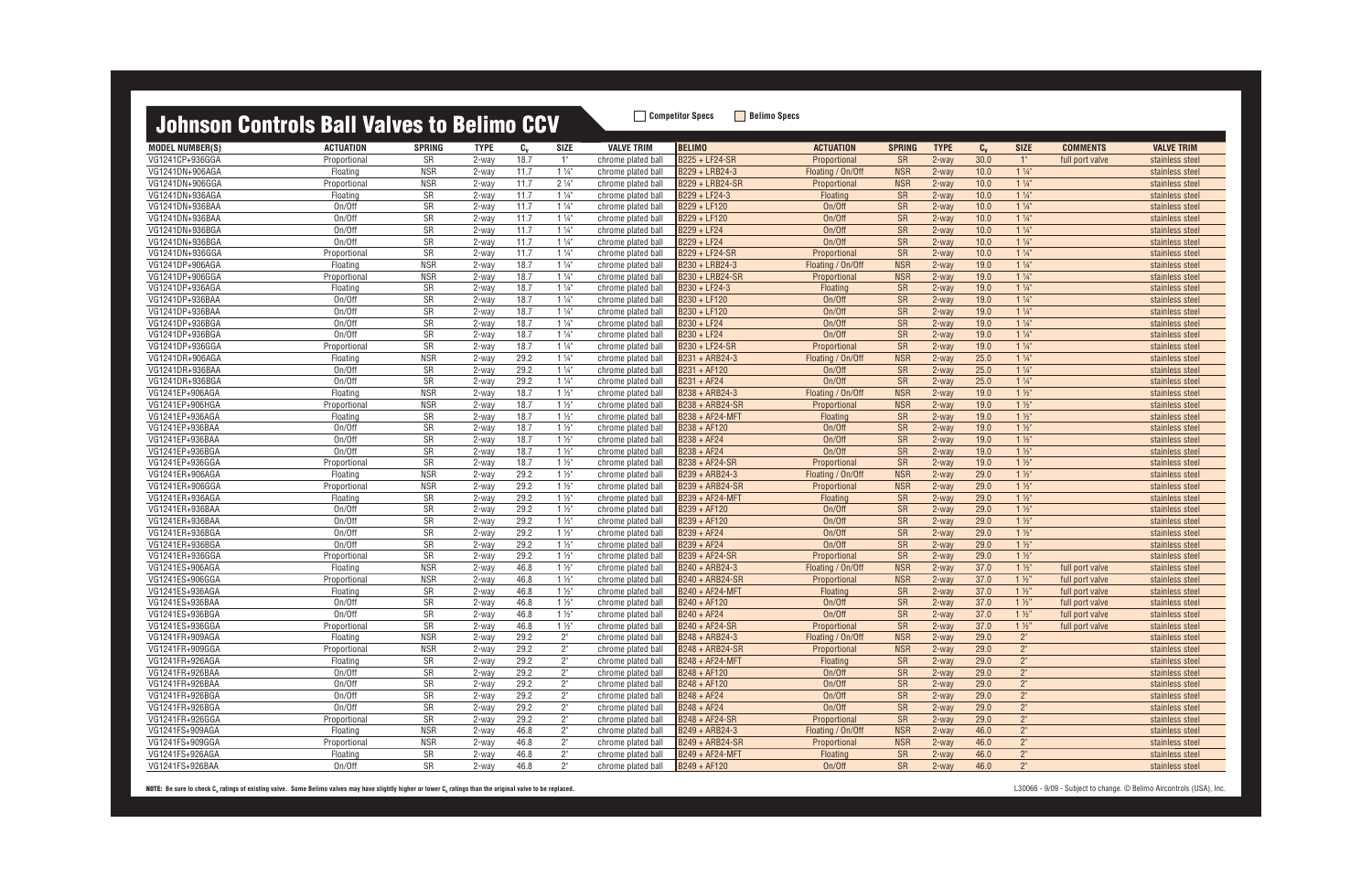| omrodi voliti olo      |                  | <u>TMITUU TU</u> | .           |         |                |                    |                        |                   |               |             |         |                |                 |                   |
|------------------------|------------------|------------------|-------------|---------|----------------|--------------------|------------------------|-------------------|---------------|-------------|---------|----------------|-----------------|-------------------|
| <b>MODEL NUMBER(S)</b> | <b>ACTUATION</b> | <b>SPRING</b>    | <b>TYPE</b> | $c_{v}$ | <b>SIZE</b>    | <b>VALVE TRIM</b>  | <b>BELIMO</b>          | <b>ACTUATION</b>  | <b>SPRING</b> | <b>TYPE</b> | $c_{v}$ | <b>SIZE</b>    | <b>COMMENTS</b> | <b>VALVE TRIM</b> |
| VG1241CP+936GGA        | Proportional     | <b>SR</b>        | 2-way       | 18.7    | 1"             | chrome plated ball | B225 + LF24-SR         | Proportional      | <b>SR</b>     | $2$ -way    | 30.0    | $1^{\circ}$    | full port valve | stainless steel   |
| VG1241DN+906AGA        | Floating         | <b>NSR</b>       | 2-way       | 11.7    | $1\frac{1}{4}$ | chrome plated ball | B229 + LRB24-3         | Floating / On/Off | <b>NSR</b>    | $2-wav$     | 10.0    | $1\frac{1}{4}$ |                 | stainless steel   |
| VG1241DN+906GGA        | Proportional     | <b>NSR</b>       | 2-way       | 11.7    | $2\frac{1}{4}$ | chrome plated ball | <b>B229 + LRB24-SR</b> | Proportional      | <b>NSR</b>    | $2 -$ way   | 10.0    | $1\frac{1}{4}$ |                 | stainless steel   |
| VG1241DN+936AGA        | Floating         | <b>SR</b>        | 2-way       | 11.7    | $1\frac{1}{4}$ | chrome plated ball | B229 + LF24-3          | Floating          | <b>SR</b>     | $2-wav$     | 10.0    | $1\frac{1}{4}$ |                 | stainless steel   |
| VG1241DN+936BAA        | On/Off           | <b>SR</b>        | 2-way       | 11.7    | $1\frac{1}{4}$ | chrome plated ball | B229 + LF120           | On/Off            | <b>SR</b>     | $2$ -way    | 10.0    | $1\frac{1}{4}$ |                 | stainless steel   |
| VG1241DN+936BAA        | On/Off           | SR               | 2-way       | 11.7    | $1\frac{1}{4}$ | chrome plated ball | B229 + LF120           | On/Off            | SR            | 2-way       | 10.0    | $1\frac{1}{4}$ |                 | stainless steel   |
| VG1241DN+936BGA        | On/Off           | SR               | 2-way       | 11.7    | $1\frac{1}{4}$ | chrome plated ball | B229 + LF24            | On/Off            | SR            | $2-wav$     | 10.0    | $1\frac{1}{4}$ |                 | stainless steel   |
| VG1241DN+936BGA        | On/Off           | <b>SR</b>        | 2-way       | 11.7    | $1\frac{1}{4}$ | chrome plated ball | B229 + LF24            | On/Off            | <b>SR</b>     | $2-wav$     | 10.0    | $1\frac{1}{4}$ |                 | stainless steel   |
| VG1241DN+936GGA        | Proportional     | SR               | 2-way       | 11.7    | $1\frac{1}{4}$ | chrome plated ball | B229 + LF24-SR         | Proportional      | <b>SR</b>     | $2$ -way    | 10.0    | $1\frac{1}{4}$ |                 | stainless steel   |
| VG1241DP+906AGA        | Floating         | <b>NSR</b>       | 2-way       | 18.7    | $1\frac{1}{4}$ | chrome plated ball | B230 + LRB24-3         | Floating / On/Off | <b>NSR</b>    | 2-way       | 19.0    | $1\frac{1}{4}$ |                 | stainless steel   |
| VG1241DP+906GGA        | Proportiona      | <b>NSR</b>       | 2-way       | 18.7    | $1\frac{1}{4}$ | chrome plated ball | B230 + LRB24-SR        | Proportional      | <b>NSR</b>    | $2$ -way    | 19.0    | $1\frac{1}{4}$ |                 | stainless steel   |
| VG1241DP+936AGA        | Floating         | SR               | 2-way       | 18.7    | $1\frac{1}{4}$ | chrome plated ball | B230 + LF24-3          | <b>Floating</b>   | SR            | $2$ -way    | 19.0    | $1\frac{1}{4}$ |                 | stainless steel   |
| VG1241DP+936BAA        | On/Off           | SR               | 2-way       | 18.7    | $1\frac{1}{4}$ | chrome plated ball | B230 + LF120           | On/Off            | <b>SR</b>     | $2$ -way    | 19.0    | $1\frac{1}{4}$ |                 | stainless steel   |
| VG1241DP+936BAA        | On/Off           | SR               | 2-way       | 18.7    | $1\frac{1}{4}$ | chrome plated ball | B230 + LF120           | On/Off            | <b>SR</b>     | $2-wav$     | 19.0    | $1\frac{1}{4}$ |                 | stainless steel   |
| VG1241DP+936BGA        | On/Off           | <b>SR</b>        | 2-way       | 18.7    | $1\frac{1}{4}$ | chrome plated ball | B230 + LF24            | On/Off            | <b>SR</b>     | $2$ -way    | 19.0    | $1\frac{1}{4}$ |                 | stainless steel   |
| VG1241DP+936BGA        | On/Off           | <b>SR</b>        | 2-way       | 18.7    | $1\frac{1}{4}$ | chrome plated ball | B230 + LF24            | On/Off            | SR            | $2$ -way    | 19.0    | $1\frac{1}{4}$ |                 | stainless steel   |
| VG1241DP+936GGA        | Proportional     | SR               | 2-way       | 18.7    | $1\frac{1}{4}$ | chrome plated ball | B230 + LF24-SR         | Proportional      | <b>SR</b>     | $2$ -way    | 19.0    | $1\frac{1}{4}$ |                 | stainless steel   |
| VG1241DR+906AGA        | Floating         | <b>NSR</b>       | 2-way       | 29.2    | $1\frac{1}{4}$ | chrome plated ball | B231 + ARB24-3         | Floating / On/Off | <b>NSR</b>    | $2-wav$     | 25.0    | $1\frac{1}{4}$ |                 | stainless steel   |
| VG1241DR+936BAA        | On/Off           | SR               | 2-way       | 29.2    | $1\frac{1}{4}$ | chrome plated ball | B231 + AF120           | On/Off            | SR            | $2-wav$     | 25.0    | $1\frac{1}{4}$ |                 | stainless steel   |
| VG1241DR+936BGA        | On/Off           | SR               | 2-way       | 29.2    | $1\frac{1}{4}$ | chrome plated ball | B231 + AF24            | On/Off            | SR            | 2-way       | 25.0    | $1\frac{1}{4}$ |                 | stainless steel   |
| VG1241EP+906AGA        | Floating         | <b>NSR</b>       | 2-way       | 18.7    | $1\frac{1}{2}$ | chrome plated ball | B238 + ARB24-3         | Floating / On/Off | <b>NSR</b>    | 2-way       | 19.0    | $1\frac{1}{2}$ |                 | stainless steel   |
| VG1241EP+906HGA        | Proportional     | <b>NSR</b>       | 2-way       | 18.7    | $1\frac{1}{2}$ | chrome plated ball | <b>B238 + ARB24-SR</b> | Proportional      | <b>NSR</b>    | $2-wav$     | 19.0    | $1\frac{1}{2}$ |                 | stainless steel   |
| VG1241EP+936AGA        | Floating         | SR               | 2-way       | 18.7    | $1\frac{1}{2}$ | chrome plated ball | <b>B238 + AF24-MFT</b> | Floating          | SR            | $2$ -way    | 19.0    | $1\frac{1}{2}$ |                 | stainless steel   |
| VG1241EP+936BAA        | On/Off           | <b>SR</b>        | 2-way       | 18.7    | $1\frac{1}{2}$ | chrome plated ball | B238 + AF120           | On/Off            | <b>SR</b>     | $2$ -way    | 19.0    | $1\frac{1}{2}$ |                 | stainless steel   |
| VG1241EP+936BAA        | On/Off           | SR               | 2-way       | 18.7    | $1\frac{1}{2}$ | chrome plated ball | B238 + AF24            | On/Off            | <b>SR</b>     | $2$ -way    | 19.0    | $1\frac{1}{2}$ |                 | stainless steel   |
| VG1241EP+936BGA        | On/Off           | SR               | 2-way       | 18.7    | $1\frac{1}{2}$ | chrome plated ball | B238 + AF24            | On/Off            | <b>SR</b>     | $2$ -way    | 19.0    | $1\frac{1}{2}$ |                 | stainless steel   |
| VG1241EP+936GGA        | Proportional     | <b>SR</b>        | 2-way       | 18.7    | $1\frac{1}{2}$ | chrome plated ball | B238 + AF24-SR         | Proportional      | <b>SR</b>     | $2$ -way    | 19.0    | $1\frac{1}{2}$ |                 | stainless steel   |
| VG1241ER+906AGA        | Floating         | <b>NSR</b>       | 2-way       | 29.2    | $1\frac{1}{2}$ | chrome plated ball | B239 + ARB24-3         | Floating / On/Off | <b>NSR</b>    | 2-way       | 29.0    | $1\frac{1}{2}$ |                 | stainless steel   |
| VG1241ER+906GGA        | Proportional     | <b>NSR</b>       | 2-way       | 29.2    | $1\frac{1}{2}$ | chrome plated ball | <b>B239 + ARB24-SR</b> | Proportional      | <b>NSR</b>    | 2-way       | 29.0    | $1\frac{1}{2}$ |                 | stainless steel   |
| VG1241ER+936AGA        | Floating         | <b>SR</b>        | 2-way       | 29.2    | $1\frac{1}{2}$ | chrome plated ball | B239 + AF24-MFT        | Floating          | <b>SR</b>     | $2-wav$     | 29.0    | $1\frac{1}{2}$ |                 | stainless steel   |
| VG1241ER+936BAA        | On/Off           | <b>SR</b>        | 2-way       | 29.2    | $1\frac{1}{2}$ | chrome plated ball | B239 + AF120           | On/Off            | <b>SR</b>     | $2$ -way    | 29.0    | $1\frac{1}{2}$ |                 | stainless steel   |
| VG1241ER+936BAA        | On/Off           | SR               | 2-way       | 29.2    | $1\frac{1}{2}$ | chrome plated ball | B239 + AF120           | On/Off            | <b>SR</b>     | 2-way       | 29.0    | $1\frac{1}{2}$ |                 | stainless steel   |
| VG1241ER+936BGA        | On/Off           | SR               | 2-way       | 29.2    | $1\frac{1}{2}$ | chrome plated ball | B239 + AF24            | On/Off            | SR            | $2-wav$     | 29.0    | $1\frac{1}{2}$ |                 | stainless steel   |
| VG1241ER+936BGA        | On/Off           | SR               | 2-way       | 29.2    | $1\frac{1}{2}$ | chrome plated ball | B239 + AF24            | On/Off            | SR            | $2-wav$     | 29.0    | $1\frac{1}{2}$ |                 | stainless steel   |
| VG1241ER+936GGA        | Proportional     | <b>SR</b>        | 2-way       | 29.2    | $1\frac{1}{2}$ | chrome plated ball | B239 + AF24-SR         | Proportional      | <b>SR</b>     | $2$ -way    | 29.0    | $1\frac{1}{2}$ |                 | stainless steel   |
| VG1241ES+906AGA        | Floating         | <b>NSR</b>       | 2-way       | 46.8    | $1\frac{1}{2}$ | chrome plated ball | B240 + ARB24-3         | Floating / On/Off | <b>NSR</b>    | 2-way       | 37.0    | $1\frac{1}{2}$ | full port valve | stainless steel   |
| VG1241ES+906GGA        | Proportiona      | <b>NSR</b>       | 2-way       | 46.8    | $1\frac{1}{2}$ | chrome plated ball | B240 + ARB24-SR        | Proportional      | <b>NSR</b>    | $2-wav$     | 37.0    | $1\frac{1}{2}$ | full port valve | stainless steel   |
| VG1241ES+936AGA        | Floating         | <b>SR</b>        | 2-way       | 46.8    | $1\frac{1}{2}$ | chrome plated ball | <b>B240 + AF24-MFT</b> | <b>Floating</b>   | <b>SR</b>     | $2$ -way    | 37.0    | $1\frac{1}{2}$ | full port valve | stainless steel   |
| VG1241ES+936BAA        | On/Off           | SR               | 2-way       | 46.8    | $1\frac{1}{2}$ | chrome plated ball | B240 + AF120           | On/Off            | <b>SR</b>     | $2-way$     | 37.0    | $1\frac{1}{2}$ | full port valve | stainless steel   |
| VG1241ES+936BGA        | On/Off           | SR               | 2-way       | 46.8    | $1\frac{1}{2}$ | chrome plated ball | B240 + AF24            | On/Off            | <b>SR</b>     | $2-way$     | 37.0    | $1\frac{1}{2}$ | full port valve | stainless steel   |
| VG1241ES+936GGA        | Proportional     | <b>SR</b>        | 2-way       | 46.8    | $1\frac{1}{2}$ | chrome plated ball | B240 + AF24-SR         | Proportional      | <b>SR</b>     | $2$ -way    | 37.0    | $1\frac{1}{2}$ | full port valve | stainless steel   |
| VG1241FR+909AGA        | Floating         | NSR              | 2-way       | 29.2    | $2^{\circ}$    | chrome plated ball | B248 + ARB24-3         | Floating / On/Off | <b>NSR</b>    | 2-way       | 29.0    | $2^{\circ}$    |                 | stainless steel   |
| VG1241FR+909GGA        | Proportional     | <b>NSR</b>       | 2-way       | 29.2    | $2^{\circ}$    | chrome plated ball | B248 + ARB24-SR        | Proportional      | <b>NSR</b>    | 2-way       | 29.0    | $2^{\circ}$    |                 | stainless steel   |
| VG1241FR+926AGA        | Floating         | SR               | 2-way       | 29.2    | $2^{\circ}$    | chrome plated ball | B248 + AF24-MFT        | Floating          | <b>SR</b>     | 2-way       | 29.0    | $2^{\circ}$    |                 | stainless steel   |
| VG1241FR+926BAA        | On/Off           | SR               | 2-way       | 29.2    | $2^{\circ}$    | chrome plated ball | B248 + AF120           | On/Off            | SR            | 2-way       | 29.0    | $2"$           |                 | stainless steel   |
| VG1241FR+926BAA        | On/Off           | SR               | 2-way       | 29.2    | $2^{\circ}$    | chrome plated ball | B248 + AF120           | On/Off            | SR            | 2-way       | 29.0    | $2"$           |                 | stainless steel   |
| VG1241FR+926BGA        | On/Off           | SR               | 2-way       | 29.2    | $2^{\circ}$    | chrome plated ball | B248 + AF24            | On/Off            | SR            | 2-way       | 29.0    | $2^{\circ}$    |                 | stainless steel   |
| VG1241FR+926BGA        | On/Off           | SR               | 2-way       | 29.2    | $2^{\circ}$    | chrome plated ball | B248 + AF24            | On/Off            | <b>SR</b>     | 2-way       | 29.0    | $2"$           |                 | stainless steel   |
| VG1241FR+926GGA        | Proportional     | SR               | 2-way       | 29.2    | $2^{\circ}$    | chrome plated ball | B248 + AF24-SR         | Proportional      | SR            | 2-way       | 29.0    | $2"$           |                 | stainless steel   |
| VG1241FS+909AGA        | Floating         | <b>NSR</b>       | 2-way       | 46.8    | $2^{\circ}$    | chrome plated ball | B249 + ARB24-3         | Floating / On/Off | <b>NSR</b>    | 2-way       | 46.0    | $2^{\circ}$    |                 | stainless steel   |
| VG1241FS+909GGA        | Proportional     | <b>NSR</b>       | 2-way       | 46.8    | $2^{\circ}$    | chrome plated ball | B249 + ARB24-SR        | Proportional      | <b>NSR</b>    | 2-way       | 46.0    | $2^{\circ}$    |                 | stainless steel   |
| VG1241FS+926AGA        | Floating         | SR               | 2-way       | 46.8    | $2^{\circ}$    | chrome plated ball | B249 + AF24-MFT        | Floating          | <b>SR</b>     | 2-way       | 46.0    | $2^{\circ}$    |                 | stainless steel   |
| VG1241FS+926BAA        | On/Off           | SR               | 2-way       | 46.8    | $2^{\circ}$    | chrome plated ball | B249 + AF120           | On/Off            | SR            | 2-way       | 46.0    | $2^{\circ}$    |                 | stainless steel   |
|                        |                  |                  |             |         |                |                    |                        |                   |               |             |         |                |                 |                   |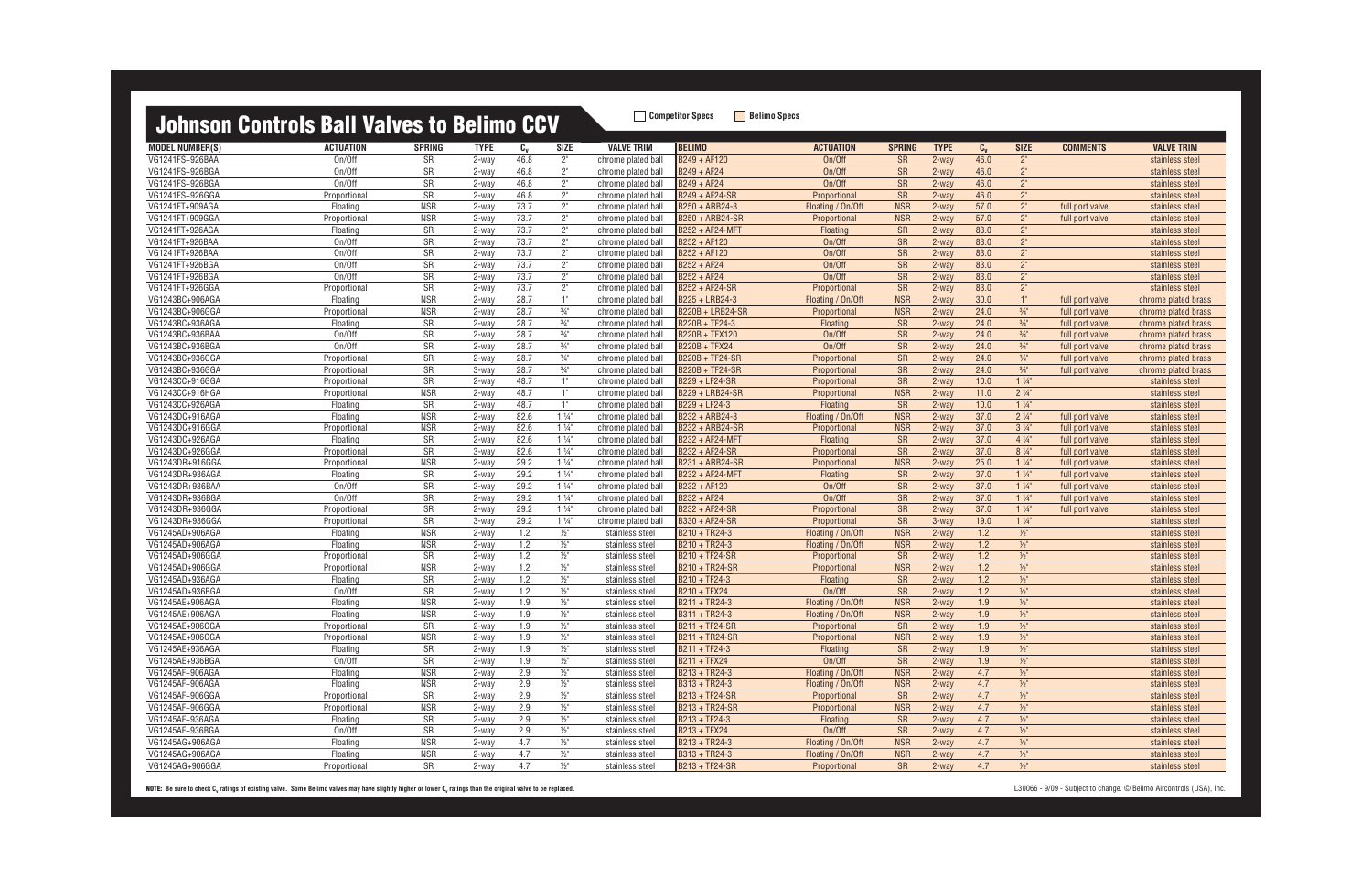| <u>Julius II adii iyo ball taligo to bolililo ad t</u> |                  |               |             |         |                 |                    |                       |                   |               |             |         |                 |                 |                     |
|--------------------------------------------------------|------------------|---------------|-------------|---------|-----------------|--------------------|-----------------------|-------------------|---------------|-------------|---------|-----------------|-----------------|---------------------|
| MODEL NUMBER(S)                                        | <b>ACTUATION</b> | <b>SPRING</b> | <b>TYPE</b> | $c_{v}$ | SIZE            | <b>VALVE TRIM</b>  | <b>BELIMO</b>         | <b>ACTUATION</b>  | <b>SPRING</b> | <b>TYPE</b> | $C_{V}$ | <b>SIZE</b>     | <b>COMMENTS</b> | <b>VALVE TRIM</b>   |
| VG1241FS+926BAA                                        | On/Off           | <b>SR</b>     | 2-way       | 46.8    | $2^{\circ}$     | chrome plated ball | B249 + AF120          | On/Off            | <b>SR</b>     | 2-way       | 46.0    | $2^{\circ}$     |                 | stainless steel     |
| VG1241FS+926BGA                                        | On/Off           | <b>SR</b>     | 2-way       | 46.8    | $2^{\circ}$     | chrome plated ball | B249 + AF24           | On/Off            | <b>SR</b>     | 2-way       | 46.0    | $2^{\circ}$     |                 | stainless steel     |
| VG1241FS+926BGA                                        | On/Off           | <b>SR</b>     | 2-way       | 46.8    | 2"              | chrome plated ball | B249 + AF24           | On/Off            | <b>SR</b>     | 2-way       | 46.0    | $2^{\circ}$     |                 | stainless steel     |
| VG1241FS+926GGA                                        | Proportional     | <b>SR</b>     | 2-way       | 46.8    | 2"              | chrome plated ball | B249 + AF24-SR        | Proportional      | <b>SR</b>     | 2-way       | 46.0    | $2^{\circ}$     |                 | stainless steel     |
| VG1241FT+909AGA                                        | Floating         | <b>NSR</b>    | 2-way       | 73.7    | $2^{\circ}$     | chrome plated ball | B250 + ARB24-3        | Floating / On/Off | <b>NSR</b>    | 2-way       | 57.0    | $2^{\circ}$     | full port valve | stainless steel     |
| VG1241FT+909GGA                                        | Proportional     | <b>NSR</b>    | 2-way       | 73.7    | 2"              | chrome plated ball | B250 + ARB24-SR       | Proportional      | <b>NSR</b>    | 2-way       | 57.0    | $2^{\circ}$     | full port valve | stainless steel     |
| VG1241FT+926AGA                                        | Floating         | <b>SR</b>     | 2-way       | 73.7    | $2"$            | chrome plated ball | B252 + AF24-MFT       | Floating          | <b>SR</b>     | 2-way       | 83.0    | $2^{\circ}$     |                 | stainless steel     |
| VG1241FT+926BAA                                        | On/Off           | <b>SR</b>     | 2-way       | 73.7    | $2^{\circ}$     | chrome plated ball | B252 + AF120          | On/Off            | <b>SR</b>     | 2-way       | 83.0    | $2^{\circ}$     |                 | stainless steel     |
| VG1241FT+926BAA                                        | On/Off           | <b>SR</b>     | 2-way       | 73.7    | $2^{\circ}$     | chrome plated ball | B252 + AF120          | On/Off            | <b>SR</b>     | 2-way       | 83.0    | $2^{\circ}$     |                 | stainless steel     |
| VG1241FT+926BGA                                        | On/Off           | <b>SR</b>     | 2-way       | 73.7    | $2^{\circ}$     | chrome plated ball | $B252 + AF24$         | On/Off            | <b>SR</b>     | 2-way       | 83.0    | $2^{\circ}$     |                 | stainless steel     |
| VG1241FT+926BGA                                        | On/Off           | <b>SR</b>     | 2-way       | 73.7    | $2^{\circ}$     | chrome plated ball | B252 + AF24           | On/Off            | <b>SR</b>     | 2-way       | 83.0    | $2^{\circ}$     |                 | stainless steel     |
| VG1241FT+926GGA                                        | Proportional     | <b>SR</b>     | 2-way       | 73.7    | $2^{\circ}$     | chrome plated ball | B252 + AF24-SR        | Proportional      | <b>SR</b>     | 2-way       | 83.0    | $2^{\circ}$     |                 | stainless steel     |
| VG1243BC+906AGA                                        | Floating         | <b>NSR</b>    | 2-way       | 28.7    | 1"              | chrome plated ball | B225 + LRB24-3        | Floating / On/Off | <b>NSR</b>    | 2-way       | 30.0    | $1^{\circ}$     | full port valve | chrome plated brass |
| VG1243BC+906GGA                                        | Proportional     | <b>NSR</b>    | 2-way       | 28.7    | $\frac{3}{4}$   | chrome plated ball | B220B + LRB24-SR      | Proportional      | <b>NSR</b>    | 2-way       | 24.0    | $\frac{3}{4}$ " | full port valve | chrome plated brass |
| VG1243BC+936AGA                                        | Floating         | SR            | 2-way       | 28.7    | $3/4$ "         | chrome plated ball | B220B + TF24-3        | <b>Floating</b>   | <b>SR</b>     | 2-way       | 24.0    | $\frac{3}{4}$ " | full port valve | chrome plated brass |
| VG1243BC+936BAA                                        | On/Off           | SR            | 2-way       | 28.7    | $3/4$ "         | chrome plated ball | B220B + TFX120        | On/Off            | <b>SR</b>     | 2-way       | 24.0    | $\frac{3}{4}$ " | full port valve | chrome plated brass |
| VG1243BC+936BGA                                        | On/Off           | SR            | 2-way       | 28.7    | $3/4$ "         | chrome plated ball | B220B + TFX24         | On/Off            | <b>SR</b>     | 2-way       | 24.0    | $\frac{3}{4}$ " | full port valve | chrome plated brass |
| VG1243BC+936GGA                                        | Proportional     | <b>SR</b>     | 2-way       | 28.7    | $3/4$ "         | chrome plated ball | B220B + TF24-SR       | Proportional      | <b>SR</b>     | 2-way       | 24.0    | $\frac{3}{4}$ " | full port valve | chrome plated brass |
| VG1243BC+936GGA                                        | Proportional     | <b>SR</b>     | 3-way       | 28.7    | $3/4$ "         | chrome plated ball | B220B + TF24-SR       | Proportional      | <b>SR</b>     | 2-way       | 24.0    | $\frac{3}{4}$ " | full port valve | chrome plated brass |
| VG1243CC+916GGA                                        | Proportional     | <b>SR</b>     | 2-way       | 48.7    | 1"              | chrome plated ball | B229 + LF24-SR        | Proportional      | <b>SR</b>     | 2-way       | 10.0    | $1\frac{1}{4}$  |                 | stainless steel     |
| VG1243CC+916HGA                                        | Proportional     | <b>NSR</b>    | 2-way       | 48.7    | 1"              | chrome plated ball | B229 + LRB24-SR       | Proportional      | <b>NSR</b>    | 2-way       | 11.0    | $2\frac{1}{4}$  |                 | stainless steel     |
| VG1243CC+926AGA                                        | Floating         | <b>SR</b>     | 2-way       | 48.7    | 1"              | chrome plated ball | B229 + LF24-3         | <b>Floating</b>   | <b>SR</b>     | 2-way       | 10.0    | $1\frac{1}{4}$  |                 | stainless steel     |
| VG1243DC+916AGA                                        | Floating         | <b>NSR</b>    | 2-way       | 82.6    | $1\frac{1}{4}$  | chrome plated ball | B232 + ARB24-3        | Floating / On/Off | <b>NSR</b>    | 2-way       | 37.0    | $2\frac{1}{4}$  | full port valve | stainless steel     |
| VG1243DC+916GGA                                        | Proportional     | <b>NSR</b>    | 2-way       | 82.6    | $1\frac{1}{4}$  | chrome plated ball | B232 + ARB24-SR       | Proportional      | <b>NSR</b>    | 2-way       | 37.0    | $3\frac{1}{4}$  | full port valve | stainless steel     |
| VG1243DC+926AGA                                        | Floating         | SR            | 2-way       | 82.6    | $1\frac{1}{4}$  | chrome plated ball | B232 + AF24-MFT       | Floating          | <b>SR</b>     | 2-way       | 37.0    | $4\frac{1}{4}$  | full port valve | stainless steel     |
| VG1243DC+926GGA                                        | Proportional     | SR            | 3-way       | 82.6    | $1\frac{1}{4}$  | chrome plated ball | B232 + AF24-SR        | Proportional      | <b>SR</b>     | 2-way       | 37.0    | $8\frac{1}{4}$  | full port valve | stainless steel     |
| VG1243DR+916GGA                                        | Proportional     | <b>NSR</b>    | 2-way       | 29.2    | $1\frac{1}{4}$  | chrome plated ball | B231 + ARB24-SR       | Proportional      | <b>NSR</b>    | 2-way       | 25.0    | $1\frac{1}{4}$  | full port valve | stainless steel     |
| VG1243DR+936AGA                                        | Floating         | <b>SR</b>     | 2-way       | 29.2    | $1\frac{1}{4}$  | chrome plated ball | B232 + AF24-MFT       | Floating          | <b>SR</b>     | 2-way       | 37.0    | $1\frac{1}{4}$  | full port valve | stainless steel     |
| VG1243DR+936BAA                                        | On/Off           | <b>SR</b>     | 2-way       | 29.2    | $1\frac{1}{4}$  | chrome plated ball | B232 + AF120          | On/Off            | <b>SR</b>     | 2-way       | 37.0    | $1\frac{1}{4}$  | full port valve | stainless steel     |
| VG1243DR+936BGA                                        | On/Off           | SR            | 2-way       | 29.2    | $1\frac{1}{4}$  | chrome plated ball | B232 + AF24           | On/Off            | <b>SR</b>     | 2-way       | 37.0    | $1\frac{1}{4}$  | full port valve | stainless steel     |
| VG1243DR+936GGA                                        | Proportional     | SR            | 2-way       | 29.2    | $1\frac{1}{4}$  | chrome plated ball | B232 + AF24-SR        | Proportional      | <b>SR</b>     | $2$ -way    | 37.0    | $1\frac{1}{4}$  | full port valve | stainless steel     |
| VG1243DR+936GGA                                        | Proportional     | <b>SR</b>     | 3-way       | 29.2    | $1\frac{1}{4}$  | chrome plated ball | B330 + AF24-SR        | Proportional      | <b>SR</b>     | 3-way       | 19.0    | $1\frac{1}{4}$  |                 | stainless steel     |
| VG1245AD+906AGA                                        | Floating         | <b>NSR</b>    | 2-way       | 1.2     | $\frac{1}{2}$   | stainless steel    | B210 + TR24-3         | Floating / On/Off | <b>NSR</b>    | 2-way       | 1.2     | $\frac{1}{2}$   |                 | stainless steel     |
| VG1245AD+906AGA                                        | Floating         | <b>NSR</b>    | 2-way       | 1.2     | $\frac{1}{2}$ " | stainless steel    | B210 + TR24-3         | Floating / On/Off | <b>NSR</b>    | $2$ -way    | 1.2     | $\frac{1}{2}$   |                 | stainless steel     |
| VG1245AD+906GGA                                        | Proportional     | <b>SR</b>     | 2-way       | 1.2     | $1/2$ "         | stainless steel    | B210 + TF24-SR        | Proportional      | <b>SR</b>     | 2-way       | 1.2     | $\frac{1}{2}$   |                 | stainless steel     |
| VG1245AD+906GGA                                        | Proportional     | <b>NSR</b>    | 2-way       | 1.2     | $1/2$ "         | stainless steel    | B210 + TR24-SR        | Proportional      | <b>NSR</b>    | 2-way       | 1.2     | $1/2$ "         |                 | stainless steel     |
| VG1245AD+936AGA                                        | Floating         | SR            | 2-way       | 1.2     | $1/2$ "         | stainless steel    | B210 + TF24-3         | Floating          | <b>SR</b>     | 2-way       | 1.2     | $1/2$ "         |                 | stainless steel     |
| VG1245AD+936BGA                                        | On/Off           | SR            | 2-way       | 1.2     | $1/2$ "         | stainless steel    | B210 + TFX24          | On/Off            | <b>SR</b>     | 2-way       | 1.2     | $\frac{1}{2}$   |                 | stainless steel     |
| VG1245AE+906AGA                                        | Floating         | <b>NSR</b>    | 2-way       | 1.9     | $1/2$ "         | stainless steel    | B211 + TR24-3         | Floating / On/Off | <b>NSR</b>    | 2-way       | 1.9     | $1/2$ "         |                 | stainless steel     |
| VG1245AE+906AGA                                        | Floating         | <b>NSR</b>    | 2-way       | 1.9     | $1/2$ "         | stainless steel    | B311 + TR24-3         | Floating / On/Off | <b>NSR</b>    | 2-way       | 1.9     | $1/2$ "         |                 | stainless steel     |
| VG1245AE+906GGA                                        | Proportional     | <b>SR</b>     | 2-way       | 1.9     | $\frac{1}{2}$ " | stainless steel    | B211 + TF24-SR        | Proportional      | <b>SR</b>     | $2$ -way    | 1.9     | $\frac{1}{2}$   |                 | stainless steel     |
| VG1245AE+906GGA                                        | Proportional     | <b>NSR</b>    | 2-way       | 1.9     | $\frac{1}{2}$   | stainless steel    | <b>B211 + TR24-SR</b> | Proportional      | <b>NSR</b>    | 2-way       | 1.9     | $1/2$ "         |                 | stainless steel     |
| VG1245AE+936AGA                                        | Floating         | <b>SR</b>     | 2-way       | 1.9     | $\frac{1}{2}$   | stainless steel    | B211 + TF24-3         | Floating          | <b>SR</b>     | 2-way       | 1.9     | $\frac{1}{2}$   |                 | stainless steel     |
| VG1245AE+936BGA                                        | On/Off           | SR            | 2-way       | 1.9     | $\frac{1}{2}$   | stainless steel    | <b>B211 + TFX24</b>   | On/Off            | <b>SR</b>     | 2-way       | 1.9     | $1/2$ "         |                 | stainless steel     |
| VG1245AF+906AGA                                        | Floating         | <b>NSR</b>    | 2-way       | 2.9     | $\frac{1}{2}$   | stainless steel    | B213 + TR24-3         | Floating / On/Off | <b>NSR</b>    | 2-way       | 4.7     | $\frac{1}{2}$   |                 | stainless steel     |
| VG1245AF+906AGA                                        | Floating         | NSR           | 2-way       | 2.9     | $\frac{1}{2}$   | stainless steel    | B313 + TR24-3         | Floating / On/Off | <b>NSR</b>    | 2-way       | 4.7     | $\frac{1}{2}$   |                 | stainless steel     |
| VG1245AF+906GGA                                        | Proportional     | <b>SR</b>     | 2-way       | 2.9     | $\frac{1}{2}$   | stainless steel    | B213 + TF24-SR        | Proportional      | <b>SR</b>     | 2-way       | 4.7     | $\frac{1}{2}$   |                 | stainless steel     |
| VG1245AF+906GGA                                        | Proportional     | <b>NSR</b>    | 2-way       | 2.9     | $\frac{1}{2}$   | stainless steel    | B213 + TR24-SR        | Proportional      | <b>NSR</b>    | 2-way       | 4.7     | $\frac{1}{2}$   |                 | stainless steel     |
| VG1245AF+936AGA                                        | Floating         | <b>SR</b>     | 2-way       | 2.9     | $1/2$ "         | stainless steel    | B213 + TF24-3         | Floating          | <b>SR</b>     | 2-way       | 4.7     | $\frac{1}{2}$   |                 | stainless steel     |
| VG1245AF+936BGA                                        | On/Off           | SR            | 2-way       | 2.9     | $\frac{1}{2}$   | stainless steel    | B213 + TFX24          | On/Off            | <b>SR</b>     | 2-way       | 4.7     | $\frac{1}{2}$   |                 | stainless steel     |
| VG1245AG+906AGA                                        | Floating         | <b>NSR</b>    | 2-way       | 4.7     | $1/2$ "         | stainless steel    | B213 + TR24-3         | Floating / On/Off | <b>NSR</b>    | 2-way       | 4.7     | $1/2$ "         |                 | stainless steel     |
| VG1245AG+906AGA                                        | Floating         | <b>NSR</b>    | 2-way       | 4.7     | $1/2$ "         | stainless steel    | B313 + TR24-3         | Floating / On/Off | <b>NSR</b>    | 2-way       | 4.7     | $\frac{1}{2}$   |                 | stainless steel     |
| VG1245AG+906GGA                                        | Proportional     | SR            | 2-way       | 4.7     | $\frac{1}{2}$ " | stainless steel    | B213 + TF24-SR        | Proportional      | <b>SR</b>     | 2-way       | 4.7     | $\frac{1}{2}$   |                 | stainless steel     |
|                                                        |                  |               |             |         |                 |                    |                       |                   |               |             |         |                 |                 |                     |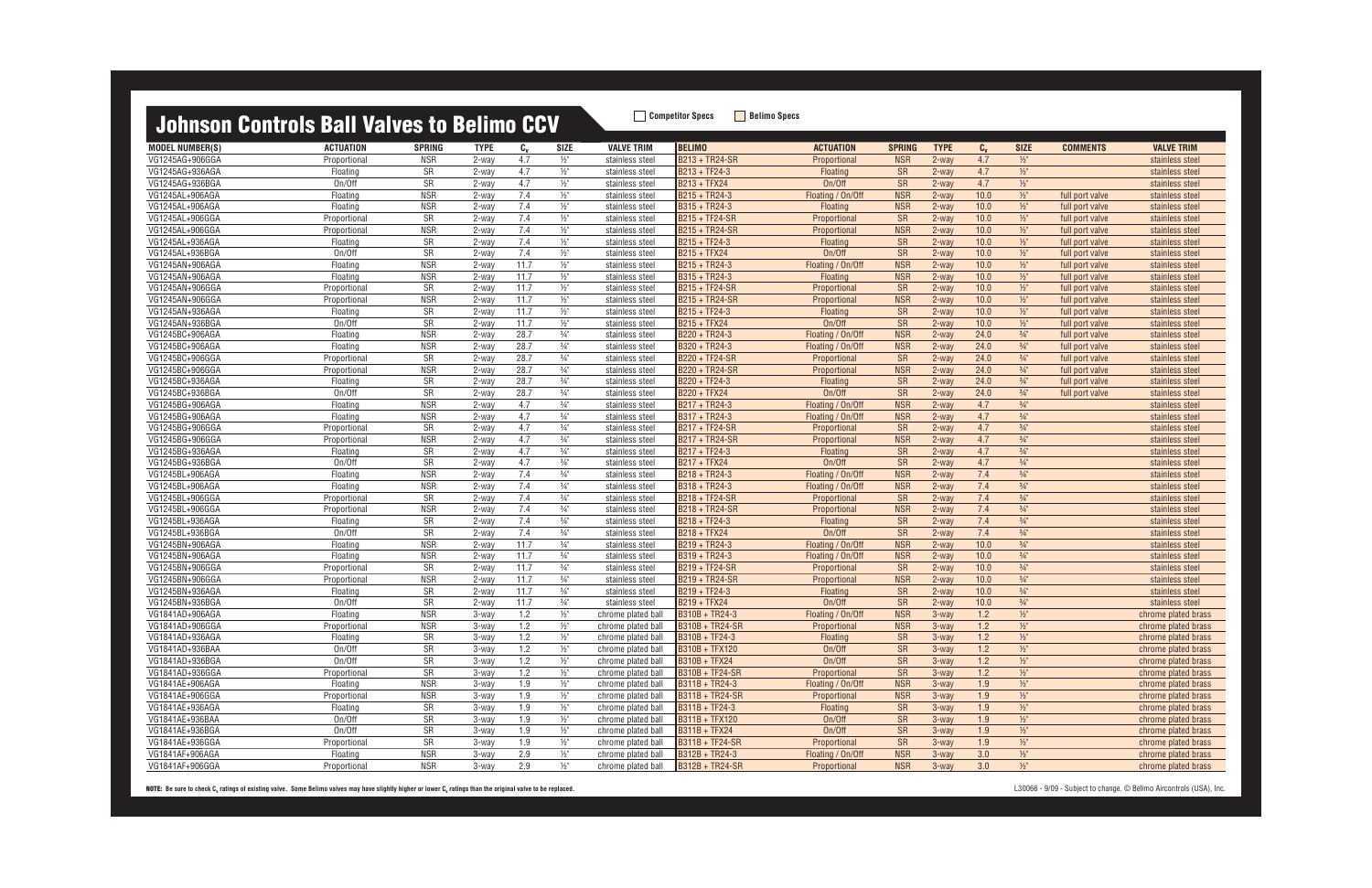MODEL NUMBER(S) ACTUATION SPRING TYPE C<sub>v</sub> SIZE VALVE TRIM |BELIMO ACTUATION SPRING TYPE C<sub>v</sub> SIZE COMMENTS VALVE TRIM VG1245AG+906GGA Proportional NSR 2-way 4.7 ½" stainless steel B213 + TR24-SR Proportional NSR 2-way 4.7 ½" stainless steel VG1245AG+936AGA Floating SR 2-way 4.7 ½" stainless steel B213 + TF24-3 Floating SR 2-way 4.7 ½" stainless steel VG1245AG+936BGA On/Off SR 2-way 4.7 ½" stainless steel B213 + TFX24 On/Off SR 2-way 4.7 ½" stainless steel VG1245AL+906AGA Floating NSR 2-way 7.4 ½" stainless steel B215 + TR24-3 Floating / On/Off NSR 2-way 10.0 ½" full port valve stainless steel VG1245AL+906AGA Floating NSR 2-way 7.4 ½" stainless steel B315 + TR24-3 Floating NSR 2-way 10.0 ½" full port valve stainless steel VG1245AL+906GGA Proportional SR 2-way 7.4 ½" stainless steel B215 + TF24-SR Proportional SR 2-way 10.0 ½" full port valve stainless steel VG1245AL+906GGA Proportional NSR 2-way 7.4 ½" stainless steel B215 + TR24-SR Proportional NSR 2-way 10.0 ½" full port valve stainless steel VG1245AL+936AGA Floating SR 2-way 7.4 ½" stainless steel B215 + TF24-3 Floating SR 2-way 10.0 ½" full port valve stainless steel VG1245AL+936BGA On/Off SR 2-way 7.4 ½" stainless steel B215 + TFX24 On/Off SR 2-way 10.0 ½" full port valve stainless steel VG1245AN+906AGA Floating NSR 2-way 11.7 ½" stainless steel B215 + TR24-3 Floating / On/Off NSR 2-way 10.0 ½" full port valve stainless steel VG1245AN+906AGA Floating NSR 2-way 11.7 ½" stainless steel B315 + TR24-3 Floating NSR 2-way 10.0 ½" full port valve stainless steel VG1245AN+906GGA Proportional SR 2-way 11.7 ½" stainless steel B215 + TF24-SR Proportional SR 2-way 10.0 ½" full port valve stainless steel VG1245AN+906GGA Proportional NSR 2-way 11.7 ½" stainless steel B215 + TR24-SR Proportional NSR 2-way 10.0 ½" full port valve stainless steel VG1245AN+936AGA Floating SR 2-way 11.7 ½" stainless steel B215 + TF24-3 Floating SR 2-way 10.0 ½" full port valve stainless steel VG1245AN+936BGA On/Off SR 2-way 11.7 ½" stainless steel B215 + TFX24 On/Off SR 2-way 10.0 ½" full port valve stainless steel VG1245BC+906AGA Floating NSR 2-way 28.7 ¾" stainless steel B220 + TR24-3 Floating / On/Off NSR 2-way 24.0 ¾" full port valve stainless steel VG1245BC+906AGA Floating NSR 2-way 28.7 ¾" stainless steel B320 + TR24-3 Floating / On/Off NSR 2-way 24.0 ¾" full port valve stainless steel VG1245BC+906GGA Proportional SR 2-way 28.7 ¾" stainless steel B220 + TF24-SR Proportional SR 2-way 24.0 ¾" full port valve stainless steel VG1245BC+906GGA Proportional NSR 2-way 28.7 ¾" stainless steel B220 + TR24-SR Proportional NSR 2-way 24.0 ¾" full port valve stainless steel VG1245BC+936AGA Floating SR 2-way 28.7 ¾" stainless steel B220 + TF24-3 Floating SR 2-way 24.0 ¾" full port valve stainless steel VG1245BC+936BGA On/Off SR 2-way 28.7 ¾" stainless steel B220 + TFX24 On/Off SR 2-way 24.0 ¾" full port valve stainless steel VG1245BG+906AGA Floating NSR 2-way 4.7 ¾" stainless steel B217 + TR24-3 Floating / On/Off NSR 2-way 4.7 ¾" stainless steel VG1245BG+906AGA Floating NSR 2-way 4.7 ¾" stainless steel B317 + TR24-3 Floating / On/Off NSR 2-way 4.7 ¾" stainless steel VG1245BG+906GGA Proportional SR 2-way 4.7 ¾" stainless steel B217 + TF24-SR Proportional SR 2-way 4.7 ¾" stainless steel VG1245BG+906GGA Proportional NSR 2-way 4.7 ¾" stainless steel B217 + TR24-SR Proportional NSR 2-way 4.7 ¾" stainless steel VG1245BG+936AGA Floating SR 2-way 4.7 ¾" stainless steel B217 + TF24-3 Floating SR 2-way 4.7 ¾" stainless steel VG1245BG+936BGA On/Off SR 2-way 4.7 ¾" stainless steel B217 + TFX24 On/Off SR 2-way 4.7 ¾" stainless steel VG1245BL+906AGA Floating NSR 2-way 7.4 ¾" stainless steel B218 + TR24-3 Floating / On/Off NSR 2-way 7.4 ¾" stainless steel VG1245BL+906AGA Floating NSR 2-way 7.4 ¾" stainless steel B318 + TR24-3 Floating / On/Off NSR 2-way 7.4 ¾" stainless steel VG1245BL+906GGA Proportional SR 2-way 7.4 ¾" stainless steel B218 + TF24-SR Proportional SR 2-way 7.4 ¾" stainless steel VG1245BL+906GGA Proportional NSR 2-way 7.4 ¾" stainless steel B218 + TR24-SR Proportional NSR 2-way 7.4 ¾" stainless steel VG1245BL+936AGA Floating SR 2-way 7.4 ¾" stainless steel B218 + TF24-3 Floating SR 2-way 7.4 ¾" stainless steel VG1245BL+936BGA On/Off SR 2-way 7.4 ¾" stainless steel B218 + TFX24 On/Off SR 2-way 7.4 ¾" stainless steel VG1245BN+906AGA Floating NSR 2-way 11.7 ¾" stainless steel B219 + TR24-3 Floating / On/Off NSR 2-way 10.0 ¾" stainless steel VG1245BN+906AGA Floating NSR 2-way 11.7 ¾" stainless steel B319 + TR24-3 Floating / On/Off NSR 2-way 10.0 ¾" stainless steel VG1245BN+906GGA Proportional SR 2-way 11.7 ¾" stainless steel B219 + TF24-SR Proportional SR 2-way 10.0 ¾" stainless steel VG1245BN+906GGA Proportional NSR 2-way 11.7 ¾" stainless steel B219 + TR24-SR Proportional NSR 2-way 10.0 ¾" stainless steel VG1245BN+936AGA Floating SR 2-way 11.7 ¾" stainless steel B219 + TF24-3 Floating SR 2-way 10.0 ¾" stainless steel VG1245BN+936BGA On/Off SR 2-way 11.7 ¾" stainless steel B219 + TFX24 On/Off SR 2-way 10.0 ¾" stainless steel VG1841AD+906AGA Floating NSR 3-way 1.2 ½" chrome plated ball B310B + TR24-3 Floating / On/Off NSR 3-way 1.2 ½" chrome plated brass VG1841AD+906GGA Proportional NSR 3-way 1.2 ½" chrome plated ball B310B + TR24-SR Proportional NSR 3-way 1.2 ½" chrome plated brass VG1841AD+936AGA Floating SR 3-way 1.2 ½" chrome plated ball B310B + TF24-3 Floating SR 3-way 1.2 ½" chrome plated brass VG1841AD+936BAA On/Off SR 3-way 1.2 ½" chrome plated ball B310B + TFX120 On/Off SR 3-way 1.2 ½" chrome plated brass VG1841AD+936BGA On/Off SR 3-way 1.2 ½" chrome plated ball B310B + TFX24 On/Off SR 3-way 1.2 ½" chrome plated brass VG1841AD+936GGA Proportional SR 3-way 1.2 ½" chrome plated ball B310B + TF24-SR Proportional SR 3-way 1.2 ½" chrome plated brass VG1841AE+906AGA Floating NSR 3-way 1.9 ½" chrome plated ball B311B + TR24-3 Floating / On/Off NSR 3-way 1.9 ½" chrome plated brass VG1841AE+906GGA Proportional NSR 3-way 1.9 ½" chrome plated ball B311B + TR24-SR Proportional NSR 3-way 1.9 ½" chrome plated brass VG1841AE+936AGA Floating SR 3-way 1.9 ½" chrome plated ball B311B + TF24-3 Floating SR 3-way 1.9 ½" chrome plated brass VG1841AE+936BAA On/Off SR 3-way 1.9 ½" chrome plated ball B311B + TFX120 On/Off SR 3-way 1.9 ½" chrome plated brass VG1841AE+936BGA On/Off SR 3-way 1.9 ½" chrome plated ball B311B + TFX24 On/Off SR 3-way 1.9 ½" chrome plated brass VG1841AE+936GGA Proportional SR 3-way 1.9 ½" chrome plated ball B311B + TF24-SR Proportional SR 3-way 1.9 ½" chrome plated brass VG1841AF+906AGA Floating NSR 3-way 2.9 ½" chrome plated ball B312B + TR24-3 Floating / On/Off NSR 3-way 3.0 ½" chrome plated brass VG1841AF+906GGA Proportional NSR 3-way 2.9 ½" chrome plated ball B312B + TR24-SR Proportional NSR 3-way 3.0 ½" chrome plated brass

| <b>SIZE</b>                        | <b>COMMENTS</b>                    | <b>VALVE TRIM</b>                  |
|------------------------------------|------------------------------------|------------------------------------|
| $\frac{1}{2}$ "                    |                                    | stainless steel                    |
| $\frac{1}{2}$ "                    |                                    | stainless steel                    |
| $\frac{1}{2}$ "                    |                                    | stainless steel                    |
| $\frac{1}{2}$ "                    | full port valve                    | stainless steel                    |
| $\frac{1}{2}$                      | full port valve                    | stainless steel                    |
| $\frac{1}{2}$ "                    | full port valve                    | stainless steel                    |
| $1/2$ "                            | full port valve                    | stainless steel                    |
| $1/2$ "                            | full port valve                    | stainless steel                    |
| $\frac{1}{2}$ "                    | full port valve                    | stainless steel                    |
| $\frac{1}{2}$<br>$\frac{1}{2}$ "   | full port valve                    | stainless steel                    |
|                                    | full port valve                    | stainless steel                    |
| $\frac{1}{2}$ "<br>$\frac{1}{2}$ " | full port valve                    | stainless steel                    |
| $\frac{1}{2}$ "                    | full port valve                    | stainless steel                    |
| $\frac{1}{2}$ "                    | full port valve<br>full port valve | stainless steel<br>stainless steel |
| $\frac{3}{4}$ "                    | full port valve                    | stainless steel                    |
| $\frac{3}{4}$ "                    | full port valve                    | stainless steel                    |
| $\frac{3}{4}$ "                    | full port valve                    | stainless steel                    |
| $\frac{3}{4}$ "                    | full port valve                    | stainless steel                    |
| $\frac{3}{4}$ "                    | full port valve                    | stainless steel                    |
| $\frac{3}{4}$ "                    | full port valve                    | stainless steel                    |
| $\frac{3}{4}$ "                    |                                    | stainless steel                    |
| $\frac{3}{4}$ "                    |                                    | stainless steel                    |
| $\frac{3}{4}$ "                    |                                    | stainless steel                    |
| $\frac{3}{4}$ "                    |                                    | stainless steel                    |
| $\frac{3}{4}$ "                    |                                    | stainless steel                    |
| $\frac{3}{4}$ "                    |                                    | stainless steel                    |
| $\frac{3}{4}$ "                    |                                    | stainless steel                    |
| $\frac{3}{4}$ "                    |                                    | stainless steel                    |
| $\frac{3}{4}$ "                    |                                    | stainless steel                    |
| $\frac{3}{4}$ "                    |                                    | stainless steel                    |
| $\frac{3}{4}$ "                    |                                    | stainless steel                    |
| $\frac{3}{4}$ "                    |                                    | stainless steel                    |
| $\frac{3}{4}$ "                    |                                    | stainless steel                    |
| $\frac{3}{4}$ "                    |                                    | stainless steel                    |
| $\frac{3}{4}$ "                    |                                    | stainless steel                    |
| $\frac{3}{4}$ "                    |                                    | stainless steel                    |
| $\frac{3}{4}$ "                    |                                    | stainless steel                    |
| $\frac{3}{4}$ "                    |                                    | stainless steel                    |
| $\frac{1}{2}$ "                    |                                    | chrome plated brass                |
| $\frac{1}{2}$                      |                                    | chrome plated brass                |
| $\frac{1}{2}$ "                    |                                    | chrome plated brass                |
| $\frac{1}{2}$                      |                                    | chrome plated brass                |
| $\frac{1}{2}$                      |                                    | chrome plated brass                |
| $\frac{1}{2}$                      |                                    | chrome plated brass                |
| $1/2$ "                            |                                    | chrome plated brass                |
| $\frac{1}{2}$                      |                                    | chrome plated brass                |
| $\frac{1}{2}$                      |                                    | chrome plated brass                |
| $\frac{1}{2}$                      |                                    | chrome plated brass                |
| $1/2$ "                            |                                    | chrome plated brass                |
| $\frac{1}{2}$                      |                                    | chrome plated brass                |
| $\frac{1}{2}$                      |                                    | chrome plated brass                |
| $1/2$ "                            |                                    | chrome plated brass                |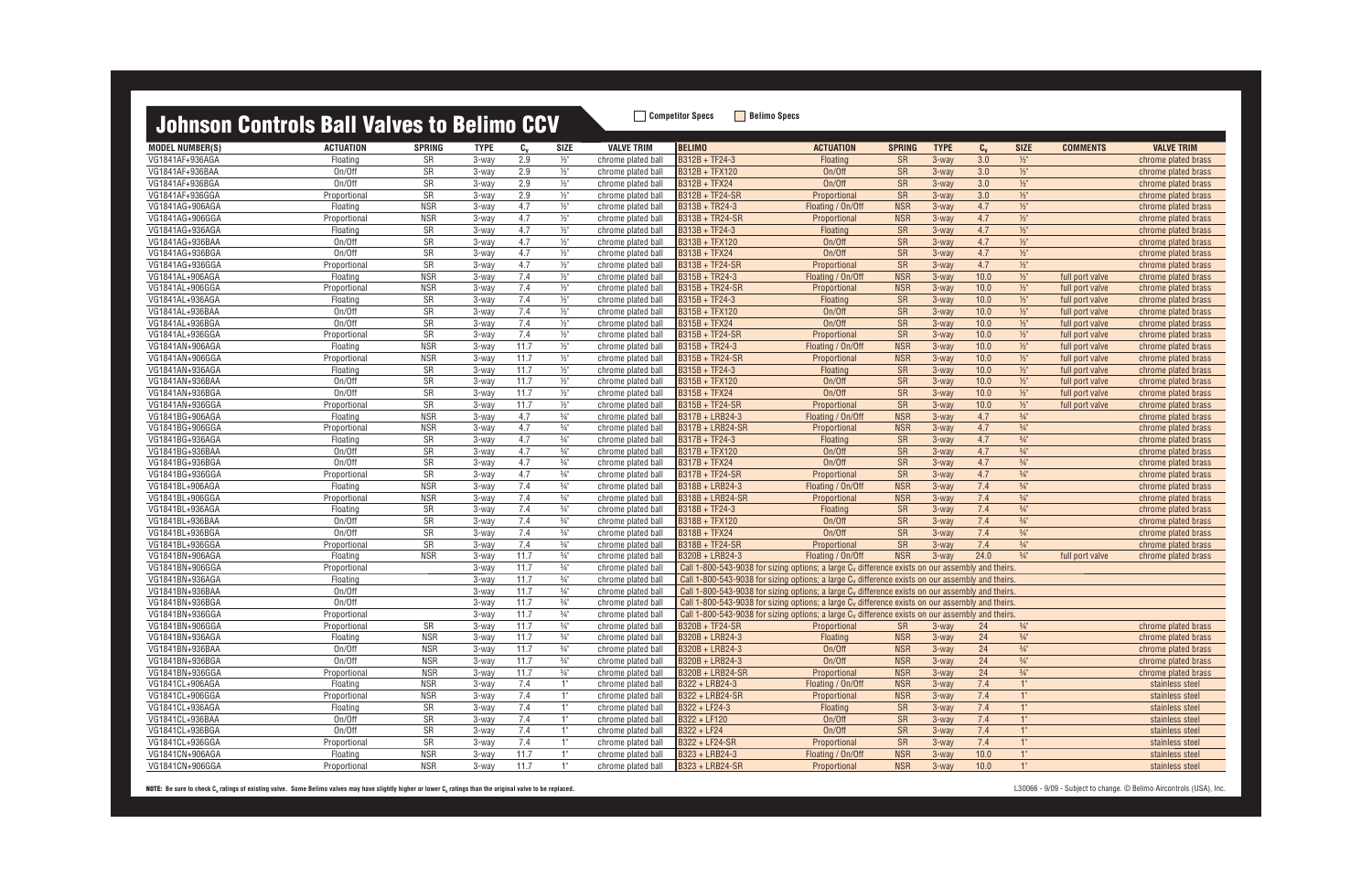| <u>Juliisuli vulkiuls ball valvus tu bullillu uuv</u> |                          |                        |                |            |                 |                                          |                                                                                                              |                                   |                  |                |               |                                    |                 |                                    |
|-------------------------------------------------------|--------------------------|------------------------|----------------|------------|-----------------|------------------------------------------|--------------------------------------------------------------------------------------------------------------|-----------------------------------|------------------|----------------|---------------|------------------------------------|-----------------|------------------------------------|
| <b>MODEL NUMBER(S)</b>                                | <b>ACTUATION</b>         | <b>SPRING</b>          | <b>TYPE</b>    | $c_{v}$    | <b>SIZE</b>     | <b>VALVE TRIM</b>                        | <b>BELIMO</b>                                                                                                | <b>ACTUATION</b>                  | <b>SPRING</b>    | <b>TYPE</b>    | $C_{V}$       | <b>SIZE</b>                        | <b>COMMENTS</b> | <b>VALVE TRIM</b>                  |
| VG1841AF+936AGA                                       | Floating                 | SR                     | 3-way          | 2.9        | $1/2$ "         | chrome plated ball                       | B312B + TF24-3                                                                                               | Floating                          | <b>SR</b>        | 3-way          | 3.0           | $\frac{1}{2}$                      |                 | chrome plated brass                |
| VG1841AF+936BAA                                       | On/Off                   | SR                     | 3-way          | 2.9        | $\frac{1}{2}$   | chrome plated ball                       | B312B + TFX120                                                                                               | On/Off                            | <b>SR</b>        | 3-way          | 3.0           | $1/2$ "                            |                 | chrome plated brass                |
| VG1841AF+936BGA                                       | On/Off                   | SR                     | 3-way          | 2.9        | $\frac{1}{2}$   | chrome plated ball                       | B312B + TFX24                                                                                                | On/Off                            | <b>SR</b>        | $3-way$        | 3.0           | $\frac{1}{2}$                      |                 | chrome plated brass                |
| VG1841AF+936GGA                                       | Proportional             | SR                     | 3-way          | 2.9        | $\frac{1}{2}$   | chrome plated ball                       | <b>B312B + TF24-SR</b>                                                                                       | Proportional                      | <b>SR</b>        | 3-way          | 3.0           | $\frac{1}{2}$                      |                 | chrome plated brass                |
| VG1841AG+906AGA                                       | Floating                 | <b>NSR</b>             | 3-way          | 4.7        | $\frac{1}{2}$   | chrome plated ball                       | B313B + TR24-3                                                                                               | Floating / On/Off                 | <b>NSR</b>       | 3-way          | 4.7           | $\frac{1}{2}$                      |                 | chrome plated brass                |
| VG1841AG+906GGA                                       | Proportional             | <b>NSR</b>             | 3-way          | 4.7        | $\frac{1}{2}$   | chrome plated ball                       | B313B + TR24-SR                                                                                              | Proportional                      | <b>NSR</b>       | $3-way$        | 4.7           | $\frac{1}{2}$                      |                 | chrome plated brass                |
| VG1841AG+936AGA                                       | Floating                 | SR                     | 3-way          | 4.7        | $\frac{1}{2}$   | chrome plated ball                       | B313B + TF24-3                                                                                               | Floating                          | <b>SR</b>        | 3-way          | 4.7           | $\frac{1}{2}$                      |                 | chrome plated brass                |
| VG1841AG+936BAA                                       | On/Off                   | <b>SR</b>              | 3-way          | 4.7        | $\frac{1}{2}$   | chrome plated ball                       | <b>B313B + TFX120</b>                                                                                        | On/Off                            | <b>SR</b>        | 3-way          | 4.7           | $1/2$ "                            |                 | chrome plated brass                |
| VG1841AG+936BGA                                       | On/Off                   | SR                     | 3-way          | 4.7        | $1/2$ "         | chrome plated ball                       | <b>B313B + TFX24</b>                                                                                         | On/Off                            | <b>SR</b>        | 3-way          | 4.7           | $1/2$ "                            |                 | chrome plated brass                |
| VG1841AG+936GGA                                       | Proportional             | SR                     | 3-way          | 4.7        | $\frac{1}{2}$   | chrome plated ball                       | <b>B313B + TF24-SR</b>                                                                                       | Proportional                      | <b>SR</b>        | 3-way          | 4.7           | $1/2$ "                            |                 | chrome plated brass                |
| VG1841AL+906AGA                                       | Floating                 | <b>NSR</b>             | 3-way          | 7.4        | $\frac{1}{2}$   | chrome plated ball                       | B315B + TR24-3                                                                                               | Floating / On/Off                 | <b>NSR</b>       | 3-way          | 10.0          | $\frac{1}{2}$                      | full port valve | chrome plated brass                |
| VG1841AL+906GGA                                       | Proportional             | <b>NSR</b>             | 3-way          | 7.4        | $\frac{1}{2}$ " | chrome plated ball                       | B315B + TR24-SR                                                                                              | Proportional                      | <b>NSR</b>       | $3-wav$        | 10.0          | $\frac{1}{2}$                      | full port valve | chrome plated brass                |
| VG1841AL+936AGA                                       | Floating                 | SR                     | 3-way          | 7.4        | $\frac{1}{2}$   | chrome plated ball                       | B315B + TF24-3                                                                                               | <b>Floating</b>                   | <b>SR</b>        | $3-way$        | 10.0          | $1/2$ "                            | full port valve | chrome plated brass                |
| VG1841AL+936BAA                                       | On/Off                   | SR                     | 3-way          | 7.4        | $1/2$ "         | chrome plated ball                       | <b>B315B + TFX120</b>                                                                                        | On/Off                            | <b>SR</b>        | $3-wav$        | 10.0          | $1/2$ "                            | full port valve | chrome plated brass                |
| VG1841AL+936BGA                                       | On/Off                   | $\overline{\text{SR}}$ | 3-way          | 7.4        | $\frac{1}{2}$   | chrome plated ball                       | <b>B315B + TFX24</b>                                                                                         | On/Off                            | <b>SR</b>        | $3-wav$        | 10.0          | $\frac{1}{2}$                      | full port valve | chrome plated brass                |
| VG1841AL+936GGA                                       | Proportional             | SR                     | 3-way          | 7.4        | $\frac{1}{2}$   | chrome plated ball                       | B315B + TF24-SR                                                                                              | Proportional                      | <b>SR</b>        | $3-wav$        | 10.0          | $\frac{1}{2}$                      | full port valve | chrome plated brass                |
| VG1841AN+906AGA                                       | Floating                 | <b>NSR</b>             | 3-way          | 11.7       | $\frac{1}{2}$   | chrome plated ball                       | B315B + TR24-3                                                                                               | Floating / On/Off                 | <b>NSR</b>       | $3-way$        | 10.0          | $\frac{1}{2}$                      | full port valve | chrome plated brass                |
| VG1841AN+906GGA                                       | Proportional             | <b>NSR</b>             | 3-way          | 11.7       | $1/2$ "         | chrome plated ball                       | <b>B315B + TR24-SR</b>                                                                                       | Proportional                      | <b>NSR</b>       | 3-way          | 10.0          | $1/2$ "                            | full port valve | chrome plated brass                |
| VG1841AN+936AGA                                       | Floating                 | SR                     | 3-way          | 11.7       | $1/2$ "         | chrome plated ball                       | B315B + TF24-3                                                                                               | Floating                          | SR               | 3-way          | 10.0          | $\frac{1}{2}$                      | full port valve | chrome plated brass                |
| VG1841AN+936BAA                                       | On/Off                   | SR                     | 3-way          | 11.7       | $\frac{1}{2}$   | chrome plated ball                       | B315B + TFX120                                                                                               | On/Off                            | <b>SR</b>        | $3-wav$        | 10.0          | $\frac{1}{2}$                      | full port valve | chrome plated brass                |
| VG1841AN+936BGA                                       | On/Off                   | SR                     | 3-way          | 11.7       | $\frac{1}{2}$   | chrome plated ball                       | <b>B315B + TFX24</b>                                                                                         | On/Off                            | <b>SR</b>        | $3-wav$        | 10.0          | $\frac{1}{2}$                      | full port valve | chrome plated brass                |
| VG1841AN+936GGA                                       | Proportional             | SR                     | 3-way          | 11.7       | $1/2$ "         | chrome plated ball                       | <b>B315B + TF24-SR</b>                                                                                       | Proportional                      | <b>SR</b>        | 3-way          | 10.0          | $1/2$ "                            | full port valve | chrome plated brass                |
| VG1841BG+906AGA                                       | Floating                 | <b>NSR</b>             | 3-way          | 4.7        | $\frac{3}{4}$ " | chrome plated ball                       | B317B + LRB24-3                                                                                              | Floating / On/Off                 | <b>NSR</b>       | $3-wav$        | 4.7           | $\frac{3}{4}$ "                    |                 | chrome plated brass                |
| VG1841BG+906GGA                                       | Proportional             | <b>NSR</b>             | 3-way          | 4.7        | $\frac{3}{4}$ " | chrome plated ball                       | <b>B317B + LRB24-SR</b>                                                                                      | Proportional                      | <b>NSR</b>       | 3-way          | 4.7           | $\frac{3}{4}$ "                    |                 | chrome plated brass                |
| VG1841BG+936AGA                                       | Floating                 | SR                     | 3-way          | 4.7        | $\frac{3}{4}$ " | chrome plated ball                       | B317B + TF24-3                                                                                               | <b>Floating</b>                   | <b>SR</b>        | $3-way$        | 4.7           | $\frac{3}{4}$ "                    |                 | chrome plated brass                |
| VG1841BG+936BAA                                       | On/Off                   | SR                     | 3-way          | 4.7        | $\frac{3}{4}$ " | chrome plated ball                       | <b>B317B + TFX120</b>                                                                                        | On/Off                            | <b>SR</b>        | 3-way          | 4.7           | $\frac{3}{4}$ "                    |                 | chrome plated brass                |
| VG1841BG+936BGA                                       | On/Off                   | SR                     | 3-way          | 4.7        | $\frac{3}{4}$ " | chrome plated ball                       | <b>B317B + TFX24</b>                                                                                         | On/Off                            | <b>SR</b>        | $3-way$        | 4.7           | $\frac{3}{4}$ "                    |                 | chrome plated brass                |
| VG1841BG+936GGA                                       | Proportional             | SR                     | $3-wav$        | 4.7        | $\frac{3}{4}$ " | chrome plated ball                       | <b>B317B + TF24-SR</b>                                                                                       | Proportional                      | <b>SR</b>        | $3-way$        | 4.7           | $\frac{3}{4}$ "                    |                 | chrome plated brass                |
| VG1841BL+906AGA                                       | Floating                 | <b>NSR</b>             | 3-way          | 7.4        | $\frac{3}{4}$ " | chrome plated ball                       | B318B + LRB24-3                                                                                              | Floating / On/Off                 | <b>NSR</b>       | $3-wav$        | 7.4           | $\frac{3}{4}$ "                    |                 | chrome plated brass                |
| VG1841BL+906GGA                                       | Proportional             | <b>NSR</b>             | 3-way          | 7.4        | $\frac{3}{4}$ " | chrome plated ball                       | <b>B318B + LRB24-SR</b>                                                                                      | Proportional                      | <b>NSR</b>       | 3-way          | 7.4           | $\frac{3}{4}$ "                    |                 | chrome plated brass                |
| VG1841BL+936AGA                                       | Floating                 | SR                     | 3-way          | 7.4        | $\frac{3}{4}$ " | chrome plated ball                       | B318B + TF24-3                                                                                               | Floating                          | <b>SR</b>        | $3-wav$        | 7.4           | $\frac{3}{4}$ "                    |                 | chrome plated brass                |
| VG1841BL+936BAA                                       | On/Off                   | SR                     | 3-way          | 7.4        | $\frac{3}{4}$ " | chrome plated ball                       | B318B + TFX120                                                                                               | On/Off                            | <b>SR</b>        | $3-way$        | 7.4           | $\frac{3}{4}$ "                    |                 | chrome plated brass                |
| VG1841BL+936BGA                                       | On/Off                   | SR                     | 3-way          | 7.4        | $\frac{3}{4}$ " | chrome plated ball                       | B318B + TFX24                                                                                                | On/Off                            | <b>SR</b>        | 3-way          | 7.4           | $\frac{3}{4}$ "                    |                 | chrome plated brass                |
| VG1841BL+936GGA                                       | Proportional             | <b>SR</b>              | 3-way          | 7.4        | $\frac{3}{4}$ " | chrome plated ball                       | B318B + TF24-SR                                                                                              | Proportional                      | <b>SR</b>        | 3-way          | 7.4           | $\frac{3}{4}$ "                    |                 | chrome plated brass                |
| VG1841BN+906AGA                                       | Floating                 | <b>NSR</b>             | 3-way          | 11.7       | $\frac{3}{4}$ " | chrome plated ball                       | B320B + LRB24-3                                                                                              | Floating / On/Off                 | <b>NSR</b>       | 3-way          | 24.0          | $\frac{3}{4}$ "                    | full port valve | chrome plated brass                |
| VG1841BN+906GGA                                       | Proportional             |                        | 3-way          | 11.7       | $\frac{3}{4}$ " | chrome plated ball                       | Call 1-800-543-9038 for sizing options; a large C <sub>v</sub> difference exists on our assembly and theirs. |                                   |                  |                |               |                                    |                 |                                    |
| VG1841BN+936AGA                                       | Floating                 |                        | 3-way          | 11.7       | $\frac{3}{4}$ " | chrome plated ball                       | Call 1-800-543-9038 for sizing options; a large C <sub>v</sub> difference exists on our assembly and theirs. |                                   |                  |                |               |                                    |                 |                                    |
| VG1841BN+936BAA                                       | On/Off                   |                        | 3-way          | 11.7       | $\frac{3}{4}$ " | chrome plated ball                       | Call 1-800-543-9038 for sizing options; a large C <sub>v</sub> difference exists on our assembly and theirs. |                                   |                  |                |               |                                    |                 |                                    |
| VG1841BN+936BGA                                       | On/Off                   |                        | 3-way          | 11.7       | $\frac{3}{4}$ " | chrome plated ball                       | Call 1-800-543-9038 for sizing options; a large $C_v$ difference exists on our assembly and theirs.          |                                   |                  |                |               |                                    |                 |                                    |
| VG1841BN+936GGA                                       | Proportional             |                        | 3-way          | 11.7       | $\frac{3}{4}$ " | chrome plated ball                       | Call 1-800-543-9038 for sizing options; a large $C_v$ difference exists on our assembly and theirs.          |                                   |                  |                |               |                                    |                 |                                    |
| VG1841BN+906GGA                                       | Proportional             | <b>SR</b>              | 3-way          | 11.7       | $\frac{3}{4}$ " | chrome plated ball                       | <b>B320B + TF24-SR</b>                                                                                       | Proportional                      | <b>SR</b>        | $3$ -way       | 24            | $\frac{3}{4}$ "                    |                 | chrome plated brass                |
| VG1841BN+936AGA                                       | Floating                 | <b>NSR</b>             | 3-way          | 11.7       | $\frac{3}{4}$ " | chrome plated ball                       | B320B + LRB24-3                                                                                              | Floating                          | <b>NSR</b>       | 3-way          | 24            | $\frac{3}{4}$ "                    |                 | chrome plated brass                |
| VG1841BN+936BAA                                       | On/Off                   | <b>NSR</b>             | 3-way          | 11.7       | $\frac{3}{4}$ " | chrome plated ball                       | B320B + LRB24-3                                                                                              | On/Off                            | <b>NSR</b>       | 3-way          | 24            | $\frac{3}{4}$ "                    |                 | chrome plated brass                |
| VG1841BN+936BGA                                       | On/Off                   | <b>NSR</b>             | 3-way          | 11.7       | $\frac{3}{4}$ " | chrome plated ball                       | B320B + LRB24-3                                                                                              | On/Off                            | <b>NSR</b>       | 3-way          | 24            | $\frac{3}{4}$ "<br>$\frac{3}{4}$ " |                 | chrome plated brass                |
| VG1841BN+936GGA                                       | Proportional             | <b>NSR</b>             | 3-way          | 11.7       | $\frac{3}{4}$ " | chrome plated ball                       | B320B + LRB24-SR                                                                                             | Proportional                      | <b>NSR</b>       | 3-way          | 24            |                                    |                 | chrome plated brass                |
| VG1841CL+906AGA                                       | Floating                 | <b>NSR</b>             | 3-way          | 7.4        | 1"              | chrome plated ball                       | B322 + LRB24-3                                                                                               | Floating / On/Off                 | <b>NSR</b>       | 3-way          | 7.4           | $1^{\circ}$                        |                 | stainless steel                    |
| VG1841CL+906GGA                                       | Proportional             | <b>NSR</b>             | 3-way          | 7.4        | 1"              | chrome plated ball                       | B322 + LRB24-SR<br>B322 + LF24-3                                                                             | Proportional                      | <b>NSR</b>       | 3-way          | 7.4           | $1^{\circ}$<br>$1^{\circ}$         |                 | stainless steel                    |
| VG1841CL+936AGA                                       | Floating                 | SR                     | $3-way$        | 7.4<br>7.4 | 1"              | chrome plated ball                       |                                                                                                              | Floating                          | <b>SR</b>        | 3-way          | 7.4           | $1^{\circ}$                        |                 | stainless steel                    |
| VG1841CL+936BAA                                       | On/Off                   | SR                     | 3-way          |            | 1"<br>1"        | chrome plated ball                       | B322 + LF120                                                                                                 | On/Off                            | <b>SR</b>        | 3-way          | 7.4           | 1"                                 |                 | stainless steel                    |
| VG1841CL+936BGA<br>VG1841CL+936GGA                    | On/Off                   | SR                     | 3-way          | 7.4<br>7.4 |                 | chrome plated ball                       | B322 + LF24                                                                                                  | On/Off                            | <b>SR</b>        | 3-way          | 7.4           | $1^{\circ}$                        |                 | stainless steel                    |
| VG1841CN+906AGA                                       | Proportional<br>Floating | SR<br><b>NSR</b>       | 3-way<br>3-way | 11.7       | 1"<br>1"        | chrome plated ball<br>chrome plated ball | <b>B322 + LF24-SR</b><br>B323 + LRB24-3                                                                      | Proportional<br>Floating / On/Off | SR<br><b>NSR</b> | 3-way<br>3-way | 7.4<br>$10.0$ | 1"                                 |                 | stainless steel<br>stainless steel |
| VG1841CN+906GGA                                       |                          | <b>NSR</b>             |                | 11.7       | 1"              |                                          | B323 + LRB24-SR                                                                                              |                                   | <b>NSR</b>       |                | 10.0          | 1"                                 |                 | stainless steel                    |
|                                                       | Proportional             |                        | 3-way          |            |                 | chrome plated ball                       |                                                                                                              | Proportional                      |                  | 3-way          |               |                                    |                 |                                    |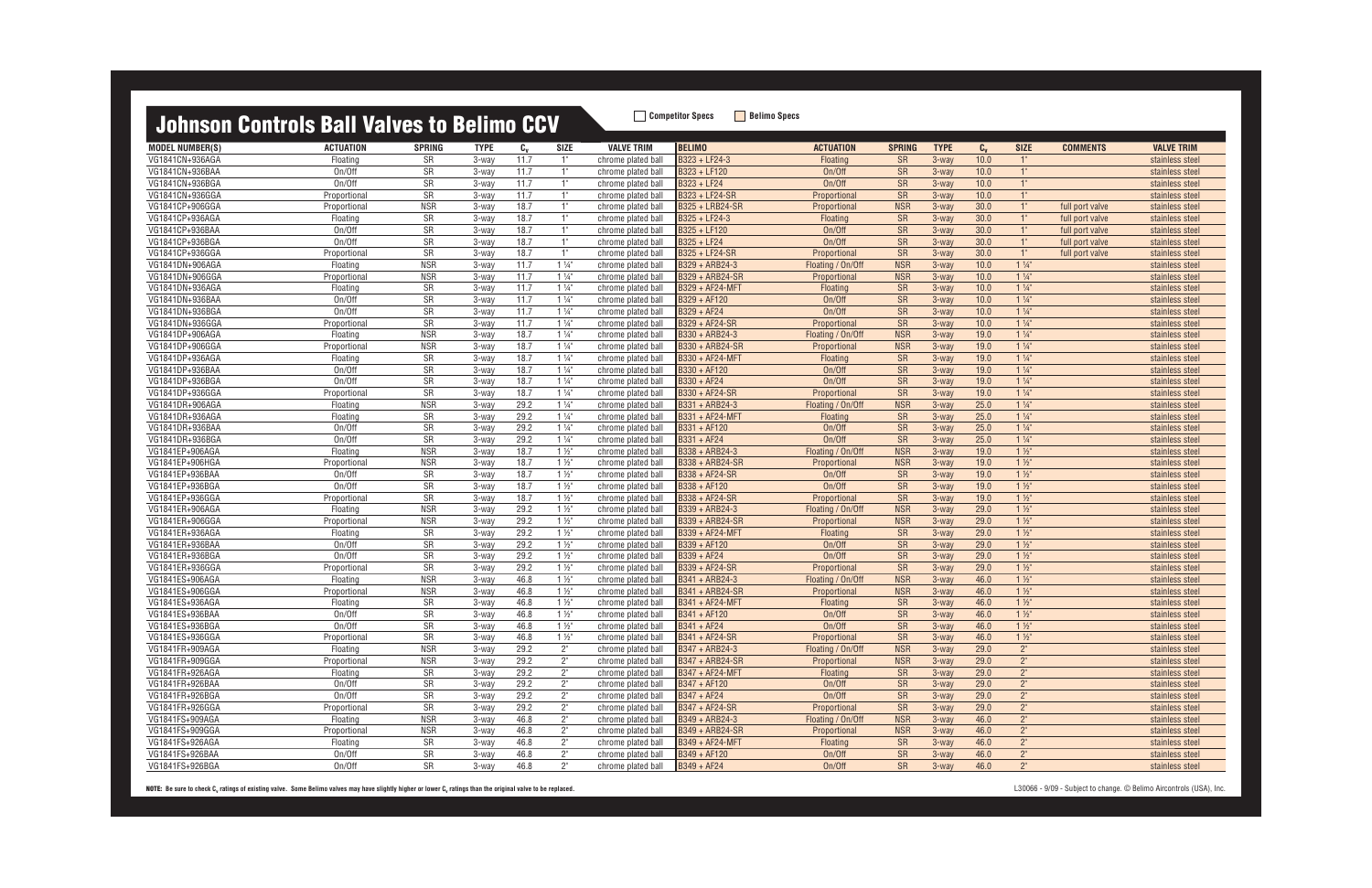MODEL NUMBER(S) ACTUATION SPRING TYPE C<sub>v</sub> SIZE VALVE TRIM |BELIMO ACTUATION SPRING TYPE C<sub>v</sub> SIZE COMMENTS VALVE TRIM VG1841CN+936AGA Floating SR 3-way 11.7 1" chrome plated ball B323 + LF24-3 Floating SR 3-way 10.0 1" stainless steel VG1841CN+936BAA On/Off SR 3-way 11.7 1" chrome plated ball B323 + LF120 On/Off SR 3-way 10.0 1" stainless steel VG1841CN+936BGA On/Off SR 3-way 11.7 1" chrome plated ball B323 + LF24 On/Off SR 3-way 10.0 1" stainless steel VG1841CN+936GGA Proportional SR 3-way 11.7 1" chrome plated ball <mark>B323 + LF24-SR Proportional SR 3-way 10.0 1" stainless stee</mark> VG1841CP+906GGA Proportional NSR 3-way 18.7 1" chrome plated ball B325 + LRB24-SR Proportional NSR 3-way 30.0 1" full port valve stainless steel VG1841CP+936AGA Floating SR 3-way 18.7 1" chrome plated ball B325 + LF24-3 Floating SR 3-way 30.0 1" full port valve stainless steel VG1841CP+936BAA On/Off SR 3-way 18.7 1" chrome plated ball B325 + LF120 On/Off SR 3-way 30.0 1" full port valve stainless steel VG1841CP+936BGA On/Off SR 3-way 18.7 1" chrome plated ball B325 + LF24 On/Off SR 3-way 30.0 1" full port valve stainless steel VG1841CP+936GGA Proportional SR 3-way 18.7 1" chrome plated ball B325 + LF24-SR Proportional SR 3-way 30.0 1" full port valve stainless steel VG1841DN+906AGA Floating NSR 3-way 11.7 1 ¼" chrome plated ball B329 + ARB24-3 Floating / On/Off NSR 3-way 10.0 1 ¼" stainless steel VG1841DN+906GGA Proportional NSR 3-way 11.7 1 14" chrome plated ball <mark>IB329 + ARB24-SR Proportional NSR 3-way 10.0 1 14" stainless steel</mark> VG1841DN+936AGA Floating SR 3-way 11.7 1 ¼" chrome plated ball B329 + AF24-MFT Floating SR 3-way 10.0 1 ¼" stainless steel VG1841DN+936BAA On/Off SR 3-way 11.7 1 ¼" chrome plated ball B329 + AF120 On/Off SR 3-way 10.0 1 ¼" stainless steel VG1841DN+936BGA On/Off SR 3-way 11.7 1 ¼" chrome plated ball B329 + AF24 On/Off SR 3-way 10.0 1 ¼" stainless steel VG1841DN+936GGA Proportional SR 3-way 11.7 1 14" chrome plated ball <mark>B329 + AF24-SR Proportional SR 3-way 10.0 1 14" stainless steel</mark> VG1841DP+906AGA Floating NSR 3-way 18.7 1 ¼" chrome plated ball B330 + ARB24-3 Floating / On/Off NSR 3-way 19.0 1 ¼" stainless steel VG1841DP+906GGA Proportional NSR 3-way 18.7 1 ¼" chrome plated ball B330 + ARB24-SR Proportional NSR 3-way 19.0 1 ¼" stainless steel VG1841DP+936AGA Floating SR 3-way 18.7 1 ¼" chrome plated ball B330 + AF24-MFT Floating SR 3-way 19.0 1 ¼" stainless steel VG1841DP+936BAA On/Off SR 3-way 18.7 1 ¼" chrome plated ball B330 + AF120 On/Off SR 3-way 19.0 1 ¼" stainless steel VG1841DP+936BGA On/Off SR 3-way 18.7 1 ¼" chrome plated ball B330 + AF24 On/Off SR 3-way 19.0 1 ¼" stainless steel VG1841DP+936GGA Proportional SR 3-way 18.7 1 14" chrome plated ball <mark>IB330 + AF24-SR Proportional SR 3-way 19.0 1 14" stainless steel</mark> VG1841DR+906AGA Floating NSR 3-way 29.2 1 ¼" chrome plated ball B331 + ARB24-3 Floating / On/Off NSR 3-way 25.0 1 ¼" stainless steel VG1841DR+936AGA Floating SR 3-way 29.2 1 ¼" chrome plated ball B331 + AF24-MFT Floating SR 3-way 25.0 1 ¼" stainless steel VG1841DR+936BAA On/Off SR 3-way 29.2 1 ¼" chrome plated ball B331 + AF120 On/Off SR 3-way 25.0 1 ¼" stainless steel VG1841DR+936BGA On/Off SR 3-way 29.2 1 ¼" chrome plated ball B331 + AF24 On/Off SR 3-way 25.0 1 ¼" stainless steel VG1841EP+906AGA Floating NSR 3-way 18.7 1 ½" chrome plated ball B338 + ARB24-3 Floating / On/Off NSR 3-way 19.0 1 ½" stainless steel VG1841EP+906HGA Proportional NSR 3-way 18.7 1 ½" chrome plated ball B338 + ARB24-SR Proportional NSR 3-way 19.0 1 ½" stainless steel VG1841EP+936BAA On/Off SR 3-way 18.7 1 ½" chrome plated ball B338 + AF24-SR On/Off SR 3-way 19.0 1 ½" stainless steel VG1841EP+936BGA On/Off SR 3-way 18.7 1 ½" chrome plated ball B338 + AF120 On/Off SR 3-way 19.0 1 ½" stainless steel VG1841EP+936GGA Proportional SR 3-way 18.7 1 ½" chrome plated ball B338 + AF24-SR Proportional SR 3-way 19.0 1 ½" stainless steel VG1841ER+906AGA Floating NSR 3-way 29.2 1 ½" chrome plated ball B339 + ARB24-3 Floating / On/Off NSR 3-way 29.0 1 ½" stainless steel VG1841ER+906GGA Proportional NSR 3-way 29.2 1 ½" chrome plated ball B339 + ARB24-SR Proportional NSR 3-way 29.0 1 ½" stainless steel VG1841ER+936AGA Floating SR 3-way 29.2 1 ½" chrome plated ball B339 + AF24-MFT Floating SR 3-way 29.0 1 ½" stainless steel VG1841ER+936BAA On/Off SR 3-way 29.2 1 ½" chrome plated ball B339 + AF120 On/Off SR 3-way 29.0 1 ½" stainless steel VG1841ER+936BGA On/Off SR 3-way 29.2 1 ½" chrome plated ball B339 + AF24 On/Off SR 3-way 29.0 1 ½" stainless steel VG1841ER+936GGA Proportional SR 3-way 29.2 1 ½" chrome plated ball <mark>B339 + AF24-SR Proportional SR 3-way 29.0 1 ½" </mark> VG1841ES+906AGA Floating NSR 3-way 46.8 1 ½" chrome plated ball B341 + ARB24-3 Floating / On/Off NSR 3-way 46.0 1 ½" stainless steel VG1841ES+906GGA Proportional NSR 3-way 46.8 1 ½" chrome plated ball [B341 + ARB24-SR Proportional NSR 3-way 46.0 1 ½" stainless steel VG1841ES+936AGA Floating SR 3-way 46.8 1 ½" chrome plated ball B341 + AF24-MFT Floating SR 3-way 46.0 1 ½" stainless steel VG1841ES+936BAA On/Off SR 3-way 46.8 1 ½" chrome plated ball B341 + AF120 On/Off SR 3-way 46.0 1 ½" stainless steel VG1841ES+936BGA On/Off SR 3-way 46.8 1 ½" chrome plated ball B341 + AF24 On/Off SR 3-way 46.0 1 ½" stainless steel VG1841ES+936GGA Proportional SR 3-way 46.8 1 ½" chrome plated ball <mark>B341 + AF24-SR Proportional SR 3-way 46.0 1 ½" stain</mark> VG1841FR+909AGA Floating NSR 3-way 29.2 2" chrome plated ball B347 + ARB24-3 Floating / On/Off NSR 3-way 29.0 2" stainless steel VG1841FR+909GGA Proportional NSR 3-way 29.2 2" chrome plated ball B347 + ARB24-SR Proportional NSR 3-way 29.0 2" stainless steel VG1841FR+926AGA Floating SR 3-way 29.2 2" chrome plated ball B347 + AF24-MFT Floating SR 3-way 29.0 2" stainless steel VG1841FR+926BAA On/Off SR 3-way 29.2 2" chrome plated ball B347 + AF120 On/Off SR 3-way 29.0 2" stainless steel VG1841FR+926BGA On/Off SR 3-way 29.2 2" chrome plated ball B347 + AF24 On/Off SR 3-way 29.0 2" stainless steel VG1841FR+926GGA Proportional SR 3-way 29.2 2" chrome plated ball <mark>B347 + AF24-SR Proportional SR 3-way 29.0 2" </mark> VG1841FS+909AGA Floating NSR 3-way 46.8 2" chrome plated ball B349 + ARB24-3 Floating / On/Off NSR 3-way 46.0 2" stainless steel VG1841FS+909GGA Proportional NSR 3-way 46.8 2" chrome plated ball B349 + ARB24-SR Proportional NSR 3-way 46.0 2" stainless steel VG1841FS+926AGA Floating SR 3-way 46.8 2" chrome plated ball B349 + AF24-MFT Floating SR 3-way 46.0 2" stainless steel VG1841FS+926BAA On/Off SR 3-way 46.8 2" chrome plated ball B349 + AF120 On/Off SR 3-way 46.0 2" stainless steel VG1841FS+926BGA On/Off SR 3-way 46.8 2" chrome plated ball B349 + AF24 On/Off SR 3-way 46.0 2" stainless steel

| <b>SIZE</b>                   | <b>COMMENTS</b> | <b>VALVE TRIM</b>                  |
|-------------------------------|-----------------|------------------------------------|
| 1"                            |                 | stainless steel                    |
| $1^{\circ}$                   |                 | stainless steel                    |
| $1^{\circ}$                   |                 | stainless steel                    |
| 1"                            |                 | stainless steel                    |
| 1"                            | full port valve | stainless steel                    |
| $1^{\circ}$                   | full port valve | stainless steel                    |
| 1"                            | full port valve | stainless steel                    |
| 1 <sup>0</sup>                | full port valve | stainless steel                    |
| 1 <sup>n</sup>                | full port valve | stainless steel                    |
| $1\frac{1}{4}$                |                 | stainless steel                    |
| $1\frac{1}{4}$                |                 | stainless steel                    |
| $1\frac{1}{4}$                |                 | stainless steel                    |
| $1\frac{1}{4}$                |                 | stainless steel                    |
| $1\frac{1}{4}$                |                 | stainless steel                    |
| $1\frac{1}{4}$                |                 | stainless steel                    |
| $1\frac{1}{4}$                |                 | stainless steel                    |
| $1\frac{1}{4}$                |                 | stainless steel                    |
| $1\frac{1}{4}$                |                 | stainless steel                    |
| $1\frac{1}{4}$                |                 | stainless steel                    |
| $1\frac{1}{4}$                |                 | stainless steel                    |
| $1\frac{1}{4}$                |                 | stainless steel                    |
| $1\frac{1}{4}$                |                 | stainless steel                    |
| $1\frac{1}{4}$                |                 | stainless steel                    |
| $1\frac{1}{4}$                |                 | stainless steel                    |
| $1\frac{1}{4}$                |                 | stainless steel                    |
| $1\frac{1}{2}$                |                 | stainless steel                    |
| $1\frac{1}{2}$                |                 | stainless steel                    |
| $1\frac{1}{2}$                |                 | stainless steel                    |
| $1\frac{1}{2}$                |                 | stainless steel                    |
| $1\frac{1}{2}$                |                 | stainless steel                    |
| $1\frac{1}{2}$                |                 | stainless steel                    |
| $1\frac{1}{2}$                |                 | stainless steel                    |
| $1\frac{1}{2}$                |                 | stainless steel                    |
| $1\frac{1}{2}$                |                 | stainless steel                    |
| $1\frac{1}{2}$                |                 | stainless steel                    |
| $1\frac{1}{2}$                |                 | stainless steel                    |
| $1\frac{1}{2}$                |                 |                                    |
| $1\frac{1}{2}$                |                 | stainless steel<br>stainless steel |
| $1\frac{1}{2}$                |                 | stainless steel                    |
| $1\frac{1}{2}$                |                 |                                    |
| $1\frac{1}{2}$                |                 | stainless steel                    |
| $1\frac{1}{2}$                |                 | stainless steel                    |
|                               |                 | stainless steel                    |
| $2^{\circ}$<br>2 <sup>1</sup> |                 | stainless steel                    |
| 2 <sup>''</sup>               |                 | stainless steel                    |
|                               |                 | stainless steel                    |
| $2^{\circ}$                   |                 | stainless steel                    |
| 2 <sup>''</sup>               |                 | stainless steel                    |
| 2 <sup>''</sup>               |                 | stainless steel                    |
| 2 <sup>1</sup>                |                 | stainless steel                    |
| $2^{\circ}$                   |                 | stainless steel                    |
| $2^{\circ}$                   |                 | stainless steel                    |
| 2 <sup>1</sup>                |                 | stainless steel                    |
| 2 <sup>''</sup>               |                 | stainless steel                    |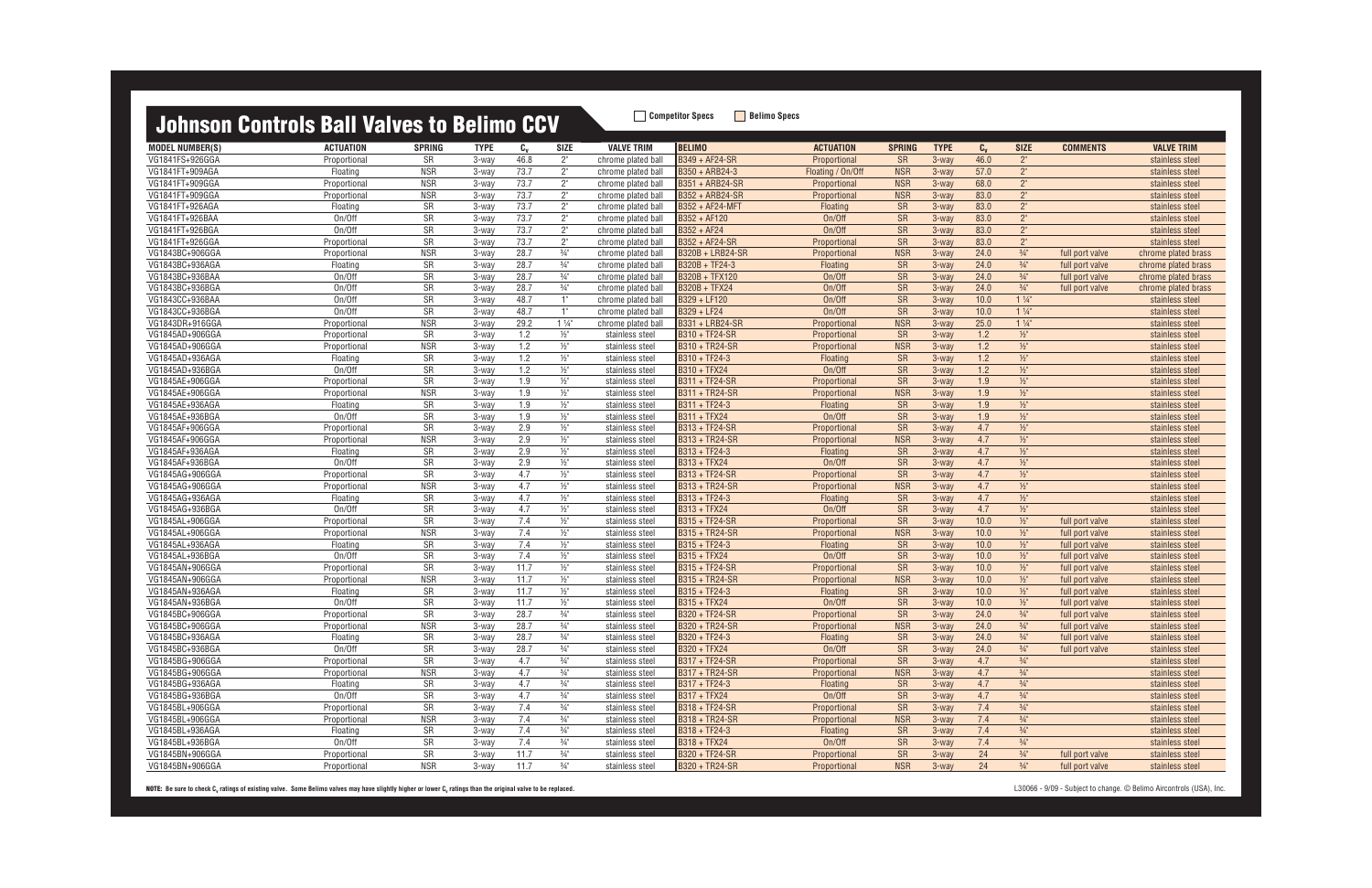| <b>MODEL NUMBER(S)</b>             | <b>ACTUATION</b>         | <b>SPRING</b>    | <b>TYPE</b>    | $c_{v}$    | <b>SIZE</b>                      | <b>VALVE TRIM</b>                  | <b>BELIMO</b>                                | <b>ACTUATION</b>                | <b>SPRING</b>           | <b>TYPE</b>        | $C_{V}$    | <b>SIZE</b>     | <b>COMMENTS</b>                    | <b>VALVE TRIM</b>                  |
|------------------------------------|--------------------------|------------------|----------------|------------|----------------------------------|------------------------------------|----------------------------------------------|---------------------------------|-------------------------|--------------------|------------|-----------------|------------------------------------|------------------------------------|
| VG1841FS+926GGA                    | Proportional             | SR               | 3-way          | 46.8       | 2"                               | chrome plated ball                 | <b>B349 + AF24-SR</b>                        | Proportional                    | <b>SR</b>               | $3-way$            | 46.0       | 2 <sup>n</sup>  |                                    | stainless steel                    |
| VG1841FT+909AGA                    | Floating                 | <b>NSR</b>       | 3-way          | 73.7       | 2"                               | chrome plated ball                 | B350 + ARB24-3                               | Floating / On/Off               | <b>NSR</b>              | 3-way              | 57.0       | 2 <sup>n</sup>  |                                    | stainless steel                    |
| VG1841FT+909GGA                    | Proportional             | <b>NSR</b>       | 3-way          | 73.7       | $2^{\circ}$                      | chrome plated ball                 | <b>B351 + ARB24-SR</b>                       | Proportional                    | <b>NSR</b>              | $3-way$            | 68.0       | 2"              |                                    | stainless steel                    |
| VG1841FT+909GGA                    | Proportional             | <b>NSR</b>       | 3-way          | 73.7       | 2"                               | chrome plated ball                 | B352 + ARB24-SR                              | Proportional                    | <b>NSR</b>              | $3-way$            | 83.0       | 2"              |                                    | stainless steel                    |
| VG1841FT+926AGA                    | Floating                 | SR               | 3-way          | 73.7       | $2^{\circ}$                      | chrome plated ball                 | B352 + AF24-MFT                              | Floating                        | <b>SR</b>               | $3-way$            | 83.0       | 2 <sup>n</sup>  |                                    | stainless steel                    |
| VG1841FT+926BAA                    | On/Off                   | SR               | 3-way          | 73.7       | 2"                               | chrome plated ball                 | B352 + AF120                                 | On/Off                          | <b>SR</b>               | $3-wav$            | 83.0       | 2"              |                                    | stainless steel                    |
| VG1841FT+926BGA                    | On/Off                   | SR               | 3-way          | 73.7       | $2^{\circ}$                      | chrome plated ball                 | B352 + AF24                                  | On/Off                          | <b>SR</b>               | $3-wav$            | 83.0       | 2 <sup>n</sup>  |                                    | stainless steel                    |
| VG1841FT+926GGA                    | Proportional             | SR               | 3-way          | 73.7       | 2"                               | chrome plated ball                 | B352 + AF24-SR                               | Proportional                    | <b>SR</b>               | $3-wav$            | 83.0       | $2^{\circ}$     |                                    | stainless steel                    |
| VG1843BC+906GGA                    | Proportional             | <b>NSR</b>       | 3-way          | 28.7       | $\frac{3}{4}$ "                  | chrome plated ball                 | B320B + LRB24-SR                             | Proportional                    | <b>NSR</b>              | $3-way$            | 24.0       | $\frac{3}{4}$ " | full port valve                    | chrome plated brass                |
| VG1843BC+936AGA                    | Floating                 | SR               | 3-way          | 28.7       | $\frac{3}{4}$ "                  | chrome plated ball                 | B320B + TF24-3                               | <b>Floating</b>                 | <b>SR</b>               | $3-wav$            | 24.0       | $\frac{3}{4}$ " | full port valve                    | chrome plated brass                |
| VG1843BC+936BAA                    | On/Off                   | SR               | 3-way          | 28.7       | $\frac{3}{4}$ "                  | chrome plated ball                 | <b>B320B + TFX120</b>                        | On/Off                          | SR                      | $3-wav$            | 24.0       | $\frac{3}{4}$ " | full port valve                    | chrome plated brass                |
| VG1843BC+936BGA                    | On/Off                   | SR               | 3-way          | 28.7       | $3/4"$                           | chrome plated ball                 | <b>B320B + TFX24</b>                         | On/Off                          | <b>SR</b>               | $3-wav$            | 24.0       | $\frac{3}{4}$ " | full port valve                    | chrome plated brass                |
| VG1843CC+936BAA                    | On/Off                   | SR               | 3-way          | 48.7       | 1"                               | chrome plated ball                 | B329 + LF120                                 | On/Off                          | <b>SR</b>               | 3-way              | 10.0       | $1\frac{1}{4}$  |                                    | stainless steel                    |
| VG1843CC+936BGA                    | On/Off                   | SR               | 3-way          | 48.7       | 1"                               | chrome plated ball                 | B329 + LF24                                  | On/Off                          | <b>SR</b>               | $3-way$            | 10.0       | $1\frac{1}{4}$  |                                    | stainless steel                    |
| VG1843DR+916GGA                    | Proportional             | <b>NSR</b>       | 3-way          | 29.2       | $1\frac{1}{4}$                   | chrome plated ball                 | B331 + LRB24-SR                              | Proportional                    | <b>NSR</b>              | $3-wav$            | 25.0       | $1\frac{1}{4}$  |                                    | stainless steel                    |
| VG1845AD+906GGA                    | Proportional             | SR               | 3-way          | 1.2        | $1/2$ "                          | stainless steel                    | B310 + TF24-SR                               | Proportional                    | <b>SR</b>               | 3-way              | 1.2        | $1/2$ "         |                                    | stainless steel                    |
| VG1845AD+906GGA                    | Proportional             | <b>NSR</b>       | 3-way          | 1.2        | $\frac{1}{2}$                    | stainless steel                    | B310 + TR24-SR                               | Proportional                    | <b>NSR</b>              | 3-way              | 1.2        | $\frac{1}{2}$   |                                    | stainless steel                    |
| VG1845AD+936AGA                    | Floating                 | SR               | 3-way          | 1.2        | $\frac{1}{2}$                    | stainless steel                    | B310 + TF24-3                                | Floating                        | <b>SR</b>               | $3-wav$            | 1.2        | $1/2$ "         |                                    | stainless steel                    |
| VG1845AD+936BGA                    | On/Off                   | SR               | 3-way          | 1.2        | $\frac{1}{2}$ "                  | stainless steel                    | <b>B310 + TFX24</b>                          | On/Off                          | <b>SR</b>               | $3-wav$            | 1.2        | $1/2$ "         |                                    | stainless steel                    |
| VG1845AE+906GGA                    | Proportional             | SR               | 3-way          | 1.9        | $\frac{1}{2}$                    | stainless steel                    | <b>B311 + TF24-SR</b>                        | Proportional                    | <b>SR</b>               | $3-way$            | 1.9        | $1/2$ "         |                                    |                                    |
| VG1845AE+906GGA                    | Proportional             | <b>NSR</b>       | 3-way          | 1.9        | $\frac{1}{2}$                    | stainless steel                    | <b>B311 + TR24-SR</b>                        | Proportional                    | <b>NSR</b>              | $3-wav$            | 1.9        | $\frac{1}{2}$   |                                    | stainless steel<br>stainless steel |
| VG1845AE+936AGA                    | Floating                 | SR               | 3-way          | 1.9        | $\frac{1}{2}$ "                  | stainless steel                    | B311 + TF24-3                                | Floating                        | <b>SR</b>               | $3$ -way           | 1.9        | $1/2$ "         |                                    | stainless steel                    |
| VG1845AE+936BGA                    | On/Off                   | SR               |                | 1.9        | $\frac{1}{2}$ "                  |                                    | <b>B311 + TFX24</b>                          | On/Off                          |                         |                    | 1.9        | $\frac{1}{2}$   |                                    |                                    |
|                                    |                          |                  | 3-way          |            |                                  | stainless steel                    |                                              |                                 | <b>SR</b>               | $3-wav$            |            | $1/2$ "         |                                    | stainless steel                    |
| VG1845AF+906GGA<br>VG1845AF+906GGA | Proportional             | SR<br><b>NSR</b> | 3-way          | 2.9<br>2.9 | $\frac{1}{2}$<br>$1/2$ "         | stainless steel                    | B313 + TF24-SR<br>B313 + TR24-SR             | Proportional                    | <b>SR</b><br><b>NSR</b> | $3-wav$<br>$3-way$ | 4.7<br>4.7 | $1/2$ "         |                                    | stainless steel                    |
| VG1845AF+936AGA                    | Proportional             | SR               | 3-way<br>3-way | 2.9        | $\frac{1}{2}$                    | stainless steel                    | B313 + TF24-3                                | Proportional<br>Floating        |                         | 3-way              |            | $1/2$ "         |                                    | stainless steel                    |
| VG1845AF+936BGA                    | Floating<br>On/Off       | SR               |                | 2.9        |                                  | stainless steel                    | <b>B313 + TFX24</b>                          | On/Off                          | <b>SR</b>               |                    | 4.7<br>4.7 | $1/2$ "         |                                    | stainless steel                    |
| VG1845AG+906GGA                    | Proportional             | <b>SR</b>        | 3-way<br>3-way | 4.7        | $1/2$ "<br>$\frac{1}{2}$         | stainless steel                    | <b>B313 + TF24-SR</b>                        | Proportional                    | <b>SR</b><br><b>SR</b>  | $3-wav$<br>3-way   | 4.7        | $1/2$ "         |                                    | stainless steel                    |
| VG1845AG+906GGA                    |                          | <b>NSR</b>       | 3-way          | 4.7        | $\frac{1}{2}$                    | stainless steel                    | <b>B313 + TR24-SR</b>                        |                                 | <b>NSR</b>              | $3-way$            | 4.7        | $1/2$ "         |                                    | stainless steel                    |
| VG1845AG+936AGA                    | Proportional<br>Floatino | SR               | 3-way          | 4.7        | $\frac{1}{2}$                    | stainless steel                    | B313 + TF24-3                                | Proportional<br>Floating        | <b>SR</b>               | $3-wav$            | 4.7        | $1/2$ "         |                                    | stainless steel                    |
| VG1845AG+936BGA                    | On/Off                   | SR               |                | 4.7        |                                  | stainless steel                    | <b>B313 + TFX24</b>                          | On/Off                          |                         | 3-way              | 4.7        | $1/2$ "         |                                    | stainless steel                    |
| VG1845AL+906GGA                    |                          | SR               | 3-way<br>3-way | 7.4        | $1/2$ "<br>$\frac{1}{2}$         | stainless steel                    | <b>B315 + TF24-SR</b>                        |                                 | <b>SR</b><br><b>SR</b>  | $3-way$            | 10.0       | $1/2$ "         |                                    | stainless steel                    |
| VG1845AL+906GGA                    | Proportional             | <b>NSR</b>       | 3-way          | 7.4        | $\frac{1}{2}$                    | stainless steel                    | <b>B315 + TR24-SR</b>                        | Proportional                    | <b>NSR</b>              | $3-way$            | 10.0       | $1/2$ "         | full port valve                    | stainless steel                    |
| VG1845AL+936AGA                    | Proportional             | SR               |                | 7.4        | $\frac{1}{2}$                    | stainless steel                    | B315 + TF24-3                                | Proportional                    |                         |                    | 10.0       | $1/2$ "         | full port valve                    | stainless steel                    |
| VG1845AL+936BGA                    | Floating<br>On/Off       | SR               | 3-way          | 7.4        |                                  | stainless steel                    |                                              | <b>Floating</b><br>On/Off       | <b>SR</b>               | $3-wav$<br>$3-way$ | 10.0       | $1/2$ "         | full port valve                    | stainless steel                    |
| VG1845AN+906GGA                    |                          | SR               | 3-way<br>3-way | 11.7       | $\frac{1}{2}$ "<br>$\frac{1}{2}$ | stainless steel                    | <b>B315 + TFX24</b><br><b>B315 + TF24-SR</b> |                                 | <b>SR</b><br><b>SR</b>  | $3-way$            | 10.0       | $\frac{1}{2}$   | full port valve                    | stainless steel                    |
| VG1845AN+906GGA                    | Proportional             | <b>NSR</b>       |                | 11.7       | $\frac{1}{2}$                    | stainless steel                    | <b>B315 + TR24-SR</b>                        | Proportional                    | <b>NSR</b>              | $3-wav$            | 10.0       | $1/2$ "         | full port valve                    | stainless steel                    |
| VG1845AN+936AGA                    | Proportional<br>Floating | SR               | 3-way<br>3-way | 11.7       | $1/2$ "                          | stainless steel<br>stainless steel | B315 + TF24-3                                | Proportional<br><b>Floating</b> | <b>SR</b>               | $3-wav$            | 10.0       | $\frac{1}{2}$   | full port valve<br>full port valve | stainless steel                    |
| VG1845AN+936BGA                    | On/Off                   | <b>SR</b>        | 3-way          | 11.7       | $\frac{1}{2}$                    |                                    | <b>B315 + TFX24</b>                          | On/Off                          |                         | 3-way              | 10.0       | $\frac{1}{2}$   |                                    | stainless steel<br>stainless steel |
| VG1845BC+906GGA                    |                          | <b>SR</b>        | 3-way          | 28.7       | $\frac{3}{4}$ "                  | stainless steel                    | <b>B320 + TF24-SR</b>                        |                                 | <b>SR</b><br><b>SR</b>  |                    | 24.0       | $\frac{3}{4}$ " | full port valve                    |                                    |
|                                    | Proportional             |                  |                |            | $\frac{3}{4}$ "                  | stainless steel                    |                                              | Proportiona                     |                         | $3-wav$            |            | $\frac{3}{4}$ " | full port valve                    | stainless steel                    |
| VG1845BC+906GGA                    | Proportional             | <b>NSR</b>       | 3-way          | 28.7       |                                  | stainless steel                    | B320 + TR24-SR                               | Proportional                    | <b>NSR</b>              | $3$ -way           | 24.0       |                 | full port valve                    | stainless steel                    |
| VG1845BC+936AGA                    | Floating                 | SR               | 3-way          | 28.7       | $\frac{3}{4}$                    | stainless steel                    | B320 + TF24-3                                | <b>Floating</b>                 | SR <sub>1</sub>         | 3-way              | 24.0       | $\frac{3}{4}$   | full port valve                    | stainless steel                    |
| VG1845BC+936BGA                    | On/Off                   | SR               | 3-way          | 28.7       | $\frac{3}{4}$ "                  | stainless steel                    | B320 + TFX24                                 | On/Off                          | <b>SR</b>               | 3-way              | 24.0       | $\frac{3}{4}$ " | full port valve                    | stainless steel                    |
| VG1845BG+906GGA                    | Proportional             | SR               | 3-way          | 4.7        | $\frac{3}{4}$ "                  | stainless steel                    | <b>B317 + TF24-SR</b>                        | Proportional                    | <b>SR</b>               | 3-way              | 4.7        | $\frac{3}{4}$ " |                                    | stainless steel                    |
| VG1845BG+906GGA                    | Proportional             | <b>NSR</b>       | 3-way          | 4.7        | $\frac{3}{4}$ "                  | stainless steel                    | <b>B317 + TR24-SR</b>                        | Proportional                    | <b>NSR</b>              | 3-way              | 4.7        | $\frac{3}{4}$ " |                                    | stainless steel                    |
| VG1845BG+936AGA                    | Floating                 | SR               | 3-way          | 4.7        | $3/4$ "                          | stainless steel                    | B317 + TF24-3                                | Floating                        | <b>SR</b>               | 3-way              | 4.7        | $\frac{3}{4}$ " |                                    | stainless steel                    |
| VG1845BG+936BGA                    | On/Off                   | SR               | 3-way          | 4.7        | $\frac{3}{4}$ "                  | stainless steel                    | <b>B317 + TFX24</b>                          | On/Off                          | <b>SR</b>               | $3-wav$            | 4.7        | $\frac{3}{4}$ " |                                    | stainless steel                    |
| VG1845BL+906GGA                    | Proportional             | SR               | 3-way          | 7.4        | $\frac{3}{4}$ "                  | stainless steel                    | <b>B318 + TF24-SR</b>                        | Proportional                    | <b>SR</b>               | 3-way              | 7.4        | $\frac{3}{4}$ " |                                    | stainless steel                    |
| VG1845BL+906GGA                    | Proportional             | <b>NSR</b>       | 3-way          | 7.4        | $\frac{3}{4}$ "                  | stainless steel                    | B318 + TR24-SR                               | Proportional                    | <b>NSR</b>              | 3-way              | 7.4        | $\frac{3}{4}$ " |                                    | stainless steel                    |
| VG1845BL+936AGA                    | Floating                 | SR               | 3-way          | 7.4        | $\frac{3}{4}$ "                  | stainless steel                    | B318 + TF24-3                                | Floating                        | <b>SR</b>               | 3-way              | 7.4        | $\frac{3}{4}$ " |                                    | stainless steel                    |
| VG1845BL+936BGA                    | On/Off                   | SR               | 3-way          | 7.4        | $\frac{3}{4}$ "                  | stainless steel                    | <b>B318 + TFX24</b>                          | On/Off                          | <b>SR</b>               | 3-way              | 7.4        | $\frac{3}{4}$ " |                                    | stainless steel                    |
| VG1845BN+906GGA                    | Proportional             | SR               | 3-way          | 11.7       | $\frac{3}{4}$ "                  | stainless steel                    | B320 + TF24-SR                               | Proportional                    | SR                      | 3-way              | 24         | $\frac{3}{4}$ " | full port valve                    | stainless steel                    |
| VG1845BN+906GGA                    | Proportional             | <b>NSR</b>       | 3-way          | 11.7       | $\frac{3}{4}$ "                  | stainless steel                    | B320 + TR24-SR                               | Proportional                    | <b>NSR</b>              | 3-way              | 24         | $\frac{3}{4}$ " | full port valve                    | stainless steel                    |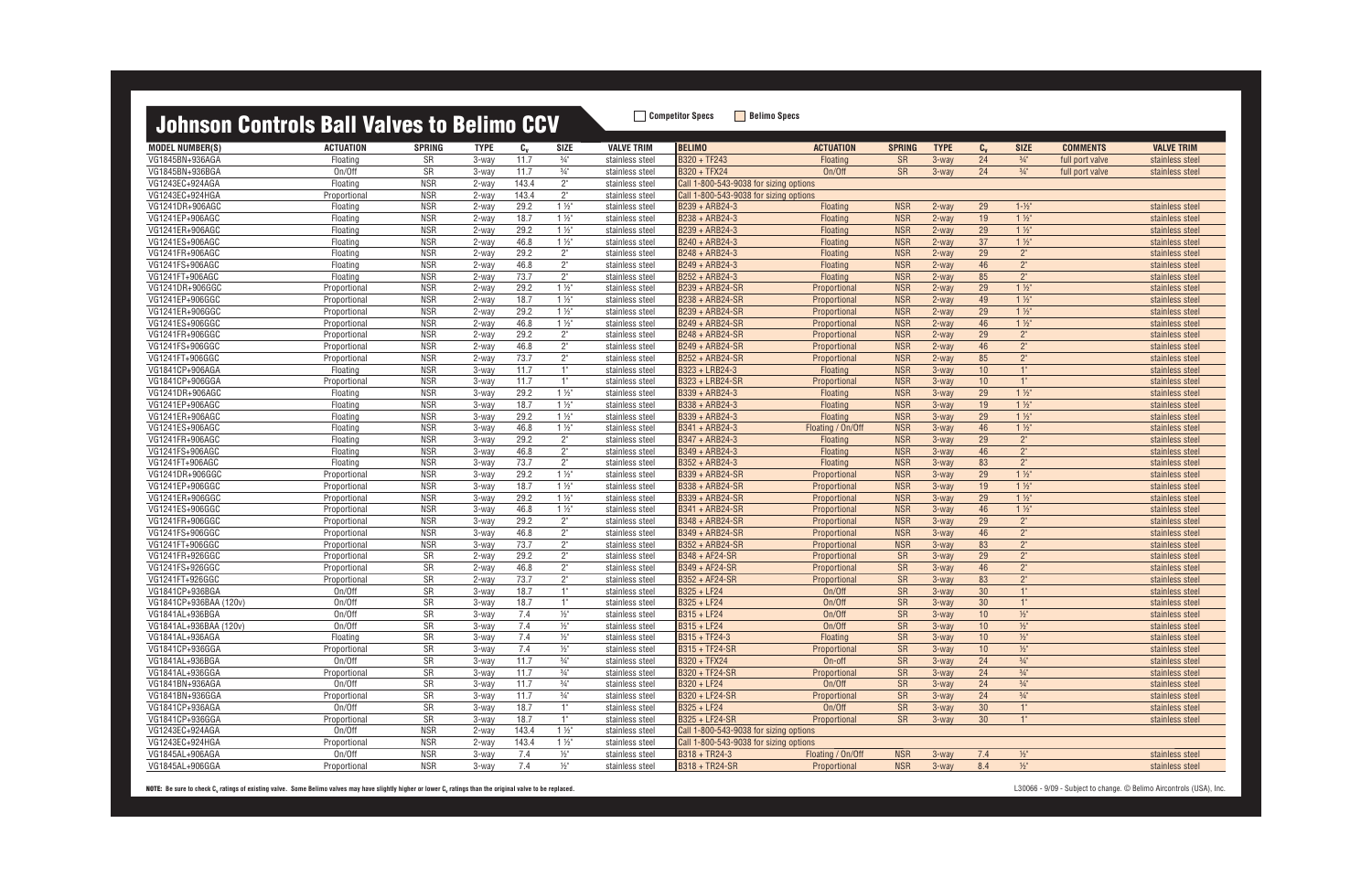| <u>UUINIJUN UUNLIUIJ DAN VAIVUJ LU DUINIIU UUV</u> |                              |                          |                   |              |                 |                                    |                                        |                              |                        |                |                 |                                   |                 |                                    |
|----------------------------------------------------|------------------------------|--------------------------|-------------------|--------------|-----------------|------------------------------------|----------------------------------------|------------------------------|------------------------|----------------|-----------------|-----------------------------------|-----------------|------------------------------------|
| <b>MODEL NUMBER(S)</b>                             | <b>ACTUATION</b>             | <b>SPRING</b>            | <b>TYPE</b>       | $c_{v}$      | <b>SIZE</b>     | <b>VALVE TRIM</b>                  | <b>BELIMO</b>                          | <b>ACTUATION</b>             | <b>SPRING</b>          | <b>TYPE</b>    | $C_{v}$         | <b>SIZE</b>                       | <b>COMMENTS</b> | <b>VALVE TRIM</b>                  |
| VG1845BN+936AGA                                    | Floating                     | SR                       | 3-way             | 11.7         | $\frac{3}{4}$ " | stainless steel                    | B320 + TF243                           | Floating                     | <b>SR</b>              | 3-way          | 24              | $\frac{3}{4}$ "                   | full port valve | stainless steel                    |
| VG1845BN+936BGA                                    | On/Off                       | <b>SR</b>                | 3-way             | 11.7         | $\frac{3}{4}$ " | stainless steel                    | <b>B320 + TFX24</b>                    | On/Off                       | <b>SR</b>              | 3-way          | 24              | $\frac{3}{4}$ "                   | full port valve | stainless steel                    |
| VG1243EC+924AGA                                    | Floating                     | <b>NSR</b>               | 2-way             | 143.4        | 2"              | stainless steel                    | Call 1-800-543-9038 for sizing options |                              |                        |                |                 |                                   |                 |                                    |
| VG1243EC+924HGA                                    | Proportional                 | <b>NSR</b>               | 2-way             | 143.4        | 2"              | stainless steel                    | Call 1-800-543-9038 for sizing options |                              |                        |                |                 |                                   |                 |                                    |
| VG1241DR+906AGC                                    | Floating                     | <b>NSR</b>               | 2-way             | 29.2         | $1\frac{1}{2}$  | stainless steel                    | B239 + ARB24-3                         | Floating                     | <b>NSR</b>             | $2$ -way       | 29              | $1 - \frac{1}{2}$                 |                 | stainless steel                    |
| VG1241EP+906AGC                                    | Floating                     | <b>NSR</b>               | 2-way             | 18.7         | $1\frac{1}{2}$  | stainless steel                    | B238 + ARB24-3                         | Floating                     | <b>NSR</b>             | $2$ -way       | 19              | $1\frac{1}{2}$                    |                 | stainless steel                    |
| VG1241ER+906AGC                                    | Floating                     | <b>NSR</b>               | 2-way             | 29.2         | $1\frac{1}{2}$  | stainless steel                    | B239 + ARB24-3                         | <b>Floating</b>              | <b>NSR</b>             | $2-wav$        | 29              | $1\frac{1}{2}$                    |                 | stainless steel                    |
| VG1241ES+906AGC                                    | Floating                     | <b>NSR</b>               | 2-way             | 46.8         | $1\frac{1}{2}$  | stainless steel                    | B240 + ARB24-3                         | Floating                     | <b>NSR</b>             | $2-wav$        | 37              | $1\frac{1}{2}$                    |                 | stainless steel                    |
| VG1241FR+906AGC                                    | Floating                     | <b>NSR</b>               | 2-way             | 29.2         | 2"              | stainless steel                    | B248 + ARB24-3                         | Floating                     | <b>NSR</b>             | $2-wav$        | 29              | 2 <sup>n</sup>                    |                 | stainless steel                    |
| VG1241FS+906AGC                                    | Floating                     | <b>NSR</b>               | 2-way             | 46.8         | 2"              | stainless steel                    | B249 + ARB24-3                         | Floating                     | <b>NSR</b>             | $2$ -way       | 46              | 2 <sup>''</sup>                   |                 | stainless steel                    |
| VG1241FT+906AGC                                    | Floating                     | <b>NSR</b>               | 2-way             | 73.7         | 2"              | stainless steel                    | B252 + ARB24-3                         | Floating                     | <b>NSR</b>             | $2-wav$        | 85              | 2 <sup>n</sup>                    |                 | stainless steel                    |
| VG1241DR+906GGC                                    | Proportional                 | <b>NSR</b>               | 2-way             | 29.2         | $1\frac{1}{2}$  | stainless steel                    | B239 + ARB24-SR                        | Proportional                 | <b>NSR</b>             | $2-wav$        | 29              | $1\frac{1}{2}$                    |                 | stainless steel                    |
| VG1241EP+906GGC                                    | Proportional                 | <b>NSR</b>               | 2-way             | 18.7         | $1\frac{1}{2}$  | stainless steel                    | B238 + ARB24-SR                        | Proportional                 | <b>NSR</b>             | $2$ -way       | 49              | $1\frac{1}{2}$                    |                 | stainless steel                    |
| VG1241ER+906GGC                                    | Proportional                 | <b>NSR</b>               | 2-way             | 29.2         | $1\frac{1}{2}$  | stainless steel                    | B239 + ARB24-SR                        | Proportional                 | <b>NSR</b>             | $2-wav$        | 29              | $1\frac{1}{2}$                    |                 | stainless steel                    |
| VG1241ES+906GGC                                    | Proportional                 | <b>NSR</b>               | 2-way             | 46.8         | $1\frac{1}{2}$  | stainless steel                    | B249 + ARB24-SR                        | Proportional                 | <b>NSR</b>             | 2-way          | $46\,$          | $1\frac{1}{2}$                    |                 | stainless steel                    |
| VG1241FR+906GGC                                    | Proportional                 | <b>NSR</b>               | 2-way             | 29.2         | 2"              | stainless steel                    | B248 + ARB24-SR                        | Proportional                 | <b>NSR</b>             | $2-wav$        | 29              | 2 <sup>n</sup>                    |                 | stainless steel                    |
| VG1241FS+906GGC                                    | Proportional                 | <b>NSR</b>               | 2-way             | 46.8         | 2"              | stainless steel                    | B249 + ARB24-SR                        | Proportional                 | <b>NSR</b>             | $2$ -way       | 46              | 2 <sup>n</sup>                    |                 | stainless steel                    |
| VG1241FT+906GGC                                    | Proportional                 | <b>NSR</b>               | 2-way             | 73.7         | $2^{\circ}$     | stainless steel                    | B252 + ARB24-SR                        | Proportional                 | <b>NSR</b>             | $2-wav$        | 85              | 2 <sup>n</sup>                    |                 | stainless steel                    |
| VG1841CP+906AGA                                    | Floating                     | <b>NSR</b>               | 3-way             | 11.7         | 1"              | stainless steel                    | B323 + LRB24-3                         | Floating                     | <b>NSR</b>             | $3-wav$        | 10              | 1"                                |                 | stainless steel                    |
| VG1841CP+906GGA                                    | Proportional                 | <b>NSR</b>               | 3-way             | 11.7         | 1"              | stainless steel                    | B323 + LRB24-SR                        | Proportional                 | <b>NSR</b>             | 3-way          | 10              | 1"                                |                 | stainless steel                    |
| VG1241DR+906AGC                                    | Floating                     | <b>NSR</b>               | 3-way             | 29.2         | $1\frac{1}{2}$  | stainless steel                    | B339 + ARB24-3                         | <b>Floating</b>              | <b>NSR</b>             | $3$ -way       | 29              | $1\frac{1}{2}$                    |                 | stainless steel                    |
| VG1241EP+906AGC                                    | Floating                     | <b>NSR</b>               | 3-way             | 18.7         | $1\frac{1}{2}$  | stainless steel                    | B338 + ARB24-3                         | <b>Floating</b>              | <b>NSR</b>             | $3-wav$        | 19              | $1\frac{1}{2}$                    |                 | stainless steel                    |
| VG1241ER+906AGC                                    | Floating                     | <b>NSR</b>               | 3-way             | 29.2         | $1\frac{1}{2}$  | stainless steel                    | B339 + ARB24-3                         | Floating                     | <b>NSR</b>             | $3-wav$        | 29              | $1\frac{1}{2}$                    |                 | stainless steel                    |
| VG1241ES+906AGC                                    | Floating                     | <b>NSR</b>               | 3-way             | 46.8         | $1\frac{1}{2}$  | stainless steel                    | B341 + ARB24-3                         | Floating / On/Off            | <b>NSR</b>             | $3-wav$        | 46              | $1\frac{1}{2}$                    |                 | stainless steel                    |
| VG1241FR+906AGC                                    | Floating                     | <b>NSR</b>               | 3-way             | 29.2         | $2^{\circ}$     | stainless steel                    | B347 + ARB24-3                         | <b>Floating</b>              | <b>NSR</b>             | $3-wav$        | 29              | 2 <sup>''</sup>                   |                 | stainless steel                    |
| VG1241FS+906AGC                                    | Floating                     | <b>NSR</b>               | 3-way             | 46.8         | $2^{\circ}$     | stainless steel                    | B349 + ARB24-3                         | <b>Floating</b>              | <b>NSR</b>             | 3-way          | 46              | 2 <sup>n</sup>                    |                 | stainless steel                    |
| VG1241FT+906AGC                                    | Floating                     | <b>NSR</b>               | 3-way             | 73.7         | $2"$            | stainless steel                    | B352 + ARB24-3                         | Floating                     | <b>NSR</b>             | $3-wav$        | 83              | $2^{\circ}$                       |                 | stainless steel                    |
| VG1241DR+906GGC                                    | Proportional                 | <b>NSR</b>               | 3-way             | 29.2         | $1\frac{1}{2}$  | stainless steel                    | B339 + ARB24-SR                        | Proportional                 | <b>NSR</b>             | 3-way          | 29              | $1\frac{1}{2}$                    |                 | stainless steel                    |
| VG1241EP+906GGC                                    | Proportional                 | <b>NSR</b>               | 3-way             | 18.7         | $1\frac{1}{2}$  | stainless steel                    | B338 + ARB24-SR                        | Proportional                 | <b>NSR</b>             | $3-wav$        | $19$            | $1\frac{1}{2}$                    |                 | stainless steel                    |
| VG1241ER+906GGC                                    | Proportional                 | <b>NSR</b>               | 3-way             | 29.2         | $1\frac{1}{2}$  | stainless steel                    | B339 + ARB24-SR                        | Proportional                 | <b>NSR</b>             | $3-wav$        | 29              | $1\frac{1}{2}$                    |                 | stainless steel                    |
| VG1241ES+906GGC                                    | Proportional                 | <b>NSR</b>               | 3-way             | 46.8         | $1\frac{1}{2}$  | stainless steel                    | B341 + ARB24-SR                        | Proportional                 | <b>NSR</b>             | $3-wav$        | 46              | $1\frac{1}{2}$                    |                 | stainless steel                    |
| VG1241FR+906GGC                                    | Proportional                 | <b>NSR</b>               | 3-way             | 29.2         | $2^{\circ}$     | stainless steel                    | B348 + ARB24-SR                        | Proportional                 | <b>NSR</b>             | 3-way          | 29              | 2 <sup>''</sup>                   |                 | stainless steel                    |
| VG1241FS+906GGC                                    | Proportional                 | <b>NSR</b><br><b>NSR</b> | 3-way             | 46.8<br>73.7 | 2"              | stainless steel                    | B349 + ARB24-SR                        | Proportional                 | <b>NSR</b>             | 3-way          | 46              | 2 <sup>n</sup><br>2 <sup>''</sup> |                 | stainless steel                    |
| VG1241FT+906GGC<br>VG1241FR+926GGC                 | Proportional                 | <b>SR</b>                | 3-way             | 29.2         | 2"<br>2"        | stainless steel                    | B352 + ARB24-SR<br>B348 + AF24-SR      | Proportional                 | <b>NSR</b>             | 3-way<br>3-way | 83<br>29        | 2 <sup>''</sup>                   |                 | stainless steel                    |
| VG1241FS+926GGC                                    | Proportional<br>Proportional | <b>SR</b>                | 2-way<br>$2$ -way | 46.8         | $2^{\circ}$     | stainless steel<br>stainless steel | <b>B349 + AF24-SR</b>                  | Proportional<br>Proportional | <b>SR</b><br><b>SR</b> | $3$ -way       | 46              | 2 <sup>''</sup>                   |                 | stainless steel<br>stainless steel |
| VG1241FT+926GGC                                    | Proportional                 | SR                       | 2-way             | 73.7         | $2^{\circ}$     | stainless steel                    | B352 + AF24-SR                         | Proportional                 | <b>SR</b>              | 3-way          | 83              | 2 <sup>n</sup>                    |                 | stainless steel                    |
| VG1841CP+936BGA                                    | On/Off                       | <b>SR</b>                | 3-way             | 18.7         | 1"              | stainless steel                    | B325 + LF24                            | On/Off                       | <b>SR</b>              | $3-wav$        | 30              | 1"                                |                 | stainless steel                    |
| VG1841CP+936BAA (120v)                             | On/Off                       | <b>SR</b>                | 3-way             | 18.7         | 1"              | stainless steel                    | B325 + LF24                            | On/Off                       | <b>SR</b>              | 3-way          | 30 <sup>°</sup> | 1"                                |                 | stainless steel                    |
| VG1841AL+936BGA                                    | On/Off                       | <b>SR</b>                | $3-way$           | 7.4          | $\frac{1}{2}$   | stainless steel                    | B315 + LF24                            | On/Off                       | <b>SR</b>              | $3$ -way       | 10              | $1/2$ "                           |                 | stainless steel                    |
| VG1841AL+936BAA (120v)                             | On/Off                       | <b>SR</b>                | 3-wav             | 7.4          | $\frac{1}{2}$ " | stainless steel                    | <b>B315 + LF24</b>                     | On/Off                       | <b>SR</b>              | 3-way          | 10 <sup>1</sup> | $\frac{1}{2}$                     |                 | stainless steel                    |
| VG1841AL+936AGA                                    | Floating                     | SR                       | 3-way             | 7.4          | $\frac{1}{2}$ " | stainless steel                    | B315 + TF24-3                          | Floating                     | <b>SR</b>              | 3-way          | 10              | $\frac{1}{2}$                     |                 | stainless steel                    |
| VG1841CP+936GGA                                    | Proportional                 | SR                       | 3-way             | 7.4          | $\frac{1}{2}$   | stainless steel                    | <b>B315 + TF24-SR</b>                  | Proportional                 | <b>SR</b>              | 3-way          | 10 <sup>°</sup> | $1/2$ "                           |                 | stainless steel                    |
| VG1841AL+936BGA                                    | On/Off                       | SR                       | 3-way             | 11.7         | $\frac{3}{4}$ " | stainless steel                    | B320 + TFX24                           | On-off                       | <b>SR</b>              | 3-way          | 24              | $\frac{3}{4}$ "                   |                 | stainless steel                    |
| VG1841AL+936GGA                                    | Proportional                 | SR                       | 3-way             | 11.7         | $\frac{3}{4}$ " | stainless steel                    | <b>B320 + TF24-SR</b>                  | Proportional                 | <b>SR</b>              | 3-way          | 24              | $\frac{3}{4}$ "                   |                 | stainless steel                    |
| VG1841BN+936AGA                                    | On/Off                       | SR                       | 3-way             | 11.7         | $\frac{3}{4}$ " | stainless steel                    | B320 + LF24                            | On/Off                       | <b>SR</b>              | $3-wav$        | 24              | $\frac{3}{4}$ "                   |                 | stainless steel                    |
| VG1841BN+936GGA                                    | Proportional                 | SR                       | 3-way             | 11.7         | $\frac{3}{4}$ " | stainless steel                    | B320 + LF24-SR                         | Proportional                 | <b>SR</b>              | $3$ -way       | 24              | $\frac{3}{4}$ "                   |                 | stainless steel                    |
| VG1841CP+936AGA                                    | On/Off                       | SR                       | 3-way             | 18.7         | 1"              | stainless steel                    | B325 + LF24                            | On/Off                       | <b>SR</b>              | 3-way          | 30 <sup>°</sup> | 1"                                |                 | stainless steel                    |
| VG1841CP+936GGA                                    | Proportional                 | SR                       | 3-way             | 18.7         | $1^{\circ}$     | stainless steel                    | B325 + LF24-SR                         | Proportional                 | <b>SR</b>              | 3-way          | 30 <sup>°</sup> | 1"                                |                 | stainless steel                    |
| VG1243EC+924AGA                                    | On/Off                       | <b>NSR</b>               | 2-way             | 143.4        | $1\frac{1}{2}$  | stainless steel                    | Call 1-800-543-9038 for sizing options |                              |                        |                |                 |                                   |                 |                                    |
| VG1243EC+924HGA                                    | Proportional                 | <b>NSR</b>               | 2-way             | 143.4        | $1\frac{1}{2}$  | stainless steel                    | Call 1-800-543-9038 for sizing options |                              |                        |                |                 |                                   |                 |                                    |
| VG1845AL+906AGA                                    | On/Off                       | <b>NSR</b>               | 3-way             | 7.4          | $\frac{1}{2}$ " | stainless steel                    | B318 + TR24-3                          | Floating / On/Off            | <b>NSR</b>             | 3-way          | 7.4             | $\frac{1}{2}$                     |                 | stainless steel                    |
| VG1845AL+906GGA                                    | Proportional                 | <b>NSR</b>               | 3-way             | 7.4          | $\frac{1}{2}$   | stainless steel                    | B318 + TR24-SR                         | Proportional                 | <b>NSR</b>             | $3-way$        | 8.4             | $\frac{1}{2}$                     |                 | stainless steel                    |
|                                                    |                              |                          |                   |              |                 |                                    |                                        |                              |                        |                |                 |                                   |                 |                                    |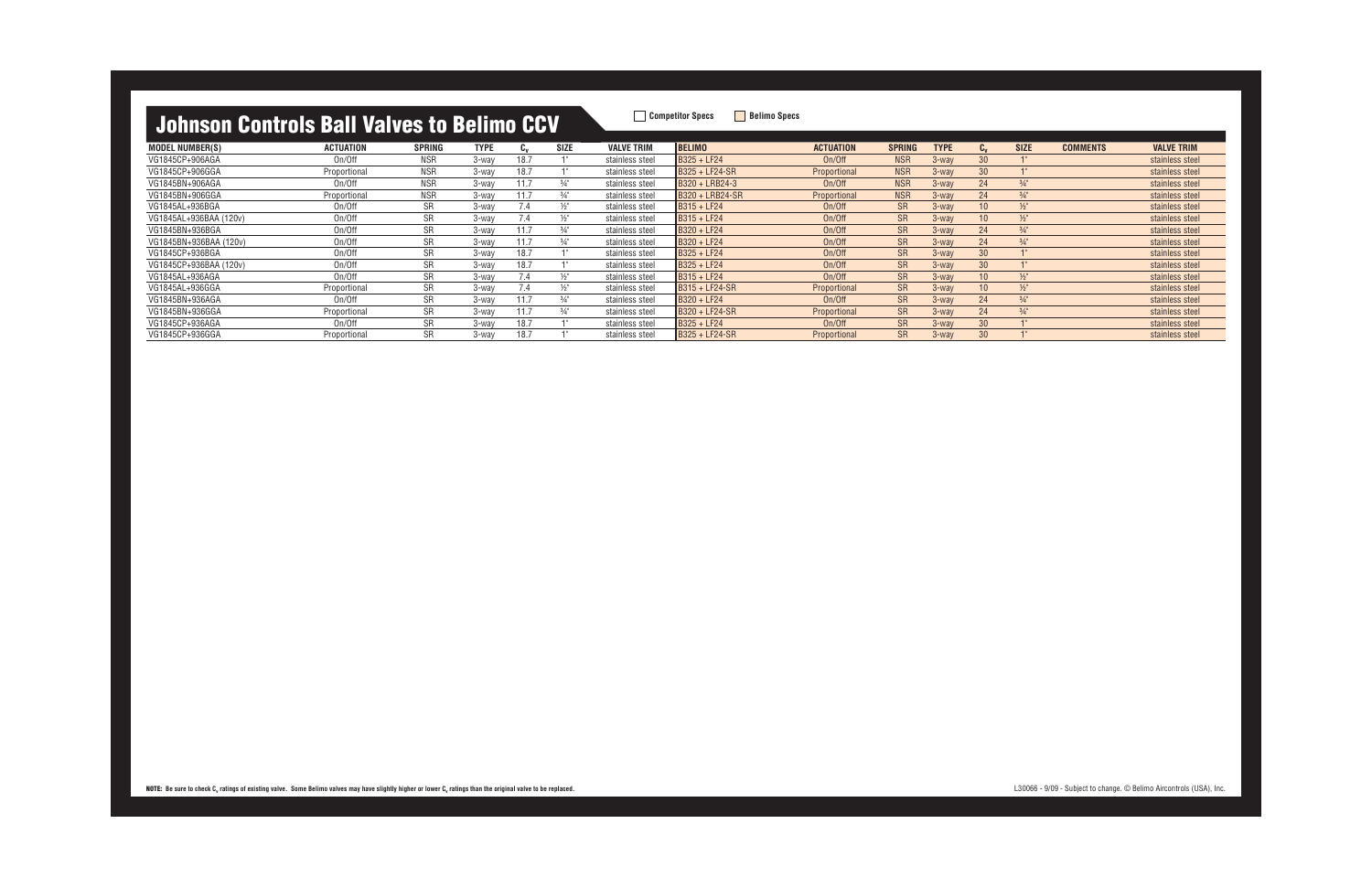| TURNEY THE THEFT IS THE THEFT OF THE THEFT OF THE THEFT OF THE THEFT OF THE THEFT OF THE THE THE THE |                  |            |             |      |                 |                   |                       |                     |               |             |                 |                 |                 |                   |
|------------------------------------------------------------------------------------------------------|------------------|------------|-------------|------|-----------------|-------------------|-----------------------|---------------------|---------------|-------------|-----------------|-----------------|-----------------|-------------------|
| <b>MODEL NUMBER(S)</b>                                                                               | <b>ACTUATION</b> | SPRING     | <b>TYPE</b> | Cv   | <b>SIZE</b>     | <b>VALVE TRIM</b> | <b>BELIMO</b>         | <b>ACTUATION</b>    | <b>SPRING</b> | <b>TYPE</b> | $C_{v}$         | <b>SIZE</b>     | <b>COMMENTS</b> | <b>VALVE TRIM</b> |
| VG1845CP+906AGA                                                                                      | On/Off           | <b>NSR</b> | 3-wav       | 18.7 |                 | stainless steel   | $BS25 + LF24$         | On/Off              | <b>NSR</b>    | $3$ -way    | 30              |                 |                 | stainless steel   |
| VG1845CP+906GGA                                                                                      | Proportional     | <b>NSR</b> | 3-wav       | 18.7 |                 | stainless steel   | B325 + LF24-SR        | Proportional        | <b>NSR</b>    | 3-way       | 30              |                 |                 | stainless steel   |
| VG1845BN+906AGA                                                                                      | On/Of            | <b>NSR</b> | 3-wav       | 11.7 | $\frac{3}{4}$ " | stainless steel   | B320 + LRB24-3        | On/Off              | <b>NSR</b>    | 3-way       | 24              | $\frac{3}{4}$ " |                 | stainless steel   |
| VG1845BN+906GGA                                                                                      | Proportional     | <b>NSR</b> | 3-wav       | 11.7 | $\frac{3}{4}$ " | stainless steel   | B320 + LRB24-SR       | Proportional        | <b>NSR</b>    | $3$ -way    | 24              | $3/4$ "         |                 | stainless steel   |
| VG1845AL+936BGA                                                                                      | On/Of            | <b>SR</b>  | 3-wav       | 7.4  | $\frac{1}{2}$ " | stainless steel   | $BS15 + LF24$         | On/Off              | <b>SR</b>     | $3$ -way    | 10              | $\frac{1}{2}$   |                 | stainless steel   |
| VG1845AL+936BAA (120v)                                                                               | On/Off           | <b>SR</b>  | 3-wav       | 7.4  | $\frac{1}{2}$ " | stainless steel   | B315 + LF24           | On/Off              | <b>SR</b>     | $3$ -way    | 10              | $\frac{1}{2}$   |                 | stainless steel   |
| VG1845BN+936BGA                                                                                      | On/Off           | <b>SR</b>  | 3-wav       | 11.7 | $\frac{3}{4}$ " | stainless steel   | B320 + LF24           | On/Off              | <b>SR</b>     | $3$ -way    | 24              | $\frac{3}{4}$ " |                 | stainless steel   |
| VG1845BN+936BAA (120v)                                                                               | On/Off           | <b>SR</b>  | 3-wav       | 11.7 | $\frac{3}{4}$ " | stainless steel   | B320 + LF24           | On/Off              | <b>SR</b>     | 3-way       | 24              | $\frac{3}{4}$ " |                 | stainless steel   |
| VG1845CP+936BGA                                                                                      | On/Of            | <b>SR</b>  | 3-wav       | 18.7 |                 | stainless steel   | $BS25 + LF24$         | On/Off              | <b>SR</b>     | 3-way       | 30              |                 |                 | stainless steel   |
| VG1845CP+936BAA (120v)                                                                               | On/Off           | <b>SR</b>  | 3-wav       | 18.7 |                 | stainless steel   | IB325 + LF24          | On/Off              | <b>SR</b>     | $3$ -way    | 30              |                 |                 | stainless steel   |
| VG1845AL+936AGA                                                                                      | On/Off           | <b>SR</b>  | 3-wav       | 7.4  | $\frac{1}{2}$   | stainless steel   | $BS15 + LF24$         | On/Off              | <b>SR</b>     | $3$ -way    | 10 <sup>°</sup> | $\frac{1}{2}$   |                 | stainless steel   |
| VG1845AL+936GGA                                                                                      | Proportional     | <b>SR</b>  | 3-wav       | 7.4  | $\frac{1}{2}$   | stainless steel   | IB315 + LF24-SR       | Proportional        | <b>SR</b>     | $3$ -way    | 10 <sup>°</sup> | $\frac{1}{2}$   |                 | stainless steel   |
| VG1845BN+936AGA                                                                                      | On/Off           | <b>SR</b>  | 3-wav       | 11.7 | $\frac{3}{4}$ " | stainless steel   | B320 + LF24           | On/Off              | <b>SR</b>     | $3$ -way    | 24              | $3/4$ "         |                 | stainless steel   |
| VG1845BN+936GGA                                                                                      | Proportional     | <b>SR</b>  | 3-wav       | 11.7 | $\frac{3}{4}$ " | stainless steel   | B320 + LF24-SR        | <b>Proportional</b> | <b>SR</b>     | 3-way       | 24              | $3/4$ "         |                 | stainless steel   |
| VG1845CP+936AGA                                                                                      | On/Of            | <b>SR</b>  | 3-wav       | 18.7 |                 | stainless steel   | $BS25 + LF24$         | On/Off              | <b>SR</b>     | $3$ -way    | 30              |                 |                 | stainless steel   |
| VG1845CP+936GGA                                                                                      | Proportional     | <b>SR</b>  | 3-wav       | 18.7 |                 | stainless steel   | <b>B325 + LF24-SR</b> | <b>Proportional</b> | <b>SR</b>     | $3$ -way    | 30              |                 |                 | stainless steel   |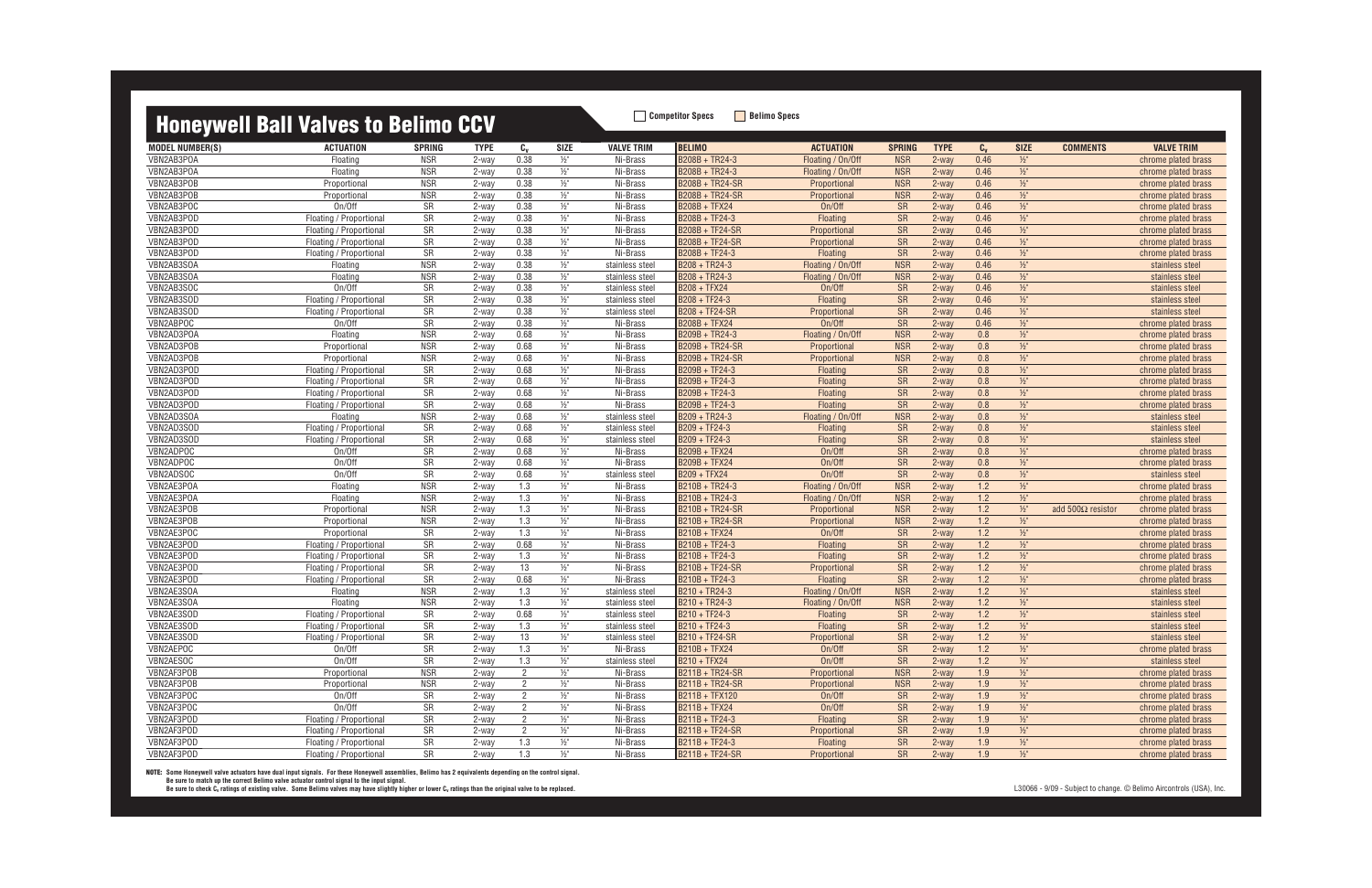### **Honeywell Ball Valves to Belimo CCV** Belimo COV

| <b>MODEL NUMBER(S)</b> | <b>ACTUATION</b>                                   | <b>SPRING</b>    | <b>TYPE</b> | $c_{v}$        | SIZE                             | <b>VALVE TRIM</b> | <b>BELIMO</b>          | <b>ACTUATION</b>              | <b>SPRING</b>   | <b>TYPE</b>       | $C_{V}$       | <b>SIZE</b>              | <b>COMMENTS</b>          | <b>VALVE TRIM</b>   |
|------------------------|----------------------------------------------------|------------------|-------------|----------------|----------------------------------|-------------------|------------------------|-------------------------------|-----------------|-------------------|---------------|--------------------------|--------------------------|---------------------|
| VBN2AB3POA             | Floating                                           | <b>NSR</b>       | 2-way       | 0.38           | $\frac{1}{2}$                    | Ni-Brass          | B208B + TR24-3         | Floating / On/Off             | <b>NSR</b>      | 2-way             | 0.46          | $1/2$ "                  |                          | chrome plated brass |
| VBN2AB3POA             | Floating                                           | <b>NSR</b>       | 2-way       | 0.38           | $\frac{1}{2}$                    | Ni-Brass          | B208B + TR24-3         | Floating / On/Off             | <b>NSR</b>      | 2-way             | 0.46          | $1/2$ "                  |                          | chrome plated brass |
| VBN2AB3POB             | Proportional                                       | <b>NSR</b>       | 2-way       | 0.38           | $\frac{1}{2}$                    | Ni-Brass          | B208B + TR24-SR        | Proportional                  | <b>NSR</b>      | 2-way             | 0.46          | $1/2$ "                  |                          | chrome plated brass |
| VBN2AB3POB             | Proportional                                       | <b>NSR</b>       | 2-way       | 0.38           | $\frac{1}{2}$                    | Ni-Brass          | B208B + TR24-SR        | Proportional                  | <b>NSR</b>      | 2-way             | 0.46          | $\frac{1}{2}$            |                          | chrome plated brass |
| VBN2AB3POC             | On/Off                                             | SR               | 2-way       | 0.38           | $\frac{1}{2}$                    | Ni-Brass          | B208B + TFX24          | On/Off                        | <b>SR</b>       | 2-way             | 0.46          | $1/2$ "                  |                          | chrome plated brass |
| VBN2AB3POD             | Floating / Proportional                            | SR               | 2-way       | 0.38           | $1/2$ "                          | Ni-Brass          | B208B + TF24-3         | Floating                      | <b>SR</b>       | 2-way             | 0.46          | $1/2$ "                  |                          | chrome plated brass |
| VBN2AB3POD             | Floating / Proportional                            | SR               | 2-way       | 0.38           | $\frac{1}{2}$                    | Ni-Brass          | B208B + TF24-SR        | Proportional                  | SR              | 2-way             | 0.46          | $1/2$ "                  |                          | chrome plated brass |
| VBN2AB3POD             | Floating / Proportional                            | SR               | 2-way       | 0.38           | $1/2$ "                          | Ni-Brass          | B208B + TF24-SR        | Proportional                  | <b>SR</b>       | 2-way             | 0.46          | $1/2$ "                  |                          | chrome plated brass |
| VBN2AB3POD             | Floating / Proportional                            | SR               | 2-way       | 0.38           | $1/2$ "                          | Ni-Brass          | $B208B + TF24-3$       | Floating                      | <b>SR</b>       | 2-way             | 0.46          | $1/2$ "                  |                          | chrome plated brass |
| VBN2AB3SOA             | Floating                                           | <b>NSR</b>       | 2-way       | 0.38           | $1/2$ "                          | stainless steel   | B208 + TR24-3          | Floating / On/Off             | <b>NSR</b>      | 2-way             | 0.46          | $1/2$ "                  |                          | stainless steel     |
| VBN2AB3SOA             | Floating                                           | <b>NSR</b>       | 2-way       | 0.38           | $\frac{1}{2}$                    | stainless steel   | B208 + TR24-3          | Floating / On/Off             | <b>NSR</b>      | 2-way             | 0.46          | $1/2$ "                  |                          | stainless steel     |
| VBN2AB3SOC             | On/Off                                             | <b>SR</b>        | 2-way       | 0.38           | $1/2$ "                          | stainless steel   | B208 + TFX24           | On/Off                        | <b>SR</b>       | 2-way             | 0.46          | $1/2$ "                  |                          | stainless steel     |
| VBN2AB3SOD             | Floating / Proportional                            | SR               | 2-way       | 0.38           | $\frac{1}{2}$                    | stainless steel   | B208 + TF24-3          | Floating                      | <b>SR</b>       | 2-way             | 0.46          | $1/2$ "                  |                          | stainless steel     |
| VBN2AB3SOD             | Floating / Proportional                            | SR               | 2-way       | 0.38           | $\frac{1}{2}$                    | stainless steel   | B208 + TF24-SR         | Proportional                  | <b>SR</b>       | 2-way             | 0.46          | $1/2$ "                  |                          | stainless steel     |
| VBN2ABPOC              | On/Off                                             | SR               | 2-way       | 0.38           | $\frac{1}{2}$                    | Ni-Brass          | B208B + TFX24          | On/Off                        | SR              | 2-way             | 0.46          | $\frac{1}{2}$            |                          | chrome plated brass |
| VBN2AD3POA             | Floating                                           | <b>NSR</b>       | 2-way       | 0.68           | $\frac{1}{2}$                    | Ni-Brass          | B209B + TR24-3         | Floating / On/Off             | <b>NSR</b>      | 2-way             | 0.8           | $1/2$ "                  |                          | chrome plated brass |
| VBN2AD3POB             | Proportional                                       | <b>NSR</b>       | 2-way       | 0.68           | $\frac{1}{2}$                    | Ni-Brass          | B209B + TR24-SR        | Proportional                  | <b>NSR</b>      | 2-way             | 0.8           | $1/2$ "                  |                          | chrome plated brass |
| VBN2AD3POB             | Proportional                                       | <b>NSR</b>       | 2-way       | 0.68           | $\frac{1}{2}$                    | Ni-Brass          | B209B + TR24-SR        | Proportional                  | <b>NSR</b>      | $2$ -way          | 0.8           | $\frac{1}{2}$            |                          | chrome plated brass |
| VBN2AD3POD             |                                                    | SR               |             | 0.68           |                                  | Ni-Brass          | B209B + TF24-3         |                               |                 |                   | 0.8           |                          |                          |                     |
| VBN2AD3POD             | Floating / Proportional<br>Floating / Proportional | SR               | 2-way       | 0.68           | $\frac{1}{2}$<br>$\frac{1}{2}$ " | Ni-Brass          | B209B + TF24-3         | Floating                      | <b>SR</b><br>SR | $2$ -way<br>2-way | 0.8           | $\frac{1}{2}$<br>$1/2$ " |                          | chrome plated brass |
| VBN2AD3POD             |                                                    | SR               | 2-way       | 0.68           | $1/2$ "                          | Ni-Brass          | B209B + TF24-3         | Floating<br>Floating          | SR              |                   | 0.8           | $1/2$ "                  |                          | chrome plated brass |
|                        | Floating / Proportional                            |                  | 2-way       | 0.68           |                                  |                   | B209B + TF24-3         |                               |                 | 2-way             |               |                          |                          | chrome plated brass |
| VBN2AD3POD             | Floating / Proportional                            | SR<br><b>NSR</b> | 2-way       |                | $\frac{1}{2}$                    | Ni-Brass          |                        | Floating<br>Floating / On/Off | SR              | 2-way             | 0.8           | $1/2$ "                  |                          | chrome plated brass |
| VBN2AD3SOA             | Floating                                           |                  | 2-way       | 0.68           | $1/2$ "                          | stainless steel   | B209 + TR24-3          |                               | <b>NSR</b>      | 2-way             | 0.8           | $1/2$ "                  |                          | stainless steel     |
| VBN2AD3SOD             | Floating / Proportional                            | SR               | 2-way       | 0.68           | $1/2$ "                          | stainless steel   | B209 + TF24-3          | Floating                      | SR              | 2-way             | 0.8           | $1/2$ "                  |                          | stainless steel     |
| VBN2AD3SOD             | Floating / Proportional                            | <b>SR</b>        | 2-way       | 0.68           | $1/2$ "                          | stainless steel   | B209 + TF24-3          | Floating                      | <b>SR</b>       | 2-way             | 0.8           | $1/2$ "                  |                          | stainless steel     |
| VBN2ADPOC              | On/Off                                             | SR               | 2-way       | 0.68           | $\frac{1}{2}$                    | Ni-Brass          | <b>B209B + TFX24</b>   | On/Off                        | <b>SR</b>       | 2-way             | 0.8           | $1/2$ "                  |                          | chrome plated brass |
| VBN2ADPOC              | On/Off                                             | SR               | 2-way       | 0.68           | $1/2$ "                          | Ni-Brass          | B209B + TFX24          | On/Off                        | <b>SR</b>       | 2-way             | 0.8           | $1/2$ "                  |                          | chrome plated brass |
| VBN2ADSOC              | On/Off                                             | SR               | 2-way       | 0.68           | $1/2$ "                          | stainless steel   | <b>B209 + TFX24</b>    | On/Off                        | <b>SR</b>       | 2-way             | 0.8           | $\frac{1}{2}$            |                          | stainless steel     |
| VBN2AE3POA             | Floating                                           | <b>NSR</b>       | 2-way       | 1.3            | $\frac{1}{2}$ "                  | Ni-Brass          | B210B + TR24-3         | Floating / On/Off             | <b>NSR</b>      | 2-way             | $1.2$         | $1/2$ "                  |                          | chrome plated brass |
| VBN2AE3POA             | Floating                                           | <b>NSR</b>       | 2-way       | 1.3            | $\frac{1}{2}$                    | Ni-Brass          | B210B + TR24-3         | Floating / On/Off             | <b>NSR</b>      | 2-way             | 1.2           | $1/2$ "                  |                          | chrome plated brass |
| VBN2AE3POB             | Proportional                                       | <b>NSR</b>       | 2-way       | 1.3            | $\frac{1}{2}$                    | Ni-Brass          | B210B + TR24-SR        | Proportional                  | <b>NSR</b>      | 2-way             | 1.2           | $1/2$ "                  | add $500\Omega$ resistor | chrome plated brass |
| VBN2AE3POB             | Proportional                                       | <b>NSR</b>       | 2-way       | 1.3            | $1/2$ "                          | Ni-Brass          | B210B + TR24-SR        | Proportional                  | <b>NSR</b>      | 2-way             | 1.2           | $1/2$ "                  |                          | chrome plated brass |
| VBN2AE3POC             | Proportional                                       | SR               | 2-way       | 1.3            | $\frac{1}{2}$ "                  | Ni-Brass          | B210B + TFX24          | On/Off                        | <b>SR</b>       | 2-way             | 1.2           | $1/2$ "                  |                          | chrome plated brass |
| VBN2AE3POD             | Floating / Proportional                            | SR               | 2-way       | 0.68           | $\frac{1}{2}$                    | Ni-Brass          | B210B + TF24-3         | Floating                      | <b>SR</b>       | 2-way             | 1.2           | $1/2$ "                  |                          | chrome plated brass |
| VBN2AE3POD             | Floating / Proportional                            | SR               | 2-way       | 1.3            | $\frac{1}{2}$                    | Ni-Brass          | B210B + TF24-3         | Floating                      | <b>SR</b>       | 2-way             | 1.2           | $1/2$ "                  |                          | chrome plated brass |
| VBN2AE3POD             | Floating / Proportional                            | SR               | 2-way       | 13             | $1/2$ "                          | Ni-Brass          | B210B + TF24-SR        | Proportional                  | SR              | 2-way             | 1.2           | $1/2$ "                  |                          | chrome plated brass |
| VBN2AE3POD             | Floating / Proportional                            | SR               | 2-way       | 0.68           | $1/2$ "                          | Ni-Brass          | B210B + TF24-3         | Floating                      | SR              | 2-way             | $1.2$         | $1/2$ "                  |                          | chrome plated brass |
| VBN2AE3SOA             | Floating                                           | NSR              | 2-way       | 1.3            | $\frac{1}{2}$ "                  | stainless steel   | B210 + TR24-3          | Floating / On/Off             | <b>NSR</b>      | 2-way             | $1.2$         | $1/2$ "                  |                          | stainless steel     |
| VBN2AE3SOA             | Floating                                           | <b>NSR</b>       | 2-way       | 1.3            | $\frac{1}{2}$                    | stainless steel   | B210 + TR24-3          | Floating / On/Off             | <b>NSR</b>      | 2-way             | 1.2           | $1/2$ "                  |                          | stainless steel     |
| VBN2AE3SOD             | Floating / Proportional                            | <b>SR</b>        | 2-way       | 0.68           | $\frac{1}{2}$                    | stainless steel   | B210 + TF24-3          | Floating                      | <b>SR</b>       | $2$ -way          | 1.2           | $1/2$ "                  |                          | stainless steel     |
| VBN2AE3SOD             | Floating / Proportional                            | <b>SR</b>        | 2-way       | 1.3            | $\frac{1}{2}$                    | stainless steel   | B210 + TF24-3          | Floating                      | <b>SR</b>       | $2$ -way          | 1.2           | $1/2$ "                  |                          | stainless steel     |
| VBN2AE3SOD             | Floating / Proportional                            | SR               | 2-way       | 13             | $\frac{1}{2}$                    | stainless steel   | B210 + IF24-SR         | Proportional                  | <b>SR</b>       | 2-way             | $1.2^{\circ}$ | $\frac{1}{2}$            |                          | stainless steel     |
| VBN2AEPOC              | On/Off                                             | SR               | 2-way       | 1.3            | $\frac{1}{2}$                    | Ni-Brass          | <b>B210B + TFX24</b>   | On/Off                        | <b>SR</b>       | 2-way             | 1.2           | $1/2$ "                  |                          | chrome plated brass |
| VBN2AESOC              | On/Off                                             | SR               | 2-way       | 1.3            | $\frac{1}{2}$                    | stainless steel   | B210 + TFX24           | On/Off                        | <b>SR</b>       | 2-way             | 1.2           | $\frac{1}{2}$            |                          | stainless steel     |
| VBN2AF3POB             | Proportional                                       | <b>NSR</b>       | 2-way       | $\overline{2}$ | $\frac{1}{2}$                    | Ni-Brass          | B211B + TR24-SR        | Proportional                  | <b>NSR</b>      | 2-way             | 1.9           | $1/2$ "                  |                          | chrome plated brass |
| VBN2AF3POB             | Proportional                                       | <b>NSR</b>       | 2-way       | $\overline{2}$ | $1/2$ "                          | Ni-Brass          | B211B + TR24-SR        | Proportional                  | <b>NSR</b>      | 2-way             | 1.9           | $1/2$ "                  |                          | chrome plated brass |
| VBN2AF3POC             | On/Off                                             | SR               | 2-way       | $\overline{2}$ | $1/2$ "                          | Ni-Brass          | B211B + TFX120         | On/Off                        | SR              | 2-way             | 1.9           | $1/2$ "                  |                          | chrome plated brass |
| VBN2AF3POC             | On/Off                                             | SR               | 2-way       | $\overline{2}$ | $\frac{1}{2}$                    | Ni-Brass          | B211B + TFX24          | On/Off                        | <b>SR</b>       | 2-way             | 1.9           | $1/2$ "                  |                          | chrome plated brass |
| VBN2AF3POD             | Floating / Proportional                            | SR               | 2-way       | $\overline{2}$ | $1/2$ "                          | Ni-Brass          | B211B + TF24-3         | Floating                      | <b>SR</b>       | 2-way             | 1.9           | $1/2$ "                  |                          | chrome plated brass |
| VBN2AF3POD             | Floating / Proportional                            | SR               | 2-way       | $\overline{2}$ | $1/2$ "                          | Ni-Brass          | <b>B211B + TF24-SR</b> | Proportional                  | SR              | 2-way             | 1.9           | $1/2$ "                  |                          | chrome plated brass |
| VBN2AF3POD             | Floating / Proportional                            | SR               | 2-way       | 1.3            | $1/2$ "                          | Ni-Brass          | B211B + TF24-3         | Floating                      | SR              | 2-way             | 1.9           | $1/2"$                   |                          | chrome plated brass |
| VBN2AF3POD             | Floating / Proportional                            | SR               | 2-way       | 1.3            | $\frac{1}{2}$                    | Ni-Brass          | B211B + TF24-SR        | Proportional                  | SR              | 2-way             | 1.9           | $1/2$ "                  |                          | chrome plated brass |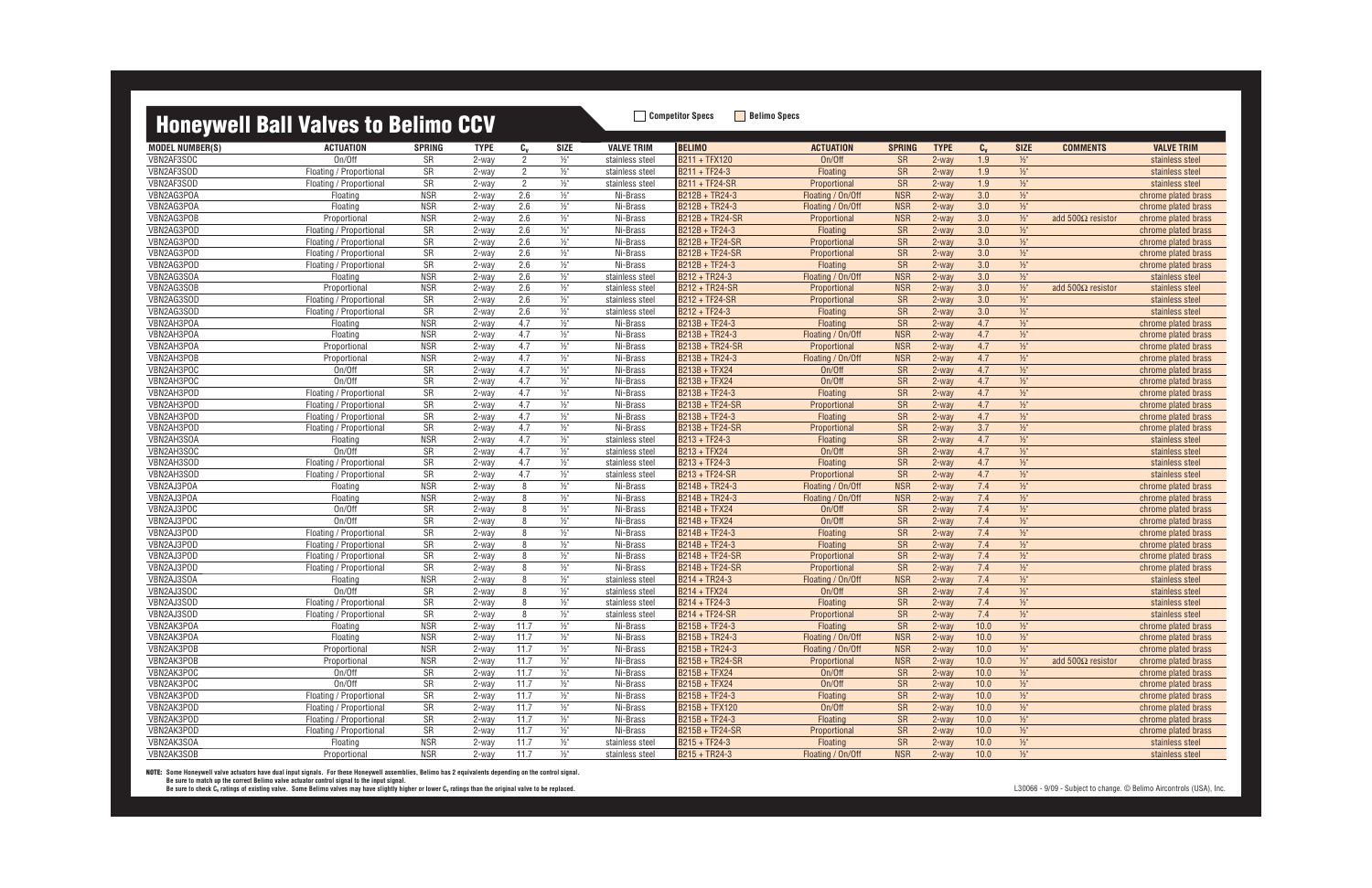### **Honeywell Ball Valves to Belimo CCV** Belimo COV

| <b>MODEL NUMBER(S)</b> | <b>ACTUATION</b>        | <b>SPRING</b> | <b>TYPE</b> | $c_{v}$        | <b>SIZE</b>     | <b>VALVE TRIM</b> | <b>BELIMO</b>         | <b>ACTUATION</b>  | <b>SPRING</b>          | <b>TYPE</b> | $C_{v}$ | <b>SIZE</b>   | <b>COMMENTS</b>          | <b>VALVE TRIM</b>   |
|------------------------|-------------------------|---------------|-------------|----------------|-----------------|-------------------|-----------------------|-------------------|------------------------|-------------|---------|---------------|--------------------------|---------------------|
| VBN2AF3SOC             | On/Off                  | SR            | 2-way       | 2              | $\frac{1}{2}$ " | stainless steel   | B211 + TFX120         | On/Off            | <b>SR</b>              | 2-way       | 1.9     | $1/2$ "       |                          | stainless steel     |
| VBN2AF3SOD             | Floating / Proportional | SR            | 2-way       | $\overline{2}$ | $1/2$ "         | stainless steel   | B211 + TF24-3         | Floating          | SR                     | 2-way       | 1.9     | $1/2$ "       |                          | stainless steel     |
| VBN2AF3SOD             | Floating / Proportional | SR            | 2-way       | $\overline{2}$ | $1/2$ "         | stainless steel   | <b>B211 + TF24-SR</b> | Proportional      | SR                     | 2-way       | 1.9     | $1/2$ "       |                          | stainless steel     |
| VBN2AG3POA             | Floating                | <b>NSR</b>    | 2-way       | 2.6            | $\frac{1}{2}$ " | Ni-Brass          | B212B + TR24-3        | Floating / On/Off | <b>NSR</b>             | 2-way       | 3.0     | $1/2$ "       |                          | chrome plated brass |
| VBN2AG3POA             | Floating                | <b>NSR</b>    | 2-way       | 2.6            | $\frac{1}{2}$ " | Ni-Brass          | B212B + TR24-3        | Floating / On/Off | <b>NSR</b>             | 2-way       | 3.0     | $\frac{1}{2}$ |                          | chrome plated brass |
| VBN2AG3POB             | Proportional            | <b>NSR</b>    | 2-way       | 2.6            | $1/2$ "         | Ni-Brass          | B212B + TR24-SR       | Proportional      | <b>NSR</b>             | 2-way       | 3.0     | $1/2$ "       | add $500\Omega$ resistor | chrome plated brass |
| VBN2AG3POD             | Floating / Proportional | SR            | 2-way       | 2.6            | $1/2$ "         | Ni-Brass          | B212B + TF24-3        | Floating          | SR                     | 2-way       | 3.0     | $1/2$ "       |                          | chrome plated brass |
| VBN2AG3POD             | Floating / Proportional | SR            | 2-way       | 2.6            | $1/2$ "         | Ni-Brass          | B212B + TF24-SR       | Proportional      | SR                     | 2-way       | 3.0     | $1/2$ "       |                          | chrome plated brass |
| VBN2AG3POD             | Floating / Proportional | SR            | 2-way       | 2.6            | $1/2$ "         | Ni-Brass          | B212B + TF24-SR       | Proportional      | SR                     | 2-way       | 3.0     | $\frac{1}{2}$ |                          | chrome plated brass |
| VBN2AG3POD             | Floating / Proportional | SR            | 2-way       | 2.6            | $\frac{1}{2}$   | Ni-Brass          | B212B + TF24-3        | Floating          | SR                     | 2-way       | 3.0     | $1/2$ "       |                          | chrome plated brass |
| VBN2AG3SOA             | Floating                | <b>NSR</b>    | 2-way       | 2.6            | $\frac{1}{2}$ " | stainless steel   | B212 + TR24-3         | Floating / On/Off | <b>NSR</b>             | 2-way       | 3.0     | $1/2$ "       |                          | stainless steel     |
| VBN2AG3SOB             | Proportional            | <b>NSR</b>    | 2-way       | 2.6            | $1/2$ "         | stainless steel   | B212 + TR24-SR        | Proportional      | <b>NSR</b>             | 2-way       | 3.0     | $1/2$ "       | add $500\Omega$ resistor | stainless steel     |
| VBN2AG3SOD             | Floating / Proportional | SR            | 2-way       | 2.6            | $1/2$ "         | stainless steel   | B212 + TF24-SR        | Proportional      | SR                     | 2-way       | 3.0     | $1/2$ "       |                          | stainless steel     |
| VBN2AG3SOD             | Floating / Proportional | SR            | 2-way       | 2.6            | $\frac{1}{2}$   | stainless steel   | B212 + TF24-3         | Floating          | SR                     | 2-way       | 3.0     | $1/2$ "       |                          | stainless steel     |
| VBN2AH3POA             | Floating                | <b>NSR</b>    | 2-way       | 4.7            | $1/2$ "         | Ni-Brass          | B213B + TF24-3        | Floating          | SR                     | 2-way       | 4.7     | $1/2$ "       |                          | chrome plated brass |
| VBN2AH3POA             | Floating                | <b>NSR</b>    | 2-way       | 4.7            | $1/2$ "         | Ni-Brass          | B213B + TR24-3        | Floating / On/Off | <b>NSR</b>             | 2-way       | 4.7     | $\frac{1}{2}$ |                          | chrome plated brass |
| VBN2AH3POA             | Proportional            | <b>NSR</b>    | 2-way       | 4.7            | $1/2$ "         | Ni-Brass          | B213B + TR24-SR       | Proportional      | <b>NSR</b>             | 2-way       | 4.7     | $1/2$ "       |                          | chrome plated brass |
| VBN2AH3POB             | Proportional            | <b>NSR</b>    | 2-way       | 4.7            | $\frac{1}{2}$   | Ni-Brass          | B213B + TR24-3        | Floating / On/Off | <b>NSR</b>             | 2-way       | 4.7     | $1/2$ "       |                          | chrome plated brass |
| VBN2AH3POC             | On/Off                  | SR            | 2-way       | 4.7            | $1/2$ "         | Ni-Brass          | B213B + TFX24         | On/Off            | SR                     | 2-way       | 4.7     | $1/2"$        |                          | chrome plated brass |
| VBN2AH3POC             | On/Off                  | SR            | 2-way       | 4.7            | $1/2$ "         | Ni-Brass          | B213B + TFX24         | On/Off            | SR                     | 2-way       | 4.7     | $1/2$ "       |                          | chrome plated brass |
| VBN2AH3POD             | Floating / Proportional | SR            | 2-way       | 4.7            | $1/2$ "         | Ni-Brass          | B213B + TF24-3        | Floating          | SR                     | 2-way       | 4.7     | $1/2$ "       |                          | chrome plated brass |
| VBN2AH3POD             | Floating / Proportional | SR            | 2-way       | 4.7            | $1/2$ "         | Ni-Brass          | B213B + TF24-SR       | Proportional      | SR                     | 2-way       | 4.7     | $\frac{1}{2}$ |                          | chrome plated brass |
| VBN2AH3POD             | Floating / Proportional | SR            | 2-way       | 4.7            | $\frac{1}{2}$ " | Ni-Brass          | B213B + TF24-3        | Floating          | SR                     | 2-way       | 4.7     | $1/2$ "       |                          | chrome plated brass |
| VBN2AH3POD             | Floating / Proportional | SR            | 2-way       | 4.7            | $1/2$ "         | Ni-Brass          | B213B + TF24-SR       | Proportional      | <b>SR</b>              | 2-way       | 3.7     | $1/2$ "       |                          | chrome plated brass |
| VBN2AH3SOA             | Floating                | <b>NSR</b>    | 2-way       | 4.7            | $1/2$ "         | stainless steel   | B213 + TF24-3         | Floating          | SR                     | 2-way       | 4.7     | $1/2$ "       |                          | stainless steel     |
| VBN2AH3SOC             | On/Off                  | SR            | 2-way       | 4.7            | $\frac{1}{2}$   | stainless steel   | B213 + TFX24          | On/Off            | SR                     | 2-way       | 4.7     | $1/2$ "       |                          | stainless steel     |
| VBN2AH3SOD             | Floating / Proportional | SR            | 2-way       | 4.7            | $\frac{1}{2}$ " | stainless steel   | B213 + TF24-3         | Floating          | SR                     | 2-way       | 4.7     | $1/2$ "       |                          | stainless steel     |
| VBN2AH3SOD             | Floating / Proportional | SR            | 2-way       | 4.7            | $1/2$ "         | stainless steel   | B213 + TF24-SR        | Proportional      | $\overline{\text{SR}}$ | 2-way       | 4.7     | $1/2$ "       |                          | stainless steel     |
| VBN2AJ3POA             | Floating                | <b>NSR</b>    | 2-way       | 8              | $1/2$ "         | Ni-Brass          | B214B + TR24-3        | Floating / On/Off | <b>NSR</b>             | 2-way       | 7.4     | $1/2$ "       |                          | chrome plated brass |
| VBN2AJ3POA             | Floating                | <b>NSR</b>    | 2-way       | 8              | $1/2$ "         | Ni-Brass          | B214B + TR24-3        | Floating / On/Off | <b>NSR</b>             | 2-way       | 7.4     | $1/2$ "       |                          | chrome plated brass |
| VBN2AJ3POC             | On/Off                  | SR            | 2-way       | 8              | $1/2$ "         | Ni-Brass          | B214B + TFX24         | On/Off            | SR                     | 2-way       | 7.4     | $1/2$ "       |                          | chrome plated brass |
| VBN2AJ3POC             | On/Off                  | SR            | 2-way       | 8              | $1/2$ "         | Ni-Brass          | B214B + TFX24         | On/Off            | SR                     | 2-way       | 7.4     | $1/2"$        |                          | chrome plated brass |
| VBN2AJ3POD             | Floating / Proportional | SR            | 2-way       | 8              | $1/2$ "         | Ni-Brass          | B214B + TF24-3        | Floating          | SR                     | 2-way       | 7.4     | $1/2$ "       |                          | chrome plated brass |
| VBN2AJ3POD             | Floating / Proportional | SR            | 2-way       | 8              | $\frac{1}{2}$   | Ni-Brass          | B214B + TF24-3        | Floating          | <b>SR</b>              | 2-way       | 7.4     | $1/2$ "       |                          | chrome plated brass |
| VBN2AJ3POD             | Floating / Proportional | SR            | 2-way       | 8              | $\frac{1}{2}$ " | Ni-Brass          | B214B + TF24-SR       | Proportional      | SR                     | 2-way       | 7.4     | $\frac{1}{2}$ |                          | chrome plated brass |
| VBN2AJ3POD             | Floating / Proportional | SR            | 2-way       | 8              | $\frac{1}{2}$ " | Ni-Brass          | B214B + TF24-SR       | Proportional      | SR                     | 2-way       | 7.4     | $1/2$ "       |                          | chrome plated brass |
| VBN2AJ3SOA             | Floating                | <b>NSR</b>    | 2-way       | 8              | $\frac{1}{2}$ " | stainless steel   | B214 + TR24-3         | Floating / On/Off | <b>NSR</b>             | $2-wav$     | 7.4     | $\frac{1}{2}$ |                          | stainless steel     |
| VBN2AJ3SOC             | On/Off                  | SR            | 2-way       | 8              | $\frac{1}{2}$ " | stainless steel   | <b>B214 + TFX24</b>   | On/Off            | SR                     | 2-way       | 7.4     | $1/2$ "       |                          | stainless steel     |
| VBN2AJ3SOD             | Floating / Proportional | SR            | 2-way       | 8              | $\frac{1}{2}$   | stainless steel   | B214 + TF24-3         | Floating          | <b>SR</b>              | 2-way       | 7.4     | $1/2$ "       |                          | stainless steel     |
| VBN2AJ3SOD             | Floating / Proportional | SR            | 2-way       | 8              | $\frac{1}{2}$   | stainless steel   | B214 + TF24-SR        | Proportional      | <b>SR</b>              | 2-way       | 7.4     | $1/2$ "       |                          | stainless steel     |
| VBN2AK3POA             | Floating                | <b>NSR</b>    | 2-way       | 11.7           | $\frac{1}{2}$   | Ni-Brass          | B215B + TF24-3        | <b>Floating</b>   | <b>SR</b>              | 2-way       | 10.0    | $1/2$ "       |                          | chrome plated brass |
| VBN2AK3POA             | Floating                | <b>NSR</b>    | 2-way       | 11.7           | $1/2$ "         | Ni-Brass          | B215B + TR24-3        | Floating / On/Off | <b>NSR</b>             | 2-way       | 10.0    | $1/2$         |                          | chrome plated brass |
| VBN2AK3POB             | Proportional            | <b>NSR</b>    | 2-way       | 11.7           | $1/2$ "         | Ni-Brass          | B215B + TR24-3        | Floating / On/Off | <b>NSR</b>             | 2-way       | 10.0    | $1/2$ "       |                          | chrome plated brass |
| VBN2AK3POB             | Proportional            | <b>NSR</b>    | 2-way       | 11.7           | $1/2$ "         | Ni-Brass          | B215B + TR24-SR       | Proportional      | <b>NSR</b>             | 2-way       | 10.0    | $1/2$ "       | add $500\Omega$ resistor | chrome plated brass |
| VBN2AK3POC             | On/Off                  | SR            | 2-way       | 11.7           | $1/2$ "         | Ni-Brass          | B215B + TFX24         | On/Off            | SR                     | 2-way       | 10.0    | $1/2$ "       |                          | chrome plated brass |
| VBN2AK3POC             | On/Off                  | SR            | 2-way       | 11.7           | $1/2$ "         | Ni-Brass          | B215B + TFX24         | On/Off            | SR                     | 2-way       | 10.0    | $\frac{1}{2}$ |                          | chrome plated brass |
| VBN2AK3POD             | Floating / Proportional | SR            | 2-way       | 11.7           | $1/2$ "         | Ni-Brass          | B215B + TF24-3        | Floating          | SR                     | 2-way       | 10.0    | $1/2$ "       |                          | chrome plated brass |
| VBN2AK3POD             | Floating / Proportional | SR            | 2-way       | 11.7           | $1/2$ "         | Ni-Brass          | B215B + TFX120        | On/Off            | SR                     | 2-way       | 10.0    | $1/2$ "       |                          | chrome plated brass |
| VBN2AK3POD             | Floating / Proportional | SR            | 2-way       | 11.7           | $1/2$ "         | Ni-Brass          | B215B + TF24-3        | Floating          | SR                     | 2-way       | 10.0    | $1/2$ "       |                          | chrome plated brass |
| VBN2AK3POD             | Floating / Proportional | SR            | 2-way       | 11.7           | $1/2$ "         | Ni-Brass          | B215B + TF24-SR       | Proportional      | SR                     | 2-way       | 10.0    | $1/2$ "       |                          | chrome plated brass |
| VBN2AK3SOA             | Floating                | <b>NSR</b>    | 2-way       | 11.7           | $1/2$ "         | stainless steel   | B215 + TF24-3         | Floating          | SR                     | 2-way       | 10.0    | $1/2$ "       |                          | stainless steel     |
| VBN2AK3SOB             | Proportional            | <b>NSR</b>    | 2-way       | 11.7           | $\frac{1}{2}$   | stainless steel   | B215 + TR24-3         | Floating / On/Off | <b>NSR</b>             | 2-way       | 10.0    | $\frac{1}{2}$ |                          | stainless steel     |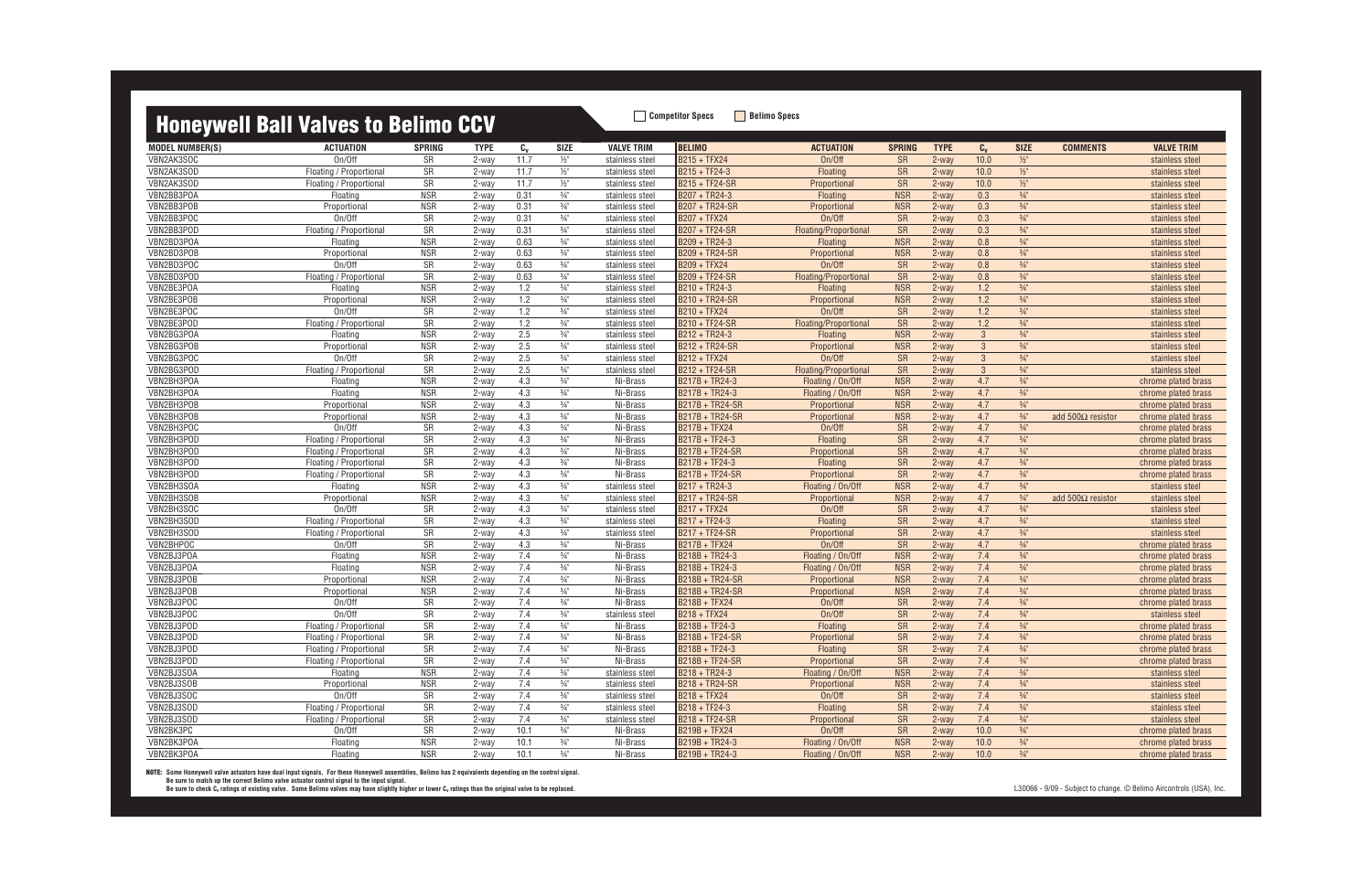### **Honeywell Ball Valves to Belimo CCV** Belimo COV

| <b>MODEL NUMBER(S)</b>   | <b>ACTUATION</b>               | <b>SPRING</b>    | <b>TYPE</b> | $c_{v}$    | <b>SIZE</b>     | <b>VALVE TRIM</b> | <b>BELIMO</b>                    | <b>ACTUATION</b>       | <b>SPRING</b>          | <b>TYPE</b>    | $C_{\rm v}$  | <b>SIZE</b>                      | <b>COMMENTS</b>          | <b>VALVE TRIM</b>   |
|--------------------------|--------------------------------|------------------|-------------|------------|-----------------|-------------------|----------------------------------|------------------------|------------------------|----------------|--------------|----------------------------------|--------------------------|---------------------|
| VBN2AK3SOC               | On/Off                         | SR               | 2-way       | 11.7       | $\frac{1}{2}$ " | stainless steel   | B215 + TFX24                     | On/Off                 | <b>SR</b>              | 2-way          | 10.0         | $1/2$ "                          |                          | stainless steel     |
| VBN2AK3SOD               | Floating / Proportional        | SR               | 2-way       | 11.7       | $\frac{1}{2}$ " | stainless steel   | B215 + TF24-3                    | Floating               | <b>SR</b>              | 2-way          | 10.0         | $\frac{1}{2}$                    |                          | stainless steel     |
| VBN2AK3SOD               | Floating / Proportional        | SR               | 2-way       | 11.7       | $\frac{1}{2}$   | stainless steel   | <b>B215 + TF24-SR</b>            | Proportional           | <b>SR</b>              | $2$ -way       | 10.0         | $1/2$ "                          |                          | stainless steel     |
| VBN2BB3POA               | Floating                       | NSR              | 2-way       | 0.31       | $\frac{3}{4}$ " | stainless steel   | B207 + TR24-3                    | Floating               | <b>NSR</b>             | 2-way          | 0.3          | $\frac{3}{4}$ "                  |                          | stainless steel     |
| VBN2BB3POB               | Proportional                   | <b>NSR</b>       | 2-way       | 0.31       | $\frac{3}{4}$ " | stainless steel   | B207 + TR24-SR                   | Proportional           | <b>NSR</b>             | 2-way          | 0.3          | $\frac{3}{4}$ "                  |                          | stainless steel     |
| VBN2BB3POC               | On/Off                         | SR               | 2-way       | 0.31       | $\frac{3}{4}$ " | stainless steel   | <b>B207 + TFX24</b>              | On/Off                 | SR                     | 2-way          | 0.3          | $\frac{3}{4}$ "                  |                          | stainless steel     |
| VBN2BB3POD               | Floating / Proportional        | SR               | 2-way       | 0.31       | $\frac{3}{4}$ " | stainless steel   | <b>B207 + TF24-SR</b>            | Floating/Proportional  | SR                     | 2-way          | 0.3          | $\frac{3}{4}$ "                  |                          | stainless steel     |
| VBN2BD3POA               | Floating                       | <b>NSR</b>       | 2-way       | 0.63       | $\frac{3}{4}$ " | stainless steel   | B209 + TR24-3                    | Floating               | <b>NSR</b>             | 2-way          | 0.8          | $\frac{3}{4}$ "                  |                          | stainless steel     |
| VBN2BD3POB               | Proportional                   | <b>NSR</b>       | 2-way       | 0.63       | $\frac{3}{4}$ " | stainless steel   | <b>B209 + TR24-SR</b>            | Proportional           | <b>NSR</b>             | 2-way          | 0.8          | $\frac{3}{4}$ "                  |                          | stainless steel     |
| VBN2BD3POC               | On/Off                         | SR               | 2-way       | 0.63       | $\frac{3}{4}$ " | stainless steel   | B209 + TFX24                     | On/Off                 | <b>SR</b>              | 2-way          | 0.8          | $\frac{3}{4}$ "                  |                          | stainless steel     |
| VBN2BD3POD               | Floating / Proportional        | SR               | 2-way       | 0.63       | $\frac{3}{4}$ " | stainless steel   | B209 + TF24-SR                   | Floating/Proportional  | <b>SR</b>              | 2-way          | 0.8          | $\frac{3}{4}$ "                  |                          | stainless steel     |
| VBN2BE3POA               | Floating                       | <b>NSR</b>       | 2-way       | 1.2        | $\frac{3}{4}$ " | stainless steel   | B210 + TR24-3                    | Floating               | <b>NSR</b>             | 2-way          | 1.2          | $\frac{3}{4}$                    |                          | stainless steel     |
| VBN2BE3POB               | Proportional                   | <b>NSR</b>       | 2-way       | 1.2        | $3/4"$          | stainless steel   | B210 + TR24-SR                   | Proportional           | <b>NSR</b>             | 2-way          | 1.2          | $\frac{3}{4}$ "                  |                          | stainless steel     |
| VBN2BE3POC               | On/Off                         | SR               | 2-way       | 1.2        | $\frac{3}{4}$ " | stainless steel   | B210 + TFX24                     | On/Off                 | <b>SR</b>              | $2$ -way       | 1.2          | $\frac{3}{4}$ "                  |                          | stainless steel     |
| VBN2BE3POD               | Floating / Proportional        | SR               | 2-way       | 1.2        | $\frac{3}{4}$ " | stainless steel   | B210 + TF24-SR                   | Floating/Proportional  | SR                     | $2$ -way       | 1.2          | $\frac{3}{4}$ "                  |                          | stainless steel     |
| VBN2BG3POA               | Floating                       | <b>NSR</b>       | 2-way       | 2.5        | $\frac{3}{4}$ " | stainless steel   | B212 + TR24-3                    | Floating               | <b>NSR</b>             | 2-way          | $\mathbf{3}$ | $\frac{3}{4}$ "                  |                          | stainless steel     |
| VBN2BG3POB               | Proportional                   | <b>NSR</b>       | 2-way       | 2.5        | $3/4$ "         | stainless steel   | <b>B212 + TR24-SR</b>            | Proportional           | <b>NSR</b>             | 2-way          | $\mathbf{3}$ | $\frac{3}{4}$ "                  |                          | stainless steel     |
| VBN2BG3POC               | On/Off                         | SR               | 2-way       | 2.5        | $\frac{3}{4}$ " | stainless steel   | <b>B212 + TFX24</b>              | On/Off                 | <b>SR</b>              | 2-way          | 3            | $\frac{3}{4}$ "                  |                          | stainless steel     |
| VBN2BG3POD               | Floating / Proportional        | SR               | 2-way       | 2.5        | $\frac{3}{4}$ " | stainless steel   | <b>B212 + TF24-SR</b>            | Floating/Proportional  | SR                     | 2-way          | $\mathbf{3}$ | $\frac{3}{4}$ "                  |                          | stainless steel     |
| VBN2BH3POA               | Floating                       | <b>NSR</b>       | 2-way       | 4.3        | $\frac{3}{4}$ " | Ni-Brass          | B217B + TR24-3                   | Floating / On/Off      | <b>NSR</b>             | 2-way          | 4.7          | $\frac{3}{4}$ "                  |                          | chrome plated brass |
| VBN2BH3POA               | Floating                       | <b>NSR</b>       | 2-way       | 4.3        | $\frac{3}{4}$ " | Ni-Brass          | B217B + TR24-3                   | Floating / On/Off      | <b>NSR</b>             | 2-way          | 4.7          | $\frac{3}{4}$ "                  |                          | chrome plated brass |
| VBN2BH3POB               | Proportional                   | <b>NSR</b>       | 2-way       | 4.3        | $\frac{3}{4}$ " | Ni-Brass          | <b>B217B + TR24-SR</b>           | Proportional           | <b>NSR</b>             | 2-way          | 4.7          | $\frac{3}{4}$ "                  |                          | chrome plated brass |
| VBN2BH3POB               | Proportional                   | <b>NSR</b>       | 2-way       | 4.3        | $\frac{3}{4}$ " | Ni-Brass          | <b>B217B + TR24-SR</b>           | Proportional           | <b>NSR</b>             | 2-way          | 4.7          | $\frac{3}{4}$ "                  | add $500\Omega$ resistor | chrome plated brass |
| VBN2BH3POC               | On/Off                         | SR               | 2-way       | 4.3        | $3/4"$          | Ni-Brass          | <b>B217B + TFX24</b>             | On/Off                 | <b>SR</b>              | 2-way          | 4.7          | $\frac{3}{4}$ "                  |                          | chrome plated brass |
| VBN2BH3POD               | Floating / Proportional        | SR               | 2-way       | 4.3        | $\frac{3}{4}$ " | Ni-Brass          | B217B + TF24-3                   | Floating               | <b>SR</b>              | $2$ -way       | 4.7          | $\frac{3}{4}$ "                  |                          | chrome plated brass |
| VBN2BH3POD               | Floating / Proportional        | SR               | 2-way       | 4.3        | $\frac{3}{4}$ " | Ni-Brass          | B217B + TF24-SR                  | Proportional           | <b>SR</b>              | $2$ -way       | 4.7          | $\frac{3}{4}$ "                  |                          | chrome plated brass |
| VBN2BH3POD               | Floating / Proportional        | SR               | 2-way       | 4.3        | $\frac{3}{4}$ " | Ni-Brass          | B217B + TF24-3                   | Floating               | SR                     | 2-way          | 4.7          | $\frac{3}{4}$ "                  |                          | chrome plated brass |
| VBN2BH3POD               | Floating / Proportional        | SR               | 2-way       | 4.3        | $\frac{3}{4}$ " | Ni-Brass          | B217B + TF24-SR                  | Proportional           | <b>SR</b>              | 2-way          | 4.7          | $\frac{3}{4}$                    |                          | chrome plated brass |
| VBN2BH3SOA               | Floating                       | <b>NSR</b>       | 2-way       | 4.3        | $\frac{3}{4}$ " | stainless steel   | B217 + TR24-3                    | Floating / On/Off      | <b>NSR</b>             | 2-way          | 4.7          | $\frac{3}{4}$ "                  |                          | stainless steel     |
| VBN2BH3SOB               |                                | <b>NSR</b>       |             | 4.3        | $\frac{3}{4}$ " |                   | B217 + TR24-SR                   | Proportional           | <b>NSR</b>             |                | 4.7          | $\frac{3}{4}$ "                  | add $500\Omega$ resistor |                     |
| VBN2BH3SOC               | Proportional<br>On/Off         | SR               | 2-way       |            | $\frac{3}{4}$ " | stainless steel   | B217 + TFX24                     | On/Off                 |                        | 2-way<br>2-way | 4.7          | $\frac{3}{4}$ "                  |                          | stainless steel     |
| VBN2BH3SOD               | Floating / Proportional        | SR               | 2-way       | 4.3<br>4.3 | $3/4"$          | stainless steel   | B217 + TF24-3                    |                        | <b>SR</b><br><b>SR</b> | 2-way          | 4.7          | $\frac{3}{4}$ "                  |                          | stainless steel     |
|                          |                                |                  | 2-way       |            | $\frac{3}{4}$ " | stainless steel   |                                  | Floating               |                        |                |              | $\frac{3}{4}$ "                  |                          | stainless steel     |
| VBN2BH3SOD               | Floating / Proportional        | SR               | 2-way       | 4.3        |                 | stainless steel   | <b>B217 + TF24-SR</b>            | Proportional<br>On/Off | <b>SR</b>              | 2-way          | 4.7          |                                  |                          | stainless steel     |
| VBN2BHPOC                | On/Off                         | SR<br><b>NSR</b> | 2-way       | 4.3<br>7.4 | $\frac{3}{4}$ " | Ni-Brass          | <b>B217B + TFX24</b>             |                        | SR                     | 2-way          | 4.7<br>7.4   | $\frac{3}{4}$ "<br>$\frac{3}{4}$ |                          | chrome plated brass |
| VBN2BJ3POA<br>VBN2BJ3POA | Floating                       | <b>NSR</b>       | 2-way       | 7.4        | $\frac{3}{4}$ " | Ni-Brass          | B218B + TR24-3<br>B218B + TR24-3 | Floating / On/Off      | <b>NSR</b>             | 2-way          | 7.4          |                                  |                          | chrome plated brass |
|                          | Floating                       |                  | 2-way       |            | $\frac{3}{4}$ " | Ni-Brass          |                                  | Floating / On/Off      | <b>NSR</b>             | 2-way          |              | $\frac{3}{4}$ "                  |                          | chrome plated brass |
| VBN2BJ3POB               | Proportional                   | <b>NSR</b>       | 2-way       | 7.4        | $\frac{3}{4}$ " | Ni-Brass          | B218B + TR24-SR                  | Proportional           | <b>NSR</b>             | 2-way          | 7.4          | $\frac{3}{4}$ "                  |                          | chrome plated brass |
| VBN2BJ3POB               | Proportional                   | <b>NSR</b>       | 2-way       | 7.4        | $\frac{3}{4}$ " | Ni-Brass          | B218B + TR24-SR                  | Proportional           | <b>NSR</b>             | 2-way          | 7.4          | $\frac{3}{4}$ "                  |                          | chrome plated brass |
| VBN2BJ3POC               | On/Off                         | SR               | 2-way       | 7.4        | $\frac{3}{4}$ " | Ni-Brass          | <b>B218B + TFX24</b>             | On/Off                 | <b>SR</b>              | 2-way          | 7.4          | $\frac{3}{4}$ "                  |                          | chrome plated brass |
| VBN2BJ3POC               | On/Off                         | SR               | 2-way       | 7.4        | $\frac{3}{4}$ " | stainless steel   | <b>B218 + TFX24</b>              | On/Off                 | <b>SR</b>              | 2-way          | 7.4          | $\frac{3}{4}$ "                  |                          | stainless steel     |
| VBN2BJ3POD               | Floating / Proportional        | <b>SR</b>        | 2-way       | 7.4        | $\frac{3}{4}$ " | Ni-Brass          | B218B + TF24-3                   | Floating               | <b>SR</b>              | 2-way          | 7.4          | $\frac{3}{4}$ "                  |                          | chrome plated brass |
| VBN2BJ3POD               | <b>Floating / Proportional</b> | SR               | 2-way       | 7.4        | $\frac{3}{4}$ " | Ni-Brass          | B218B + TF24-SR                  | Proportional           | <b>SR</b>              | 2-way          | 7.4          | $3/4$ "                          |                          | chrome plated brass |
| VBN2BJ3POD               | Floating / Proportional        | SR               | 2-way       | 7.4        | $\frac{3}{4}$ " | Ni-Brass          | B218B + TF24-3                   | Floating               | SR                     | 2-way          | 7.4          | $\frac{3}{4}$ "                  |                          | chrome plated brass |
| VBN2BJ3POD               | Floating / Proportional        | SR               | 2-way       | 7.4        | $3/4$ "         | Ni-Brass          | B218B + TF24-SR                  | Proportional           | <b>SR</b>              | 2-way          | 7.4          | $\frac{3}{4}$ "                  |                          | chrome plated brass |
| VBN2BJ3SOA               | Floating                       | <b>NSR</b>       | 2-way       | 7.4        | $\frac{3}{4}$ " | stainless steel   | B218 + TR24-3                    | Floating / On/Off      | <b>NSR</b>             | 2-way          | 7.4          | $3/4$ "                          |                          | stainless steel     |
| VBN2BJ3SOB               | Proportional                   | <b>NSR</b>       | 2-way       | 7.4        | $3/4$ "         | stainless steel   | B218 + TR24-SR                   | Proportional           | <b>NSR</b>             | 2-way          | 7.4          | $\frac{3}{4}$ "                  |                          | stainless steel     |
| VBN2BJ3SOC               | On/Off                         | SR               | 2-way       | 7.4        | $3/4$ "         | stainless steel   | B218 + TFX24                     | On/Off                 | SR                     | 2-way          | 7.4          | $\frac{3}{4}$ "                  |                          | stainless steel     |
| VBN2BJ3SOD               | Floating / Proportional        | SR               | 2-way       | 7.4        | $3/4$ "         | stainless steel   | B218 + TF24-3                    | Floating               | SR                     | 2-way          | 7.4          | $\frac{3}{4}$ "                  |                          | stainless steel     |
| VBN2BJ3SOD               | Floating / Proportional        | SR               | 2-way       | 7.4        | $\frac{3}{4}$ " | stainless steel   | B218 + TF24-SR                   | Proportional           | SR                     | 2-way          | 7.4          | $3/4$ "                          |                          | stainless steel     |
| VBN2BK3PC                | On/Off                         | SR               | 2-way       | 10.1       | $\frac{3}{4}$ " | Ni-Brass          | B219B + TFX24                    | On/Off                 | SR                     | 2-way          | 10.0         | $\frac{3}{4}$ "                  |                          | chrome plated brass |
| VBN2BK3POA               | Floating                       | <b>NSR</b>       | 2-way       | 10.1       | $3/4$ "         | Ni-Brass          | B219B + TR24-3                   | Floating / On/Off      | <b>NSR</b>             | 2-way          | 10.0         | $3/4$ "                          |                          | chrome plated brass |
| VBN2BK3POA               | Floating                       | <b>NSR</b>       | 2-way       | 10.1       | $\frac{3}{4}$ " | Ni-Brass          | B219B + TR24-3                   | Floating / On/Off      | <b>NSR</b>             | 2-way          | $10.0$       | $\frac{3}{4}$ "                  |                          | chrome plated brass |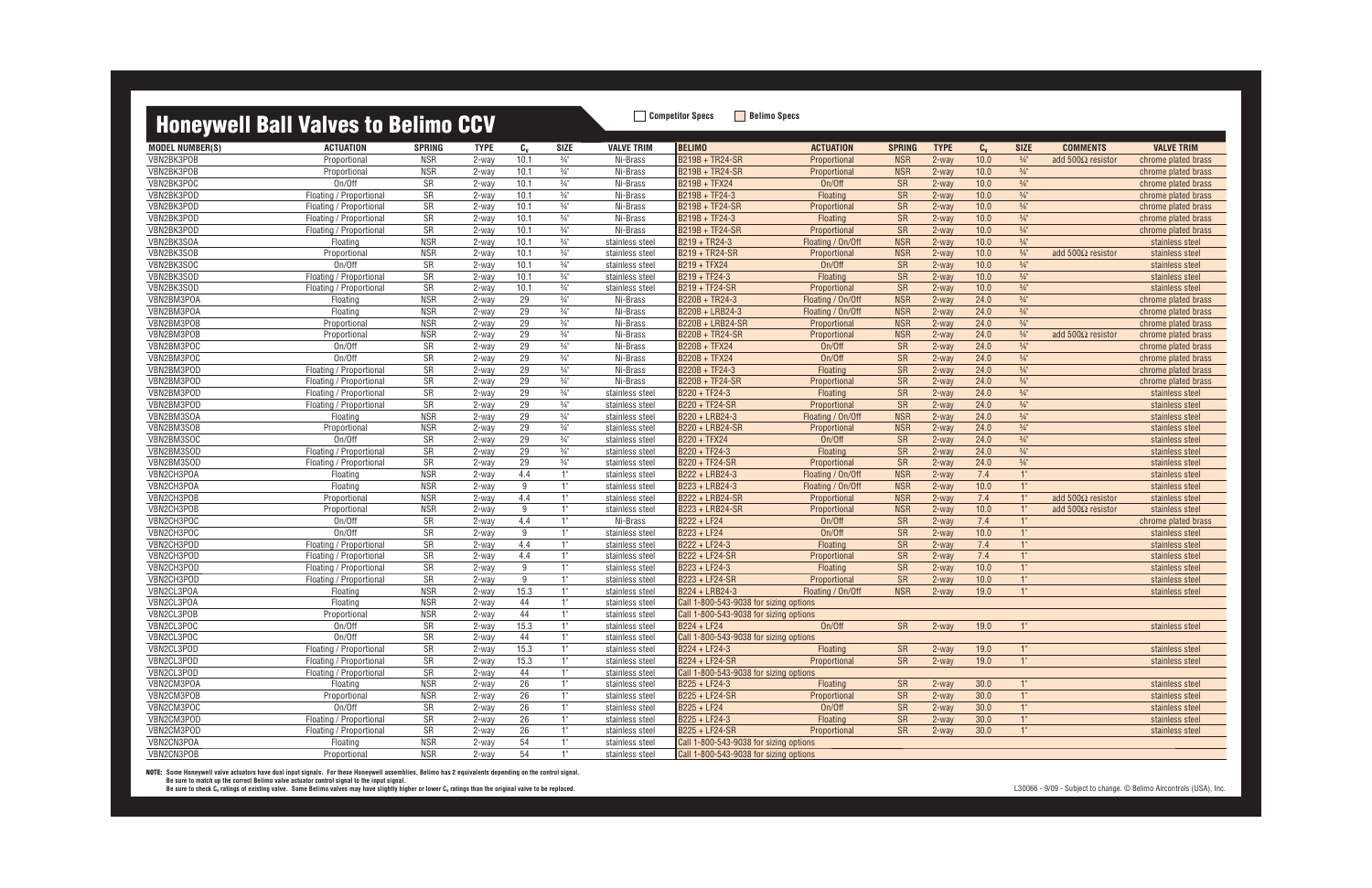### **Honeywell Rall Valves to Relimo CCV Competitor Specs Belimo Specs**

| $c_{v}$<br><b>BELIMO</b><br><b>SIZE</b><br><b>MODEL NUMBER(S)</b><br><b>ACTUATION</b><br><b>TYPE</b><br><b>SIZE</b><br><b>VALVE TRIM</b><br><b>ACTUATION</b><br><b>SPRING</b><br><b>TYPE</b><br>$C_{V}$<br><b>COMMENTS</b><br><b>VALVE TRIM</b><br><b>SPRING</b><br>$\frac{3}{4}$ "<br>B219B + TR24-SR<br>VBN2BK3POB<br>Proportional<br><b>NSR</b><br>10.1<br><b>NSR</b><br>2-way<br>10.0<br>$\frac{3}{4}$ "<br>add $500\Omega$ resistor<br>2-way<br>Ni-Brass<br>Proportional<br>chrome plated brass<br>VBN2BK3POB<br><b>NSR</b><br>10.1<br>$\frac{3}{4}$ "<br>B219B + TR24-SR<br><b>NSR</b><br>10.0<br>$\frac{3}{4}$ "<br>Proportional<br>2-way<br>Ni-Brass<br>2-way<br>chrome plated brass<br>Proportional<br>SR<br>SR<br>$\frac{3}{4}$ "<br>VBN2BK3POC<br>On/Off<br>10.1<br>$\frac{3}{4}$ "<br>B219B + TFX24<br>On/Off<br>10.0<br>2-way<br>Ni-Brass<br>2-way<br>chrome plated brass<br>$\frac{3}{4}$ "<br>SR<br>$\frac{3}{4}$ "<br>SR<br>VBN2BK3POD<br>10.1<br>Ni-Brass<br>B219B + TF24-3<br>Floating<br>10.0<br>chrome plated brass<br>Floating / Proportional<br>2-way<br>2-way<br>SR<br>10.1<br>$\frac{3}{4}$ "<br>B219B + TF24-SR<br>SR<br>$\frac{3}{4}$ "<br>VBN2BK3POD<br>10.0<br>Floating / Proportional<br>2-way<br>Ni-Brass<br>Proportional<br>$2-way$<br>chrome plated brass<br>SR<br>SR<br>VBN2BK3POD<br>10.1<br>$\frac{3}{4}$ "<br>B219B + TF24-3<br>10.0<br>$\frac{3}{4}$ "<br>Ni-Brass<br>Floating<br>$2-way$<br>chrome plated brass<br>Floating / Proportional<br>2-way<br>SR<br>$\frac{3}{4}$ "<br>SR<br>VBN2BK3POD<br>10.1<br>10.0<br>$\frac{3}{4}$ "<br>Floating / Proportional<br>2-way<br>Ni-Brass<br>B219B + TF24-SR<br>Proportional<br>2-way<br>chrome plated brass<br><b>NSR</b><br>$\frac{3}{4}$ "<br><b>NSR</b><br>$\frac{3}{4}$ "<br>VBN2BK3SOA<br>Floating<br>10.1<br>B219 + TR24-3<br>10.0<br>2-way<br>stainless steel<br>Floating / On/Off<br>2-way<br>stainless steel<br>$\frac{3}{4}$ "<br>VBN2BK3SOB<br><b>NSR</b><br>10.1<br>B219 + TR24-SR<br><b>NSR</b><br>10.0<br>$\frac{3}{4}$ "<br>add 500 $\Omega$ resistor<br>Proportional<br>2-way<br>stainless steel<br>Proportional<br>$2-way$<br>stainless steel<br>On/Off<br>SR<br>$\frac{3}{4}$ "<br>VBN2BK3SOC<br>10.1<br>B219 + TFX24<br>On/Off<br><b>SR</b><br>10.0<br>$\frac{3}{4}$ "<br>$2-way$<br>2-way<br>stainless steel<br>stainless steel<br>SR<br>$\frac{3}{4}$ "<br>SR<br>$\frac{3}{4}$ "<br>VBN2BK3SOD<br>Floating / Proportional<br>10.1<br>B219 + TF24-3<br>2-way<br>10.0<br>2-way<br>Floating<br>stainless steel<br>stainless steel<br>SR<br>VBN2BK3SOD<br>10.1<br>$\frac{3}{4}$ "<br>B219 + TF24-SR<br>SR<br>$\frac{3}{4}$ "<br>10.0<br>Floating / Proportional<br>2-way<br>stainless steel<br>Proportional<br>2-way<br>stainless steel<br><b>NSR</b><br>29<br>$\frac{3}{4}$ "<br>B220B + TR24-3<br><b>NSR</b><br>24.0<br>$\frac{3}{4}$ "<br>VBN2BM3POA<br>Floating<br>2-way<br>Ni-Brass<br>Floating / On/Off<br>$2-way$<br>chrome plated brass<br>29<br>$\frac{3}{4}$ "<br><b>NSR</b><br>$\frac{3}{4}$ "<br>VBN2BM3POA<br>Floating<br><b>NSR</b><br>B220B + LRB24-3<br>24.0<br>2-way<br>Ni-Brass<br>Floating / On/Off<br>$2-way$<br>chrome plated brass<br>29<br>$\frac{3}{4}$ "<br>$\frac{3}{4}$ "<br>VBN2BM3POB<br><b>NSR</b><br><b>NSR</b><br>24.0<br>Proportional<br>2-way<br>Ni-Brass<br>B220B + LRB24-SR<br>2-way<br>chrome plated brass<br>Proportional<br>29<br>$\frac{3}{4}$ "<br>VBN2BM3POB<br><b>NSR</b><br>B220B + TR24-SR<br><b>NSR</b><br>24.0<br>$\frac{3}{4}$ "<br>add 500 $\Omega$ resistor<br>Proportional<br>2-way<br>Ni-Brass<br>Proportional<br>2-way<br>chrome plated brass<br>VBN2BM3POC<br>SR<br>29<br>On/Off<br>$\frac{3}{4}$ "<br>B220B + TFX24<br>On/Off<br><b>SR</b><br>24.0<br>$\frac{3}{4}$ "<br>2-way<br>Ni-Brass<br>2-way<br>chrome plated brass<br>SR<br>29<br>$\frac{3}{4}$ "<br>SR<br>24.0<br>$\frac{3}{4}$ "<br>VBN2BM3POC<br>On/Off<br>B220B + TFX24<br>On/Off<br>2-way<br>Ni-Brass<br>$2-way$<br>chrome plated brass<br>SR<br>29<br>$\frac{3}{4}$<br>$\frac{3}{4}$<br>VBN2BM3POD<br>$B220B + TF24-3$<br>SR<br>24.0<br>Ni-Brass<br>Floating<br>chrome plated brass<br>Floating / Proportional<br>2-way<br>2-way<br>SR<br>29<br>B220B + TF24-SR<br>SR<br>VBN2BM3POD<br>$\frac{3}{4}$ "<br>24.0<br>$\frac{3}{4}$ "<br>Floating / Proportional<br>2-way<br>Ni-Brass<br>Proportional<br>$2-way$<br>chrome plated brass<br>SR<br>SR<br>VBN2BM3POD<br>29<br>$\frac{3}{4}$ "<br>B220 + TF24-3<br>24.0<br>$\frac{3}{4}$ "<br>Floating / Proportional<br>Floating<br>$2-way$<br>2-way<br>stainless steel<br>stainless steel<br>SR<br>29<br>$\frac{3}{4}$ "<br>SR<br>$\frac{3}{4}$ "<br>VBN2BM3POD<br>B220 + TF24-SR<br>24.0<br>Floating / Proportional<br>2-way<br>Proportional<br>$2-way$<br>stainless steel<br>stainless steel<br>VBN2BM3SOA<br><b>NSR</b><br>29<br>$\frac{3}{4}$ "<br>B220 + LRB24-3<br><b>NSR</b><br>$\frac{3}{4}$ "<br>Floating<br>24.0<br>2-way<br>stainless steel<br>Floating / On/Off<br>2-way<br>stainless steel<br>29<br>$\frac{3}{4}$ "<br><b>NSR</b><br>24.0<br>$\frac{3}{4}$ "<br>VBN2BM3SOB<br><b>NSR</b><br>B220 + LRB24-SR<br>Proportional<br>2-way<br>stainless steel<br>Proportional<br>$2-way$<br>stainless steel<br>$\frac{3}{4}$ "<br>24.0<br>$\frac{3}{4}$ "<br>VBN2BM3SOC<br>On/Off<br>SR<br>29<br>B220 + TFX24<br>On/Off<br><b>SR</b><br>$2-way$<br>2-way<br>stainless steel<br>stainless steel<br>SR<br>29<br>$\frac{3}{4}$ "<br>SR<br>24.0<br>$\frac{3}{4}$ "<br>VBN2BM3SOD<br>2-way<br>B220 + TF24-3<br>2-way<br>Floating / Proportional<br>Floating<br>stainless steel<br>stainless steel<br>SR<br>$\frac{3}{4}$ "<br>$\frac{3}{4}$ "<br>29<br>B220 + TF24-SR<br>SR<br>24.0<br>VBN2BM3SOD<br>Floating / Proportional<br>2-way<br>stainless steel<br>Proportional<br>2-way<br>stainless steel<br><b>NSR</b><br>4.4<br><b>NSR</b><br>1"<br>VBN2CH3POA<br>1"<br>B222 + LRB24-3<br>$7.4$<br>Floating<br>2-way<br>Floating / On/Off<br>$2-way$<br>stainless steel<br>stainless steel<br><b>NSR</b><br>$1"$<br><b>NSR</b><br>VBN2CH3POA<br>Floating<br>9<br>B223 + LRB24-3<br>10.0<br>1"<br>2-way<br>Floating / On/Off<br>$2-way$<br>stainless steel<br>stainless steel<br>4.4<br>7.4<br>VBN2CH3POB<br><b>NSR</b><br>1"<br>B222 + LRB24-SR<br><b>NSR</b><br>2-way<br>1"<br>add $500\Omega$ resistor<br>2-way<br>Proportional<br>stainless steel<br>Proportional<br>stainless steel<br>1"<br>10.0<br>VBN2CH3POB<br><b>NSR</b><br>9<br>B223 + LRB24-SR<br><b>NSR</b><br>$1^{\circ}$<br>Proportional<br>2-way<br>stainless steel<br>Proportional<br>2-way<br>add $500\Omega$ resistor<br>stainless steel<br>VBN2CH3POC<br>SR<br>4.4<br>SR<br>On/Off<br>1"<br>B222 + LF24<br>On/Off<br>7.4<br>1"<br>Ni-Brass<br>2-way<br>chrome plated brass<br>2-way<br>SR<br>SR<br>VBN2CH3POC<br>On/Off<br>9<br>1"<br>B223 + LF24<br>On/Off<br>10.0<br>1"<br>2-way<br>2-way<br>stainless steel<br>stainless steel<br>SR<br>4.4<br>1"<br>B222 + LF24-3<br>SR<br>1"<br>VBN2CH3POD<br>7.4<br>Floating / Proportional<br>2-way<br>stainless steel<br>Floating<br>$2-way$<br>stainless steel<br>SR<br>VBN2CH3POD<br>4.4<br>1"<br>B222 + LF24-SR<br><b>SR</b><br>7.4<br>Floating / Proportional<br>Proportional<br>$2-way$<br>1"<br>2-way<br>stainless steel<br>stainless steel<br>SR<br>VBN2CH3POD<br><b>SR</b><br>Floating / Proportional<br>9<br>1"<br>B223 + LF24-3<br>Floating<br>10.0<br>1"<br>2-way<br>stainless steel<br>$2-way$<br>stainless steel<br>SR<br>1"<br>SR<br>9<br>B223 + LF24-SR<br>10.0<br>VBN2CH3POD<br>Floating / Proportional<br>2-way<br>Proportional<br>2-way<br>1"<br>stainless steel<br>stainless steel<br>1"<br>VBN2CL3POA<br><b>NSR</b><br>15.3<br>1"<br>B224 + LRB24-3<br><b>NSR</b><br>19.0<br>Floating<br>stainless steel<br>Floating / On/Off<br>2-way<br>2-way<br>stainless steel<br>VBN2CL3POA<br>Floating<br><b>NSR</b><br>44<br>1"<br>Call 1-800-543-9038 for sizing options<br>2-way<br>stainless steel<br>1"<br>VBN2CL3POB<br><b>NSR</b><br>44<br>Proportional<br>2-way<br>stainless steel<br>Call 1-800-543-9038 for sizing options<br>SR<br>15.3<br>1"<br>On/Off<br>B224 + LF24<br>On/Off<br><b>SR</b><br>VBN2CL3POC<br>2-way<br>2-way<br>19.0<br>1"<br>stainless steel<br>stainless steel<br>On/Off<br>SR<br>44<br>1"<br>VBN2CL3POC<br>2-way<br>Call 1-800-543-9038 for sizing options<br>stainless steel<br>SR<br>15.3<br>VBN2CL3POD<br>1"<br>B224 + LF24-3<br><b>SR</b><br>2-way<br>19.0<br>$1^{\circ}$<br>Floating / Proportional<br>2-way<br>Floating<br>stainless steel<br>stainless steel<br>SR<br>19.0<br>$1^{\circ}$<br>VBN2CL3POD<br>SR<br>15.3<br>1"<br>B224 + LF24-SR<br>2-way<br>Floating / Proportional<br>2-way<br>stainless steel<br>Proportional<br>stainless steel<br>SR<br>VBN2CL3POD<br>44<br>1"<br>Floating / Proportional<br>stainless steel<br>Call 1-800-543-9038 for sizing options<br>2-way<br>VBN2CM3POA<br>26<br>SR<br><b>NSR</b><br>1"<br>Floating<br>30.0<br>Floating<br>B225 + LF24-3<br>2-way<br>1"<br>stainless steel<br>2-way<br>stainless steel<br>VBN2CM3POB<br>26<br><b>NSR</b><br>1"<br>B225 + LF24-SR<br><b>SR</b><br>30.0<br>1"<br>Proportional<br>$2$ -way<br>2-way<br>stainless steel<br>Proportional<br>stainless steel<br>SR<br>26<br>VBN2CM3POC<br>On/Off<br>1"<br>B225 + LF24<br>On/Off<br><b>SR</b><br>30.0<br>1"<br>2-way<br>stainless steel<br>2-way<br>stainless steel<br>SR<br>26<br>VBN2CM3POD<br>1"<br>B225 + LF24-3<br><b>SR</b><br>$1^{\circ}$<br>Floating / Proportional<br>stainless steel<br>Floating<br>30.0<br>stainless steel<br>2-way<br>2-way<br>VBN2CM3POD<br>SR<br>26<br>B225 + LF24-SR<br>Floating / Proportional<br>1"<br><b>SR</b><br>30.0<br>$1^{\circ}$<br>2-way<br>stainless steel<br>Proportional<br>2-way<br>stainless steel<br>VBN2CN3POA<br>54<br>1"<br>Floating<br>NSR<br>stainless steel<br>Call 1-800-543-9038 for sizing options<br>2-way<br>Call 1-800-543-9038 for sizing options |            | HONGWON DAIL VAIVOS tO DUNNIO OUV |            |       |    |    |                 |  |  |  |  |
|-----------------------------------------------------------------------------------------------------------------------------------------------------------------------------------------------------------------------------------------------------------------------------------------------------------------------------------------------------------------------------------------------------------------------------------------------------------------------------------------------------------------------------------------------------------------------------------------------------------------------------------------------------------------------------------------------------------------------------------------------------------------------------------------------------------------------------------------------------------------------------------------------------------------------------------------------------------------------------------------------------------------------------------------------------------------------------------------------------------------------------------------------------------------------------------------------------------------------------------------------------------------------------------------------------------------------------------------------------------------------------------------------------------------------------------------------------------------------------------------------------------------------------------------------------------------------------------------------------------------------------------------------------------------------------------------------------------------------------------------------------------------------------------------------------------------------------------------------------------------------------------------------------------------------------------------------------------------------------------------------------------------------------------------------------------------------------------------------------------------------------------------------------------------------------------------------------------------------------------------------------------------------------------------------------------------------------------------------------------------------------------------------------------------------------------------------------------------------------------------------------------------------------------------------------------------------------------------------------------------------------------------------------------------------------------------------------------------------------------------------------------------------------------------------------------------------------------------------------------------------------------------------------------------------------------------------------------------------------------------------------------------------------------------------------------------------------------------------------------------------------------------------------------------------------------------------------------------------------------------------------------------------------------------------------------------------------------------------------------------------------------------------------------------------------------------------------------------------------------------------------------------------------------------------------------------------------------------------------------------------------------------------------------------------------------------------------------------------------------------------------------------------------------------------------------------------------------------------------------------------------------------------------------------------------------------------------------------------------------------------------------------------------------------------------------------------------------------------------------------------------------------------------------------------------------------------------------------------------------------------------------------------------------------------------------------------------------------------------------------------------------------------------------------------------------------------------------------------------------------------------------------------------------------------------------------------------------------------------------------------------------------------------------------------------------------------------------------------------------------------------------------------------------------------------------------------------------------------------------------------------------------------------------------------------------------------------------------------------------------------------------------------------------------------------------------------------------------------------------------------------------------------------------------------------------------------------------------------------------------------------------------------------------------------------------------------------------------------------------------------------------------------------------------------------------------------------------------------------------------------------------------------------------------------------------------------------------------------------------------------------------------------------------------------------------------------------------------------------------------------------------------------------------------------------------------------------------------------------------------------------------------------------------------------------------------------------------------------------------------------------------------------------------------------------------------------------------------------------------------------------------------------------------------------------------------------------------------------------------------------------------------------------------------------------------------------------------------------------------------------------------------------------------------------------------------------------------------------------------------------------------------------------------------------------------------------------------------------------------------------------------------------------------------------------------------------------------------------------------------------------------------------------------------------------------------------------------------------------------------------------------------------------------------------------------------------------------------------------------------------------------------------------------------------------------------------------------------------------------------------------------------------------------------------------------------------------------------------------------------------------------------------------------------------------------------------------------------------------------------------------------------------------------------------------------------------------------------------------------------------------------------------------------------------------------------------------------------------------------------------------------------------------------------------------------------------------------------------------------------------------------------------------------------------------------------------------------------------------------------------------------------------------------------------------------------------------------------------------------------------------------------------------------------------------------------------------------------------------------------------------------------------------------------------------------------------------------------------------------------------------------------------------------------------------------------------------------------------------------------------------------------------------------------------------------------------------------------------------------------------------------------------------------------------------------------------------------------------------------------------------------------------------------------------------------------------------------------------------------------------------------------------------------------------------------------------------------------------------------------------------------------------------------------------------------------------------------------------------------------------------------------------------------------------------------------------------------------------------------------------------------------------------------------------------------------------------------------------------------------------------------------------------------------------------------------------------------------------------------------------------------------------------------------------------------------------------------------------------------------------------------------------------------------------------------------------------------------------------------------------------------------------------------------------------------------------------------------------------------------------------------------------------------------------------------------------------------------------------------|------------|-----------------------------------|------------|-------|----|----|-----------------|--|--|--|--|
|                                                                                                                                                                                                                                                                                                                                                                                                                                                                                                                                                                                                                                                                                                                                                                                                                                                                                                                                                                                                                                                                                                                                                                                                                                                                                                                                                                                                                                                                                                                                                                                                                                                                                                                                                                                                                                                                                                                                                                                                                                                                                                                                                                                                                                                                                                                                                                                                                                                                                                                                                                                                                                                                                                                                                                                                                                                                                                                                                                                                                                                                                                                                                                                                                                                                                                                                                                                                                                                                                                                                                                                                                                                                                                                                                                                                                                                                                                                                                                                                                                                                                                                                                                                                                                                                                                                                                                                                                                                                                                                                                                                                                                                                                                                                                                                                                                                                                                                                                                                                                                                                                                                                                                                                                                                                                                                                                                                                                                                                                                                                                                                                                                                                                                                                                                                                                                                                                                                                                                                                                                                                                                                                                                                                                                                                                                                                                                                                                                                                                                                                                                                                                                                                                                                                                                                                                                                                                                                                                                                                                                                                                                                                                                                                                                                                                                                                                                                                                                                                                                                                                                                                                                                                                                                                                                                                                                                                                                                                                                                                                                                                                                                                                                                                                                                                                                                                                                                                                                                                                                                                                                                                                                                                                                                                                                                                                                                                                                                                                                                                                                                                                                                                                                                                                                                                                                                                                                                                                                                                                                                                                                                                                                                                                                                                                                                                                                                           |            |                                   |            |       |    |    |                 |  |  |  |  |
|                                                                                                                                                                                                                                                                                                                                                                                                                                                                                                                                                                                                                                                                                                                                                                                                                                                                                                                                                                                                                                                                                                                                                                                                                                                                                                                                                                                                                                                                                                                                                                                                                                                                                                                                                                                                                                                                                                                                                                                                                                                                                                                                                                                                                                                                                                                                                                                                                                                                                                                                                                                                                                                                                                                                                                                                                                                                                                                                                                                                                                                                                                                                                                                                                                                                                                                                                                                                                                                                                                                                                                                                                                                                                                                                                                                                                                                                                                                                                                                                                                                                                                                                                                                                                                                                                                                                                                                                                                                                                                                                                                                                                                                                                                                                                                                                                                                                                                                                                                                                                                                                                                                                                                                                                                                                                                                                                                                                                                                                                                                                                                                                                                                                                                                                                                                                                                                                                                                                                                                                                                                                                                                                                                                                                                                                                                                                                                                                                                                                                                                                                                                                                                                                                                                                                                                                                                                                                                                                                                                                                                                                                                                                                                                                                                                                                                                                                                                                                                                                                                                                                                                                                                                                                                                                                                                                                                                                                                                                                                                                                                                                                                                                                                                                                                                                                                                                                                                                                                                                                                                                                                                                                                                                                                                                                                                                                                                                                                                                                                                                                                                                                                                                                                                                                                                                                                                                                                                                                                                                                                                                                                                                                                                                                                                                                                                                                                                           |            |                                   |            |       |    |    |                 |  |  |  |  |
|                                                                                                                                                                                                                                                                                                                                                                                                                                                                                                                                                                                                                                                                                                                                                                                                                                                                                                                                                                                                                                                                                                                                                                                                                                                                                                                                                                                                                                                                                                                                                                                                                                                                                                                                                                                                                                                                                                                                                                                                                                                                                                                                                                                                                                                                                                                                                                                                                                                                                                                                                                                                                                                                                                                                                                                                                                                                                                                                                                                                                                                                                                                                                                                                                                                                                                                                                                                                                                                                                                                                                                                                                                                                                                                                                                                                                                                                                                                                                                                                                                                                                                                                                                                                                                                                                                                                                                                                                                                                                                                                                                                                                                                                                                                                                                                                                                                                                                                                                                                                                                                                                                                                                                                                                                                                                                                                                                                                                                                                                                                                                                                                                                                                                                                                                                                                                                                                                                                                                                                                                                                                                                                                                                                                                                                                                                                                                                                                                                                                                                                                                                                                                                                                                                                                                                                                                                                                                                                                                                                                                                                                                                                                                                                                                                                                                                                                                                                                                                                                                                                                                                                                                                                                                                                                                                                                                                                                                                                                                                                                                                                                                                                                                                                                                                                                                                                                                                                                                                                                                                                                                                                                                                                                                                                                                                                                                                                                                                                                                                                                                                                                                                                                                                                                                                                                                                                                                                                                                                                                                                                                                                                                                                                                                                                                                                                                                                                           |            |                                   |            |       |    |    |                 |  |  |  |  |
|                                                                                                                                                                                                                                                                                                                                                                                                                                                                                                                                                                                                                                                                                                                                                                                                                                                                                                                                                                                                                                                                                                                                                                                                                                                                                                                                                                                                                                                                                                                                                                                                                                                                                                                                                                                                                                                                                                                                                                                                                                                                                                                                                                                                                                                                                                                                                                                                                                                                                                                                                                                                                                                                                                                                                                                                                                                                                                                                                                                                                                                                                                                                                                                                                                                                                                                                                                                                                                                                                                                                                                                                                                                                                                                                                                                                                                                                                                                                                                                                                                                                                                                                                                                                                                                                                                                                                                                                                                                                                                                                                                                                                                                                                                                                                                                                                                                                                                                                                                                                                                                                                                                                                                                                                                                                                                                                                                                                                                                                                                                                                                                                                                                                                                                                                                                                                                                                                                                                                                                                                                                                                                                                                                                                                                                                                                                                                                                                                                                                                                                                                                                                                                                                                                                                                                                                                                                                                                                                                                                                                                                                                                                                                                                                                                                                                                                                                                                                                                                                                                                                                                                                                                                                                                                                                                                                                                                                                                                                                                                                                                                                                                                                                                                                                                                                                                                                                                                                                                                                                                                                                                                                                                                                                                                                                                                                                                                                                                                                                                                                                                                                                                                                                                                                                                                                                                                                                                                                                                                                                                                                                                                                                                                                                                                                                                                                                                                           |            |                                   |            |       |    |    |                 |  |  |  |  |
|                                                                                                                                                                                                                                                                                                                                                                                                                                                                                                                                                                                                                                                                                                                                                                                                                                                                                                                                                                                                                                                                                                                                                                                                                                                                                                                                                                                                                                                                                                                                                                                                                                                                                                                                                                                                                                                                                                                                                                                                                                                                                                                                                                                                                                                                                                                                                                                                                                                                                                                                                                                                                                                                                                                                                                                                                                                                                                                                                                                                                                                                                                                                                                                                                                                                                                                                                                                                                                                                                                                                                                                                                                                                                                                                                                                                                                                                                                                                                                                                                                                                                                                                                                                                                                                                                                                                                                                                                                                                                                                                                                                                                                                                                                                                                                                                                                                                                                                                                                                                                                                                                                                                                                                                                                                                                                                                                                                                                                                                                                                                                                                                                                                                                                                                                                                                                                                                                                                                                                                                                                                                                                                                                                                                                                                                                                                                                                                                                                                                                                                                                                                                                                                                                                                                                                                                                                                                                                                                                                                                                                                                                                                                                                                                                                                                                                                                                                                                                                                                                                                                                                                                                                                                                                                                                                                                                                                                                                                                                                                                                                                                                                                                                                                                                                                                                                                                                                                                                                                                                                                                                                                                                                                                                                                                                                                                                                                                                                                                                                                                                                                                                                                                                                                                                                                                                                                                                                                                                                                                                                                                                                                                                                                                                                                                                                                                                                                           |            |                                   |            |       |    |    |                 |  |  |  |  |
|                                                                                                                                                                                                                                                                                                                                                                                                                                                                                                                                                                                                                                                                                                                                                                                                                                                                                                                                                                                                                                                                                                                                                                                                                                                                                                                                                                                                                                                                                                                                                                                                                                                                                                                                                                                                                                                                                                                                                                                                                                                                                                                                                                                                                                                                                                                                                                                                                                                                                                                                                                                                                                                                                                                                                                                                                                                                                                                                                                                                                                                                                                                                                                                                                                                                                                                                                                                                                                                                                                                                                                                                                                                                                                                                                                                                                                                                                                                                                                                                                                                                                                                                                                                                                                                                                                                                                                                                                                                                                                                                                                                                                                                                                                                                                                                                                                                                                                                                                                                                                                                                                                                                                                                                                                                                                                                                                                                                                                                                                                                                                                                                                                                                                                                                                                                                                                                                                                                                                                                                                                                                                                                                                                                                                                                                                                                                                                                                                                                                                                                                                                                                                                                                                                                                                                                                                                                                                                                                                                                                                                                                                                                                                                                                                                                                                                                                                                                                                                                                                                                                                                                                                                                                                                                                                                                                                                                                                                                                                                                                                                                                                                                                                                                                                                                                                                                                                                                                                                                                                                                                                                                                                                                                                                                                                                                                                                                                                                                                                                                                                                                                                                                                                                                                                                                                                                                                                                                                                                                                                                                                                                                                                                                                                                                                                                                                                                                           |            |                                   |            |       |    |    |                 |  |  |  |  |
|                                                                                                                                                                                                                                                                                                                                                                                                                                                                                                                                                                                                                                                                                                                                                                                                                                                                                                                                                                                                                                                                                                                                                                                                                                                                                                                                                                                                                                                                                                                                                                                                                                                                                                                                                                                                                                                                                                                                                                                                                                                                                                                                                                                                                                                                                                                                                                                                                                                                                                                                                                                                                                                                                                                                                                                                                                                                                                                                                                                                                                                                                                                                                                                                                                                                                                                                                                                                                                                                                                                                                                                                                                                                                                                                                                                                                                                                                                                                                                                                                                                                                                                                                                                                                                                                                                                                                                                                                                                                                                                                                                                                                                                                                                                                                                                                                                                                                                                                                                                                                                                                                                                                                                                                                                                                                                                                                                                                                                                                                                                                                                                                                                                                                                                                                                                                                                                                                                                                                                                                                                                                                                                                                                                                                                                                                                                                                                                                                                                                                                                                                                                                                                                                                                                                                                                                                                                                                                                                                                                                                                                                                                                                                                                                                                                                                                                                                                                                                                                                                                                                                                                                                                                                                                                                                                                                                                                                                                                                                                                                                                                                                                                                                                                                                                                                                                                                                                                                                                                                                                                                                                                                                                                                                                                                                                                                                                                                                                                                                                                                                                                                                                                                                                                                                                                                                                                                                                                                                                                                                                                                                                                                                                                                                                                                                                                                                                                           |            |                                   |            |       |    |    |                 |  |  |  |  |
|                                                                                                                                                                                                                                                                                                                                                                                                                                                                                                                                                                                                                                                                                                                                                                                                                                                                                                                                                                                                                                                                                                                                                                                                                                                                                                                                                                                                                                                                                                                                                                                                                                                                                                                                                                                                                                                                                                                                                                                                                                                                                                                                                                                                                                                                                                                                                                                                                                                                                                                                                                                                                                                                                                                                                                                                                                                                                                                                                                                                                                                                                                                                                                                                                                                                                                                                                                                                                                                                                                                                                                                                                                                                                                                                                                                                                                                                                                                                                                                                                                                                                                                                                                                                                                                                                                                                                                                                                                                                                                                                                                                                                                                                                                                                                                                                                                                                                                                                                                                                                                                                                                                                                                                                                                                                                                                                                                                                                                                                                                                                                                                                                                                                                                                                                                                                                                                                                                                                                                                                                                                                                                                                                                                                                                                                                                                                                                                                                                                                                                                                                                                                                                                                                                                                                                                                                                                                                                                                                                                                                                                                                                                                                                                                                                                                                                                                                                                                                                                                                                                                                                                                                                                                                                                                                                                                                                                                                                                                                                                                                                                                                                                                                                                                                                                                                                                                                                                                                                                                                                                                                                                                                                                                                                                                                                                                                                                                                                                                                                                                                                                                                                                                                                                                                                                                                                                                                                                                                                                                                                                                                                                                                                                                                                                                                                                                                                                           |            |                                   |            |       |    |    |                 |  |  |  |  |
|                                                                                                                                                                                                                                                                                                                                                                                                                                                                                                                                                                                                                                                                                                                                                                                                                                                                                                                                                                                                                                                                                                                                                                                                                                                                                                                                                                                                                                                                                                                                                                                                                                                                                                                                                                                                                                                                                                                                                                                                                                                                                                                                                                                                                                                                                                                                                                                                                                                                                                                                                                                                                                                                                                                                                                                                                                                                                                                                                                                                                                                                                                                                                                                                                                                                                                                                                                                                                                                                                                                                                                                                                                                                                                                                                                                                                                                                                                                                                                                                                                                                                                                                                                                                                                                                                                                                                                                                                                                                                                                                                                                                                                                                                                                                                                                                                                                                                                                                                                                                                                                                                                                                                                                                                                                                                                                                                                                                                                                                                                                                                                                                                                                                                                                                                                                                                                                                                                                                                                                                                                                                                                                                                                                                                                                                                                                                                                                                                                                                                                                                                                                                                                                                                                                                                                                                                                                                                                                                                                                                                                                                                                                                                                                                                                                                                                                                                                                                                                                                                                                                                                                                                                                                                                                                                                                                                                                                                                                                                                                                                                                                                                                                                                                                                                                                                                                                                                                                                                                                                                                                                                                                                                                                                                                                                                                                                                                                                                                                                                                                                                                                                                                                                                                                                                                                                                                                                                                                                                                                                                                                                                                                                                                                                                                                                                                                                                                           |            |                                   |            |       |    |    |                 |  |  |  |  |
|                                                                                                                                                                                                                                                                                                                                                                                                                                                                                                                                                                                                                                                                                                                                                                                                                                                                                                                                                                                                                                                                                                                                                                                                                                                                                                                                                                                                                                                                                                                                                                                                                                                                                                                                                                                                                                                                                                                                                                                                                                                                                                                                                                                                                                                                                                                                                                                                                                                                                                                                                                                                                                                                                                                                                                                                                                                                                                                                                                                                                                                                                                                                                                                                                                                                                                                                                                                                                                                                                                                                                                                                                                                                                                                                                                                                                                                                                                                                                                                                                                                                                                                                                                                                                                                                                                                                                                                                                                                                                                                                                                                                                                                                                                                                                                                                                                                                                                                                                                                                                                                                                                                                                                                                                                                                                                                                                                                                                                                                                                                                                                                                                                                                                                                                                                                                                                                                                                                                                                                                                                                                                                                                                                                                                                                                                                                                                                                                                                                                                                                                                                                                                                                                                                                                                                                                                                                                                                                                                                                                                                                                                                                                                                                                                                                                                                                                                                                                                                                                                                                                                                                                                                                                                                                                                                                                                                                                                                                                                                                                                                                                                                                                                                                                                                                                                                                                                                                                                                                                                                                                                                                                                                                                                                                                                                                                                                                                                                                                                                                                                                                                                                                                                                                                                                                                                                                                                                                                                                                                                                                                                                                                                                                                                                                                                                                                                                                           |            |                                   |            |       |    |    |                 |  |  |  |  |
|                                                                                                                                                                                                                                                                                                                                                                                                                                                                                                                                                                                                                                                                                                                                                                                                                                                                                                                                                                                                                                                                                                                                                                                                                                                                                                                                                                                                                                                                                                                                                                                                                                                                                                                                                                                                                                                                                                                                                                                                                                                                                                                                                                                                                                                                                                                                                                                                                                                                                                                                                                                                                                                                                                                                                                                                                                                                                                                                                                                                                                                                                                                                                                                                                                                                                                                                                                                                                                                                                                                                                                                                                                                                                                                                                                                                                                                                                                                                                                                                                                                                                                                                                                                                                                                                                                                                                                                                                                                                                                                                                                                                                                                                                                                                                                                                                                                                                                                                                                                                                                                                                                                                                                                                                                                                                                                                                                                                                                                                                                                                                                                                                                                                                                                                                                                                                                                                                                                                                                                                                                                                                                                                                                                                                                                                                                                                                                                                                                                                                                                                                                                                                                                                                                                                                                                                                                                                                                                                                                                                                                                                                                                                                                                                                                                                                                                                                                                                                                                                                                                                                                                                                                                                                                                                                                                                                                                                                                                                                                                                                                                                                                                                                                                                                                                                                                                                                                                                                                                                                                                                                                                                                                                                                                                                                                                                                                                                                                                                                                                                                                                                                                                                                                                                                                                                                                                                                                                                                                                                                                                                                                                                                                                                                                                                                                                                                                                           |            |                                   |            |       |    |    |                 |  |  |  |  |
|                                                                                                                                                                                                                                                                                                                                                                                                                                                                                                                                                                                                                                                                                                                                                                                                                                                                                                                                                                                                                                                                                                                                                                                                                                                                                                                                                                                                                                                                                                                                                                                                                                                                                                                                                                                                                                                                                                                                                                                                                                                                                                                                                                                                                                                                                                                                                                                                                                                                                                                                                                                                                                                                                                                                                                                                                                                                                                                                                                                                                                                                                                                                                                                                                                                                                                                                                                                                                                                                                                                                                                                                                                                                                                                                                                                                                                                                                                                                                                                                                                                                                                                                                                                                                                                                                                                                                                                                                                                                                                                                                                                                                                                                                                                                                                                                                                                                                                                                                                                                                                                                                                                                                                                                                                                                                                                                                                                                                                                                                                                                                                                                                                                                                                                                                                                                                                                                                                                                                                                                                                                                                                                                                                                                                                                                                                                                                                                                                                                                                                                                                                                                                                                                                                                                                                                                                                                                                                                                                                                                                                                                                                                                                                                                                                                                                                                                                                                                                                                                                                                                                                                                                                                                                                                                                                                                                                                                                                                                                                                                                                                                                                                                                                                                                                                                                                                                                                                                                                                                                                                                                                                                                                                                                                                                                                                                                                                                                                                                                                                                                                                                                                                                                                                                                                                                                                                                                                                                                                                                                                                                                                                                                                                                                                                                                                                                                                                           |            |                                   |            |       |    |    |                 |  |  |  |  |
|                                                                                                                                                                                                                                                                                                                                                                                                                                                                                                                                                                                                                                                                                                                                                                                                                                                                                                                                                                                                                                                                                                                                                                                                                                                                                                                                                                                                                                                                                                                                                                                                                                                                                                                                                                                                                                                                                                                                                                                                                                                                                                                                                                                                                                                                                                                                                                                                                                                                                                                                                                                                                                                                                                                                                                                                                                                                                                                                                                                                                                                                                                                                                                                                                                                                                                                                                                                                                                                                                                                                                                                                                                                                                                                                                                                                                                                                                                                                                                                                                                                                                                                                                                                                                                                                                                                                                                                                                                                                                                                                                                                                                                                                                                                                                                                                                                                                                                                                                                                                                                                                                                                                                                                                                                                                                                                                                                                                                                                                                                                                                                                                                                                                                                                                                                                                                                                                                                                                                                                                                                                                                                                                                                                                                                                                                                                                                                                                                                                                                                                                                                                                                                                                                                                                                                                                                                                                                                                                                                                                                                                                                                                                                                                                                                                                                                                                                                                                                                                                                                                                                                                                                                                                                                                                                                                                                                                                                                                                                                                                                                                                                                                                                                                                                                                                                                                                                                                                                                                                                                                                                                                                                                                                                                                                                                                                                                                                                                                                                                                                                                                                                                                                                                                                                                                                                                                                                                                                                                                                                                                                                                                                                                                                                                                                                                                                                                                           |            |                                   |            |       |    |    |                 |  |  |  |  |
|                                                                                                                                                                                                                                                                                                                                                                                                                                                                                                                                                                                                                                                                                                                                                                                                                                                                                                                                                                                                                                                                                                                                                                                                                                                                                                                                                                                                                                                                                                                                                                                                                                                                                                                                                                                                                                                                                                                                                                                                                                                                                                                                                                                                                                                                                                                                                                                                                                                                                                                                                                                                                                                                                                                                                                                                                                                                                                                                                                                                                                                                                                                                                                                                                                                                                                                                                                                                                                                                                                                                                                                                                                                                                                                                                                                                                                                                                                                                                                                                                                                                                                                                                                                                                                                                                                                                                                                                                                                                                                                                                                                                                                                                                                                                                                                                                                                                                                                                                                                                                                                                                                                                                                                                                                                                                                                                                                                                                                                                                                                                                                                                                                                                                                                                                                                                                                                                                                                                                                                                                                                                                                                                                                                                                                                                                                                                                                                                                                                                                                                                                                                                                                                                                                                                                                                                                                                                                                                                                                                                                                                                                                                                                                                                                                                                                                                                                                                                                                                                                                                                                                                                                                                                                                                                                                                                                                                                                                                                                                                                                                                                                                                                                                                                                                                                                                                                                                                                                                                                                                                                                                                                                                                                                                                                                                                                                                                                                                                                                                                                                                                                                                                                                                                                                                                                                                                                                                                                                                                                                                                                                                                                                                                                                                                                                                                                                                                           |            |                                   |            |       |    |    |                 |  |  |  |  |
|                                                                                                                                                                                                                                                                                                                                                                                                                                                                                                                                                                                                                                                                                                                                                                                                                                                                                                                                                                                                                                                                                                                                                                                                                                                                                                                                                                                                                                                                                                                                                                                                                                                                                                                                                                                                                                                                                                                                                                                                                                                                                                                                                                                                                                                                                                                                                                                                                                                                                                                                                                                                                                                                                                                                                                                                                                                                                                                                                                                                                                                                                                                                                                                                                                                                                                                                                                                                                                                                                                                                                                                                                                                                                                                                                                                                                                                                                                                                                                                                                                                                                                                                                                                                                                                                                                                                                                                                                                                                                                                                                                                                                                                                                                                                                                                                                                                                                                                                                                                                                                                                                                                                                                                                                                                                                                                                                                                                                                                                                                                                                                                                                                                                                                                                                                                                                                                                                                                                                                                                                                                                                                                                                                                                                                                                                                                                                                                                                                                                                                                                                                                                                                                                                                                                                                                                                                                                                                                                                                                                                                                                                                                                                                                                                                                                                                                                                                                                                                                                                                                                                                                                                                                                                                                                                                                                                                                                                                                                                                                                                                                                                                                                                                                                                                                                                                                                                                                                                                                                                                                                                                                                                                                                                                                                                                                                                                                                                                                                                                                                                                                                                                                                                                                                                                                                                                                                                                                                                                                                                                                                                                                                                                                                                                                                                                                                                                                           |            |                                   |            |       |    |    |                 |  |  |  |  |
|                                                                                                                                                                                                                                                                                                                                                                                                                                                                                                                                                                                                                                                                                                                                                                                                                                                                                                                                                                                                                                                                                                                                                                                                                                                                                                                                                                                                                                                                                                                                                                                                                                                                                                                                                                                                                                                                                                                                                                                                                                                                                                                                                                                                                                                                                                                                                                                                                                                                                                                                                                                                                                                                                                                                                                                                                                                                                                                                                                                                                                                                                                                                                                                                                                                                                                                                                                                                                                                                                                                                                                                                                                                                                                                                                                                                                                                                                                                                                                                                                                                                                                                                                                                                                                                                                                                                                                                                                                                                                                                                                                                                                                                                                                                                                                                                                                                                                                                                                                                                                                                                                                                                                                                                                                                                                                                                                                                                                                                                                                                                                                                                                                                                                                                                                                                                                                                                                                                                                                                                                                                                                                                                                                                                                                                                                                                                                                                                                                                                                                                                                                                                                                                                                                                                                                                                                                                                                                                                                                                                                                                                                                                                                                                                                                                                                                                                                                                                                                                                                                                                                                                                                                                                                                                                                                                                                                                                                                                                                                                                                                                                                                                                                                                                                                                                                                                                                                                                                                                                                                                                                                                                                                                                                                                                                                                                                                                                                                                                                                                                                                                                                                                                                                                                                                                                                                                                                                                                                                                                                                                                                                                                                                                                                                                                                                                                                                                           |            |                                   |            |       |    |    |                 |  |  |  |  |
|                                                                                                                                                                                                                                                                                                                                                                                                                                                                                                                                                                                                                                                                                                                                                                                                                                                                                                                                                                                                                                                                                                                                                                                                                                                                                                                                                                                                                                                                                                                                                                                                                                                                                                                                                                                                                                                                                                                                                                                                                                                                                                                                                                                                                                                                                                                                                                                                                                                                                                                                                                                                                                                                                                                                                                                                                                                                                                                                                                                                                                                                                                                                                                                                                                                                                                                                                                                                                                                                                                                                                                                                                                                                                                                                                                                                                                                                                                                                                                                                                                                                                                                                                                                                                                                                                                                                                                                                                                                                                                                                                                                                                                                                                                                                                                                                                                                                                                                                                                                                                                                                                                                                                                                                                                                                                                                                                                                                                                                                                                                                                                                                                                                                                                                                                                                                                                                                                                                                                                                                                                                                                                                                                                                                                                                                                                                                                                                                                                                                                                                                                                                                                                                                                                                                                                                                                                                                                                                                                                                                                                                                                                                                                                                                                                                                                                                                                                                                                                                                                                                                                                                                                                                                                                                                                                                                                                                                                                                                                                                                                                                                                                                                                                                                                                                                                                                                                                                                                                                                                                                                                                                                                                                                                                                                                                                                                                                                                                                                                                                                                                                                                                                                                                                                                                                                                                                                                                                                                                                                                                                                                                                                                                                                                                                                                                                                                                                           |            |                                   |            |       |    |    |                 |  |  |  |  |
|                                                                                                                                                                                                                                                                                                                                                                                                                                                                                                                                                                                                                                                                                                                                                                                                                                                                                                                                                                                                                                                                                                                                                                                                                                                                                                                                                                                                                                                                                                                                                                                                                                                                                                                                                                                                                                                                                                                                                                                                                                                                                                                                                                                                                                                                                                                                                                                                                                                                                                                                                                                                                                                                                                                                                                                                                                                                                                                                                                                                                                                                                                                                                                                                                                                                                                                                                                                                                                                                                                                                                                                                                                                                                                                                                                                                                                                                                                                                                                                                                                                                                                                                                                                                                                                                                                                                                                                                                                                                                                                                                                                                                                                                                                                                                                                                                                                                                                                                                                                                                                                                                                                                                                                                                                                                                                                                                                                                                                                                                                                                                                                                                                                                                                                                                                                                                                                                                                                                                                                                                                                                                                                                                                                                                                                                                                                                                                                                                                                                                                                                                                                                                                                                                                                                                                                                                                                                                                                                                                                                                                                                                                                                                                                                                                                                                                                                                                                                                                                                                                                                                                                                                                                                                                                                                                                                                                                                                                                                                                                                                                                                                                                                                                                                                                                                                                                                                                                                                                                                                                                                                                                                                                                                                                                                                                                                                                                                                                                                                                                                                                                                                                                                                                                                                                                                                                                                                                                                                                                                                                                                                                                                                                                                                                                                                                                                                                                           |            |                                   |            |       |    |    |                 |  |  |  |  |
|                                                                                                                                                                                                                                                                                                                                                                                                                                                                                                                                                                                                                                                                                                                                                                                                                                                                                                                                                                                                                                                                                                                                                                                                                                                                                                                                                                                                                                                                                                                                                                                                                                                                                                                                                                                                                                                                                                                                                                                                                                                                                                                                                                                                                                                                                                                                                                                                                                                                                                                                                                                                                                                                                                                                                                                                                                                                                                                                                                                                                                                                                                                                                                                                                                                                                                                                                                                                                                                                                                                                                                                                                                                                                                                                                                                                                                                                                                                                                                                                                                                                                                                                                                                                                                                                                                                                                                                                                                                                                                                                                                                                                                                                                                                                                                                                                                                                                                                                                                                                                                                                                                                                                                                                                                                                                                                                                                                                                                                                                                                                                                                                                                                                                                                                                                                                                                                                                                                                                                                                                                                                                                                                                                                                                                                                                                                                                                                                                                                                                                                                                                                                                                                                                                                                                                                                                                                                                                                                                                                                                                                                                                                                                                                                                                                                                                                                                                                                                                                                                                                                                                                                                                                                                                                                                                                                                                                                                                                                                                                                                                                                                                                                                                                                                                                                                                                                                                                                                                                                                                                                                                                                                                                                                                                                                                                                                                                                                                                                                                                                                                                                                                                                                                                                                                                                                                                                                                                                                                                                                                                                                                                                                                                                                                                                                                                                                                                           |            |                                   |            |       |    |    |                 |  |  |  |  |
|                                                                                                                                                                                                                                                                                                                                                                                                                                                                                                                                                                                                                                                                                                                                                                                                                                                                                                                                                                                                                                                                                                                                                                                                                                                                                                                                                                                                                                                                                                                                                                                                                                                                                                                                                                                                                                                                                                                                                                                                                                                                                                                                                                                                                                                                                                                                                                                                                                                                                                                                                                                                                                                                                                                                                                                                                                                                                                                                                                                                                                                                                                                                                                                                                                                                                                                                                                                                                                                                                                                                                                                                                                                                                                                                                                                                                                                                                                                                                                                                                                                                                                                                                                                                                                                                                                                                                                                                                                                                                                                                                                                                                                                                                                                                                                                                                                                                                                                                                                                                                                                                                                                                                                                                                                                                                                                                                                                                                                                                                                                                                                                                                                                                                                                                                                                                                                                                                                                                                                                                                                                                                                                                                                                                                                                                                                                                                                                                                                                                                                                                                                                                                                                                                                                                                                                                                                                                                                                                                                                                                                                                                                                                                                                                                                                                                                                                                                                                                                                                                                                                                                                                                                                                                                                                                                                                                                                                                                                                                                                                                                                                                                                                                                                                                                                                                                                                                                                                                                                                                                                                                                                                                                                                                                                                                                                                                                                                                                                                                                                                                                                                                                                                                                                                                                                                                                                                                                                                                                                                                                                                                                                                                                                                                                                                                                                                                                                           |            |                                   |            |       |    |    |                 |  |  |  |  |
|                                                                                                                                                                                                                                                                                                                                                                                                                                                                                                                                                                                                                                                                                                                                                                                                                                                                                                                                                                                                                                                                                                                                                                                                                                                                                                                                                                                                                                                                                                                                                                                                                                                                                                                                                                                                                                                                                                                                                                                                                                                                                                                                                                                                                                                                                                                                                                                                                                                                                                                                                                                                                                                                                                                                                                                                                                                                                                                                                                                                                                                                                                                                                                                                                                                                                                                                                                                                                                                                                                                                                                                                                                                                                                                                                                                                                                                                                                                                                                                                                                                                                                                                                                                                                                                                                                                                                                                                                                                                                                                                                                                                                                                                                                                                                                                                                                                                                                                                                                                                                                                                                                                                                                                                                                                                                                                                                                                                                                                                                                                                                                                                                                                                                                                                                                                                                                                                                                                                                                                                                                                                                                                                                                                                                                                                                                                                                                                                                                                                                                                                                                                                                                                                                                                                                                                                                                                                                                                                                                                                                                                                                                                                                                                                                                                                                                                                                                                                                                                                                                                                                                                                                                                                                                                                                                                                                                                                                                                                                                                                                                                                                                                                                                                                                                                                                                                                                                                                                                                                                                                                                                                                                                                                                                                                                                                                                                                                                                                                                                                                                                                                                                                                                                                                                                                                                                                                                                                                                                                                                                                                                                                                                                                                                                                                                                                                                                                           |            |                                   |            |       |    |    |                 |  |  |  |  |
|                                                                                                                                                                                                                                                                                                                                                                                                                                                                                                                                                                                                                                                                                                                                                                                                                                                                                                                                                                                                                                                                                                                                                                                                                                                                                                                                                                                                                                                                                                                                                                                                                                                                                                                                                                                                                                                                                                                                                                                                                                                                                                                                                                                                                                                                                                                                                                                                                                                                                                                                                                                                                                                                                                                                                                                                                                                                                                                                                                                                                                                                                                                                                                                                                                                                                                                                                                                                                                                                                                                                                                                                                                                                                                                                                                                                                                                                                                                                                                                                                                                                                                                                                                                                                                                                                                                                                                                                                                                                                                                                                                                                                                                                                                                                                                                                                                                                                                                                                                                                                                                                                                                                                                                                                                                                                                                                                                                                                                                                                                                                                                                                                                                                                                                                                                                                                                                                                                                                                                                                                                                                                                                                                                                                                                                                                                                                                                                                                                                                                                                                                                                                                                                                                                                                                                                                                                                                                                                                                                                                                                                                                                                                                                                                                                                                                                                                                                                                                                                                                                                                                                                                                                                                                                                                                                                                                                                                                                                                                                                                                                                                                                                                                                                                                                                                                                                                                                                                                                                                                                                                                                                                                                                                                                                                                                                                                                                                                                                                                                                                                                                                                                                                                                                                                                                                                                                                                                                                                                                                                                                                                                                                                                                                                                                                                                                                                                                           |            |                                   |            |       |    |    |                 |  |  |  |  |
|                                                                                                                                                                                                                                                                                                                                                                                                                                                                                                                                                                                                                                                                                                                                                                                                                                                                                                                                                                                                                                                                                                                                                                                                                                                                                                                                                                                                                                                                                                                                                                                                                                                                                                                                                                                                                                                                                                                                                                                                                                                                                                                                                                                                                                                                                                                                                                                                                                                                                                                                                                                                                                                                                                                                                                                                                                                                                                                                                                                                                                                                                                                                                                                                                                                                                                                                                                                                                                                                                                                                                                                                                                                                                                                                                                                                                                                                                                                                                                                                                                                                                                                                                                                                                                                                                                                                                                                                                                                                                                                                                                                                                                                                                                                                                                                                                                                                                                                                                                                                                                                                                                                                                                                                                                                                                                                                                                                                                                                                                                                                                                                                                                                                                                                                                                                                                                                                                                                                                                                                                                                                                                                                                                                                                                                                                                                                                                                                                                                                                                                                                                                                                                                                                                                                                                                                                                                                                                                                                                                                                                                                                                                                                                                                                                                                                                                                                                                                                                                                                                                                                                                                                                                                                                                                                                                                                                                                                                                                                                                                                                                                                                                                                                                                                                                                                                                                                                                                                                                                                                                                                                                                                                                                                                                                                                                                                                                                                                                                                                                                                                                                                                                                                                                                                                                                                                                                                                                                                                                                                                                                                                                                                                                                                                                                                                                                                                                           |            |                                   |            |       |    |    |                 |  |  |  |  |
|                                                                                                                                                                                                                                                                                                                                                                                                                                                                                                                                                                                                                                                                                                                                                                                                                                                                                                                                                                                                                                                                                                                                                                                                                                                                                                                                                                                                                                                                                                                                                                                                                                                                                                                                                                                                                                                                                                                                                                                                                                                                                                                                                                                                                                                                                                                                                                                                                                                                                                                                                                                                                                                                                                                                                                                                                                                                                                                                                                                                                                                                                                                                                                                                                                                                                                                                                                                                                                                                                                                                                                                                                                                                                                                                                                                                                                                                                                                                                                                                                                                                                                                                                                                                                                                                                                                                                                                                                                                                                                                                                                                                                                                                                                                                                                                                                                                                                                                                                                                                                                                                                                                                                                                                                                                                                                                                                                                                                                                                                                                                                                                                                                                                                                                                                                                                                                                                                                                                                                                                                                                                                                                                                                                                                                                                                                                                                                                                                                                                                                                                                                                                                                                                                                                                                                                                                                                                                                                                                                                                                                                                                                                                                                                                                                                                                                                                                                                                                                                                                                                                                                                                                                                                                                                                                                                                                                                                                                                                                                                                                                                                                                                                                                                                                                                                                                                                                                                                                                                                                                                                                                                                                                                                                                                                                                                                                                                                                                                                                                                                                                                                                                                                                                                                                                                                                                                                                                                                                                                                                                                                                                                                                                                                                                                                                                                                                                                           |            |                                   |            |       |    |    |                 |  |  |  |  |
|                                                                                                                                                                                                                                                                                                                                                                                                                                                                                                                                                                                                                                                                                                                                                                                                                                                                                                                                                                                                                                                                                                                                                                                                                                                                                                                                                                                                                                                                                                                                                                                                                                                                                                                                                                                                                                                                                                                                                                                                                                                                                                                                                                                                                                                                                                                                                                                                                                                                                                                                                                                                                                                                                                                                                                                                                                                                                                                                                                                                                                                                                                                                                                                                                                                                                                                                                                                                                                                                                                                                                                                                                                                                                                                                                                                                                                                                                                                                                                                                                                                                                                                                                                                                                                                                                                                                                                                                                                                                                                                                                                                                                                                                                                                                                                                                                                                                                                                                                                                                                                                                                                                                                                                                                                                                                                                                                                                                                                                                                                                                                                                                                                                                                                                                                                                                                                                                                                                                                                                                                                                                                                                                                                                                                                                                                                                                                                                                                                                                                                                                                                                                                                                                                                                                                                                                                                                                                                                                                                                                                                                                                                                                                                                                                                                                                                                                                                                                                                                                                                                                                                                                                                                                                                                                                                                                                                                                                                                                                                                                                                                                                                                                                                                                                                                                                                                                                                                                                                                                                                                                                                                                                                                                                                                                                                                                                                                                                                                                                                                                                                                                                                                                                                                                                                                                                                                                                                                                                                                                                                                                                                                                                                                                                                                                                                                                                                                           |            |                                   |            |       |    |    |                 |  |  |  |  |
|                                                                                                                                                                                                                                                                                                                                                                                                                                                                                                                                                                                                                                                                                                                                                                                                                                                                                                                                                                                                                                                                                                                                                                                                                                                                                                                                                                                                                                                                                                                                                                                                                                                                                                                                                                                                                                                                                                                                                                                                                                                                                                                                                                                                                                                                                                                                                                                                                                                                                                                                                                                                                                                                                                                                                                                                                                                                                                                                                                                                                                                                                                                                                                                                                                                                                                                                                                                                                                                                                                                                                                                                                                                                                                                                                                                                                                                                                                                                                                                                                                                                                                                                                                                                                                                                                                                                                                                                                                                                                                                                                                                                                                                                                                                                                                                                                                                                                                                                                                                                                                                                                                                                                                                                                                                                                                                                                                                                                                                                                                                                                                                                                                                                                                                                                                                                                                                                                                                                                                                                                                                                                                                                                                                                                                                                                                                                                                                                                                                                                                                                                                                                                                                                                                                                                                                                                                                                                                                                                                                                                                                                                                                                                                                                                                                                                                                                                                                                                                                                                                                                                                                                                                                                                                                                                                                                                                                                                                                                                                                                                                                                                                                                                                                                                                                                                                                                                                                                                                                                                                                                                                                                                                                                                                                                                                                                                                                                                                                                                                                                                                                                                                                                                                                                                                                                                                                                                                                                                                                                                                                                                                                                                                                                                                                                                                                                                                                           |            |                                   |            |       |    |    |                 |  |  |  |  |
|                                                                                                                                                                                                                                                                                                                                                                                                                                                                                                                                                                                                                                                                                                                                                                                                                                                                                                                                                                                                                                                                                                                                                                                                                                                                                                                                                                                                                                                                                                                                                                                                                                                                                                                                                                                                                                                                                                                                                                                                                                                                                                                                                                                                                                                                                                                                                                                                                                                                                                                                                                                                                                                                                                                                                                                                                                                                                                                                                                                                                                                                                                                                                                                                                                                                                                                                                                                                                                                                                                                                                                                                                                                                                                                                                                                                                                                                                                                                                                                                                                                                                                                                                                                                                                                                                                                                                                                                                                                                                                                                                                                                                                                                                                                                                                                                                                                                                                                                                                                                                                                                                                                                                                                                                                                                                                                                                                                                                                                                                                                                                                                                                                                                                                                                                                                                                                                                                                                                                                                                                                                                                                                                                                                                                                                                                                                                                                                                                                                                                                                                                                                                                                                                                                                                                                                                                                                                                                                                                                                                                                                                                                                                                                                                                                                                                                                                                                                                                                                                                                                                                                                                                                                                                                                                                                                                                                                                                                                                                                                                                                                                                                                                                                                                                                                                                                                                                                                                                                                                                                                                                                                                                                                                                                                                                                                                                                                                                                                                                                                                                                                                                                                                                                                                                                                                                                                                                                                                                                                                                                                                                                                                                                                                                                                                                                                                                                                           |            |                                   |            |       |    |    |                 |  |  |  |  |
|                                                                                                                                                                                                                                                                                                                                                                                                                                                                                                                                                                                                                                                                                                                                                                                                                                                                                                                                                                                                                                                                                                                                                                                                                                                                                                                                                                                                                                                                                                                                                                                                                                                                                                                                                                                                                                                                                                                                                                                                                                                                                                                                                                                                                                                                                                                                                                                                                                                                                                                                                                                                                                                                                                                                                                                                                                                                                                                                                                                                                                                                                                                                                                                                                                                                                                                                                                                                                                                                                                                                                                                                                                                                                                                                                                                                                                                                                                                                                                                                                                                                                                                                                                                                                                                                                                                                                                                                                                                                                                                                                                                                                                                                                                                                                                                                                                                                                                                                                                                                                                                                                                                                                                                                                                                                                                                                                                                                                                                                                                                                                                                                                                                                                                                                                                                                                                                                                                                                                                                                                                                                                                                                                                                                                                                                                                                                                                                                                                                                                                                                                                                                                                                                                                                                                                                                                                                                                                                                                                                                                                                                                                                                                                                                                                                                                                                                                                                                                                                                                                                                                                                                                                                                                                                                                                                                                                                                                                                                                                                                                                                                                                                                                                                                                                                                                                                                                                                                                                                                                                                                                                                                                                                                                                                                                                                                                                                                                                                                                                                                                                                                                                                                                                                                                                                                                                                                                                                                                                                                                                                                                                                                                                                                                                                                                                                                                                                           |            |                                   |            |       |    |    |                 |  |  |  |  |
|                                                                                                                                                                                                                                                                                                                                                                                                                                                                                                                                                                                                                                                                                                                                                                                                                                                                                                                                                                                                                                                                                                                                                                                                                                                                                                                                                                                                                                                                                                                                                                                                                                                                                                                                                                                                                                                                                                                                                                                                                                                                                                                                                                                                                                                                                                                                                                                                                                                                                                                                                                                                                                                                                                                                                                                                                                                                                                                                                                                                                                                                                                                                                                                                                                                                                                                                                                                                                                                                                                                                                                                                                                                                                                                                                                                                                                                                                                                                                                                                                                                                                                                                                                                                                                                                                                                                                                                                                                                                                                                                                                                                                                                                                                                                                                                                                                                                                                                                                                                                                                                                                                                                                                                                                                                                                                                                                                                                                                                                                                                                                                                                                                                                                                                                                                                                                                                                                                                                                                                                                                                                                                                                                                                                                                                                                                                                                                                                                                                                                                                                                                                                                                                                                                                                                                                                                                                                                                                                                                                                                                                                                                                                                                                                                                                                                                                                                                                                                                                                                                                                                                                                                                                                                                                                                                                                                                                                                                                                                                                                                                                                                                                                                                                                                                                                                                                                                                                                                                                                                                                                                                                                                                                                                                                                                                                                                                                                                                                                                                                                                                                                                                                                                                                                                                                                                                                                                                                                                                                                                                                                                                                                                                                                                                                                                                                                                                                           |            |                                   |            |       |    |    |                 |  |  |  |  |
|                                                                                                                                                                                                                                                                                                                                                                                                                                                                                                                                                                                                                                                                                                                                                                                                                                                                                                                                                                                                                                                                                                                                                                                                                                                                                                                                                                                                                                                                                                                                                                                                                                                                                                                                                                                                                                                                                                                                                                                                                                                                                                                                                                                                                                                                                                                                                                                                                                                                                                                                                                                                                                                                                                                                                                                                                                                                                                                                                                                                                                                                                                                                                                                                                                                                                                                                                                                                                                                                                                                                                                                                                                                                                                                                                                                                                                                                                                                                                                                                                                                                                                                                                                                                                                                                                                                                                                                                                                                                                                                                                                                                                                                                                                                                                                                                                                                                                                                                                                                                                                                                                                                                                                                                                                                                                                                                                                                                                                                                                                                                                                                                                                                                                                                                                                                                                                                                                                                                                                                                                                                                                                                                                                                                                                                                                                                                                                                                                                                                                                                                                                                                                                                                                                                                                                                                                                                                                                                                                                                                                                                                                                                                                                                                                                                                                                                                                                                                                                                                                                                                                                                                                                                                                                                                                                                                                                                                                                                                                                                                                                                                                                                                                                                                                                                                                                                                                                                                                                                                                                                                                                                                                                                                                                                                                                                                                                                                                                                                                                                                                                                                                                                                                                                                                                                                                                                                                                                                                                                                                                                                                                                                                                                                                                                                                                                                                                                           |            |                                   |            |       |    |    |                 |  |  |  |  |
|                                                                                                                                                                                                                                                                                                                                                                                                                                                                                                                                                                                                                                                                                                                                                                                                                                                                                                                                                                                                                                                                                                                                                                                                                                                                                                                                                                                                                                                                                                                                                                                                                                                                                                                                                                                                                                                                                                                                                                                                                                                                                                                                                                                                                                                                                                                                                                                                                                                                                                                                                                                                                                                                                                                                                                                                                                                                                                                                                                                                                                                                                                                                                                                                                                                                                                                                                                                                                                                                                                                                                                                                                                                                                                                                                                                                                                                                                                                                                                                                                                                                                                                                                                                                                                                                                                                                                                                                                                                                                                                                                                                                                                                                                                                                                                                                                                                                                                                                                                                                                                                                                                                                                                                                                                                                                                                                                                                                                                                                                                                                                                                                                                                                                                                                                                                                                                                                                                                                                                                                                                                                                                                                                                                                                                                                                                                                                                                                                                                                                                                                                                                                                                                                                                                                                                                                                                                                                                                                                                                                                                                                                                                                                                                                                                                                                                                                                                                                                                                                                                                                                                                                                                                                                                                                                                                                                                                                                                                                                                                                                                                                                                                                                                                                                                                                                                                                                                                                                                                                                                                                                                                                                                                                                                                                                                                                                                                                                                                                                                                                                                                                                                                                                                                                                                                                                                                                                                                                                                                                                                                                                                                                                                                                                                                                                                                                                                                           |            |                                   |            |       |    |    |                 |  |  |  |  |
|                                                                                                                                                                                                                                                                                                                                                                                                                                                                                                                                                                                                                                                                                                                                                                                                                                                                                                                                                                                                                                                                                                                                                                                                                                                                                                                                                                                                                                                                                                                                                                                                                                                                                                                                                                                                                                                                                                                                                                                                                                                                                                                                                                                                                                                                                                                                                                                                                                                                                                                                                                                                                                                                                                                                                                                                                                                                                                                                                                                                                                                                                                                                                                                                                                                                                                                                                                                                                                                                                                                                                                                                                                                                                                                                                                                                                                                                                                                                                                                                                                                                                                                                                                                                                                                                                                                                                                                                                                                                                                                                                                                                                                                                                                                                                                                                                                                                                                                                                                                                                                                                                                                                                                                                                                                                                                                                                                                                                                                                                                                                                                                                                                                                                                                                                                                                                                                                                                                                                                                                                                                                                                                                                                                                                                                                                                                                                                                                                                                                                                                                                                                                                                                                                                                                                                                                                                                                                                                                                                                                                                                                                                                                                                                                                                                                                                                                                                                                                                                                                                                                                                                                                                                                                                                                                                                                                                                                                                                                                                                                                                                                                                                                                                                                                                                                                                                                                                                                                                                                                                                                                                                                                                                                                                                                                                                                                                                                                                                                                                                                                                                                                                                                                                                                                                                                                                                                                                                                                                                                                                                                                                                                                                                                                                                                                                                                                                                           |            |                                   |            |       |    |    |                 |  |  |  |  |
|                                                                                                                                                                                                                                                                                                                                                                                                                                                                                                                                                                                                                                                                                                                                                                                                                                                                                                                                                                                                                                                                                                                                                                                                                                                                                                                                                                                                                                                                                                                                                                                                                                                                                                                                                                                                                                                                                                                                                                                                                                                                                                                                                                                                                                                                                                                                                                                                                                                                                                                                                                                                                                                                                                                                                                                                                                                                                                                                                                                                                                                                                                                                                                                                                                                                                                                                                                                                                                                                                                                                                                                                                                                                                                                                                                                                                                                                                                                                                                                                                                                                                                                                                                                                                                                                                                                                                                                                                                                                                                                                                                                                                                                                                                                                                                                                                                                                                                                                                                                                                                                                                                                                                                                                                                                                                                                                                                                                                                                                                                                                                                                                                                                                                                                                                                                                                                                                                                                                                                                                                                                                                                                                                                                                                                                                                                                                                                                                                                                                                                                                                                                                                                                                                                                                                                                                                                                                                                                                                                                                                                                                                                                                                                                                                                                                                                                                                                                                                                                                                                                                                                                                                                                                                                                                                                                                                                                                                                                                                                                                                                                                                                                                                                                                                                                                                                                                                                                                                                                                                                                                                                                                                                                                                                                                                                                                                                                                                                                                                                                                                                                                                                                                                                                                                                                                                                                                                                                                                                                                                                                                                                                                                                                                                                                                                                                                                                                           |            |                                   |            |       |    |    |                 |  |  |  |  |
|                                                                                                                                                                                                                                                                                                                                                                                                                                                                                                                                                                                                                                                                                                                                                                                                                                                                                                                                                                                                                                                                                                                                                                                                                                                                                                                                                                                                                                                                                                                                                                                                                                                                                                                                                                                                                                                                                                                                                                                                                                                                                                                                                                                                                                                                                                                                                                                                                                                                                                                                                                                                                                                                                                                                                                                                                                                                                                                                                                                                                                                                                                                                                                                                                                                                                                                                                                                                                                                                                                                                                                                                                                                                                                                                                                                                                                                                                                                                                                                                                                                                                                                                                                                                                                                                                                                                                                                                                                                                                                                                                                                                                                                                                                                                                                                                                                                                                                                                                                                                                                                                                                                                                                                                                                                                                                                                                                                                                                                                                                                                                                                                                                                                                                                                                                                                                                                                                                                                                                                                                                                                                                                                                                                                                                                                                                                                                                                                                                                                                                                                                                                                                                                                                                                                                                                                                                                                                                                                                                                                                                                                                                                                                                                                                                                                                                                                                                                                                                                                                                                                                                                                                                                                                                                                                                                                                                                                                                                                                                                                                                                                                                                                                                                                                                                                                                                                                                                                                                                                                                                                                                                                                                                                                                                                                                                                                                                                                                                                                                                                                                                                                                                                                                                                                                                                                                                                                                                                                                                                                                                                                                                                                                                                                                                                                                                                                                                           |            |                                   |            |       |    |    |                 |  |  |  |  |
|                                                                                                                                                                                                                                                                                                                                                                                                                                                                                                                                                                                                                                                                                                                                                                                                                                                                                                                                                                                                                                                                                                                                                                                                                                                                                                                                                                                                                                                                                                                                                                                                                                                                                                                                                                                                                                                                                                                                                                                                                                                                                                                                                                                                                                                                                                                                                                                                                                                                                                                                                                                                                                                                                                                                                                                                                                                                                                                                                                                                                                                                                                                                                                                                                                                                                                                                                                                                                                                                                                                                                                                                                                                                                                                                                                                                                                                                                                                                                                                                                                                                                                                                                                                                                                                                                                                                                                                                                                                                                                                                                                                                                                                                                                                                                                                                                                                                                                                                                                                                                                                                                                                                                                                                                                                                                                                                                                                                                                                                                                                                                                                                                                                                                                                                                                                                                                                                                                                                                                                                                                                                                                                                                                                                                                                                                                                                                                                                                                                                                                                                                                                                                                                                                                                                                                                                                                                                                                                                                                                                                                                                                                                                                                                                                                                                                                                                                                                                                                                                                                                                                                                                                                                                                                                                                                                                                                                                                                                                                                                                                                                                                                                                                                                                                                                                                                                                                                                                                                                                                                                                                                                                                                                                                                                                                                                                                                                                                                                                                                                                                                                                                                                                                                                                                                                                                                                                                                                                                                                                                                                                                                                                                                                                                                                                                                                                                                                           |            |                                   |            |       |    |    |                 |  |  |  |  |
|                                                                                                                                                                                                                                                                                                                                                                                                                                                                                                                                                                                                                                                                                                                                                                                                                                                                                                                                                                                                                                                                                                                                                                                                                                                                                                                                                                                                                                                                                                                                                                                                                                                                                                                                                                                                                                                                                                                                                                                                                                                                                                                                                                                                                                                                                                                                                                                                                                                                                                                                                                                                                                                                                                                                                                                                                                                                                                                                                                                                                                                                                                                                                                                                                                                                                                                                                                                                                                                                                                                                                                                                                                                                                                                                                                                                                                                                                                                                                                                                                                                                                                                                                                                                                                                                                                                                                                                                                                                                                                                                                                                                                                                                                                                                                                                                                                                                                                                                                                                                                                                                                                                                                                                                                                                                                                                                                                                                                                                                                                                                                                                                                                                                                                                                                                                                                                                                                                                                                                                                                                                                                                                                                                                                                                                                                                                                                                                                                                                                                                                                                                                                                                                                                                                                                                                                                                                                                                                                                                                                                                                                                                                                                                                                                                                                                                                                                                                                                                                                                                                                                                                                                                                                                                                                                                                                                                                                                                                                                                                                                                                                                                                                                                                                                                                                                                                                                                                                                                                                                                                                                                                                                                                                                                                                                                                                                                                                                                                                                                                                                                                                                                                                                                                                                                                                                                                                                                                                                                                                                                                                                                                                                                                                                                                                                                                                                                                           |            |                                   |            |       |    |    |                 |  |  |  |  |
|                                                                                                                                                                                                                                                                                                                                                                                                                                                                                                                                                                                                                                                                                                                                                                                                                                                                                                                                                                                                                                                                                                                                                                                                                                                                                                                                                                                                                                                                                                                                                                                                                                                                                                                                                                                                                                                                                                                                                                                                                                                                                                                                                                                                                                                                                                                                                                                                                                                                                                                                                                                                                                                                                                                                                                                                                                                                                                                                                                                                                                                                                                                                                                                                                                                                                                                                                                                                                                                                                                                                                                                                                                                                                                                                                                                                                                                                                                                                                                                                                                                                                                                                                                                                                                                                                                                                                                                                                                                                                                                                                                                                                                                                                                                                                                                                                                                                                                                                                                                                                                                                                                                                                                                                                                                                                                                                                                                                                                                                                                                                                                                                                                                                                                                                                                                                                                                                                                                                                                                                                                                                                                                                                                                                                                                                                                                                                                                                                                                                                                                                                                                                                                                                                                                                                                                                                                                                                                                                                                                                                                                                                                                                                                                                                                                                                                                                                                                                                                                                                                                                                                                                                                                                                                                                                                                                                                                                                                                                                                                                                                                                                                                                                                                                                                                                                                                                                                                                                                                                                                                                                                                                                                                                                                                                                                                                                                                                                                                                                                                                                                                                                                                                                                                                                                                                                                                                                                                                                                                                                                                                                                                                                                                                                                                                                                                                                                                           |            |                                   |            |       |    |    |                 |  |  |  |  |
|                                                                                                                                                                                                                                                                                                                                                                                                                                                                                                                                                                                                                                                                                                                                                                                                                                                                                                                                                                                                                                                                                                                                                                                                                                                                                                                                                                                                                                                                                                                                                                                                                                                                                                                                                                                                                                                                                                                                                                                                                                                                                                                                                                                                                                                                                                                                                                                                                                                                                                                                                                                                                                                                                                                                                                                                                                                                                                                                                                                                                                                                                                                                                                                                                                                                                                                                                                                                                                                                                                                                                                                                                                                                                                                                                                                                                                                                                                                                                                                                                                                                                                                                                                                                                                                                                                                                                                                                                                                                                                                                                                                                                                                                                                                                                                                                                                                                                                                                                                                                                                                                                                                                                                                                                                                                                                                                                                                                                                                                                                                                                                                                                                                                                                                                                                                                                                                                                                                                                                                                                                                                                                                                                                                                                                                                                                                                                                                                                                                                                                                                                                                                                                                                                                                                                                                                                                                                                                                                                                                                                                                                                                                                                                                                                                                                                                                                                                                                                                                                                                                                                                                                                                                                                                                                                                                                                                                                                                                                                                                                                                                                                                                                                                                                                                                                                                                                                                                                                                                                                                                                                                                                                                                                                                                                                                                                                                                                                                                                                                                                                                                                                                                                                                                                                                                                                                                                                                                                                                                                                                                                                                                                                                                                                                                                                                                                                                                           |            |                                   |            |       |    |    |                 |  |  |  |  |
|                                                                                                                                                                                                                                                                                                                                                                                                                                                                                                                                                                                                                                                                                                                                                                                                                                                                                                                                                                                                                                                                                                                                                                                                                                                                                                                                                                                                                                                                                                                                                                                                                                                                                                                                                                                                                                                                                                                                                                                                                                                                                                                                                                                                                                                                                                                                                                                                                                                                                                                                                                                                                                                                                                                                                                                                                                                                                                                                                                                                                                                                                                                                                                                                                                                                                                                                                                                                                                                                                                                                                                                                                                                                                                                                                                                                                                                                                                                                                                                                                                                                                                                                                                                                                                                                                                                                                                                                                                                                                                                                                                                                                                                                                                                                                                                                                                                                                                                                                                                                                                                                                                                                                                                                                                                                                                                                                                                                                                                                                                                                                                                                                                                                                                                                                                                                                                                                                                                                                                                                                                                                                                                                                                                                                                                                                                                                                                                                                                                                                                                                                                                                                                                                                                                                                                                                                                                                                                                                                                                                                                                                                                                                                                                                                                                                                                                                                                                                                                                                                                                                                                                                                                                                                                                                                                                                                                                                                                                                                                                                                                                                                                                                                                                                                                                                                                                                                                                                                                                                                                                                                                                                                                                                                                                                                                                                                                                                                                                                                                                                                                                                                                                                                                                                                                                                                                                                                                                                                                                                                                                                                                                                                                                                                                                                                                                                                                                           |            |                                   |            |       |    |    |                 |  |  |  |  |
|                                                                                                                                                                                                                                                                                                                                                                                                                                                                                                                                                                                                                                                                                                                                                                                                                                                                                                                                                                                                                                                                                                                                                                                                                                                                                                                                                                                                                                                                                                                                                                                                                                                                                                                                                                                                                                                                                                                                                                                                                                                                                                                                                                                                                                                                                                                                                                                                                                                                                                                                                                                                                                                                                                                                                                                                                                                                                                                                                                                                                                                                                                                                                                                                                                                                                                                                                                                                                                                                                                                                                                                                                                                                                                                                                                                                                                                                                                                                                                                                                                                                                                                                                                                                                                                                                                                                                                                                                                                                                                                                                                                                                                                                                                                                                                                                                                                                                                                                                                                                                                                                                                                                                                                                                                                                                                                                                                                                                                                                                                                                                                                                                                                                                                                                                                                                                                                                                                                                                                                                                                                                                                                                                                                                                                                                                                                                                                                                                                                                                                                                                                                                                                                                                                                                                                                                                                                                                                                                                                                                                                                                                                                                                                                                                                                                                                                                                                                                                                                                                                                                                                                                                                                                                                                                                                                                                                                                                                                                                                                                                                                                                                                                                                                                                                                                                                                                                                                                                                                                                                                                                                                                                                                                                                                                                                                                                                                                                                                                                                                                                                                                                                                                                                                                                                                                                                                                                                                                                                                                                                                                                                                                                                                                                                                                                                                                                                                           |            |                                   |            |       |    |    |                 |  |  |  |  |
|                                                                                                                                                                                                                                                                                                                                                                                                                                                                                                                                                                                                                                                                                                                                                                                                                                                                                                                                                                                                                                                                                                                                                                                                                                                                                                                                                                                                                                                                                                                                                                                                                                                                                                                                                                                                                                                                                                                                                                                                                                                                                                                                                                                                                                                                                                                                                                                                                                                                                                                                                                                                                                                                                                                                                                                                                                                                                                                                                                                                                                                                                                                                                                                                                                                                                                                                                                                                                                                                                                                                                                                                                                                                                                                                                                                                                                                                                                                                                                                                                                                                                                                                                                                                                                                                                                                                                                                                                                                                                                                                                                                                                                                                                                                                                                                                                                                                                                                                                                                                                                                                                                                                                                                                                                                                                                                                                                                                                                                                                                                                                                                                                                                                                                                                                                                                                                                                                                                                                                                                                                                                                                                                                                                                                                                                                                                                                                                                                                                                                                                                                                                                                                                                                                                                                                                                                                                                                                                                                                                                                                                                                                                                                                                                                                                                                                                                                                                                                                                                                                                                                                                                                                                                                                                                                                                                                                                                                                                                                                                                                                                                                                                                                                                                                                                                                                                                                                                                                                                                                                                                                                                                                                                                                                                                                                                                                                                                                                                                                                                                                                                                                                                                                                                                                                                                                                                                                                                                                                                                                                                                                                                                                                                                                                                                                                                                                                                           |            |                                   |            |       |    |    |                 |  |  |  |  |
|                                                                                                                                                                                                                                                                                                                                                                                                                                                                                                                                                                                                                                                                                                                                                                                                                                                                                                                                                                                                                                                                                                                                                                                                                                                                                                                                                                                                                                                                                                                                                                                                                                                                                                                                                                                                                                                                                                                                                                                                                                                                                                                                                                                                                                                                                                                                                                                                                                                                                                                                                                                                                                                                                                                                                                                                                                                                                                                                                                                                                                                                                                                                                                                                                                                                                                                                                                                                                                                                                                                                                                                                                                                                                                                                                                                                                                                                                                                                                                                                                                                                                                                                                                                                                                                                                                                                                                                                                                                                                                                                                                                                                                                                                                                                                                                                                                                                                                                                                                                                                                                                                                                                                                                                                                                                                                                                                                                                                                                                                                                                                                                                                                                                                                                                                                                                                                                                                                                                                                                                                                                                                                                                                                                                                                                                                                                                                                                                                                                                                                                                                                                                                                                                                                                                                                                                                                                                                                                                                                                                                                                                                                                                                                                                                                                                                                                                                                                                                                                                                                                                                                                                                                                                                                                                                                                                                                                                                                                                                                                                                                                                                                                                                                                                                                                                                                                                                                                                                                                                                                                                                                                                                                                                                                                                                                                                                                                                                                                                                                                                                                                                                                                                                                                                                                                                                                                                                                                                                                                                                                                                                                                                                                                                                                                                                                                                                                                           |            |                                   |            |       |    |    |                 |  |  |  |  |
|                                                                                                                                                                                                                                                                                                                                                                                                                                                                                                                                                                                                                                                                                                                                                                                                                                                                                                                                                                                                                                                                                                                                                                                                                                                                                                                                                                                                                                                                                                                                                                                                                                                                                                                                                                                                                                                                                                                                                                                                                                                                                                                                                                                                                                                                                                                                                                                                                                                                                                                                                                                                                                                                                                                                                                                                                                                                                                                                                                                                                                                                                                                                                                                                                                                                                                                                                                                                                                                                                                                                                                                                                                                                                                                                                                                                                                                                                                                                                                                                                                                                                                                                                                                                                                                                                                                                                                                                                                                                                                                                                                                                                                                                                                                                                                                                                                                                                                                                                                                                                                                                                                                                                                                                                                                                                                                                                                                                                                                                                                                                                                                                                                                                                                                                                                                                                                                                                                                                                                                                                                                                                                                                                                                                                                                                                                                                                                                                                                                                                                                                                                                                                                                                                                                                                                                                                                                                                                                                                                                                                                                                                                                                                                                                                                                                                                                                                                                                                                                                                                                                                                                                                                                                                                                                                                                                                                                                                                                                                                                                                                                                                                                                                                                                                                                                                                                                                                                                                                                                                                                                                                                                                                                                                                                                                                                                                                                                                                                                                                                                                                                                                                                                                                                                                                                                                                                                                                                                                                                                                                                                                                                                                                                                                                                                                                                                                                                           |            |                                   |            |       |    |    |                 |  |  |  |  |
|                                                                                                                                                                                                                                                                                                                                                                                                                                                                                                                                                                                                                                                                                                                                                                                                                                                                                                                                                                                                                                                                                                                                                                                                                                                                                                                                                                                                                                                                                                                                                                                                                                                                                                                                                                                                                                                                                                                                                                                                                                                                                                                                                                                                                                                                                                                                                                                                                                                                                                                                                                                                                                                                                                                                                                                                                                                                                                                                                                                                                                                                                                                                                                                                                                                                                                                                                                                                                                                                                                                                                                                                                                                                                                                                                                                                                                                                                                                                                                                                                                                                                                                                                                                                                                                                                                                                                                                                                                                                                                                                                                                                                                                                                                                                                                                                                                                                                                                                                                                                                                                                                                                                                                                                                                                                                                                                                                                                                                                                                                                                                                                                                                                                                                                                                                                                                                                                                                                                                                                                                                                                                                                                                                                                                                                                                                                                                                                                                                                                                                                                                                                                                                                                                                                                                                                                                                                                                                                                                                                                                                                                                                                                                                                                                                                                                                                                                                                                                                                                                                                                                                                                                                                                                                                                                                                                                                                                                                                                                                                                                                                                                                                                                                                                                                                                                                                                                                                                                                                                                                                                                                                                                                                                                                                                                                                                                                                                                                                                                                                                                                                                                                                                                                                                                                                                                                                                                                                                                                                                                                                                                                                                                                                                                                                                                                                                                                                           |            |                                   |            |       |    |    |                 |  |  |  |  |
|                                                                                                                                                                                                                                                                                                                                                                                                                                                                                                                                                                                                                                                                                                                                                                                                                                                                                                                                                                                                                                                                                                                                                                                                                                                                                                                                                                                                                                                                                                                                                                                                                                                                                                                                                                                                                                                                                                                                                                                                                                                                                                                                                                                                                                                                                                                                                                                                                                                                                                                                                                                                                                                                                                                                                                                                                                                                                                                                                                                                                                                                                                                                                                                                                                                                                                                                                                                                                                                                                                                                                                                                                                                                                                                                                                                                                                                                                                                                                                                                                                                                                                                                                                                                                                                                                                                                                                                                                                                                                                                                                                                                                                                                                                                                                                                                                                                                                                                                                                                                                                                                                                                                                                                                                                                                                                                                                                                                                                                                                                                                                                                                                                                                                                                                                                                                                                                                                                                                                                                                                                                                                                                                                                                                                                                                                                                                                                                                                                                                                                                                                                                                                                                                                                                                                                                                                                                                                                                                                                                                                                                                                                                                                                                                                                                                                                                                                                                                                                                                                                                                                                                                                                                                                                                                                                                                                                                                                                                                                                                                                                                                                                                                                                                                                                                                                                                                                                                                                                                                                                                                                                                                                                                                                                                                                                                                                                                                                                                                                                                                                                                                                                                                                                                                                                                                                                                                                                                                                                                                                                                                                                                                                                                                                                                                                                                                                                                           |            |                                   |            |       |    |    |                 |  |  |  |  |
|                                                                                                                                                                                                                                                                                                                                                                                                                                                                                                                                                                                                                                                                                                                                                                                                                                                                                                                                                                                                                                                                                                                                                                                                                                                                                                                                                                                                                                                                                                                                                                                                                                                                                                                                                                                                                                                                                                                                                                                                                                                                                                                                                                                                                                                                                                                                                                                                                                                                                                                                                                                                                                                                                                                                                                                                                                                                                                                                                                                                                                                                                                                                                                                                                                                                                                                                                                                                                                                                                                                                                                                                                                                                                                                                                                                                                                                                                                                                                                                                                                                                                                                                                                                                                                                                                                                                                                                                                                                                                                                                                                                                                                                                                                                                                                                                                                                                                                                                                                                                                                                                                                                                                                                                                                                                                                                                                                                                                                                                                                                                                                                                                                                                                                                                                                                                                                                                                                                                                                                                                                                                                                                                                                                                                                                                                                                                                                                                                                                                                                                                                                                                                                                                                                                                                                                                                                                                                                                                                                                                                                                                                                                                                                                                                                                                                                                                                                                                                                                                                                                                                                                                                                                                                                                                                                                                                                                                                                                                                                                                                                                                                                                                                                                                                                                                                                                                                                                                                                                                                                                                                                                                                                                                                                                                                                                                                                                                                                                                                                                                                                                                                                                                                                                                                                                                                                                                                                                                                                                                                                                                                                                                                                                                                                                                                                                                                                                           |            |                                   |            |       |    |    |                 |  |  |  |  |
|                                                                                                                                                                                                                                                                                                                                                                                                                                                                                                                                                                                                                                                                                                                                                                                                                                                                                                                                                                                                                                                                                                                                                                                                                                                                                                                                                                                                                                                                                                                                                                                                                                                                                                                                                                                                                                                                                                                                                                                                                                                                                                                                                                                                                                                                                                                                                                                                                                                                                                                                                                                                                                                                                                                                                                                                                                                                                                                                                                                                                                                                                                                                                                                                                                                                                                                                                                                                                                                                                                                                                                                                                                                                                                                                                                                                                                                                                                                                                                                                                                                                                                                                                                                                                                                                                                                                                                                                                                                                                                                                                                                                                                                                                                                                                                                                                                                                                                                                                                                                                                                                                                                                                                                                                                                                                                                                                                                                                                                                                                                                                                                                                                                                                                                                                                                                                                                                                                                                                                                                                                                                                                                                                                                                                                                                                                                                                                                                                                                                                                                                                                                                                                                                                                                                                                                                                                                                                                                                                                                                                                                                                                                                                                                                                                                                                                                                                                                                                                                                                                                                                                                                                                                                                                                                                                                                                                                                                                                                                                                                                                                                                                                                                                                                                                                                                                                                                                                                                                                                                                                                                                                                                                                                                                                                                                                                                                                                                                                                                                                                                                                                                                                                                                                                                                                                                                                                                                                                                                                                                                                                                                                                                                                                                                                                                                                                                                                           |            |                                   |            |       |    |    |                 |  |  |  |  |
|                                                                                                                                                                                                                                                                                                                                                                                                                                                                                                                                                                                                                                                                                                                                                                                                                                                                                                                                                                                                                                                                                                                                                                                                                                                                                                                                                                                                                                                                                                                                                                                                                                                                                                                                                                                                                                                                                                                                                                                                                                                                                                                                                                                                                                                                                                                                                                                                                                                                                                                                                                                                                                                                                                                                                                                                                                                                                                                                                                                                                                                                                                                                                                                                                                                                                                                                                                                                                                                                                                                                                                                                                                                                                                                                                                                                                                                                                                                                                                                                                                                                                                                                                                                                                                                                                                                                                                                                                                                                                                                                                                                                                                                                                                                                                                                                                                                                                                                                                                                                                                                                                                                                                                                                                                                                                                                                                                                                                                                                                                                                                                                                                                                                                                                                                                                                                                                                                                                                                                                                                                                                                                                                                                                                                                                                                                                                                                                                                                                                                                                                                                                                                                                                                                                                                                                                                                                                                                                                                                                                                                                                                                                                                                                                                                                                                                                                                                                                                                                                                                                                                                                                                                                                                                                                                                                                                                                                                                                                                                                                                                                                                                                                                                                                                                                                                                                                                                                                                                                                                                                                                                                                                                                                                                                                                                                                                                                                                                                                                                                                                                                                                                                                                                                                                                                                                                                                                                                                                                                                                                                                                                                                                                                                                                                                                                                                                                                           |            |                                   |            |       |    |    |                 |  |  |  |  |
|                                                                                                                                                                                                                                                                                                                                                                                                                                                                                                                                                                                                                                                                                                                                                                                                                                                                                                                                                                                                                                                                                                                                                                                                                                                                                                                                                                                                                                                                                                                                                                                                                                                                                                                                                                                                                                                                                                                                                                                                                                                                                                                                                                                                                                                                                                                                                                                                                                                                                                                                                                                                                                                                                                                                                                                                                                                                                                                                                                                                                                                                                                                                                                                                                                                                                                                                                                                                                                                                                                                                                                                                                                                                                                                                                                                                                                                                                                                                                                                                                                                                                                                                                                                                                                                                                                                                                                                                                                                                                                                                                                                                                                                                                                                                                                                                                                                                                                                                                                                                                                                                                                                                                                                                                                                                                                                                                                                                                                                                                                                                                                                                                                                                                                                                                                                                                                                                                                                                                                                                                                                                                                                                                                                                                                                                                                                                                                                                                                                                                                                                                                                                                                                                                                                                                                                                                                                                                                                                                                                                                                                                                                                                                                                                                                                                                                                                                                                                                                                                                                                                                                                                                                                                                                                                                                                                                                                                                                                                                                                                                                                                                                                                                                                                                                                                                                                                                                                                                                                                                                                                                                                                                                                                                                                                                                                                                                                                                                                                                                                                                                                                                                                                                                                                                                                                                                                                                                                                                                                                                                                                                                                                                                                                                                                                                                                                                                                           |            |                                   |            |       |    |    |                 |  |  |  |  |
|                                                                                                                                                                                                                                                                                                                                                                                                                                                                                                                                                                                                                                                                                                                                                                                                                                                                                                                                                                                                                                                                                                                                                                                                                                                                                                                                                                                                                                                                                                                                                                                                                                                                                                                                                                                                                                                                                                                                                                                                                                                                                                                                                                                                                                                                                                                                                                                                                                                                                                                                                                                                                                                                                                                                                                                                                                                                                                                                                                                                                                                                                                                                                                                                                                                                                                                                                                                                                                                                                                                                                                                                                                                                                                                                                                                                                                                                                                                                                                                                                                                                                                                                                                                                                                                                                                                                                                                                                                                                                                                                                                                                                                                                                                                                                                                                                                                                                                                                                                                                                                                                                                                                                                                                                                                                                                                                                                                                                                                                                                                                                                                                                                                                                                                                                                                                                                                                                                                                                                                                                                                                                                                                                                                                                                                                                                                                                                                                                                                                                                                                                                                                                                                                                                                                                                                                                                                                                                                                                                                                                                                                                                                                                                                                                                                                                                                                                                                                                                                                                                                                                                                                                                                                                                                                                                                                                                                                                                                                                                                                                                                                                                                                                                                                                                                                                                                                                                                                                                                                                                                                                                                                                                                                                                                                                                                                                                                                                                                                                                                                                                                                                                                                                                                                                                                                                                                                                                                                                                                                                                                                                                                                                                                                                                                                                                                                                                                           |            |                                   |            |       |    |    |                 |  |  |  |  |
|                                                                                                                                                                                                                                                                                                                                                                                                                                                                                                                                                                                                                                                                                                                                                                                                                                                                                                                                                                                                                                                                                                                                                                                                                                                                                                                                                                                                                                                                                                                                                                                                                                                                                                                                                                                                                                                                                                                                                                                                                                                                                                                                                                                                                                                                                                                                                                                                                                                                                                                                                                                                                                                                                                                                                                                                                                                                                                                                                                                                                                                                                                                                                                                                                                                                                                                                                                                                                                                                                                                                                                                                                                                                                                                                                                                                                                                                                                                                                                                                                                                                                                                                                                                                                                                                                                                                                                                                                                                                                                                                                                                                                                                                                                                                                                                                                                                                                                                                                                                                                                                                                                                                                                                                                                                                                                                                                                                                                                                                                                                                                                                                                                                                                                                                                                                                                                                                                                                                                                                                                                                                                                                                                                                                                                                                                                                                                                                                                                                                                                                                                                                                                                                                                                                                                                                                                                                                                                                                                                                                                                                                                                                                                                                                                                                                                                                                                                                                                                                                                                                                                                                                                                                                                                                                                                                                                                                                                                                                                                                                                                                                                                                                                                                                                                                                                                                                                                                                                                                                                                                                                                                                                                                                                                                                                                                                                                                                                                                                                                                                                                                                                                                                                                                                                                                                                                                                                                                                                                                                                                                                                                                                                                                                                                                                                                                                                                                           |            |                                   |            |       |    |    |                 |  |  |  |  |
|                                                                                                                                                                                                                                                                                                                                                                                                                                                                                                                                                                                                                                                                                                                                                                                                                                                                                                                                                                                                                                                                                                                                                                                                                                                                                                                                                                                                                                                                                                                                                                                                                                                                                                                                                                                                                                                                                                                                                                                                                                                                                                                                                                                                                                                                                                                                                                                                                                                                                                                                                                                                                                                                                                                                                                                                                                                                                                                                                                                                                                                                                                                                                                                                                                                                                                                                                                                                                                                                                                                                                                                                                                                                                                                                                                                                                                                                                                                                                                                                                                                                                                                                                                                                                                                                                                                                                                                                                                                                                                                                                                                                                                                                                                                                                                                                                                                                                                                                                                                                                                                                                                                                                                                                                                                                                                                                                                                                                                                                                                                                                                                                                                                                                                                                                                                                                                                                                                                                                                                                                                                                                                                                                                                                                                                                                                                                                                                                                                                                                                                                                                                                                                                                                                                                                                                                                                                                                                                                                                                                                                                                                                                                                                                                                                                                                                                                                                                                                                                                                                                                                                                                                                                                                                                                                                                                                                                                                                                                                                                                                                                                                                                                                                                                                                                                                                                                                                                                                                                                                                                                                                                                                                                                                                                                                                                                                                                                                                                                                                                                                                                                                                                                                                                                                                                                                                                                                                                                                                                                                                                                                                                                                                                                                                                                                                                                                                                           |            |                                   |            |       |    |    |                 |  |  |  |  |
|                                                                                                                                                                                                                                                                                                                                                                                                                                                                                                                                                                                                                                                                                                                                                                                                                                                                                                                                                                                                                                                                                                                                                                                                                                                                                                                                                                                                                                                                                                                                                                                                                                                                                                                                                                                                                                                                                                                                                                                                                                                                                                                                                                                                                                                                                                                                                                                                                                                                                                                                                                                                                                                                                                                                                                                                                                                                                                                                                                                                                                                                                                                                                                                                                                                                                                                                                                                                                                                                                                                                                                                                                                                                                                                                                                                                                                                                                                                                                                                                                                                                                                                                                                                                                                                                                                                                                                                                                                                                                                                                                                                                                                                                                                                                                                                                                                                                                                                                                                                                                                                                                                                                                                                                                                                                                                                                                                                                                                                                                                                                                                                                                                                                                                                                                                                                                                                                                                                                                                                                                                                                                                                                                                                                                                                                                                                                                                                                                                                                                                                                                                                                                                                                                                                                                                                                                                                                                                                                                                                                                                                                                                                                                                                                                                                                                                                                                                                                                                                                                                                                                                                                                                                                                                                                                                                                                                                                                                                                                                                                                                                                                                                                                                                                                                                                                                                                                                                                                                                                                                                                                                                                                                                                                                                                                                                                                                                                                                                                                                                                                                                                                                                                                                                                                                                                                                                                                                                                                                                                                                                                                                                                                                                                                                                                                                                                                                                           | VBN2CN3POB | Proportional                      | <b>NSR</b> | 2-way | 54 | 1" | stainless steel |  |  |  |  |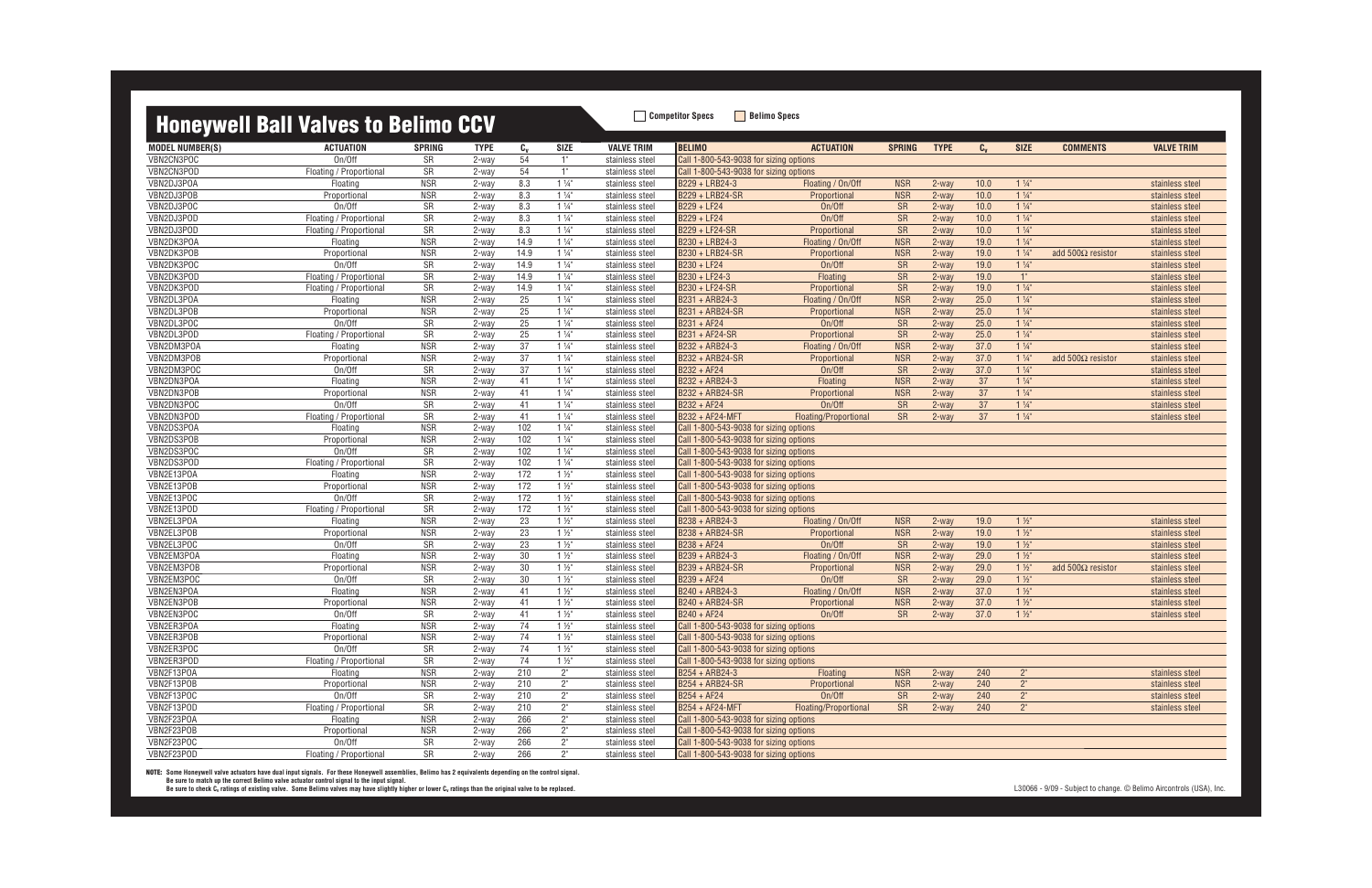### **Honeywell Rall Valves to Relimo CCV Competitor Specs Belimo Specs**

|                          | <b>TIOTICYWGII DAII VAIVGS LU DEITHIU UUV</b> |                  |                |                 |                                  |                                    |                                                                                  |                             |                          |                |              |                                  |                           |                   |
|--------------------------|-----------------------------------------------|------------------|----------------|-----------------|----------------------------------|------------------------------------|----------------------------------------------------------------------------------|-----------------------------|--------------------------|----------------|--------------|----------------------------------|---------------------------|-------------------|
| <b>MODEL NUMBER(S)</b>   | <b>ACTUATION</b>                              | <b>SPRING</b>    | <b>TYPE</b>    | $c_{v}$         | <b>SIZE</b>                      | <b>VALVE TRIM</b>                  | <b>BELIMO</b>                                                                    | <b>ACTUATION</b>            | <b>SPRING</b>            | <b>TYPE</b>    | $C_{v}$      | <b>SIZE</b>                      | <b>COMMENTS</b>           | <b>VALVE TRIM</b> |
| VBN2CN3POC               | On/Off                                        | SR               | 2-way          | 54              | 1"                               | stainless steel                    | Call 1-800-543-9038 for sizing options                                           |                             |                          |                |              |                                  |                           |                   |
| VBN2CN3POD               | Floating / Proportional                       | SR               | 2-way          | 54              | 1"                               | stainless steel                    | Call 1-800-543-9038 for sizing options                                           |                             |                          |                |              |                                  |                           |                   |
| VBN2DJ3POA               | Floating                                      | <b>NSR</b>       | 2-way          | 8.3             | $1\frac{1}{4}$                   | stainless steel                    | B229 + LRB24-3                                                                   | Floating / On/Off           | <b>NSR</b>               | 2-way          | 10.0         | $1\frac{1}{4}$                   |                           | stainless steel   |
| VBN2DJ3POB               | Proportional                                  | <b>NSR</b>       | 2-way          | 8.3             | $1\frac{1}{4}$                   | stainless steel                    | B229 + LRB24-SR                                                                  | Proportional                | <b>NSR</b>               | 2-way          | 10.0         | $1\frac{1}{4}$                   |                           | stainless steel   |
| VBN2DJ3POC               | On/Off                                        | SR               | 2-way          | 8.3             | $1\frac{1}{4}$                   | stainless steel                    | B229 + LF24                                                                      | On/Off                      | <b>SR</b>                | 2-way          | 10.0         | $1\frac{1}{4}$                   |                           | stainless steel   |
| VBN2DJ3POD               | Floating / Proportional                       | SR               | 2-way          | 8.3             | $1\frac{1}{4}$                   | stainless steel                    | B229 + LF24                                                                      | On/Off                      | <b>SR</b>                | 2-way          | 10.0         | $1\frac{1}{4}$                   |                           | stainless steel   |
| VBN2DJ3POD               | Floating / Proportional                       | SR               | 2-way          | 8.3             | $1\frac{1}{4}$                   | stainless steel                    | B229 + LF24-SR                                                                   | Proportional                | <b>SR</b>                | 2-way          | 10.0         | $1\frac{1}{4}$                   |                           | stainless steel   |
| VBN2DK3POA               | Floating                                      | <b>NSR</b>       | 2-way          | 14.9            | $1\frac{1}{4}$                   | stainless steel                    | B230 + LRB24-3                                                                   | Floating / On/Off           | <b>NSR</b>               | 2-way          | 19.0         | $1\frac{1}{4}$                   |                           | stainless steel   |
| VBN2DK3POB               | Proportional                                  | <b>NSR</b>       | 2-way          | 14.9            | $1\frac{1}{4}$                   | stainless steel                    | B230 + LRB24-SR                                                                  | Proportional                | <b>NSR</b>               | 2-way          | 19.0         | $1\frac{1}{4}$                   | add $500\Omega$ resistor  | stainless steel   |
| VBN2DK3POC               | On/Off                                        | SR               | 2-way          | 14.9            | $1\frac{1}{4}$                   | stainless steel                    | B230 + LF24                                                                      | On/Off                      | SR                       | 2-way          | 19.0         | $1\frac{1}{4}$                   |                           | stainless steel   |
| VBN2DK3POD               | Floating / Proportional                       | SR               | 2-way          | 14.9            | $1\frac{1}{4}$                   | stainless steel                    | B230 + LF24-3                                                                    | Floating                    | SR                       | 2-way          | 19.0         | 1"                               |                           | stainless steel   |
| VBN2DK3POD               | Floating / Proportional                       | SR               | 2-way          | 14.9            | $1\frac{1}{4}$                   | stainless steel                    | B230 + LF24-SR                                                                   | Proportional                | <b>SR</b>                | 2-way          | 19.0         | $1\frac{1}{4}$                   |                           | stainless steel   |
| VBN2DL3POA               | Floating                                      | <b>NSR</b>       | 2-way          | 25              | $1\frac{1}{4}$                   | stainless steel                    | B231 + ARB24-3                                                                   | Floating / On/Off           | <b>NSR</b>               | 2-way          | 25.0         | $1\frac{1}{4}$                   |                           | stainless steel   |
| VBN2DL3POB               | Proportional                                  | <b>NSR</b>       | 2-way          | $\overline{25}$ | $1\frac{1}{4}$                   | stainless steel                    | B231 + ARB24-SR                                                                  | Proportional                | <b>NSR</b>               | 2-way          | 25.0         | $1\frac{1}{4}$                   |                           | stainless steel   |
| VBN2DL3POC               | On/Off                                        | SR               | 2-way          | 25              | $1\frac{1}{4}$                   | stainless steel                    | B231 + AF24                                                                      | On/Off                      | <b>SR</b>                | 2-way          | 25.0         | $1\frac{1}{4}$                   |                           | stainless steel   |
| VBN2DL3POD               | Floating / Proportional                       | SR               | 2-way          | 25              | $1\frac{1}{4}$                   | stainless steel                    | B231 + AF24-SR                                                                   | Proportional                | SR                       | 2-way          | 25.0         | $1\frac{1}{4}$                   |                           | stainless steel   |
| VBN2DM3POA               | Floating                                      | <b>NSR</b>       | 2-way          | 37              | $1\frac{1}{4}$                   | stainless steel                    | B232 + ARB24-3                                                                   | Floating / On/Off           | <b>NSR</b>               | 2-way          | 37.0         | $1\frac{1}{4}$                   |                           | stainless steel   |
| VBN2DM3POB               | Proportional                                  | <b>NSR</b>       | 2-way          | 37              | $1\frac{1}{4}$                   | stainless steel                    | B232 + ARB24-SR                                                                  | Proportional                | <b>NSR</b>               | 2-way          | 37.0         | $1\frac{1}{4}$                   | add 500 $\Omega$ resistor | stainless steel   |
| VBN2DM3POC               | On/Off                                        | SR               | 2-way          | 37              | $1\frac{1}{4}$                   | stainless steel                    | B232 + AF24                                                                      | On/Off                      | <b>SR</b>                | 2-way          | 37.0         | $1\frac{1}{4}$                   |                           | stainless steel   |
| VBN2DN3POA               | Floating                                      | <b>NSR</b>       | 2-way          | 41              | $1\frac{1}{4}$                   | stainless steel                    | B232 + ARB24-3                                                                   | Floating                    | <b>NSR</b>               | 2-way          | 37           | $1\frac{1}{4}$                   |                           | stainless steel   |
| VBN2DN3POB               | Proportional                                  | <b>NSR</b>       | 2-way          | 41              | $1\frac{1}{4}$                   | stainless steel                    | B232 + ARB24-SR                                                                  | Proportional                | <b>NSR</b>               | 2-way          | 37           | $1\frac{1}{4}$                   |                           | stainless steel   |
| VBN2DN3POC               | On/Off                                        | SR               | 2-way          | 41              | $1\frac{1}{4}$                   | stainless steel                    | B232 + AF24                                                                      | On/Off                      | SR                       | 2-way          | 37           | $1\frac{1}{4}$                   |                           | stainless steel   |
| VBN2DN3POD               | Floating / Proportional                       | SR               | 2-way          | 41              | $1\frac{1}{4}$                   | stainless steel                    | B232 + AF24-MFT                                                                  | Floating/Proportional       | <b>SR</b>                | 2-way          | 37           | $1\frac{1}{4}$                   |                           | stainless steel   |
| VBN2DS3POA               | Floating                                      | <b>NSR</b>       | 2-way          | 102             | $1\frac{1}{4}$                   | stainless steel                    | Call 1-800-543-9038 for sizing options                                           |                             |                          |                |              |                                  |                           |                   |
| VBN2DS3POB               | Proportional                                  | <b>NSR</b>       | 2-way          | 102             | $1\frac{1}{4}$                   | stainless steel                    | Call 1-800-543-9038 for sizing options                                           |                             |                          |                |              |                                  |                           |                   |
| VBN2DS3POC               | On/Off                                        | SR               | 2-way          | 102             | $1\frac{1}{4}$                   | stainless steel                    | Call 1-800-543-9038 for sizing options                                           |                             |                          |                |              |                                  |                           |                   |
| VBN2DS3POD               | Floating / Proportional                       | SR               | 2-way          | 102             | $1\frac{1}{4}$                   | stainless steel                    | Call 1-800-543-9038 for sizing options                                           |                             |                          |                |              |                                  |                           |                   |
| VBN2E13POA               | Floating                                      | <b>NSR</b>       | 2-way          | 172             | $1\frac{1}{2}$                   | stainless steel                    | Call 1-800-543-9038 for sizing options                                           |                             |                          |                |              |                                  |                           |                   |
| VBN2E13POB               | Proportional                                  | <b>NSR</b>       | 2-way          | $172$           | $1\frac{1}{2}$                   | stainless steel                    | Call 1-800-543-9038 for sizing options                                           |                             |                          |                |              |                                  |                           |                   |
| VBN2E13POC               | On/Off                                        | SR               | 2-way          | 172             | $1\frac{1}{2}$                   | stainless steel                    | Call 1-800-543-9038 for sizing options                                           |                             |                          |                |              |                                  |                           |                   |
| VBN2E13POD               | Floating / Proportional                       | ${\sf SR}$       | 2-way          | $\frac{172}{ }$ | $1\frac{1}{2}$                   | stainless steel                    | Call 1-800-543-9038 for sizing options                                           |                             |                          |                |              |                                  |                           |                   |
| VBN2EL3POA               | Floating                                      | <b>NSR</b>       | 2-way          | 23              | $1\frac{1}{2}$                   | stainless steel                    | B238 + ARB24-3                                                                   | Floating / On/Off           | <b>NSR</b>               | 2-way          | 19.0         | $1\frac{1}{2}$                   |                           | stainless steel   |
| VBN2EL3POB               | Proportional                                  | <b>NSR</b>       | 2-way          | 23              | $1\frac{1}{2}$                   | stainless steel                    | B238 + ARB24-SR                                                                  | Proportional                | <b>NSR</b>               | 2-way          | 19.0         | $1\frac{1}{2}$                   |                           | stainless steel   |
| VBN2EL3POC               | On/Off                                        | SR               | 2-way          | 23              | $1\frac{1}{2}$                   | stainless steel                    | B238 + AF24                                                                      | On/Off                      | <b>SR</b>                | 2-way          | 19.0         | $1\frac{1}{2}$                   |                           | stainless steel   |
| VBN2EM3POA               | Floating                                      | <b>NSR</b>       | 2-way          | 30              | $1\frac{1}{2}$                   | stainless steel                    | B239 + ARB24-3                                                                   | Floating / On/Off           | <b>NSR</b>               | 2-way          | 29.0         | $1\frac{1}{2}$                   |                           | stainless steel   |
| VBN2EM3POB               | Proportional                                  | <b>NSR</b>       | 2-way          | $30\,$          | $1\frac{1}{2}$                   | stainless steel                    | B239 + ARB24-SR                                                                  | Proportional                | <b>NSR</b>               | 2-way          | 29.0         | $1\frac{1}{2}$                   | add 500 $\Omega$ resistor | stainless steel   |
| VBN2EM3POC<br>VBN2EN3POA | On/Off<br>Floating                            | SR<br><b>NSR</b> | 2-way          | 30<br>41        | $1\frac{1}{2}$<br>$1\frac{1}{2}$ | stainless steel                    | B239 + AF24<br>B240 + ARB24-3                                                    | On/Off<br>Floating / On/Off | <b>SR</b>                | 2-way<br>2-way | 29.0<br>37.0 | $1\frac{1}{2}$<br>$1\frac{1}{2}$ |                           | stainless steel   |
| VBN2EN3POB               |                                               | <b>NSR</b>       | 2-way          |                 | $1\frac{1}{2}$                   | stainless steel                    | B240 + ARB24-SR                                                                  |                             | <b>NSR</b><br><b>NSR</b> |                | 37.0         | $1\frac{1}{2}$                   |                           | stainless steel   |
| VBN2EN3POC               | Proportional<br>On/Off                        | SR               | 2-way<br>2-way | 41<br>41        | $1\frac{1}{2}$                   | stainless steel                    | B240 + AF24                                                                      | Proportional<br>On/Off      | <b>SR</b>                | 2-way<br>2-way | 37.0         | $1\frac{1}{2}$                   |                           | stainless steel   |
| VBN2ER3POA               |                                               | <b>NSR</b>       |                | 74              | $1\frac{1}{2}$                   | stainless steel<br>stainless steel |                                                                                  |                             |                          |                |              |                                  |                           | stainless steel   |
| VBN2ER3POB               | Floating<br>Proportional                      | <b>NSR</b>       | 2-way<br>2-way | 74              | $1\frac{1}{2}$                   | stainless steel                    | Call 1-800-543-9038 for sizing options<br>Call 1-800-543-9038 for sizing options |                             |                          |                |              |                                  |                           |                   |
| VBN2ER3POC               | On/Off                                        | SR               | 2-way          | 74              | $1\frac{1}{2}$                   | stainless steel                    | Call 1-800-543-9038 for sizing options                                           |                             |                          |                |              |                                  |                           |                   |
| VBN2ER3POD               | Floating / Proportional                       | SR               | 2-way          | 74              | $1\frac{1}{2}$                   | stainless steel                    | Call 1-800-543-9038 for sizing options                                           |                             |                          |                |              |                                  |                           |                   |
| VBN2F13POA               | Floating                                      | <b>NSR</b>       | 2-way          | 210             | $2^{\circ}$                      | stainless steel                    | B254 + ARB24-3                                                                   | Floating                    | <b>NSR</b>               | 2-way          | 240          | $2^{\circ}$                      |                           | stainless steel   |
| VBN2F13POB               | Proportional                                  | <b>NSR</b>       | 2-way          | 210             | $2^{\circ}$                      | stainless steel                    | B254 + ARB24-SR                                                                  | Proportional                | <b>NSR</b>               | 2-way          | 240          | 2 <sup>n</sup>                   |                           | stainless steel   |
| VBN2F13POC               | On/Off                                        | SR               | 2-way          | 210             | $2^{\circ}$                      | stainless steel                    | B254 + AF24                                                                      | On/Off                      | <b>SR</b>                | 2-way          | 240          | $2^{\circ}$                      |                           | stainless steel   |
| VBN2F13POD               | Floating / Proportional                       | SR               | 2-way          | 210             | $2^{\circ}$                      | stainless steel                    | <b>B254 + AF24-MFT</b>                                                           | Floating/Proportional       | <b>SR</b>                | 2-way          | 240          | $2^{\circ}$                      |                           | stainless steel   |
| VBN2F23POA               | Floating                                      | <b>NSR</b>       | 2-way          | 266             | 2 <sup>n</sup>                   | stainless steel                    | Call 1-800-543-9038 for sizing options                                           |                             |                          |                |              |                                  |                           |                   |
| VBN2F23POB               | Proportional                                  | <b>NSR</b>       | 2-way          | 266             | $2^{\circ}$                      | stainless steel                    | Call 1-800-543-9038 for sizing options                                           |                             |                          |                |              |                                  |                           |                   |
| VBN2F23POC               | On/Off                                        | SR               | 2-way          | 266             | $2^{\circ}$                      | stainless steel                    | Call 1-800-543-9038 for sizing options                                           |                             |                          |                |              |                                  |                           |                   |
| VBN2F23POD               | Floating / Proportional                       | S <sub>R</sub>   | 2-way          | 266             | $2^{\circ}$                      | stainless steel                    | Call 1-800-543-9038 for sizing options                                           |                             |                          |                |              |                                  |                           |                   |
|                          |                                               |                  |                |                 |                                  |                                    |                                                                                  |                             |                          |                |              |                                  |                           |                   |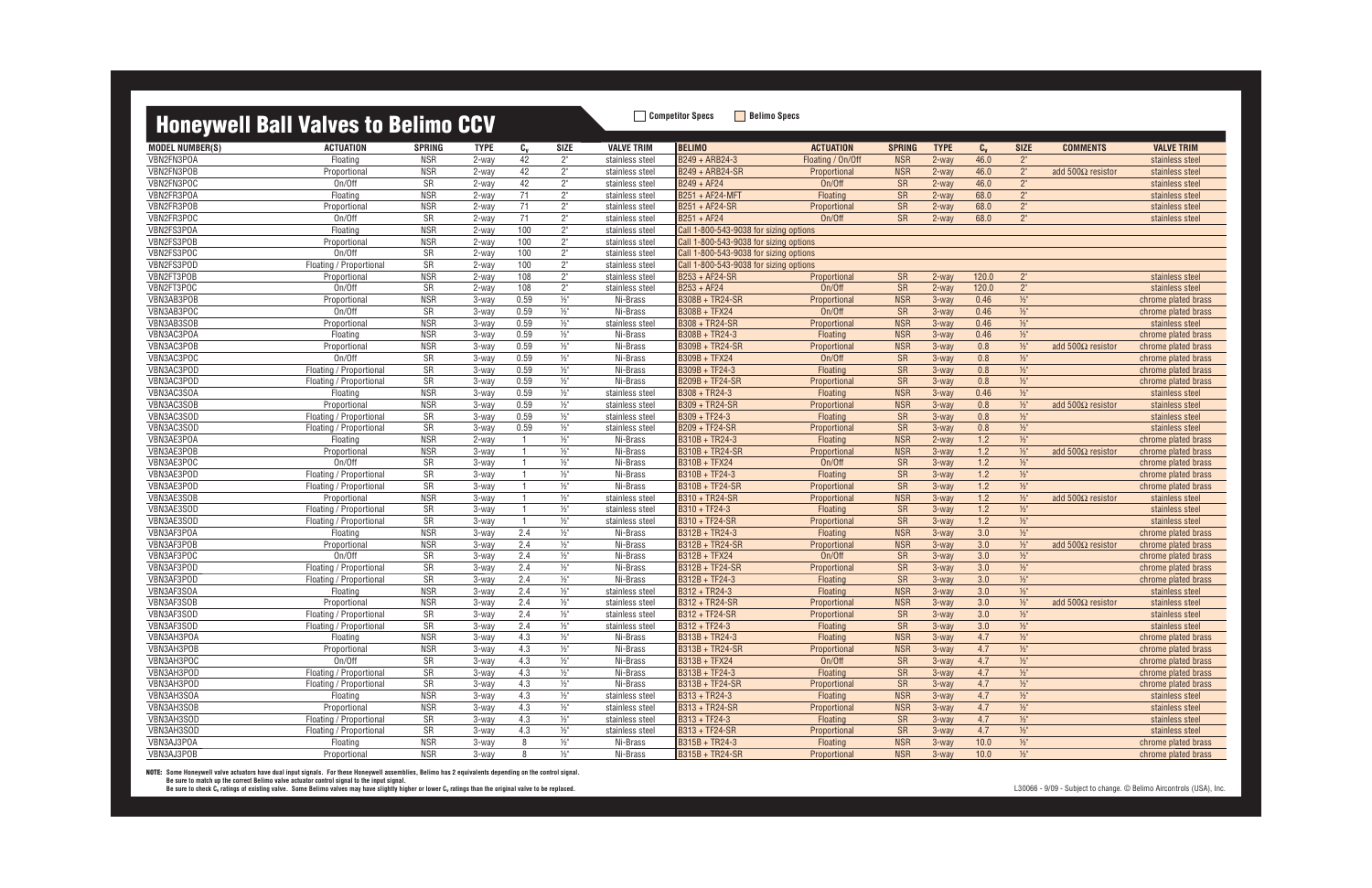## **Honeywell Doll Valves to Dolimo CCV**<br> **Honeywell Doll Valves to Dolimo CCV**

|                          | <b>HONEYWEII BAII VAIVES TO BEIIMO GUV</b> |                  |                |                       |                    |                             |                                        |                        |                  |                  |            |                          |                           |                                            |
|--------------------------|--------------------------------------------|------------------|----------------|-----------------------|--------------------|-----------------------------|----------------------------------------|------------------------|------------------|------------------|------------|--------------------------|---------------------------|--------------------------------------------|
| <b>MODEL NUMBER(S)</b>   | <b>ACTUATION</b>                           | <b>SPRING</b>    | <b>TYPE</b>    | $c_{v}$               | <b>SIZE</b>        | <b>VALVE TRIM</b>           | <b>BELIMO</b>                          | <b>ACTUATION</b>       | <b>SPRING</b>    | <b>TYPE</b>      | $C_{V}$    | <b>SIZE</b>              | <b>COMMENTS</b>           | <b>VALVE TRIM</b>                          |
| VBN2FN3POA               | Floating                                   | <b>NSR</b>       | 2-way          | 42                    | $2^{\circ}$        | stainless steel             | B249 + ARB24-3                         | Floating / On/Off      | <b>NSR</b>       | 2-way            | 46.0       | $2^{\circ}$              |                           | stainless steel                            |
| VBN2FN3POB               | Proportional                               | <b>NSR</b>       | 2-way          | 42                    | $2^{\circ}$        | stainless steel             | B249 + ARB24-SR                        | Proportional           | <b>NSR</b>       | 2-way            | 46.0       | $2^{\circ}$              | add $500\Omega$ resistor  | stainless steel                            |
| VBN2FN3POC               | On/Off                                     | SR               | 2-way          | 42                    | $2^{\circ}$        | stainless steel             | B249 + AF24                            | On/Off                 | <b>SR</b>        | 2-way            | 46.0       | $2^{\circ}$              |                           | stainless steel                            |
| VBN2FR3POA               | Floating                                   | <b>NSR</b>       | 2-way          | 71                    | $2^{\circ}$        | stainless steel             | B251 + AF24-MFT                        | Floating               | SR               | 2-way            | 68.0       | $2^{\circ}$              |                           | stainless steel                            |
| VBN2FR3POB               | Proportional                               | <b>NSR</b>       | 2-way          | 71                    | $2"$               | stainless steel             | B251 + AF24-SR                         | Proportional           | SR               | 2-way            | 68.0       | 2 <sup>n</sup>           |                           | stainless steel                            |
| VBN2FR3POC               | On/Off                                     | SR               | 2-way          | 71                    | $2^{\circ}$        | stainless steel             | B251 + AF24                            | On/Off                 | <b>SR</b>        | 2-way            | 68.0       | 2 <sup>n</sup>           |                           | stainless steel                            |
| VBN2FS3POA               | Floating                                   | <b>NSR</b>       | 2-way          | 100                   | $2^{\circ}$        | stainless steel             | Call 1-800-543-9038 for sizing options |                        |                  |                  |            |                          |                           |                                            |
| VBN2FS3POB               | Proportional                               | <b>NSR</b>       | 2-way          | 100                   | $2^{\circ}$        | stainless steel             | Call 1-800-543-9038 for sizing options |                        |                  |                  |            |                          |                           |                                            |
| VBN2FS3POC               | On/Off                                     | SR               | 2-way          | 100                   | $2^{\circ}$        | stainless steel             | Call 1-800-543-9038 for sizing options |                        |                  |                  |            |                          |                           |                                            |
| VBN2FS3POD               | Floating / Proportional                    | ${\sf SR}$       | 2-way          | 100                   | $2^{\circ}$        | stainless steel             | Call 1-800-543-9038 for sizing options |                        |                  |                  |            |                          |                           |                                            |
| VBN2FT3POB               | Proportional                               | <b>NSR</b>       | 2-way          | 108                   | $2^{\circ}$        | stainless steel             | B253 + AF24-SR                         | Proportional           | <b>SR</b>        | 2-way            | 120.0      | $2^{\circ}$              |                           | stainless steel                            |
| VBN2FT3POC               | On/Off                                     | SR               | 2-way          | 108                   | $2^{\circ}$        | stainless steel             | $B253 + AF24$                          | On/Off                 | <b>SR</b>        | 2-way            | 120.0      | $2^{\circ}$              |                           | stainless steel                            |
| VBN3AB3POB               | Proportional                               | <b>NSR</b>       | 3-way          | 0.59                  | $\frac{1}{2}$ "    | Ni-Brass                    | B308B + TR24-SR                        | Proportional           | <b>NSR</b>       | $3-wav$          | 0.46       | $\frac{1}{2}$            |                           | chrome plated brass                        |
| VBN3AB3POC               | On/Off                                     | SR               | 3-way          | 0.59                  | $1/2$ "            | Ni-Brass                    | B308B + TFX24                          | On/Off                 | <b>SR</b>        | 3-way            | 0.46       | $1/2$ "                  |                           | chrome plated brass                        |
| VBN3AB3SOB               | Proportional                               | <b>NSR</b>       | 3-way          | 0.59                  | $1/2$ "            | stainless steel             | B308 + TR24-SR                         | Proportional           | <b>NSR</b>       | 3-way            | 0.46       | $1/2$ "                  |                           | stainless steel                            |
| VBN3AC3POA               | Floating                                   | <b>NSR</b>       | 3-way          | 0.59                  | $\frac{1}{2}$      | Ni-Brass                    | B308B + TR24-3                         | Floating               | <b>NSR</b>       | 3-way            | 0.46       | $\frac{1}{2}$            |                           | chrome plated brass                        |
| VBN3AC3POB               | Proportional                               | <b>NSR</b>       | 3-way          | 0.59                  | $1/2$ "            | Ni-Brass                    | B309B + TR24-SR                        | Proportional           | <b>NSR</b>       | 3-way            | 0.8        | $\frac{1}{2}$            | add 500 $\Omega$ resistor | chrome plated brass                        |
| VBN3AC3POC               | On/Off                                     | SR               | $3-way$        | 0.59                  | $1/2$ "            | Ni-Brass                    | B309B + TFX24                          | On/Off                 | <b>SR</b>        | 3-way            | 0.8        | $1/2$ "                  |                           | chrome plated brass                        |
| VBN3AC3POD               | Floating / Proportional                    | SR               | 3-way          | 0.59                  | $1/2$ "            | Ni-Brass                    | $B309B + TF24-3$                       | Floating               | SR               | 3-way            | 0.8        | $1/2$ "                  |                           | chrome plated brass                        |
| VBN3AC3POD               | Floating / Proportional                    | SR               | 3-way          | 0.59                  | $1/2$ "            | Ni-Brass                    | B209B + TF24-SR                        | Proportional           | SR               | 3-way            | 0.8        | $1/2$ "                  |                           | chrome plated brass                        |
| VBN3AC3SOA               | Floating                                   | <b>NSR</b>       | 3-way          | 0.59                  | $1/2$ "            | stainless steel             | $B308 + TR24-3$                        | Floating               | <b>NSR</b>       | $3-wav$          | 0.46       | $1/2$ "                  |                           | stainless steel                            |
| VBN3AC3SOB               | Proportional                               | <b>NSR</b>       | 3-way          | 0.59                  | $1/2$ "            | stainless steel             | B309 + TR24-SR                         | Proportional           | <b>NSR</b>       | 3-way            | 0.8        | $\frac{1}{2}$            | add $500\Omega$ resistor  | stainless steel                            |
| VBN3AC3SOD               | Floating / Proportional                    | SR               | 3-way          | 0.59                  | $1/2$ "            | stainless steel             | $B309 + TF24-3$                        | Floating               | <b>SR</b>        | 3-way            | 0.8        | $1/2$ "                  |                           | stainless steel                            |
| VBN3AC3SOD               | Floating / Proportional                    | SR               | 3-way          | 0.59                  | $\frac{1}{2}$ "    | stainless steel             | B209 + TF24-SR                         | Proportional           | <b>SR</b>        | 3-way            | 0.8        | $1/2$ "                  |                           | stainless steel                            |
| VBN3AE3POA               | Floating                                   | <b>NSR</b>       | 2-way          |                       | $\frac{1}{2}$ "    | Ni-Brass                    | B310B + TR24-3                         | Floating               | <b>NSR</b>       | 2-way            | 1.2        | $\frac{1}{2}$            |                           | chrome plated brass                        |
| VBN3AE3POB               | Proportional                               | <b>NSR</b>       | 3-way          |                       | $1/2$ "            | Ni-Brass                    | B310B + TR24-SR                        | Proportional           | <b>NSR</b>       | $3-wav$          | 1.2        | $\frac{1}{2}$            | add 500 $\Omega$ resistor | chrome plated brass                        |
| VBN3AE3POC               | On/Off                                     | SR               | 3-way          | $\overline{1}$        | $\frac{1}{2}$      | Ni-Brass                    | B310B + TFX24                          | On/Off                 | <b>SR</b>        | $3-wav$          | 1.2        | $\frac{1}{2}$            |                           | chrome plated brass                        |
| VBN3AE3POD               | Floating / Proportional                    | SR               | 3-way          |                       | $\frac{1}{2}$      | Ni-Brass                    | B310B + TF24-3                         | Floating               | SR               | 3-way            | 1.2        | $\frac{1}{2}$            |                           | chrome plated brass                        |
| VBN3AE3POD               | Floating / Proportional                    | SR               | 3-way          |                       | $\frac{1}{2}$      | Ni-Brass                    | B310B + TF24-SR                        | Proportional           | SR               | 3-way            | 1.2        | $\frac{1}{2}$            |                           | chrome plated brass                        |
| VBN3AE3SOB               | Proportional                               | <b>NSR</b>       | 3-way          | -1                    | $1/2$ "            | stainless steel             | B310 + TR24-SR                         | Proportional           | <b>NSR</b>       | 3-way            | 1.2        | $\frac{1}{2}$            | add 500 $\Omega$ resistor | stainless steel                            |
| VBN3AE3SOD               | Floating / Proportional                    | SR               | 3-way          | $\overline{1}$        | $\frac{1}{2}$      | stainless steel             | B310 + TF24-3                          | Floating               | SR               | 3-way            | 1.2        | $\frac{1}{2}$            |                           | stainless steel                            |
| VBN3AE3SOD<br>VBN3AF3POA | Floating / Proportional<br>Floating        | SR<br><b>NSR</b> | 3-way<br>3-way | $\overline{1}$<br>2.4 | $1/2$ "<br>$1/2$ " | stainless steel<br>Ni-Brass | B310 + TF24-SR<br>B312B + TR24-3       | Proportional           | SR<br><b>NSR</b> | $3-wav$<br>3-way | 1.2        | $\frac{1}{2}$<br>$1/2$ " |                           | stainless steel                            |
| VBN3AF3POB               | Proportional                               | <b>NSR</b>       |                | 2.4                   | $1/2$ "            | Ni-Brass                    | B312B + TR24-SR                        | Floating               | <b>NSR</b>       | 3-way            | 3.0<br>3.0 | $1/2$ "                  | add $500\Omega$ resistor  | chrome plated brass                        |
| VBN3AF3POC               | On/Off                                     | SR               | 3-way<br>3-way | 2.4                   | $1/2$ "            | Ni-Brass                    | B312B + TFX24                          | Proportional<br>On/Off | SR               | 3-way            | 3.0        | $1/2$ "                  |                           | chrome plated brass<br>chrome plated brass |
| VBN3AF3POD               | Floating / Proportional                    | SR               | 3-way          | 2.4                   | $1/2$ "            | Ni-Brass                    | B312B + TF24-SR                        | Proportional           | <b>SR</b>        | $3-wav$          | 3.0        | $1/2$ "                  |                           | chrome plated brass                        |
| VBN3AF3POD               | Floating / Proportional                    | SR               | 3-way          | 2.4                   | $1/2$ "            | Ni-Brass                    | B312B + TF24-3                         | Floating               | SR               | 3-way            | 3.0        | $1/2$ "                  |                           | chrome plated brass                        |
| VBN3AF3SOA               | Floating                                   | <b>NSR</b>       | 3-way          | 2.4                   | $\frac{1}{2}$      | stainless steel             | B312 + TR24-3                          | Floating               | <b>NSR</b>       | $3-wav$          | 3.0        | $\frac{1}{2}$            |                           | stainless steel                            |
| VBN3AF3SOB               | Proportional                               | <b>NSR</b>       | 3-way          | 2.4                   | $1/2$ "            | stainless steel             | B312 + TR24-SR                         | Proportional           | <b>NSR</b>       | $3-wav$          | 3.0        | $\frac{1}{2}$            | add 500 $\Omega$ resistor | stainless steel                            |
| VBN3AF3SOD               | Floating / Proportional                    | SR               | 3-way          | 2.4                   | $\frac{1}{2}$ "    | stainless steel             | B312 + TF24-SR                         | Proportional           | <b>SR</b>        | $3-wav$          | 3.0        | $\frac{1}{2}$            |                           | stainless steel                            |
| VBN3AF3SOD               | Floating / Proportional                    | SR               | 3-way          | 2.4                   | $\frac{1}{2}$ "    | stainless steel             | $\overline{B312 + TF24-3}$             | Floating               | SR               | 3-way            | 3.0        | $\frac{1}{2}$            |                           | stainless steel                            |
| VBN3AH3POA               | Floating                                   | NSR              | 3-way          | 4.3                   | $\frac{1}{2}$ "    | Ni-Brass                    | B313B + TR24-3                         | Floating               | <b>NSR</b>       | 3-way            | 4.7        | $\frac{1}{2}$            |                           | chrome plated brass                        |
| VBN3AH3POB               | Proportional                               | <b>NSR</b>       | 3-way          | 4.3                   | $\frac{1}{2}$ "    | Ni-Brass                    | B313B + TR24-SR                        | Proportional           | <b>NSR</b>       | 3-way            | 4.7        | $\frac{1}{2}$            |                           | chrome plated brass                        |
| VBN3AH3POC               | On/Off                                     | SR               | 3-way          | 4.3                   | $1/2$ "            | Ni-Brass                    | B313B + TFX24                          | On/Off                 | <b>SR</b>        | 3-way            | 4.7        | $1/2$ "                  |                           | chrome plated brass                        |
| VBN3AH3POD               | Floating / Proportional                    | SR               | 3-way          | 4.3                   | $1/2$ "            | Ni-Brass                    | B313B + TF24-3                         | Floating               | SR               | 3-way            | 4.7        | $1/2$ "                  |                           | chrome plated brass                        |
| VBN3AH3POD               | Floating / Proportional                    | SR               | 3-way          | 4.3                   | $\frac{1}{2}$      | Ni-Brass                    | B313B + TF24-SR                        | Proportional           | SR               | 3-way            | 4.7        | $1/2$ "                  |                           | chrome plated brass                        |
| VBN3AH3SOA               | Floating                                   | <b>NSR</b>       | 3-way          | 4.3                   | $\frac{1}{2}$      | stainless steel             | B313 + TR24-3                          | Floating               | <b>NSR</b>       | 3-way            | 4.7        | $1/2$ "                  |                           | stainless steel                            |
| VBN3AH3SOB               | Proportional                               | <b>NSR</b>       | 3-way          | 4.3                   | $\frac{1}{2}$      | stainless steel             | B313 + TR24-SR                         | Proportional           | <b>NSR</b>       | 3-way            | 4.7        | $1/2$ "                  |                           | stainless steel                            |
| VBN3AH3SOD               | Floating / Proportional                    | SR               | 3-way          | 4.3                   | $\frac{1}{2}$      | stainless steel             | B313 + TF24-3                          | Floating               | SR               | 3-way            | 4.7        | $1/2$ "                  |                           | stainless steel                            |
| VBN3AH3SOD               | Floating / Proportional                    | SR               | 3-way          | 4.3                   | $\frac{1}{2}$ "    | stainless steel             | B313 + TF24-SR                         | Proportional           | SR               | 3-way            | 4.7        | $1/2$ "                  |                           | stainless steel                            |
| VBN3AJ3POA               | Floating                                   | <b>NSR</b>       | 3-way          | 8                     | $\frac{1}{2}$      | Ni-Brass                    | B315B + TR24-3                         | Floating               | <b>NSR</b>       | 3-way            | 10.0       | $1/2$ "                  |                           | chrome plated brass                        |
| VBN3AJ3POB               | Proportional                               | <b>NSR</b>       | 3-way          | 8                     | $\frac{1}{2}$      | Ni-Brass                    | B315B + TR24-SR                        | Proportional           | <b>NSR</b>       | 3-way            | $10.0$     | $\frac{1}{2}$            |                           | chrome plated brass                        |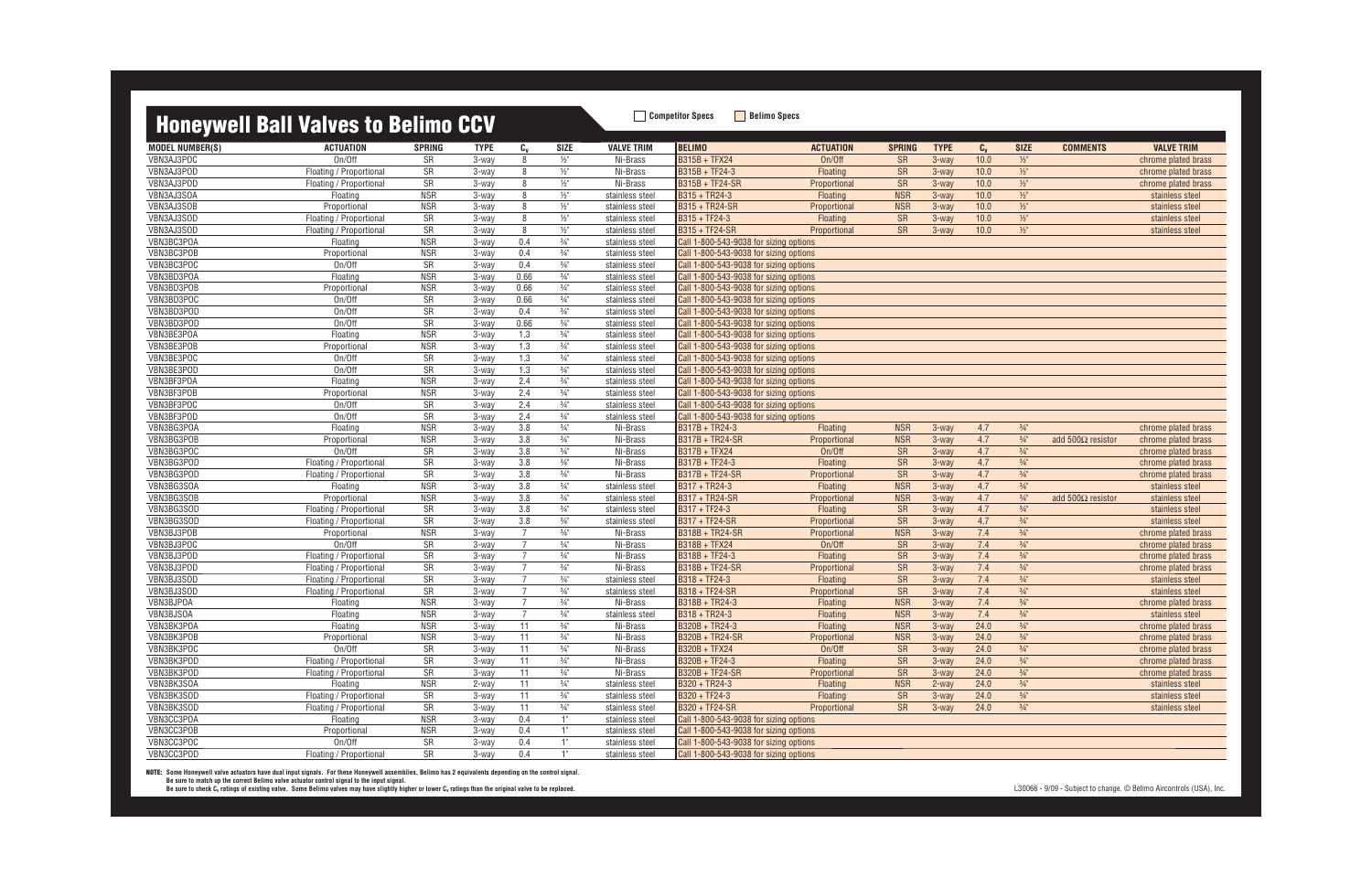### **Honeywell Ball Valves to Belimo CCV Competitor Specs Belimo Specs**

|                          | <b>Honeywell Ball Valves to Bellmo CCV</b> |                        |                |                |                                  |                   |                                        |                  |                 |             |         |                 |                           |                                            |
|--------------------------|--------------------------------------------|------------------------|----------------|----------------|----------------------------------|-------------------|----------------------------------------|------------------|-----------------|-------------|---------|-----------------|---------------------------|--------------------------------------------|
| <b>MODEL NUMBER(S)</b>   | <b>ACTUATION</b>                           | <b>SPRING</b>          | <b>TYPE</b>    | $c_{v}$        | SIZE                             | <b>VALVE TRIM</b> | <b>BELIMO</b>                          | <b>ACTUATION</b> | <b>SPRING</b>   | <b>TYPE</b> | $C_{v}$ | <b>SIZE</b>     | <b>COMMENTS</b>           | <b>VALVE TRIM</b>                          |
| VBN3AJ3POC               | On/Off                                     | <b>SR</b>              | 3-way          | 8              | $1/2$ "                          | Ni-Brass          | <b>B315B + TFX24</b>                   | On/Off           | <b>SR</b>       | 3-way       | 10.0    | $\frac{1}{2}$   |                           | chrome plated brass                        |
| VBN3AJ3POD               | Floating / Proportional                    | SR                     | 3-way          | 8              | $\frac{1}{2}$ "                  | Ni-Brass          | $B315B + TF24-3$                       | Floating         | <b>SR</b>       | 3-way       | 10.0    | $1/2$ "         |                           | chrome plated brass                        |
| VBN3AJ3POD               | Floating / Proportional                    | SR                     | 3-way          | 8              | $\frac{1}{2}$ "                  | Ni-Brass          | B315B + TF24-SR                        | Proportional     | <b>SR</b>       | $3-wav$     | 10.0    | $1/2$ "         |                           | chrome plated brass                        |
| VBN3AJ3SOA               | Floating                                   | <b>NSR</b>             | 3-way          | 8              | $\frac{1}{2}$ "                  | stainless steel   | B315 + TR24-3                          | Floating         | <b>NSR</b>      | $3-wav$     | 10.0    | $1/2$ "         |                           | stainless steel                            |
| VBN3AJ3SOB               | Proportional                               | <b>NSR</b>             | 3-way          | 8              | $1/2$ "                          | stainless steel   | B315 + TR24-SR                         | Proportional     | <b>NSR</b>      | 3-way       | 10.0    | $1/2$ "         |                           | stainless steel                            |
| VBN3AJ3SOD               | Floating / Proportional                    | SR                     | 3-way          | 8              | $\frac{1}{2}$ "                  | stainless steel   | $B315 + TF24-3$                        | Floating         | <b>SR</b>       | 3-way       | 10.0    | $1/2$ "         |                           | stainless steel                            |
| VBN3AJ3SOD               | Floating / Proportional                    | SR                     | 3-way          | 8              | $1/2$ "                          | stainless steel   | B315 + TF24-SR                         | Proportional     | <b>SR</b>       | 3-way       | 10.0    | $1/2$ "         |                           | stainless steel                            |
| VBN3BC3POA               | Floating                                   | <b>NSR</b>             | 3-way          | 0.4            | $\frac{3}{4}$ "                  | stainless steel   | Call 1-800-543-9038 for sizing options |                  |                 |             |         |                 |                           |                                            |
| VBN3BC3POB               | Proportional                               | <b>NSR</b>             | 3-way          | 0.4            | $\frac{3}{4}$ "                  | stainless steel   | Call 1-800-543-9038 for sizing options |                  |                 |             |         |                 |                           |                                            |
| VBN3BC3POC               | On/Off                                     | SR                     | 3-way          | 0.4            | $\frac{3}{4}$ "                  | stainless steel   | Call 1-800-543-9038 for sizing options |                  |                 |             |         |                 |                           |                                            |
| VBN3BD3POA               | Floating                                   | <b>NSR</b>             | 3-way          | 0.66           | $\frac{3}{4}$ "                  | stainless steel   | Call 1-800-543-9038 for sizing options |                  |                 |             |         |                 |                           |                                            |
| VBN3BD3POB               | Proportional                               | <b>NSR</b>             | 3-way          | 0.66           | $\frac{3}{4}$ "                  | stainless steel   | Call 1-800-543-9038 for sizing options |                  |                 |             |         |                 |                           |                                            |
| VBN3BD3POC               | On/Off                                     | SR                     | 3-way          | 0.66           | $\frac{3}{4}$ "                  | stainless steel   | Call 1-800-543-9038 for sizing options |                  |                 |             |         |                 |                           |                                            |
| VBN3BD3POD               | On/Off                                     | SR                     | 3-way          | 0.4            | $\frac{3}{4}$ "                  | stainless steel   | Call 1-800-543-9038 for sizing options |                  |                 |             |         |                 |                           |                                            |
| VBN3BD3POD               | On/Off                                     | $\overline{\text{SR}}$ | 3-way          | 0.66           | $\frac{3}{4}$ <sup>11</sup>      | stainless steel   | Call 1-800-543-9038 for sizing options |                  |                 |             |         |                 |                           |                                            |
| VBN3BE3POA               | Floating                                   | <b>NSR</b>             | 3-way          | 1.3            | $3/4$ "                          | stainless steel   | Call 1-800-543-9038 for sizing options |                  |                 |             |         |                 |                           |                                            |
| VBN3BE3POB               | Proportional                               | <b>NSR</b>             | 3-way          | 1.3            | $\frac{3}{4}$ "                  | stainless steel   | Call 1-800-543-9038 for sizing options |                  |                 |             |         |                 |                           |                                            |
| VBN3BE3POC               | On/Off                                     | SR                     | 3-way          | 1.3            | $\frac{3}{4}$ "                  | stainless steel   | Call 1-800-543-9038 for sizing options |                  |                 |             |         |                 |                           |                                            |
| VBN3BE3POD               | On/Off                                     | SR                     | 3-way          | 1.3            | $\frac{3}{4}$ "                  | stainless steel   | Call 1-800-543-9038 for sizing options |                  |                 |             |         |                 |                           |                                            |
| VBN3BF3POA               | Floating                                   | <b>NSR</b>             | 3-way          | 2.4            | $3/4$ "                          | stainless steel   | Call 1-800-543-9038 for sizing options |                  |                 |             |         |                 |                           |                                            |
| VBN3BF3POB               | Proportional                               | <b>NSR</b>             | 3-way          | 2.4            | $\frac{3}{4}$ "                  | stainless steel   | Call 1-800-543-9038 for sizing options |                  |                 |             |         |                 |                           |                                            |
| VBN3BF3POC               | On/Off                                     | SR                     | 3-way          | 2.4            | $\frac{3}{4}$ "                  | stainless steel   | Call 1-800-543-9038 for sizing options |                  |                 |             |         |                 |                           |                                            |
| VBN3BF3POD               | On/Off                                     | SR                     | 3-way          | 2.4            | $3/4$ "                          | stainless steel   | Call 1-800-543-9038 for sizing options |                  |                 |             |         |                 |                           |                                            |
| VBN3BG3POA               | Floating                                   | <b>NSR</b>             | 3-way          | 3.8            | $3/4$ "                          | Ni-Brass          | B317B + TR24-3                         | Floating         | <b>NSR</b>      | 3-way       | 4.7     | $\frac{3}{4}$ " |                           | chrome plated brass                        |
| VBN3BG3POB               | Proportional                               | <b>NSR</b>             | 3-way          | 3.8            | $\frac{3}{4}$ "                  | Ni-Brass          | B317B + TR24-SR                        | Proportional     | <b>NSR</b>      | 3-way       | 4.7     | $\frac{3}{4}$ " | add 500 $\Omega$ resistor | chrome plated brass                        |
| VBN3BG3POC               | On/Off                                     | SR                     |                | 3.8            | $\frac{3}{4}$ "                  | Ni-Brass          | B317B + TFX24                          | On/Off           |                 | 3-way       | 4.7     | $3/4$ "         |                           |                                            |
| VBN3BG3POD               |                                            | SR                     | 3-way<br>3-way | 3.8            | $3/4$ "                          | Ni-Brass          | $\overline{B317B}$ + TF24-3            | Floating         | <b>SR</b><br>SR | 3-way       | 4.7     | $\frac{3}{4}$ " |                           | chrome plated brass<br>chrome plated brass |
| VBN3BG3POD               | Floating / Proportional                    | $\overline{\text{SR}}$ |                | 3.8            | $\frac{3}{4}$                    | Ni-Brass          | B317B + TF24-SR                        |                  | <b>SR</b>       | 3-way       | 4.7     | $\frac{3}{4}$ " |                           |                                            |
| VBN3BG3SOA               | Floating / Proportional<br>Floating        | <b>NSR</b>             | 3-way          | 3.8            | $\frac{3}{4}$ "                  |                   | B317 + TR24-3                          | Proportional     | <b>NSR</b>      | 3-way       | 4.7     | $\frac{3}{4}$ " |                           | chrome plated brass<br>stainless steel     |
|                          |                                            |                        | 3-way          |                |                                  | stainless steel   |                                        | Floating         |                 |             |         | $\frac{3}{4}$ " |                           |                                            |
| VBN3BG3SOB<br>VBN3BG3SOD | Proportional                               | <b>NSR</b>             | 3-way          | 3.8<br>3.8     | $\frac{3}{4}$ "                  | stainless steel   | B317 + TR24-SR<br>B317 + TF24-3        | Proportional     | <b>NSR</b>      | $3-wav$     | 4.7     |                 | add 500 $\Omega$ resistor | stainless steel                            |
| VBN3BG3SOD               | Floating / Proportional                    | SR                     | 3-way          | 3.8            | $\frac{3}{4}$ "                  | stainless steel   | <b>B317 + TF24-SR</b>                  | Floating         | <b>SR</b>       | 3-way       | 4.7     | $\frac{3}{4}$ " |                           | stainless steel                            |
|                          | Floating / Proportional                    | SR<br><b>NSR</b>       | 3-way          | $\overline{7}$ | $\frac{3}{4}$ "                  | stainless steel   |                                        | Proportional     | <b>SR</b>       | 3-way       | 4.7     | $\frac{3}{4}$ " |                           | stainless steel                            |
| VBN3BJ3POB               | Proportional                               |                        | 3-way          | $\overline{7}$ | $\frac{3}{4}$ "                  | Ni-Brass          | B318B + TR24-SR                        | Proportional     | <b>NSR</b>      | $3-wav$     | 7.4     | $\frac{3}{4}$ " |                           | chrome plated brass                        |
| VBN3BJ3POC<br>VBN3BJ3POD | On/Off                                     | SR                     | 3-way          | $\overline{7}$ | $\frac{3}{4}$ "<br>$\frac{3}{4}$ | Ni-Brass          | B318B + TFX24<br>B318B + TF24-3        | On/Off           | <b>SR</b>       | 3-way       | 7.4     | $3/4$ "         |                           | chrome plated brass                        |
|                          | Floating / Proportional                    | SR                     | 3-way          | $\overline{7}$ |                                  | Ni-Brass          |                                        | Floating         | SR              | 3-way       | 7.4     | $3/4$ "         |                           | chrome plated brass                        |
| VBN3BJ3POD               | Floating / Proportional                    | SR                     | 3-way          | $\overline{7}$ | $\frac{3}{4}$ "                  | Ni-Brass          | B318B + TF24-SR                        | Proportional     | SR              | 3-way       | 7.4     | $3/4$ "         |                           | chrome plated brass                        |
| VBN3BJ3SOD               | Floating / Proportional                    | SR                     | 3-way          | $\overline{7}$ | $\frac{3}{4}$ "                  | stainless steel   | B318 + TF24-3                          | Floating         | SR              | 3-way       | 7.4     | $\frac{3}{4}$ " |                           | stainless steel                            |
| VBN3BJ3SOD               | Floating / Proportional                    | SR                     | 3-way          |                | $\frac{3}{4}$ "                  | stainless steel   | B318 + TF24-SR                         | Proportional     | <b>SR</b>       | 3-way       | 7.4     | $\frac{3}{4}$ " |                           | stainless steel                            |
| VBN3BJPOA                | Floating                                   | <b>NSR</b>             | 3-way          | $\overline{7}$ | $\frac{3}{4}$ "                  | Ni-Brass          | B318B + TR24-3                         | Floating         | <b>NSR</b>      | $3-wav$     | 7.4     | $\frac{3}{4}$ " |                           | chrome plated brass                        |
| VBN3BJSOA                | Floating                                   | <b>NSR</b>             | 3-way          | $\overline{7}$ | $\frac{3}{4}$ "                  | stainless steel   | B318 + TR24-3                          | <b>Floating</b>  | <b>NSR</b>      | 3-way       | 7.4     | $\frac{3}{4}$ " |                           | stainless steel                            |
| VBN3BK3POA               | Floating                                   | NSR                    | 3-way          | 11             | $\frac{3}{4}$ "                  | Ni-Brass          | B320B + TR24-3                         | <b>Floating</b>  | <b>NSR</b>      | 3-way       | 24.0    | $\frac{3}{4}$   |                           | chrome plated brass                        |
| VBN3BK3POB               | Proportional                               | <b>NSR</b>             | 3-way          | 11             | $\frac{3}{4}$ "                  | Ni-Brass          | B320B + TR24-SR                        | Proportional     | <b>NSR</b>      | 3-way       | 24.0    | $\frac{3}{4}$ " |                           | chrome plated brass                        |
| VBN3BK3POC               | On/Off                                     | SR                     | 3-way          | 11             | $\frac{3}{4}$ "                  | Ni-Brass          | B320B + TFX24                          | On/Off           | <b>SR</b>       | 3-way       | 24.0    | $3/4$ "         |                           | chrome plated brass                        |
| VBN3BK3POD               | Floating / Proportional                    | SR                     | 3-way          | 11             | $\frac{3}{4}$ "                  | Ni-Brass          | B320B + TF24-3                         | Floating         | <b>SR</b>       | 3-way       | 24.0    | $\frac{3}{4}$ " |                           | chrome plated brass                        |
| VBN3BK3POD               | Floating / Proportional                    | SR                     | 3-way          | 11             | $3/4$ "                          | Ni-Brass          | B320B + TF24-SR                        | Proportional     | <b>SR</b>       | 3-way       | 24.0    | $\frac{3}{4}$ " |                           | chrome plated brass                        |
| VBN3BK3SOA               | Floating                                   | <b>NSR</b>             | 2-way          | 11             | $\frac{3}{4}$ "                  | stainless steel   | B320 + TR24-3                          | Floating         | <b>NSR</b>      | 2-way       | 24.0    | $\frac{3}{4}$ " |                           | stainless steel                            |
| VBN3BK3SOD               | Floating / Proportional                    | SR                     | 3-way          | 11             | $\frac{3}{4}$ "                  | stainless steel   | B320 + TF24-3                          | <b>Floating</b>  | SR              | 3-way       | 24.0    | $\frac{3}{4}$ " |                           | stainless steel                            |
| VBN3BK3SOD               | Floating / Proportional                    | SR                     | 3-way          | 11             | $\frac{3}{4}$ "                  | stainless steel   | B320 + TF24-SR                         | Proportional     | <b>SR</b>       | 3-way       | 24.0    | $\frac{3}{4}$ " |                           | stainless steel                            |
| VBN3CC3POA               | Floating                                   | <b>NSR</b>             | 3-way          | 0.4            | 1"                               | stainless steel   | Call 1-800-543-9038 for sizing options |                  |                 |             |         |                 |                           |                                            |
| VBN3CC3POB               | Proportional                               | <b>NSR</b>             | 3-way          | 0.4            | 1"                               | stainless steel   | Call 1-800-543-9038 for sizing options |                  |                 |             |         |                 |                           |                                            |
| VBN3CC3POC               | On/Off                                     | SR                     | 3-way          | 0.4            | 1"                               | stainless steel   | Call 1-800-543-9038 for sizing options |                  |                 |             |         |                 |                           |                                            |
| VBN3CC3POD               | Floating / Proportional                    | SR                     | 3-way          | 0.4            | 1"                               | stainless steel   | Call 1-800-543-9038 for sizing options |                  |                 |             |         |                 |                           |                                            |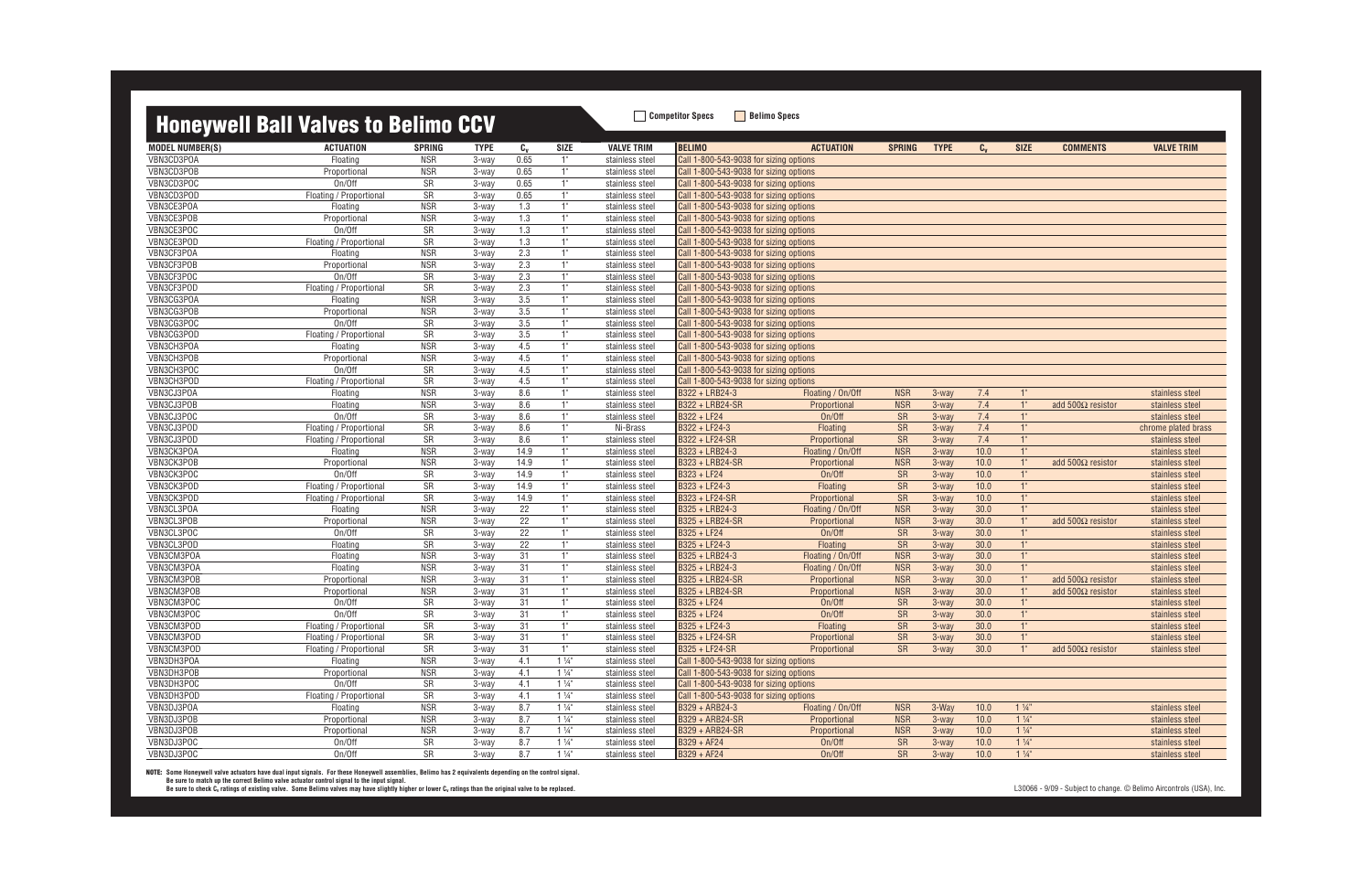|                        | <b>Honeywell Ball Valves to Belimo CCV</b> |               |                |                  |                |                   | <b>Competitor Specs</b>                | <b>Belimo Specs</b> |               |                   |         |                |                          |                     |
|------------------------|--------------------------------------------|---------------|----------------|------------------|----------------|-------------------|----------------------------------------|---------------------|---------------|-------------------|---------|----------------|--------------------------|---------------------|
|                        |                                            |               |                |                  |                |                   |                                        |                     |               |                   |         |                |                          |                     |
| <b>MODEL NUMBER(S)</b> | <b>ACTUATION</b>                           | <b>SPRING</b> | <b>TYPE</b>    | $c_{v}$          | <b>SIZE</b>    | <b>VALVE TRIM</b> | <b>BELIMO</b>                          | <b>ACTUATION</b>    | <b>SPRING</b> | <b>TYPE</b>       | $C_{v}$ | <b>SIZE</b>    | <b>COMMENTS</b>          | <b>VALVE TRIM</b>   |
| VBN3CD3POA             | Floating                                   | <b>NSR</b>    | 3-way          | 0.65             | 1"             | stainless steel   | Call 1-800-543-9038 for sizing options |                     |               |                   |         |                |                          |                     |
| VBN3CD3POB             | Proportional                               | <b>NSR</b>    | 3-way          | 0.65             | 1"             | stainless steel   | Call 1-800-543-9038 for sizing options |                     |               |                   |         |                |                          |                     |
| VBN3CD3POC             | On/Off                                     | <b>SR</b>     | 3-way          | 0.65             | 1"             | stainless steel   | Call 1-800-543-9038 for sizing options |                     |               |                   |         |                |                          |                     |
| VBN3CD3POD             | Floating / Proportional                    | <b>SR</b>     | 3-way          | 0.65             | 1"             | stainless steel   | Call 1-800-543-9038 for sizing options |                     |               |                   |         |                |                          |                     |
| VBN3CE3POA             | Floating                                   | <b>NSR</b>    | 3-way          | 1.3              | 1"             | stainless steel   | Call 1-800-543-9038 for sizing options |                     |               |                   |         |                |                          |                     |
| VBN3CE3POB             | Proportional                               | <b>NSR</b>    | 3-way          | 1.3              | 1"             | stainless steel   | Call 1-800-543-9038 for sizing options |                     |               |                   |         |                |                          |                     |
| VBN3CE3POC             | On/Off                                     | <b>SR</b>     | 3-way          | 1.3              | 1"             | stainless steel   | Call 1-800-543-9038 for sizing options |                     |               |                   |         |                |                          |                     |
| VBN3CE3POD             | Floating / Proportional                    | <b>SR</b>     | 3-way          | 1.3              | 1"             | stainless steel   | Call 1-800-543-9038 for sizing options |                     |               |                   |         |                |                          |                     |
| VBN3CF3POA             | Floating                                   | <b>NSR</b>    | 3-way          | 2.3              | 1"             | stainless steel   | Call 1-800-543-9038 for sizing options |                     |               |                   |         |                |                          |                     |
| VBN3CF3POB             | Proportional                               | <b>NSR</b>    | 3-way          | 2.3              | 1"             | stainless steel   | Call 1-800-543-9038 for sizing options |                     |               |                   |         |                |                          |                     |
| VBN3CF3POC             | On/Off                                     | <b>SR</b>     | 3-way          | 2.3              | 1"             | stainless steel   | Call 1-800-543-9038 for sizing options |                     |               |                   |         |                |                          |                     |
| VBN3CF3POD             | Floating / Proportional                    | <b>SR</b>     | 3-way          | 2.3              | 1"             | stainless steel   | Call 1-800-543-9038 for sizing options |                     |               |                   |         |                |                          |                     |
| VBN3CG3POA             | Floating                                   | <b>NSR</b>    | 3-way          | 3.5              | 1"             | stainless steel   | Call 1-800-543-9038 for sizing options |                     |               |                   |         |                |                          |                     |
| VBN3CG3POB             | Proportional                               | <b>NSR</b>    | 3-way          | $\overline{3.5}$ | 1"             | stainless steel   | Call 1-800-543-9038 for sizing options |                     |               |                   |         |                |                          |                     |
| VBN3CG3POC             | On/Off                                     | <b>SR</b>     | 3-way          | 3.5              | 1"             | stainless steel   | Call 1-800-543-9038 for sizing options |                     |               |                   |         |                |                          |                     |
| VBN3CG3POD             | Floating / Proportional                    | <b>SR</b>     | 3-way          | 3.5              | 1"             | stainless steel   | Call 1-800-543-9038 for sizing options |                     |               |                   |         |                |                          |                     |
| VBN3CH3POA             | Floating                                   | <b>NSR</b>    | 3-way          | 4.5              | 1"             | stainless steel   | Call 1-800-543-9038 for sizing options |                     |               |                   |         |                |                          |                     |
| VBN3CH3POB             | Proportional                               | <b>NSR</b>    | 3-way          | 4.5              | 1"             | stainless steel   | Call 1-800-543-9038 for sizing options |                     |               |                   |         |                |                          |                     |
| VBN3CH3POC             | On/Off                                     | <b>SR</b>     | 3-way          | 4.5              | 1"             | stainless steel   | Call 1-800-543-9038 for sizing options |                     |               |                   |         |                |                          |                     |
| VBN3CH3POD             | Floating / Proportional                    | <b>SR</b>     | 3-way          | 4.5              | 1"             | stainless steel   | Call 1-800-543-9038 for sizing options |                     |               |                   |         |                |                          |                     |
| VBN3CJ3POA             | Floating                                   | <b>NSR</b>    | 3-way          | 8.6              | 1"             | stainless steel   | B322 + LRB24-3                         | Floating / On/Off   | <b>NSR</b>    | 3-way             | 7.4     | 1"             |                          | stainless steel     |
| VBN3CJ3POB             | Floating                                   | <b>NSR</b>    | 3-way          | 8.6              | 1"             | stainless steel   | B322 + LRB24-SR                        | Proportional        | <b>NSR</b>    | $3$ -way          | 7.4     | 1"             | add $500\Omega$ resistor | stainless steel     |
| VBN3CJ3POC             | On/Off                                     | <b>SR</b>     | 3-way          | 8.6              | 1"             | stainless steel   | B322 + LF24                            | On/Off              | <b>SR</b>     | $3-wav$           | 7.4     | 1"             |                          | stainless steel     |
| VBN3CJ3POD             | Floating / Proportional                    | <b>SR</b>     |                |                  | 1"             | Ni-Brass          | B322 + LF24-3                          | Floating            | <b>SR</b>     |                   | 7.4     | 1"             |                          |                     |
| VBN3CJ3POD             |                                            | SR            | 3-way<br>3-way | 8.6<br>8.6       | 1"             |                   | B322 + LF24-SR                         | Proportional        | <b>SR</b>     | $3$ -way<br>3-way | 7.4     | 1"             |                          | chrome plated brass |
|                        | Floating / Proportional                    |               |                |                  |                | stainless steel   |                                        |                     |               |                   |         |                |                          | stainless steel     |
| VBN3CK3POA             | Floating                                   | <b>NSR</b>    | 3-way          | 14.9             | 1"             | stainless steel   | B323 + LRB24-3                         | Floating / On/Off   | <b>NSR</b>    | 3-way             | 10.0    | 1"             |                          | stainless steel     |
| VBN3CK3POB             | Proportional                               | <b>NSR</b>    | 3-way          | 14.9             | 1"             | stainless steel   | B323 + LRB24-SR                        | Proportional        | <b>NSR</b>    | $3-wav$           | 10.0    | 1"             | add $500\Omega$ resistor | stainless steel     |
| VBN3CK3POC             | On/Off                                     | <b>SR</b>     | 3-way          | 14.9             | 1"             | stainless steel   | B323 + LF24                            | On/Off              | <b>SR</b>     | 3-way             | 10.0    | 1"             |                          | stainless steel     |
| VBN3CK3POD             | Floating / Proportional                    | SR            | 3-way          | 14.9             | 1"             | stainless steel   | $B323 + LF24-3$                        | Floating            | <b>SR</b>     | 3-way             | 10.0    | 1"             |                          | stainless steel     |
| VBN3CK3POD             | Floating / Proportional                    | <b>SR</b>     | 3-way          | 14.9             | 1"             | stainless steel   | B323 + LF24-SR                         | Proportional        | <b>SR</b>     | 3-way             | 10.0    | 1"             |                          | stainless steel     |
| VBN3CL3POA             | Floating                                   | <b>NSR</b>    | 3-way          | 22               | 1"             | stainless steel   | B325 + LRB24-3                         | Floating / On/Off   | <b>NSR</b>    | $3-wav$           | 30.0    | 1"             |                          | stainless steel     |
| VBN3CL3POB             | Proportional                               | <b>NSR</b>    | 3-way          | $\overline{22}$  | 1"             | stainless steel   | B325 + LRB24-SR                        | Proportional        | <b>NSR</b>    | 3-way             | 30.0    | 1"             | add $500\Omega$ resistor | stainless steel     |
| VBN3CL3POC             | On/Off                                     | <b>SR</b>     | 3-way          | 22               | 1"             | stainless steel   | B325 + LF24                            | On/Off              | <b>SR</b>     | $3$ -way          | 30.0    | 1"             |                          | stainless steel     |
| VBN3CL3POD             | Floating                                   | SR            | 3-way          | 22               | 1"             | stainless steel   | B325 + LF24-3                          | Floating            | <b>SR</b>     | $3-wav$           | 30.0    | 1"             |                          | stainless steel     |
| VBN3CM3POA             | Floating                                   | <b>NSR</b>    | 3-way          | 31               | 1"             | stainless steel   | B325 + LRB24-3                         | Floating / On/Off   | <b>NSR</b>    | 3-way             | 30.0    | 1"             |                          | stainless steel     |
| VBN3CM3POA             | Floating                                   | <b>NSR</b>    | 3-way          | 31               | 1"             | stainless steel   | B325 + LRB24-3                         | Floating / On/Off   | <b>NSR</b>    | $3-wav$           | 30.0    | 1"             |                          | stainless steel     |
| VBN3CM3POB             | Proportional                               | <b>NSR</b>    | 3-way          | 31               | 1"             | stainless steel   | B325 + LRB24-SR                        | Proportional        | <b>NSR</b>    | $3$ -way          | 30.0    | 1"             | add $500\Omega$ resistor | stainless steel     |
| VBN3CM3POB             | Proportional                               | NSR           | 3-way          | 31               |                | stainless steel   | B325 + LRB24-SR                        | Proportional        | <b>NSR</b>    | 3-way             | 30.0    |                | add $500\Omega$ resistor | stainless steel     |
| VBN3CM3POC             | On/Off                                     | SR            | 3-way          | 31               | 1"             | stainless steel   | B325 + LF24                            | On/Off              | <b>SR</b>     | 3-way             | 30.0    | 1"             |                          | stainless steel     |
| VBN3CM3POC             | On/Off                                     | SR            | 3-way          | 31               | 1"             | stainless steel   | B325 + LF24                            | On/Off              | SR            | 3-way             | 30.0    | 1"             |                          | stainless steel     |
| VBN3CM3POD             | Floating / Proportional                    | SR            | 3-way          | 31               | 1"             | stainless steel   | B325 + LF24-3                          | Floating            | <b>SR</b>     | 3-way             | 30.0    | 1"             |                          | stainless steel     |
| VBN3CM3POD             | Floating / Proportional                    | SR            | 3-way          | 31               | 1"             | stainless steel   | B325 + LF24-SR                         | Proportional        | <b>SR</b>     | 3-way             | 30.0    | 1"             |                          | stainless steel     |
| VBN3CM3POD             | Floating / Proportional                    | SR            | 3-way          | 31               | 1"             | stainless steel   | <b>B325 + LF24-SR</b>                  | Proportional        | <b>SR</b>     | 3-way             | 30.0    | 1"             | add $500\Omega$ resistor | stainless steel     |
| VBN3DH3POA             | Floating                                   | <b>NSR</b>    | 3-way          | 4.1              | $1\frac{1}{4}$ | stainless steel   | Call 1-800-543-9038 for sizing options |                     |               |                   |         |                |                          |                     |
| VBN3DH3POB             | Proportional                               | NSR           | 3-way          | 4.1              | $1\frac{1}{4}$ | stainless steel   | Call 1-800-543-9038 for sizing options |                     |               |                   |         |                |                          |                     |
| VBN3DH3POC             | On/Off                                     | SR            | 3-way          | 4.1              | $1\frac{1}{4}$ | stainless steel   | Call 1-800-543-9038 for sizing options |                     |               |                   |         |                |                          |                     |
| VBN3DH3POD             | Floating / Proportional                    | SR            | 3-way          | 4.1              | $1\frac{1}{4}$ | stainless steel   | Call 1-800-543-9038 for sizing options |                     |               |                   |         |                |                          |                     |
| VBN3DJ3POA             | Floating                                   | <b>NSR</b>    | 3-way          | 8.7              | $1\frac{1}{4}$ | stainless steel   | B329 + ARB24-3                         | Floating / On/Off   | <b>NSR</b>    | 3-Way             | 10.0    | $1\frac{1}{4}$ |                          | stainless steel     |
| VBN3DJ3POB             |                                            |               |                |                  |                |                   |                                        |                     |               |                   |         | $1\frac{1}{4}$ |                          |                     |
|                        | Proportional                               | <b>NSR</b>    | 3-way          | 8.7              | $1\frac{1}{4}$ | stainless steel   | B329 + ARB24-SR                        | Proportional        | <b>NSR</b>    | 3-way             | 10.0    |                |                          | stainless steel     |
| VBN3DJ3P0B             | Proportional                               | NSR           | 3-way          | 8.7              | $1\frac{1}{4}$ | stainless steel   | B329 + ARB24-SR                        | Proportional        | <b>NSR</b>    | 3-way             | 10.0    | $1\frac{1}{4}$ |                          | stainless steel     |
| VBN3DJ3POC             | On/Off                                     | SR            | 3-way          | 8.7              | $1\frac{1}{4}$ | stainless steel   | B329 + AF24                            | On/Off              | <b>SR</b>     | 3-way             | 10.0    | $1\frac{1}{4}$ |                          | stainless steel     |
| VBN3DJ3POC             | On/Off                                     | SR            | 3-way          | 8.7              | $1\frac{1}{4}$ | stainless steel   | B329 + AF24                            | On/Off              | <b>SR</b>     | 3-way             | 10.0    | $1\frac{1}{4}$ |                          | stainless steel     |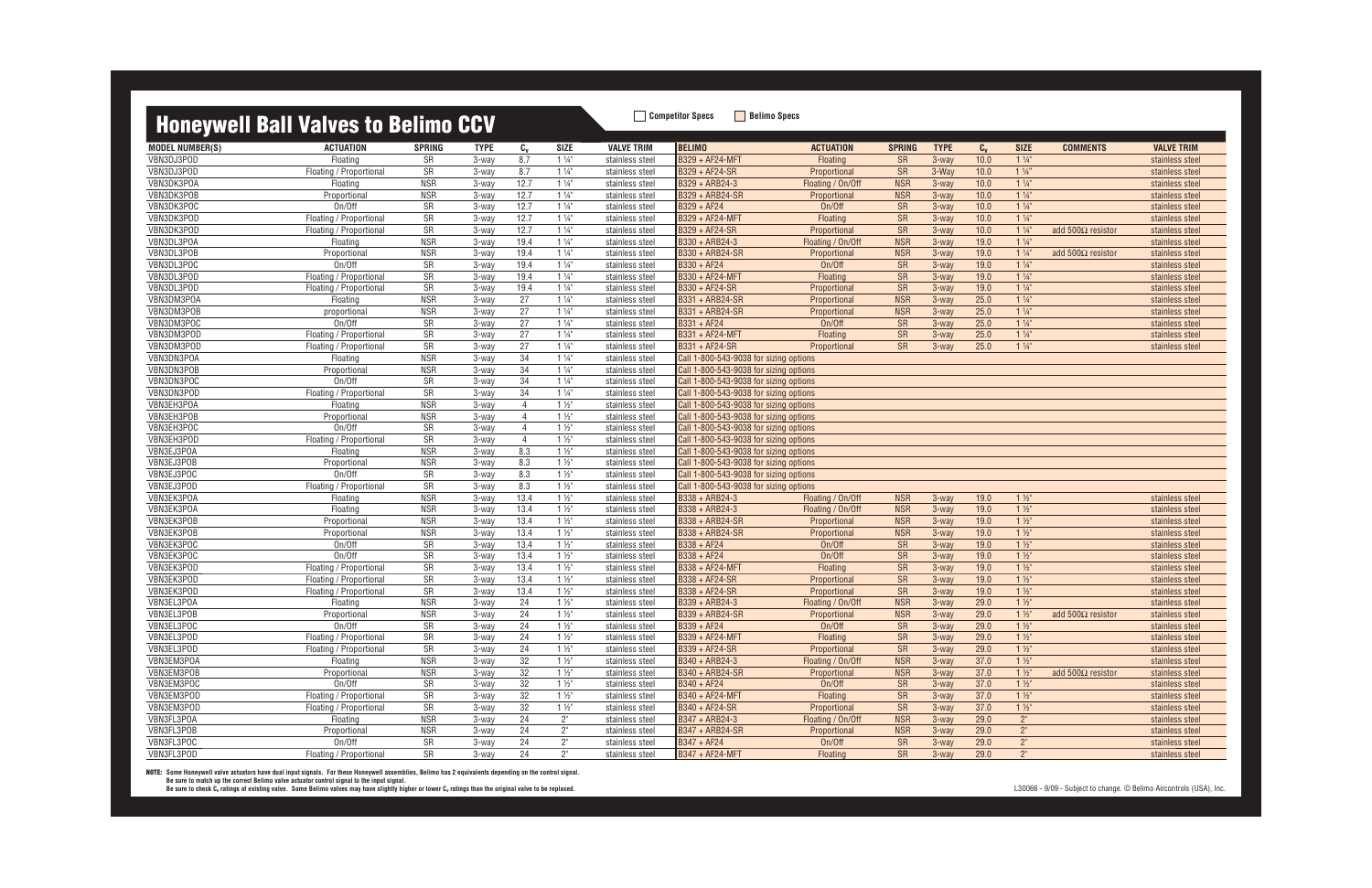### **Honeywell Rall Valves to Relimo CCV Competitor Specs** Belimo Specs

|                        | <b>THRUSH DATE AND ARRIVED TO DETTING OUT</b> |               |             |                 |                |                   |                                        |                   |               |             |                |                |                           |                   |
|------------------------|-----------------------------------------------|---------------|-------------|-----------------|----------------|-------------------|----------------------------------------|-------------------|---------------|-------------|----------------|----------------|---------------------------|-------------------|
| <b>MODEL NUMBER(S)</b> | <b>ACTUATION</b>                              | <b>SPRING</b> | <b>TYPE</b> | $c_{v}$         | <b>SIZE</b>    | <b>VALVE TRIM</b> | <b>BELIMO</b>                          | <b>ACTUATION</b>  | <b>SPRING</b> | <b>TYPE</b> | $C_{V}$        | <b>SIZE</b>    | <b>COMMENTS</b>           | <b>VALVE TRIM</b> |
| VBN3DJ3POD             | Floating                                      | SR            | 3-way       | 8.7             | $1\frac{1}{4}$ | stainless steel   | B329 + AF24-MFT                        | Floating          | <b>SR</b>     | 3-way       | 10.0           | $1\frac{1}{4}$ |                           | stainless steel   |
| VBN3DJ3POD             | Floating / Proportional                       | SR            | 3-way       | 8.7             | $1\frac{1}{4}$ | stainless steel   | B329 + AF24-SR                         | Proportional      | <b>SR</b>     | 3-Way       | 10.0           | $1\frac{1}{4}$ |                           | stainless steel   |
| VBN3DK3POA             | Floating                                      | <b>NSR</b>    | 3-way       | 12.7            | $1\frac{1}{4}$ | stainless steel   | B329 + ARB24-3                         | Floating / On/Off | <b>NSR</b>    | 3-way       | 10.0           | $1\frac{1}{4}$ |                           | stainless steel   |
| VBN3DK3POB             | Proportional                                  | <b>NSR</b>    | 3-way       | 12.7            | $1\frac{1}{4}$ | stainless steel   | <b>B329 + ARB24-SR</b>                 | Proportional      | <b>NSR</b>    | 3-way       | 10.0           | $1\frac{1}{4}$ |                           | stainless steel   |
| VBN3DK3POC             | On/Off                                        | SR            | 3-way       | 12.7            | $1\frac{1}{4}$ | stainless steel   | B329 + AF24                            | On/Off            | <b>SR</b>     | 3-way       | $\boxed{10.0}$ | $1\frac{1}{4}$ |                           | stainless steel   |
| VBN3DK3POD             | Floating / Proportional                       | SR            | 3-way       | 12.7            | $1\frac{1}{4}$ | stainless steel   | B329 + AF24-MFT                        | Floating          | <b>SR</b>     | $3-wav$     | 10.0           | $1\frac{1}{4}$ |                           | stainless steel   |
| VBN3DK3POD             | Floating / Proportional                       | SR            | 3-way       | 12.7            | $1\frac{1}{4}$ | stainless steel   | B329 + AF24-SR                         | Proportional      | SR            | $3-wav$     | 10.0           | $1\frac{1}{4}$ | add $500\Omega$ resistor  | stainless steel   |
| VBN3DL3POA             | Floating                                      | <b>NSR</b>    | 3-way       | 19.4            | $1\frac{1}{4}$ | stainless steel   | B330 + ARB24-3                         | Floating / On/Off | <b>NSR</b>    | 3-way       | 19.0           | $1\frac{1}{4}$ |                           | stainless steel   |
| VBN3DL3POB             | Proportional                                  | <b>NSR</b>    | 3-way       | 19.4            | $1\frac{1}{4}$ | stainless steel   | B330 + ARB24-SR                        | Proportional      | <b>NSR</b>    | 3-way       | 19.0           | $1\frac{1}{4}$ | add $500\Omega$ resistor  | stainless steel   |
| VBN3DL3POC             | On/Off                                        | SR            | 3-way       | 19.4            | $1\frac{1}{4}$ | stainless steel   | B330 + AF24                            | On/Off            | <b>SR</b>     | 3-way       | 19.0           | $1\frac{1}{4}$ |                           | stainless steel   |
| VBN3DL3POD             | Floating / Proportional                       | SR            | 3-way       | 19.4            | $1\frac{1}{4}$ | stainless steel   | B330 + AF24-MFT                        | Floating          | SR            | 3-way       | 19.0           | $1\frac{1}{4}$ |                           | stainless steel   |
| VBN3DL3POD             | Floating / Proportional                       | SR            | 3-way       | 19.4            | $1\frac{1}{4}$ | stainless steel   | B330 + AF24-SR                         | Proportional      | SR            | 3-way       | 19.0           | $1\frac{1}{4}$ |                           | stainless steel   |
| VBN3DM3POA             | Floating                                      | <b>NSR</b>    | 3-way       | 27              | $1\frac{1}{4}$ | stainless steel   | B331 + ARB24-SR                        | Proportional      | <b>NSR</b>    | 3-way       | 25.0           | $1\frac{1}{4}$ |                           | stainless steel   |
| VBN3DM3POB             | proportional                                  | <b>NSR</b>    | 3-way       | 27              | $1\frac{1}{4}$ | stainless steel   | B331 + ARB24-SR                        | Proportional      | <b>NSR</b>    | $3-wav$     | 25.0           | $1\frac{1}{4}$ |                           | stainless steel   |
| VBN3DM3POC             | On/Off                                        | SR            | 3-way       | 27              | $1\frac{1}{4}$ | stainless steel   | B331 + AF24                            | On/Off            | SR            | 3-way       | 25.0           | $1\frac{1}{4}$ |                           | stainless steel   |
| VBN3DM3POD             | Floating / Proportional                       | SR            | 3-way       | 27              | $1\frac{1}{4}$ | stainless steel   | B331 + AF24-MFT                        | Floating          | <b>SR</b>     | 3-way       | 25.0           | $1\frac{1}{4}$ |                           | stainless steel   |
| VBN3DM3POD             | Floating / Proportional                       | SR            | 3-way       | 27              | $1\frac{1}{4}$ | stainless steel   | B331 + AF24-SR                         | Proportional      | SR            | 3-way       | 25.0           | $1\frac{1}{4}$ |                           | stainless steel   |
| VBN3DN3POA             | Floating                                      | <b>NSR</b>    | 3-way       | $\overline{34}$ | $1\frac{1}{4}$ | stainless steel   | Call 1-800-543-9038 for sizing options |                   |               |             |                |                |                           |                   |
| VBN3DN3POB             | Proportional                                  | <b>NSR</b>    | 3-way       | 34              | $1\frac{1}{4}$ | stainless steel   | Call 1-800-543-9038 for sizing options |                   |               |             |                |                |                           |                   |
| VBN3DN3POC             | On/Off                                        | SR            | 3-way       | 34              | $1\frac{1}{4}$ | stainless steel   | Call 1-800-543-9038 for sizing options |                   |               |             |                |                |                           |                   |
| VBN3DN3POD             | Floating / Proportional                       | SR            | 3-way       | 34              | $1\frac{1}{4}$ | stainless steel   | Call 1-800-543-9038 for sizing options |                   |               |             |                |                |                           |                   |
| VBN3EH3POA             | Floating                                      | <b>NSR</b>    | 3-way       | $\overline{4}$  | $1\frac{1}{2}$ | stainless steel   | Call 1-800-543-9038 for sizing options |                   |               |             |                |                |                           |                   |
| VBN3EH3POB             | Proportional                                  | <b>NSR</b>    | 3-way       | $\overline{4}$  | $1\frac{1}{2}$ | stainless steel   | Call 1-800-543-9038 for sizing options |                   |               |             |                |                |                           |                   |
| VBN3EH3POC             | On/Off                                        | SR            | 3-way       | $\overline{4}$  | $1\frac{1}{2}$ | stainless steel   | Call 1-800-543-9038 for sizing options |                   |               |             |                |                |                           |                   |
| VBN3EH3POD             | Floating / Proportional                       | SR            | 3-way       | $\overline{4}$  | $1\frac{1}{2}$ | stainless steel   | Call 1-800-543-9038 for sizing options |                   |               |             |                |                |                           |                   |
| VBN3EJ3POA             | Floating                                      | <b>NSR</b>    | 3-way       | 8.3             | $1\frac{1}{2}$ | stainless steel   | Call 1-800-543-9038 for sizing options |                   |               |             |                |                |                           |                   |
| VBN3EJ3POB             | Proportional                                  | <b>NSR</b>    | 3-way       | 8.3             | $1\frac{1}{2}$ | stainless steel   | Call 1-800-543-9038 for sizing options |                   |               |             |                |                |                           |                   |
| VBN3EJ3POC             | On/Off                                        | SR            | 3-way       | 8.3             | $1\frac{1}{2}$ | stainless steel   | Call 1-800-543-9038 for sizing options |                   |               |             |                |                |                           |                   |
| VBN3EJ3POD             | Floating / Proportional                       | SR            | 3-way       | 8.3             | $1\frac{1}{2}$ | stainless steel   | Call 1-800-543-9038 for sizing options |                   |               |             |                |                |                           |                   |
| VBN3EK3POA             | Floating                                      | <b>NSR</b>    | 3-way       | 13.4            | $1\frac{1}{2}$ | stainless steel   | B338 + ARB24-3                         | Floating / On/Off | <b>NSR</b>    | 3-way       | 19.0           | $1\frac{1}{2}$ |                           | stainless steel   |
| VBN3EK3POA             | Floating                                      | <b>NSR</b>    | 3-way       | 13.4            | $1\frac{1}{2}$ | stainless steel   | B338 + ARB24-3                         | Floating / On/Off | <b>NSR</b>    | 3-way       | 19.0           | $1\frac{1}{2}$ |                           | stainless steel   |
| VBN3EK3POB             | Proportional                                  | <b>NSR</b>    | 3-way       | 13.4            | $1\frac{1}{2}$ | stainless steel   | B338 + ARB24-SR                        | Proportional      | <b>NSR</b>    | 3-way       | 19.0           | $1\frac{1}{2}$ |                           | stainless steel   |
| VBN3EK3POB             | Proportional                                  | <b>NSR</b>    | 3-way       | 13.4            | $1\frac{1}{2}$ | stainless steel   | B338 + ARB24-SR                        | Proportional      | <b>NSR</b>    | $3-wav$     | 19.0           | $1\frac{1}{2}$ |                           | stainless steel   |
| VBN3EK3POC             | On/Off                                        | SR            | 3-way       | 13.4            | $1\frac{1}{2}$ | stainless steel   | B338 + AF24                            | On/Off            | <b>SR</b>     | 3-way       | 19.0           | $1\frac{1}{2}$ |                           | stainless steel   |
| VBN3EK3POC             | On/Off                                        | SR            | 3-way       | 13.4            | $1\frac{1}{2}$ | stainless steel   | $B338 + AF24$                          | On/Off            | <b>SR</b>     | 3-way       | 19.0           | $1\frac{1}{2}$ |                           | stainless steel   |
| VBN3EK3POD             | Floating / Proportional                       | SR            | 3-way       | 13.4            | $1\frac{1}{2}$ | stainless steel   | B338 + AF24-MFT                        | Floating          | <b>SR</b>     | $3-wav$     | 19.0           | $1\frac{1}{2}$ |                           | stainless steel   |
| VBN3EK3POD             | Floating / Proportional                       | SR            | 3-way       | 13.4            | $1\frac{1}{2}$ | stainless steel   | B338 + AF24-SR                         | Proportional      | <b>SR</b>     | $3-wav$     | 19.0           | $1\frac{1}{2}$ |                           | stainless steel   |
| VBN3EK3POD             | Floating / Proportional                       | SR            | 3-way       | 13.4            | $1\frac{1}{2}$ | stainless steel   | B338 + AF24-SR                         | Proportional      | <b>SR</b>     | 3-way       | 19.0           | $1\frac{1}{2}$ |                           | stainless steel   |
| VBN3EL3POA             | Floating                                      | <b>NSR</b>    | 3-way       | 24              | $1\frac{1}{2}$ | stainless steel   | B339 + ARB24-3                         | Floating / On/Off | <b>NSR</b>    | 3-way       | 29.0           | $1\frac{1}{2}$ |                           | stainless steel   |
| VBN3EL3POB             | Proportional                                  | <b>NSR</b>    | 3-way       | 24              | $1\frac{1}{2}$ | stainless steel   | B339 + ARB24-SR                        | Proportional      | <b>NSR</b>    | 3-way       | 29.0           | $1\frac{1}{2}$ | add 500 $\Omega$ resistor | stainless steel   |
| VBN3EL3POC             | On/Off                                        | <b>SR</b>     | 3-way       | 24              | $1\frac{1}{2}$ | stainless steel   | B339 + AF24                            | On/Off            | SR            | 3-way       | 29.0           | $1\frac{1}{2}$ |                           | stainless steel   |
| VBN3EL3POD             | Floating / Proportional                       | SR            | 3-way       | 24              | $1\frac{1}{2}$ | stainless steel   | B339 + AF24-MFT                        | Floating          | SR            | 3-way       | 29.0           | $1\frac{1}{2}$ |                           | stainless steel   |
| VBN3EL3POD             | Floating / Proportional                       | SR            | 3-way       | 24              | $1\frac{1}{2}$ | stainless steel   | B339 + AF24-SR                         | Proportional      | <b>SR</b>     | 3-way       | 29.0           | $1\frac{1}{2}$ |                           | stainless steel   |
| VBN3EM3POA             | Floating                                      | <b>NSR</b>    | 3-way       | $32\,$          | $1\frac{1}{2}$ | stainless steel   | B340 + ARB24-3                         | Floating / On/Off | <b>NSR</b>    | 3-way       | 37.0           | $1\frac{1}{2}$ |                           | stainless steel   |
| VBN3EM3POB             | Proportional                                  | <b>NSR</b>    | 3-way       | 32              | $1\frac{1}{2}$ | stainless steel   | B340 + ARB24-SR                        | Proportional      | <b>NSR</b>    | 3-way       | 37.0           | $1\frac{1}{2}$ | add $500\Omega$ resistor  | stainless steel   |
| VBN3EM3POC             | On/Off                                        | SR            | 3-way       | 32              | $1\frac{1}{2}$ | stainless steel   | B340 + AF24                            | On/Off            | <b>SR</b>     | 3-way       | 37.0           | $1\frac{1}{2}$ |                           | stainless steel   |
| VBN3EM3POD             | Floating / Proportional                       | SR            | 3-way       | 32              | $1\frac{1}{2}$ | stainless steel   | B340 + AF24-MFT                        | Floating          | <b>SR</b>     | 3-way       | 37.0           | $1\frac{1}{2}$ |                           | stainless steel   |
| VBN3EM3POD             | Floating / Proportional                       | SR            | 3-way       | 32              | $1\frac{1}{2}$ | stainless steel   | B340 + AF24-SR                         | Proportional      | <b>SR</b>     | $3-wav$     | 37.0           | $1\frac{1}{2}$ |                           | stainless steel   |
| VBN3FL3POA             | Floating                                      | <b>NSR</b>    | 3-way       | 24              | $2^{\circ}$    | stainless steel   | B347 + ARB24-3                         | Floating / On/Off | <b>NSR</b>    | $3-way$     | 29.0           | $2^{\circ}$    |                           | stainless steel   |
| VBN3FL3POB             | Proportional                                  | <b>NSR</b>    | 3-way       | 24              | $2^{\circ}$    | stainless steel   | B347 + ARB24-SR                        | Proportional      | <b>NSR</b>    | 3-way       | 29.0           | $2^{\circ}$    |                           | stainless steel   |
| VBN3FL3POC             | On/Off                                        | SR            | 3-way       | 24              | $2^{\circ}$    | stainless steel   | B347 + AF24                            | On/Off            | <b>SR</b>     | 3-way       | 29.0           | $2^{\circ}$    |                           | stainless steel   |
| VBN3FL3POD             | Floating / Proportional                       | SR            | 3-way       | 24              | $2^{\circ}$    | stainless steel   | B347 + AF24-MFT                        | Floating          | SR            | 3-way       | 29.0           | $2^{\circ}$    |                           | stainless steel   |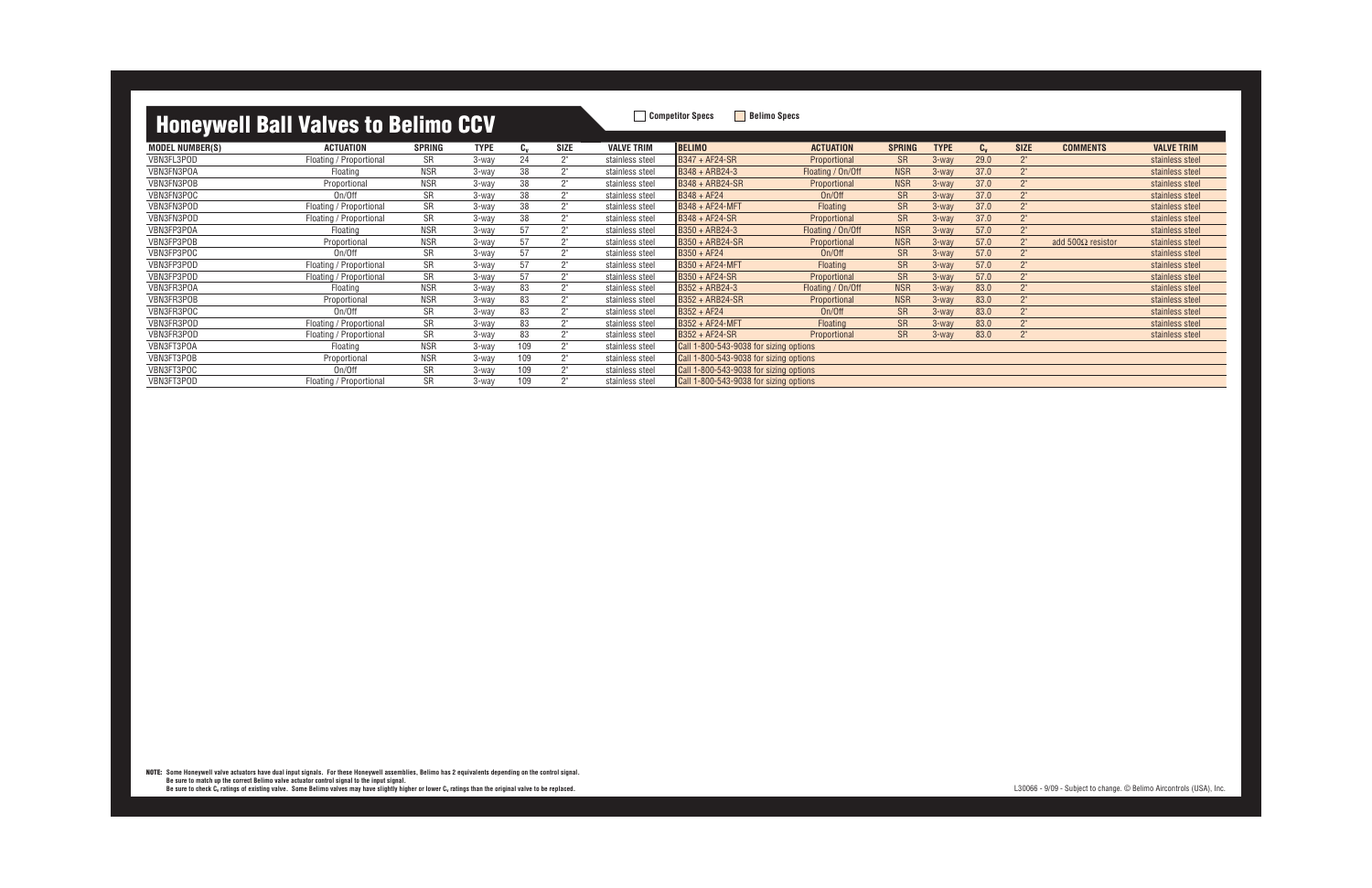MODEL NUMBER(S) ACTUATION SPRING TYPE C<sub>v</sub> SIZE VALVE TRIM |BELIMO ACTUATION SPRING TYPE C<sub>v</sub> SIZE COMMENTS VALVE TRIM VBN3FL3POD Floating / Proportional SR 3-way 24 2" stainless steel B347 + AF24-SR Proportional SR 3-way 29.0 2" stainless steel VBN3FN3POA Floating NSR 3-way 38 2" stainless steel B348 + ARB24-3 Floating / On/Off NSR 3-way 37.0 2" stainless steel VBN3FN3POB Proportional NSR 3-way 38 2" stainless steel B348 + ARB24-SR Proportional NSR 3-way 37.0 2" stainless steel VBN3FN3POC On/Off SR 3-way 38 2" stainless steel B348 + AF24 On/Off SR 3-way 37.0 2" stainless steel VBN3FN3POD Floating / Proportional SR 3-way 38 2" stainless steel B348 + AF24-MFT Floating SR 3-way 37.0 2" stainless steel VBN3FN3POD Floating / Proportional SR 3-way 38 2" stainless steel B348 + AF24-SR Proportional SR 3-way 37.0 2" stainless steel VBN3FP3POA Floating NSR 3-way 57 2" stainless steel |B350 + ARB24-3 Floating / On/Off NSR 3-way 57.0 2" stainless steel VBN3FP3POB Proportional NSR 3-way 57 2" stainless steel B350 + ARB24-SR Proportional NSR 3-way 57.0 2" add 500Ω resistor stainless steel VBN3FP3POC On/Off SR 3-way 57 2" stainless steel B350 + AF24 On/Off SR 3-way 57.0 2" stainless steel VBN3FP3POD Floating / Proportional SR 3-way 57 2" stainless steel B350 + AF24-MFT Floating SR 3-way 57.0 2" stainless steel VBN3FP3POD Floating / Proportional SR 3-way 57 2" stainless steel B350 + AF24-SR Proportional SR 3-way 57.0 2" stainless steel VBN3FR3POA Floating NSR 3-way 83 2" stainless steel B352 + ARB24-3 Floating / On/Off NSR 3-way 83.0 2" stainless steel VBN3FR3POB Proportional NSR 3-way 83 2" stainless steel B352 + ARB24-SR Proportional NSR 3-way 83.0 2" stainless steel VBN3FR3POC On/Off SR 3-way 83 2" stainless steel B352 + AF24 On/Off SR 3-way 83.0 2" stainless steel VBN3FR3POD Floating / Proportional SR 3-way 83 2" stainless steel B352 + AF24-MFT Floating SR 3-way 83.0 2" stainless steel VBN3FR3POD Floating / Proportional SR 3-way 83 2" stainless steel B352 + AF24-SR Proportional SR 3-way 83.0 2" stainless steel VBN3FT3POA Floating NSR 3-way 109 2" stainless steel Call 1-800-543-9038 for sizing options VBN3FT3POB Proportional NSR 3-way 109 2" stainless steel Call 1-800-543-9038 for sizing options VBN3FT3POC 0 0n/Off 5R 3-way 109 2" stainless steel Call 1-800-543-9038 for sizing options VBN3FT3POD Floating / Proportional SR 3-way 109 2" stainless steel Call 1-800-543-9038 for sizing options

L30066 - 9/09 - Subject to change. © Belimo Aircontrols (USA), Inc.

**NOTE: Some Honeywell valve actuators have dual input signals. For these Honeywell assemblies, Belimo has 2 equivalents depending on the control signal.** Be sure to match up the correct Belimo valve actuator control signal to the input signal.<br>Be sure to check C<sub>v</sub> ratings of existing valve. Some Belimo valves may have slightly higher or lower C<sub>v</sub> ratings than the origina

| <b>SIZE</b>     | <b>COMMENTS</b>          | <b>VALVE TRIM</b> |
|-----------------|--------------------------|-------------------|
| 2"              |                          |                   |
|                 |                          | stainless steel   |
| 2"              |                          | stainless steel   |
| 2"              |                          | stainless steel   |
| 2 <sup>''</sup> |                          | stainless steel   |
| 2 <sup>''</sup> |                          | stainless steel   |
| 2 <sup>''</sup> |                          | stainless steel   |
| 2 <sup>''</sup> |                          | stainless steel   |
| 2 <sup>''</sup> | add $500\Omega$ resistor | stainless steel   |
| 2"              |                          | stainless steel   |
| 2"              |                          | stainless steel   |
| 2 <sup>''</sup> |                          | stainless steel   |
| 2 <sup>''</sup> |                          | stainless steel   |
| 2 <sup>''</sup> |                          | stainless steel   |
| 2"              |                          | stainless steel   |
| 2"              |                          | stainless steel   |
| 2"              |                          | stainless steel   |
|                 |                          |                   |
|                 |                          |                   |
|                 |                          |                   |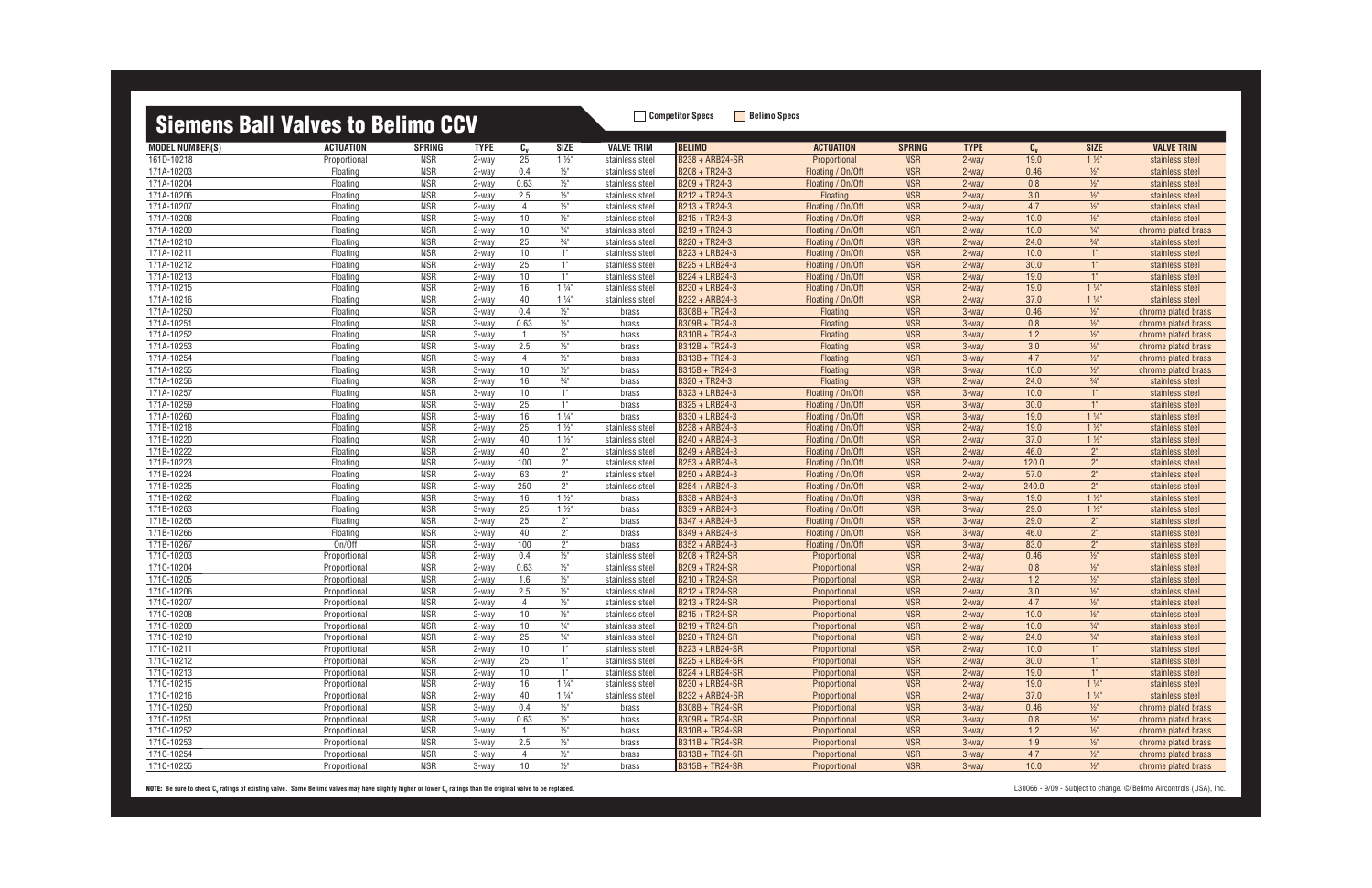| <u>oioinono pair varvoo to bornno oo r</u> |                  |               |             |                |                 |                   |                  |                   |               |             |         |                 |                     |
|--------------------------------------------|------------------|---------------|-------------|----------------|-----------------|-------------------|------------------|-------------------|---------------|-------------|---------|-----------------|---------------------|
| <b>MODEL NUMBER(S)</b>                     | <b>ACTUATION</b> | <b>SPRING</b> | <b>TYPE</b> | $C_{\nu}$      | <b>SIZE</b>     | <b>VALVE TRIM</b> | <b>BELIMO</b>    | <b>ACTUATION</b>  | <b>SPRING</b> | <b>TYPE</b> | $C_{V}$ | <b>SIZE</b>     | <b>VALVE TRIM</b>   |
| 161D-10218                                 | Proportional     | <b>NSR</b>    | 2-way       | 25             | $1\frac{1}{2}$  | stainless steel   | B238 + ARB24-SR  | Proportional      | <b>NSR</b>    | $2$ -way    | 19.0    | $1\frac{1}{2}$  | stainless steel     |
| 171A-10203                                 | Floating         | <b>NSR</b>    | $2$ -way    | 0.4            | $\frac{1}{2}$   | stainless steel   | B208 + TR24-3    | Floating / On/Off | <b>NSR</b>    | $2$ -way    | 0.46    | $\frac{1}{2}$   | stainless steel     |
| 171A-10204                                 | Floating         | <b>NSR</b>    | 2-way       | 0.63           | $\frac{1}{2}$ " | stainless steel   | B209 + TR24-3    | Floating / On/Off | <b>NSR</b>    | $2$ -way    | 0.8     | $1/2$ "         | stainless steel     |
| 171A-10206                                 | Floating         | <b>NSR</b>    | $2$ -way    | 2.5            | $\frac{1}{2}$   | stainless steel   | $B212 + TR24-3$  | Floating          | <b>NSR</b>    | $2$ -way    | 3.0     | $1/2$ "         | stainless steel     |
| 171A-10207                                 | Floating         | <b>NSR</b>    | $2$ -way    | $\overline{4}$ | $\frac{1}{2}$   | stainless steel   | $B213 + TR24-3$  | Floating / On/Off | <b>NSR</b>    | $2$ -way    | 4.7     | $1/2$ "         | stainless steel     |
| 171A-10208                                 | Floating         | <b>NSR</b>    | 2-way       | 10             | $\frac{1}{2}$   | stainless steel   | B215 + TR24-3    | Floating / On/Off | <b>NSR</b>    | $2$ -way    | 10.0    | $\frac{1}{2}$   | stainless steel     |
| 171A-10209                                 | Floating         | <b>NSR</b>    | 2-way       | 10             | $\frac{3}{4}$ " | stainless steel   | B219 + TR24-3    | Floating / On/Off | <b>NSR</b>    | $2$ -way    | 10.0    | $\frac{3}{4}$ " | chrome plated brass |
| 171A-10210                                 | Floating         | <b>NSR</b>    | 2-way       | 25             | $\frac{3}{4}$ " | stainless steel   | $B220 + TR24-3$  | Floating / On/Off | <b>NSR</b>    | $2$ -way    | 24.0    | $\frac{3}{4}$ " | stainless steel     |
| 171A-10211                                 | Floating         | <b>NSR</b>    | 2-way       | 10             | 1"              | stainless steel   | B223 + LRB24-3   | Floating / On/Off | <b>NSR</b>    | $2$ -way    | 10.0    | 1"              | stainless steel     |
| 171A-10212                                 | Floating         | <b>NSR</b>    | 2-way       | 25             | 1"              | stainless steel   | B225 + LRB24-3   | Floating / On/Off | <b>NSR</b>    | $2$ -way    | 30.0    | 1"              | stainless steel     |
| 171A-10213                                 | Floating         | <b>NSR</b>    | 2-way       | 10             | 1"              | stainless steel   | B224 + LRB24-3   | Floating / On/Off | <b>NSR</b>    | 2-way       | 19.0    | 1"              | stainless steel     |
| 171A-10215                                 | Floating         | <b>NSR</b>    | 2-way       | 16             | $1\frac{1}{4}$  | stainless steel   | B230 + LRB24-3   | Floating / On/Off | <b>NSR</b>    | $2$ -way    | 19.0    | $1\frac{1}{4}$  | stainless steel     |
| 171A-10216                                 | Floating         | <b>NSR</b>    | 2-way       | 40             | $1\frac{1}{4}$  | stainless steel   | B232 + ARB24-3   | Floating / On/Off | <b>NSR</b>    | 2-way       | 37.0    | $1\frac{1}{4}$  | stainless steel     |
| 171A-10250                                 | Floating         | <b>NSR</b>    | 3-way       | 0.4            | $\frac{1}{2}$   | brass             | B308B + TR24-3   | Floating          | <b>NSR</b>    | 3-way       | 0.46    | $\frac{1}{2}$   | chrome plated brass |
| 171A-10251                                 | Floating         | <b>NSR</b>    | 3-way       | 0.63           | $\frac{1}{2}$ " | brass             | $B309B + TR24-3$ | Floating          | <b>NSR</b>    | 3-way       | 0.8     | $\frac{1}{2}$   | chrome plated brass |
| 171A-10252                                 | Floating         | <b>NSR</b>    | 3-way       | $\overline{1}$ | $\frac{1}{2}$ " | brass             | B310B + TR24-3   | Floating          | <b>NSR</b>    | 3-way       | 1.2     | $1/2$ "         | chrome plated brass |
| 171A-10253                                 | Floating         | <b>NSR</b>    | $3-wav$     | 2.5            | $\frac{1}{2}$ " | brass             | B312B + TR24-3   | Floating          | <b>NSR</b>    | $3$ -way    | 3.0     | $1/2$ "         | chrome plated brass |
| 171A-10254                                 | Floating         | <b>NSR</b>    | 3-way       | $\overline{4}$ | $\frac{1}{2}$ " | brass             | B313B + TR24-3   | Floating          | <b>NSR</b>    | 3-way       | 4.7     | $\frac{1}{2}$   | chrome plated brass |
| 171A-10255                                 | Floating         | <b>NSR</b>    | $3-wav$     | 10             | $\frac{1}{2}$ " | brass             | B315B + TR24-3   | Floating          | <b>NSR</b>    | 3-way       | 10.0    | $\frac{1}{2}$   | chrome plated brass |
| 171A-10256                                 | Floating         | <b>NSR</b>    | $2$ -way    | 16             | $\frac{3}{4}$ " | brass             | B320 + TR24-3    | Floating          | <b>NSR</b>    | $2$ -way    | 24.0    | $\frac{3}{4}$ " | stainless steel     |
| 171A-10257                                 | Floating         | <b>NSR</b>    | 3-way       | 10             | 1"              | brass             | B323 + LRB24-3   | Floating / On/Off | <b>NSR</b>    | 3-way       | 10.0    | $1^{\circ}$     | stainless steel     |
| 171A-10259                                 | Floating         | <b>NSR</b>    | 3-way       | 25             | 1"              | brass             | B325 + LRB24-3   | Floating / On/Off | <b>NSR</b>    | 3-way       | 30.0    | 1"              | stainless steel     |
| 171A-10260                                 | Floating         | <b>NSR</b>    |             | 16             | $1\frac{1}{4}$  |                   | B330 + LRB24-3   |                   | <b>NSR</b>    | 3-way       | 19.0    | $1\frac{1}{4}$  | stainless steel     |
|                                            |                  |               | 3-way       |                |                 | brass             |                  | Floating / On/Off |               |             |         |                 |                     |
| 171B-10218                                 | Floating         | <b>NSR</b>    | 2-way       | 25             | $1\frac{1}{2}$  | stainless steel   | B238 + ARB24-3   | Floating / On/Off | <b>NSR</b>    | $2$ -way    | 19.0    | $1\frac{1}{2}$  | stainless steel     |
| 171B-10220                                 | Floating         | <b>NSR</b>    | 2-way       | 40             | $1\frac{1}{2}$  | stainless steel   | B240 + ARB24-3   | Floating / On/Off | <b>NSR</b>    | 2-way       | 37.0    | $1\frac{1}{2}$  | stainless steel     |
| 171B-10222                                 | Floating         | <b>NSR</b>    | 2-way       | 40             | $2^{\circ}$     | stainless steel   | B249 + ARB24-3   | Floating / On/Off | <b>NSR</b>    | 2-way       | 46.0    | $2^{\circ}$     | stainless steel     |
| 171B-10223                                 | Floating         | <b>NSR</b>    | 2-way       | 100            | 2"              | stainless steel   | B253 + ARB24-3   | Floating / On/Off | <b>NSR</b>    | 2-way       | 120.0   | 2 <sup>n</sup>  | stainless steel     |
| 171B-10224                                 | Floating         | <b>NSR</b>    | 2-way       | 63             | 2"              | stainless steel   | B250 + ARB24-3   | Floating / On/Off | <b>NSR</b>    | $2$ -way    | 57.0    | $2^{\circ}$     | stainless steel     |
| 171B-10225                                 | Floating         | <b>NSR</b>    | 2-way       | 250            | 2"              | stainless steel   | B254 + ARB24-3   | Floating / On/Off | <b>NSR</b>    | 2-way       | 240.0   | 2 <sup>n</sup>  | stainless steel     |
| 171B-10262                                 | Floating         | <b>NSR</b>    | $3-wav$     | 16             | $1\frac{1}{2}$  | brass             | B338 + ARB24-3   | Floating / On/Off | <b>NSR</b>    | $3$ -way    | 19.0    | $1\frac{1}{2}$  | stainless steel     |
| 171B-10263                                 | Floating         | <b>NSR</b>    | 3-way       | 25             | $1\frac{1}{2}$  | brass             | B339 + ARB24-3   | Floating / On/Off | <b>NSR</b>    | 3-way       | 29.0    | $1\frac{1}{2}$  | stainless steel     |
| 171B-10265                                 | Floating         | <b>NSR</b>    | 3-way       | 25             | 2"              | brass             | B347 + ARB24-3   | Floating / On/Off | <b>NSR</b>    | 3-way       | 29.0    | $2^{\circ}$     | stainless steel     |
| 171B-10266                                 | Floating         | <b>NSR</b>    | 3-way       | 40             | 2"              | brass             | B349 + ARB24-3   | Floating / On/Off | <b>NSR</b>    | 3-way       | 46.0    | $2^{\circ}$     | stainless steel     |
| 171B-10267                                 | On/Off           | <b>NSR</b>    | 3-way       | 100            | $2^{\circ}$     | brass             | B352 + ARB24-3   | Floating / On/Off | <b>NSR</b>    | 3-way       | 83.0    | 2 <sup>n</sup>  | stainless steel     |
| 171C-10203                                 | Proportional     | <b>NSR</b>    | 2-way       | 0.4            | $\frac{1}{2}$ " | stainless steel   | B208 + TR24-SR   | Proportional      | <b>NSR</b>    | 2-way       | 0.46    | $\frac{1}{2}$   | stainless steel     |
| 171C-10204                                 | Proportional     | <b>NSR</b>    | 2-way       | 0.63           | $\frac{1}{2}$   | stainless steel   | B209 + TR24-SR   | Proportional      | <b>NSR</b>    | 2-way       | 0.8     | $1/2$ "         | stainless steel     |
| 171C-10205                                 | Proportional     | <b>NSR</b>    | 2-way       | 1.6            | $\frac{1}{2}$   | stainless steel   | B210 + TR24-SR   | Proportional      | <b>NSR</b>    | 2-way       | 1.2     | $\frac{1}{2}$   | stainless steel     |
| 171C-10206                                 | Proportional     | <b>NSR</b>    | $2$ -way    | 2.5            | $\frac{1}{2}$   | stainless steel   | B212 + TR24-SR   | Proportional      | <b>NSR</b>    | $2$ -way    | 3.0     | $1/2$ "         | stainless steel     |
| 171C-10207                                 | Proportional     | <b>NSR</b>    | 2-way       | $\overline{4}$ | $\frac{1}{2}$ " | stainless steel   | B213 + TR24-SR   | Proportional      | <b>NSR</b>    | 2-way       | 4.7     | $\frac{1}{2}$   | stainless steel     |
| 171C-10208                                 | Proportional     | <b>NSR</b>    | 2-way       | 10             | $\frac{1}{2}$   | stainless steel   | B215 + TR24-SR   | Proportional      | <b>NSR</b>    | 2-way       | 10.0    | $1/2$ "         | stainless steel     |
| 171C-10209                                 | Proportional     | <b>NSR</b>    | 2-way       | 10             | $\frac{3}{4}$ " | stainless steel   | B219 + TR24-SR   | Proportional      | <b>NSR</b>    | 2-way       | 10.0    | $\frac{3}{4}$ " | stainless steel     |
| 171C-10210                                 | Proportional     | <b>NSR</b>    | 2-way       | 25             | $\frac{3}{4}$ " | stainless steel   | B220 + TR24-SR   | Proportional      | <b>NSR</b>    | 2-way       | 24.0    | $\frac{3}{4}$ " | stainless steel     |
| 171C-10211                                 | Proportional     | <b>NSR</b>    | 2-way       | 10             | 1"              | stainless steel   | B223 + LRB24-SR  | Proportional      | <b>NSR</b>    | 2-way       | 10.0    | 1"              | stainless steel     |
| 171C-10212                                 | Proportional     | <b>NSR</b>    | 2-way       | 25             | 1"              | stainless steel   | B225 + LRB24-SR  | Proportional      | <b>NSR</b>    | $2$ -way    | 30.0    | 1"              | stainless steel     |
| 171C-10213                                 | Proportional     | <b>NSR</b>    | 2-way       | 10             | 1"              | stainless steel   | B224 + LRB24-SR  | Proportional      | <b>NSR</b>    | 2-way       | 19.0    | $1^{\circ}$     | stainless steel     |
| 171C-10215                                 | Proportional     | <b>NSR</b>    | 2-way       | 16             | $1\frac{1}{4}$  | stainless steel   | B230 + LRB24-SR  | Proportional      | <b>NSR</b>    | 2-way       | 19.0    | $1\frac{1}{4}$  | stainless steel     |
| 171C-10216                                 | Proportional     | <b>NSR</b>    | 2-way       | 40             | $1\frac{1}{4}$  | stainless steel   | B232 + ARB24-SR  | Proportional      | <b>NSR</b>    | 2-way       | 37.0    | $1\frac{1}{4}$  | stainless steel     |
| 171C-10250                                 | Proportional     | <b>NSR</b>    | 3-way       | 0.4            | $\frac{1}{2}$   | brass             | B308B + TR24-SR  | Proportional      | <b>NSR</b>    | 3-way       | 0.46    | $\frac{1}{2}$   | chrome plated brass |
| 171C-10251                                 | Proportional     | NSR           | 3-way       | 0.63           | $\frac{1}{2}$   | brass             | B309B + TR24-SR  | Proportional      | <b>NSR</b>    | 3-way       | 0.8     | $\frac{1}{2}$   | chrome plated brass |
| 171C-10252                                 | Proportional     | <b>NSR</b>    | 3-way       | $\overline{1}$ | $\frac{1}{2}$ " | brass             | B310B + TR24-SR  | Proportional      | <b>NSR</b>    | 3-way       | 1.2     | $\frac{1}{2}$   | chrome plated brass |
| 171C-10253                                 | Proportional     | NSR           | 3-way       | 2.5            | $\frac{1}{2}$ " | brass             | B311B + TR24-SR  | Proportional      | <b>NSR</b>    | 3-way       | 1.9     | $\frac{1}{2}$   | chrome plated brass |
| 171C-10254                                 | Proportional     | NSR           | 3-way       | $\overline{4}$ | $1/2$ "         | brass             | B313B + TR24-SR  | Proportional      | <b>NSR</b>    | 3-way       | 4.7     | $\frac{1}{2}$   | chrome plated brass |
| 171C-10255                                 | Proportional     | <b>NSR</b>    | 3-way       | 10             | $\frac{1}{2}$   | brass             | B315B + TR24-SR  | Proportional      | <b>NSR</b>    | $3-way$     | 10.0    | $\frac{1}{2}$   | chrome plated brass |
|                                            |                  |               |             |                |                 |                   |                  |                   |               |             |         |                 |                     |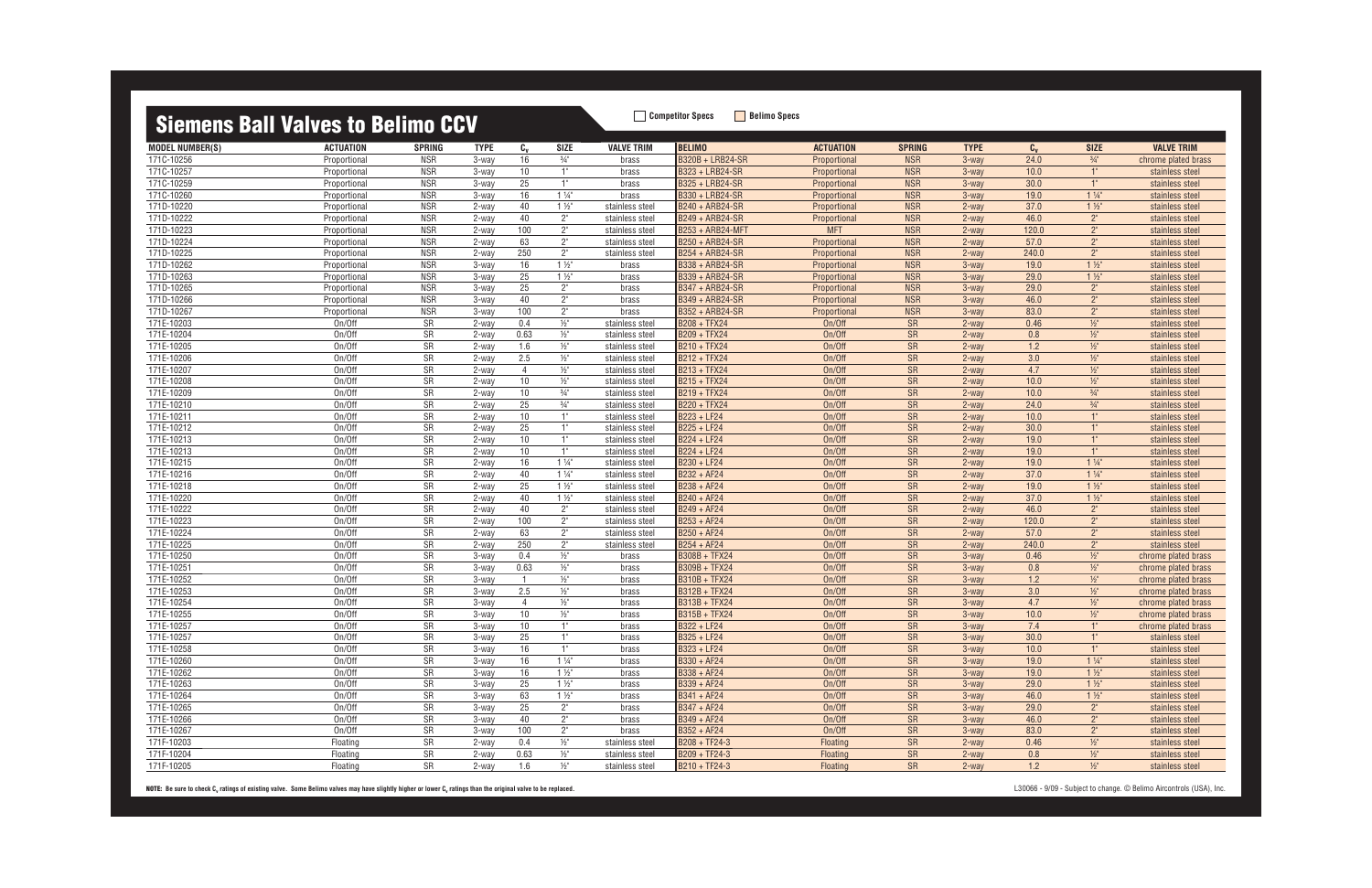| <u>oloniono pali valvoo to bolinio oov</u> |                  |            |                |                                  |                          |                                    |                                              |                  |                        |                   |         |                 |                                    |
|--------------------------------------------|------------------|------------|----------------|----------------------------------|--------------------------|------------------------------------|----------------------------------------------|------------------|------------------------|-------------------|---------|-----------------|------------------------------------|
| <b>MODEL NUMBER(S)</b>                     | <b>ACTUATION</b> | SPRING     | <b>TYPE</b>    | $c_{v}$                          | <b>SIZE</b>              | <b>VALVE TRIM</b>                  | <b>BELIMO</b>                                | <b>ACTUATION</b> | <b>SPRING</b>          | <b>TYPE</b>       | $c_{v}$ | <b>SIZE</b>     | <b>VALVE TRIM</b>                  |
| 171C-10256                                 | Proportional     | <b>NSR</b> | 3-way          | 16                               | $3/4"$                   | brass                              | <b>B320B + LRB24-SR</b>                      | Proportional     | <b>NSR</b>             | 3-way             | 24.0    | $\frac{3}{4}$ " | chrome plated brass                |
| 171C-10257                                 | Proportional     | <b>NSR</b> | 3-way          | 10                               | 1"                       | brass                              | B323 + LRB24-SR                              | Proportional     | <b>NSR</b>             | 3-way             | 10.0    | 1"              | stainless steel                    |
| 171C-10259                                 | Proportional     | <b>NSR</b> | 3-way          | 25                               | 1"                       | brass                              | <b>B325 + LRB24-SR</b>                       | Proportional     | <b>NSR</b>             | 3-way             | 30.0    | 1"              | stainless steel                    |
| 1710-10260                                 | Proportional     | <b>NSR</b> | 3-way          | 16                               | $1\frac{1}{4}$           | brass                              | B330 + LRB24-SR                              | Proportional     | <b>NSR</b>             | $3$ -way          | 19.0    | $1\frac{1}{4}$  | stainless steel                    |
| 171D-10220                                 | Proportional     | <b>NSR</b> | 2-way          | 40                               | $1\frac{1}{2}$           | stainless steel                    | B240 + ARB24-SR                              | Proportional     | <b>NSR</b>             | 2-way             | 37.0    | $1\frac{1}{2}$  | stainless steel                    |
| 171D-10222                                 | Proportional     | <b>NSR</b> | 2-way          | 40                               | $2^{\circ}$              | stainless steel                    | B249 + ARB24-SR                              | Proportional     | <b>NSR</b>             | $2$ -way          | 46.0    | $2^{\circ}$     | stainless steel                    |
| 171D-10223                                 | Proportional     | <b>NSR</b> | 2-way          | 100                              | $2^{\circ}$              | stainless steel                    | B253 + ARB24-MFT                             | <b>MFT</b>       | <b>NSR</b>             | 2-way             | 120.0   | $2^{\circ}$     | stainless steel                    |
| 171D-10224                                 | Proportional     | <b>NSR</b> | 2-way          | 63                               | $2^{\circ}$              | stainless steel                    | B250 + ARB24-SR                              | Proportional     | <b>NSR</b>             | $2$ -way          | 57.0    | $2^{\circ}$     | stainless steel                    |
| 171D-10225                                 | Proportional     | <b>NSR</b> | 2-way          | 250                              | $2^{\circ}$              | stainless steel                    | B254 + ARB24-SR                              | Proportional     | <b>NSR</b>             | $2$ -way          | 240.0   | $2^{\circ}$     | stainless steel                    |
| 171D-10262                                 | Proportional     | <b>NSR</b> | 3-way          | 16                               | $1\frac{1}{2}$           | brass                              | <b>B338 + ARB24-SR</b>                       | Proportional     | <b>NSR</b>             | $3$ -way          | 19.0    | $1\frac{1}{2}$  | stainless steel                    |
| 171D-10263                                 | Proportional     | <b>NSR</b> | 3-way          | 25                               | $1\frac{1}{2}$           | brass                              | <b>B339 + ARB24-SR</b>                       | Proportional     | <b>NSR</b>             | $3$ -way          | 29.0    | $1\frac{1}{2}$  | stainless steel                    |
| 171D-10265                                 | Proportional     | <b>NSR</b> | 3-way          | 25                               | $2^{\circ}$              | brass                              | <b>B347 + ARB24-SR</b>                       | Proportional     | <b>NSR</b>             | $3$ -way          | 29.0    | $2^{\circ}$     | stainless steel                    |
| 171D-10266                                 | Proportional     | <b>NSR</b> | 3-way          | 40                               | $2^{\circ}$              | brass                              | <b>B349 + ARB24-SR</b>                       | Proportional     | <b>NSR</b>             | $3$ -way          | 46.0    | $2^{\circ}$     | stainless steel                    |
| 171D-10267                                 | Proportional     | <b>NSR</b> | 3-way          | 100                              | $2^{\circ}$              | brass                              | <b>B352 + ARB24-SR</b>                       | Proportional     | <b>NSR</b>             | 3-way             | 83.0    | $2^{\circ}$     | stainless steel                    |
| 171E-10203                                 | On/Off           | SR         | 2-way          | 0.4                              | $\frac{1}{2}$ "          | stainless steel                    | <b>B208 + TFX24</b>                          | On/Off           | <b>SR</b>              | 2-way             | 0.46    | $1/2$ "         | stainless steel                    |
| 171E-10204                                 | On/Off           | SR         | 2-way          | 0.63                             | $\frac{1}{2}$            | stainless steel                    | B209 + TFX24                                 | On/Off           | <b>SR</b>              | $2$ -way          | 0.8     | $1/2$ "         | stainless steel                    |
| 171E-10205                                 | On/Off           | SR         | 2-way          | 1.6                              | $\frac{1}{2}$ "          | stainless steel                    | <b>B210 + TFX24</b>                          | On/Off           | SR                     | $2$ -way          | 1.2     | $1/2$ "         | stainless steel                    |
| 171E-10206                                 | On/Off           | SR         | 2-way          | 2.5                              | $\frac{1}{2}$            | stainless steel                    | <b>B212 + TFX24</b>                          | On/Off           | <b>SR</b>              | 2-way             | 3.0     | $1/2$ "         | stainless steel                    |
| 171E-10207                                 | On/Off           | <b>SR</b>  | 2-way          | $\overline{4}$                   | $\frac{1}{2}$            | stainless steel                    | <b>B213 + TFX24</b>                          | On/Off           | <b>SR</b>              | $2$ -way          | 4.7     | $1/2$ "         | stainless steel                    |
| 171E-10208                                 | On/Off           | SR         | 2-way          | 10                               | $\frac{1}{2}$            | stainless steel                    | <b>B215 + TFX24</b>                          | On/Off           | <b>SR</b>              | 2-way             | 10.0    | $1/2$ "         | stainless steel                    |
| 171E-10209                                 | On/Off           | SR         | 2-way          | 10                               | $\frac{3}{4}$ "          | stainless steel                    | <b>B219 + TFX24</b>                          | On/Off           | <b>SR</b>              | $2$ -way          | 10.0    | $\frac{3}{4}$ " | stainless steel                    |
| 171E-10210                                 | On/Off           | SR         | 2-way          | 25                               | $\frac{3}{4}$ "          | stainless steel                    | <b>B220 + TFX24</b>                          | On/Off           | <b>SR</b>              | 2-way             | 24.0    | $\frac{3}{4}$ " | stainless steel                    |
| 171E-10211                                 | On/Off           | SR         | 2-way          | 10                               | 1"                       | stainless steel                    | B223 + LF24                                  | On/Off           | <b>SR</b>              | $2$ -way          | 10.0    | 1"              | stainless steel                    |
| 171E-10212                                 | On/Off           | SR         | 2-way          | 25                               | 1"                       | stainless steel                    | B225 + LF24                                  | On/Off           | <b>SR</b>              | $2$ -way          | 30.0    | 1"              | stainless steel                    |
| 171E-10213                                 | On/Off           | SR         | 2-way          | $10$                             | 1"                       | stainless steel                    | B224 + LF24                                  | On/Off           | SR                     | 2-way             | 19.0    | 1"              | stainless steel                    |
| 171E-10213                                 | On/Off           | SR         | 2-way          | 10                               | 1"                       | stainless steel                    | B224 + LF24                                  | On/Off           | SR                     | $2$ -way          | 19.0    | 1"              | stainless steel                    |
| 171E-10215                                 | On/Off           | <b>SR</b>  | 2-way          | 16                               | $1\frac{1}{4}$           | stainless steel                    | B230 + LF24                                  | On/Off           | <b>SR</b>              | $2$ -way          | 19.0    | $1\frac{1}{4}$  | stainless steel                    |
| 171E-10216                                 | On/Off           | <b>SR</b>  | 2-way          | 40                               | $1\frac{1}{4}$           | stainless steel                    | B232 + AF24                                  | On/Off           | <b>SR</b>              | $2$ -way          | 37.0    | $1\frac{1}{4}$  | stainless steel                    |
| 171E-10218                                 | On/Off           | SR         | 2-way          | 25                               | $1\frac{1}{2}$           | stainless steel                    | $\boxed{\mathsf{B238} + \mathsf{AF24}}$      | On/Off           | SR                     | 2-way             | 19.0    | $1\frac{1}{2}$  | stainless steel                    |
| 171E-10220                                 | On/Off           | SR         | 2-way          | 40                               | $1\frac{1}{2}$           | stainless steel                    | B240 + AF24                                  | On/Off           | SR                     | 2-way             | 37.0    | $1\frac{1}{2}$  | stainless steel                    |
| 171E-10222                                 | On/Off           | SR         |                | $40\,$                           | $2^{\circ}$              |                                    | B249 + AF24                                  | On/Off           |                        |                   | 46.0    | 2 <sup>n</sup>  |                                    |
| 171E-10223                                 | On/Off           | SR         | 2-way<br>2-way | 100                              | $2^{\circ}$              | stainless steel<br>stainless steel | B253 + AF24                                  | On/Off           | <b>SR</b><br><b>SR</b> | $2$ -way<br>2-way | 120.0   | $2^{\circ}$     | stainless steel<br>stainless steel |
| 171E-10224                                 | On/Off           | SR         | 2-way          | 63                               | $2^{\circ}$              |                                    | B250 + AF24                                  | On/Off           | <b>SR</b>              | 2-way             | 57.0    | $2^{\circ}$     |                                    |
|                                            |                  |            |                | 250                              |                          | stainless steel                    |                                              |                  |                        |                   |         | $2^{\circ}$     | stainless steel                    |
| 171E-10225                                 | On/Off           | <b>SR</b>  | 2-way          |                                  | $2^{\circ}$              | stainless steel                    | B254 + AF24                                  | On/Off           | <b>SR</b>              | $2$ -way          | 240.0   |                 | stainless steel                    |
| 171E-10250                                 | On/Off           | SR         | 3-way          | 0.4                              | $\frac{1}{2}$ "          | brass                              | <b>B308B + TFX24</b>                         | On/Off           | <b>SR</b>              | $3$ -way          | 0.46    | $1/2$ "         | chrome plated brass                |
| 171E-10251<br>171E-10252                   | On/Off           | SR         | 3-way          | 0.63<br>$\overline{\phantom{0}}$ | $\frac{1}{2}$<br>$1/2$ " | brass                              | <b>B309B + TFX24</b>                         | On/Off<br>On/Off | <b>SR</b>              | $3$ -way          | 0.8     | $1/2$ "         | chrome plated brass                |
|                                            | On/Off           | SR         | 3-way          |                                  |                          | brass                              | <b>B310B + TFX24</b><br><b>B312B + TFX24</b> |                  | <b>SR</b>              | 3-way             | 1.2     | $1/2$ "         | chrome plated brass                |
| 171E-10253                                 | On/Off           | <b>SR</b>  | 3-way          | 2.5                              | $\frac{1}{2}$            | brass                              |                                              | On/Off           | <b>SR</b>              | $3$ -way          | 3.0     | $1/2$ "         | chrome plated brass                |
| 171E-10254                                 | On/Off           | SR         | 3-way          | $\overline{4}$                   | $\frac{1}{2}$            | brass                              | <b>B313B + TFX24</b>                         | On/Off           | <b>SR</b>              | $3$ -way          | 4.7     | $\frac{1}{2}$   | chrome plated brass                |
| 171E-10255                                 | On/Off           | SR         | 3-way          | 10                               | $\frac{1}{2}$            | brass                              | <b>B315B + TFX24</b>                         | On/Off           | SR                     | 3-way             | 10.0    | $1/2$ "         | chrome plated brass                |
| 171E-10257                                 | On/Off           | <b>SR</b>  | 3-way          | 10                               | 1"                       | brass                              | B322 + LF24                                  | On/Off           | SR                     | $3$ -way          | 7.4     | 1"              | chrome plated brass                |
| 171E-10257                                 | On/Off           | SR         | 3-way          | 25                               | 1"                       | brass                              | B325 + LF24                                  | On/Off           | ${\sf SR}$             | 3-way             | 30.0    | $1^{\circ}$     | stainless steel                    |
| 171E-10258                                 | On/Off           | SR         | 3-way          | 16                               | 1"                       | brass                              | B323 + LF24                                  | On/Off           | SR                     | 3-way             | 10.0    | $1^{\circ}$     | stainless steel                    |
| 171E-10260                                 | On/Off           | SR         | 3-way          | 16                               | $1\frac{1}{4}$           | brass                              | B330 + AF24                                  | On/Off           | ${\sf SR}$             | 3-way             | 19.0    | $1\frac{1}{4}$  | stainless steel                    |
| 171E-10262                                 | On/Off           | SR         | 3-way          | 16                               | $1\frac{1}{2}$           | brass                              | B338 + AF24                                  | On/Off           | SR                     | 3-way             | 19.0    | $1\frac{1}{2}$  | stainless steel                    |
| 171E-10263                                 | On/Off           | SR         | 3-way          | 25                               | $1\frac{1}{2}$           | brass                              | B339 + AF24                                  | On/Off           | <b>SR</b>              | $3$ -way          | 29.0    | $1\frac{1}{2}$  | stainless steel                    |
| 171E-10264                                 | On/Off           | SR         | 3-way          | 63                               | $1\frac{1}{2}$           | brass                              | B341 + AF24                                  | On/Off           | SR                     | 3-way             | 46.0    | $1\frac{1}{2}$  | stainless steel                    |
| 171E-10265                                 | On/Off           | SR         | 3-way          | 25                               | $2^{\circ}$              | brass                              | B347 + AF24                                  | On/Off           | SR                     | $3-wav$           | 29.0    | $2^{\circ}$     | stainless steel                    |
| 171E-10266                                 | On/Off           | SR         | 3-way          | 40                               | $2^{\circ}$              | brass                              | B349 + AF24                                  | On/Off           | SR                     | 3-way             | 46.0    | $2^{\circ}$     | stainless steel                    |
| 171E-10267                                 | On/Off           | SR         | 3-way          | 100                              | $2^{\circ}$              | brass                              | B352 + AF24                                  | On/Off           | <b>SR</b>              | $3$ -way          | 83.0    | $2^{\circ}$     | stainless steel                    |
| 171F-10203                                 | Floating         | SR         | 2-way          | 0.4                              | $\frac{1}{2}$ "          | stainless steel                    | B208 + TF24-3                                | Floating         | SR                     | 2-way             | 0.46    | $1/2$ "         | stainless steel                    |
| 171F-10204                                 | Floating         | SR         | 2-way          | 0.63                             | $\frac{1}{2}$ "          | stainless steel                    | B209 + TF24-3                                | Floating         | SR                     | 2-way             | 0.8     | $\frac{1}{2}$   | stainless steel                    |
| 171F-10205                                 | Floating         | SR         | 2-way          | 1.6                              | $\frac{1}{2}$            | stainless steel                    | B210 + TF24-3                                | Floating         | SR                     | 2-way             | 1.2     | $1/2$ "         | stainless steel                    |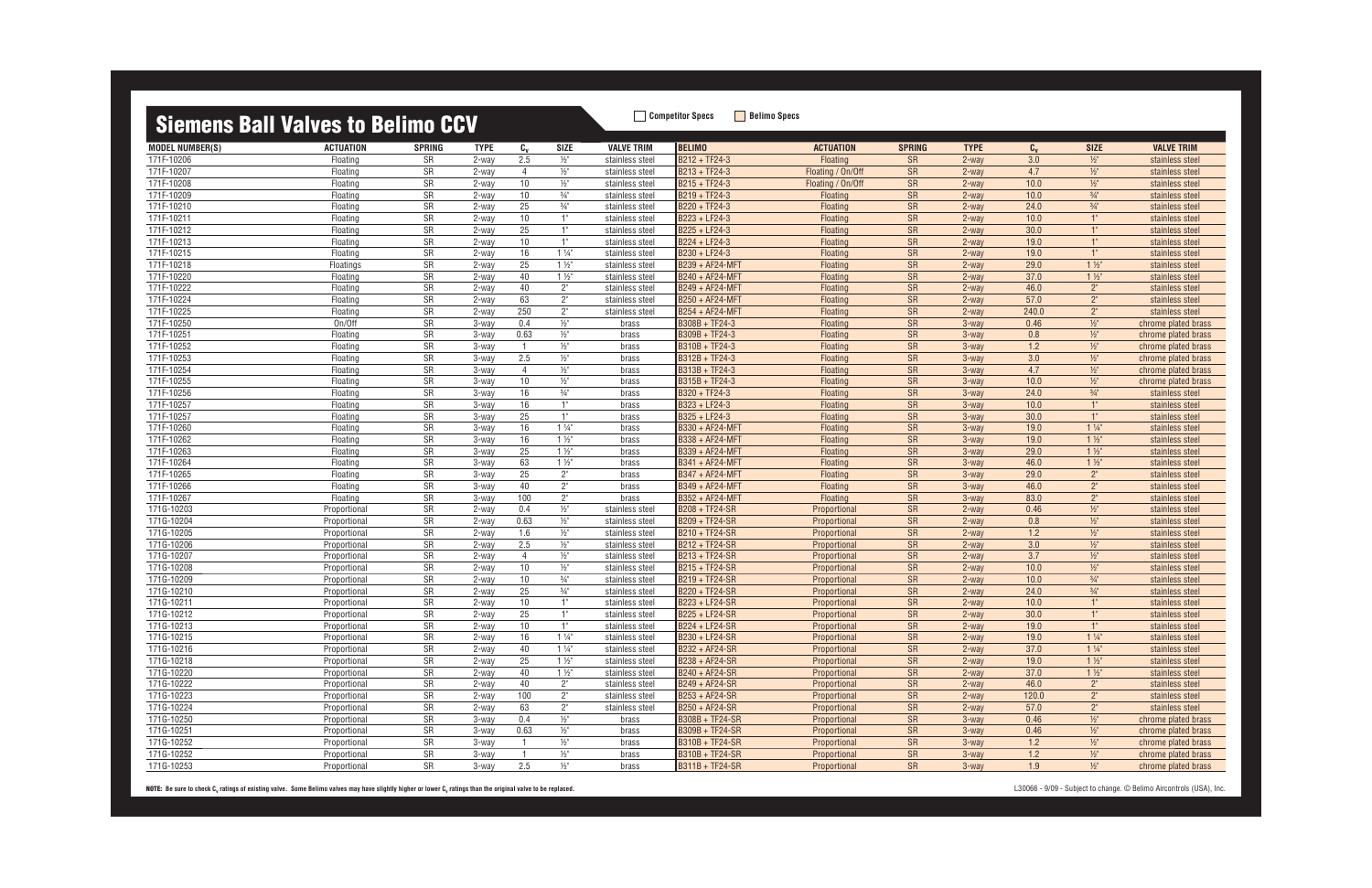| <u>oioinono pair varvoo to bornno oo r</u> |                  |           |             |                |                 |                   |                        |                   |               |             |         |                 |                     |
|--------------------------------------------|------------------|-----------|-------------|----------------|-----------------|-------------------|------------------------|-------------------|---------------|-------------|---------|-----------------|---------------------|
| <b>MODEL NUMBER(S)</b>                     | <b>ACTUATION</b> | SPRING    | <b>TYPE</b> | $c_{v}$        | SIZE            | <b>VALVE TRIM</b> | <b>BELIMO</b>          | <b>ACTUATION</b>  | <b>SPRING</b> | <b>TYPE</b> | $C_{v}$ | <b>SIZE</b>     | <b>VALVE TRIM</b>   |
| 171F-10206                                 | Floating         | SR        | 2-way       | 2.5            | $\frac{1}{2}$   | stainless steel   | B212 + TF24-3          | Floating          | <b>SR</b>     | 2-way       | 3.0     | $1/2$ "         | stainless steel     |
| 171F-10207                                 | Floating         | SR        | 2-way       | $\overline{4}$ | $\frac{1}{2}$   | stainless steel   | B213 + TF24-3          | Floating / On/Off | <b>SR</b>     | $2$ -way    | 4.7     | $1/2$ "         | stainless steel     |
| 171F-10208                                 | Floating         | SR        | 2-way       | 10             | $\frac{1}{2}$   | stainless steel   | B215 + TF24-3          | Floating / On/Off | <b>SR</b>     | 2-way       | 10.0    | $\frac{1}{2}$   | stainless steel     |
| 171F-10209                                 | Floating         | SR        | 2-way       | 10             | $\frac{3}{4}$ " | stainless steel   | B219 + TF24-3          | Floating          | <b>SR</b>     | $2$ -way    | 10.0    | $\frac{3}{4}$ " | stainless steel     |
| 171F-10210                                 | Floating         | SR        | 2-way       | 25             | $\frac{3}{4}$ " | stainless steel   | B220 + TF24-3          | Floating          | <b>SR</b>     | $2$ -way    | 24.0    | $\frac{3}{4}$ " | stainless steel     |
| 171F-10211                                 | Floating         | SR        | 2-way       | 10             | 1"              | stainless steel   | B223 + LF24-3          | Floating          | <b>SR</b>     | $2$ -way    | 10.0    | 1"              | stainless steel     |
| 171F-10212                                 | Floating         | SR        | 2-way       | 25             | 1"              | stainless steel   | B225 + LF24-3          | Floating          | <b>SR</b>     | 2-way       | 30.0    | 1"              | stainless steel     |
| 171F-10213                                 | Floating         | SR        | 2-way       | 10             | 1"              | stainless steel   | B224 + LF24-3          | Floating          | <b>SR</b>     | $2$ -way    | 19.0    | 1"              | stainless steel     |
| 171F-10215                                 | Floating         | <b>SR</b> | 2-way       | 16             | $1\frac{1}{4}$  | stainless steel   | B230 + LF24-3          | Floating          | <b>SR</b>     | $2$ -way    | 19.0    | 1"              | stainless steel     |
| 171F-10218                                 | Floatings        | SR        | 2-way       | 25             | $1\frac{1}{2}$  | stainless steel   | <b>B239 + AF24-MFT</b> | Floating          | SR            | $2$ -way    | 29.0    | $1\frac{1}{2}$  | stainless steel     |
| 171F-10220                                 | Floating         | SR        | 2-way       | 40             | $1\frac{1}{2}$  | stainless steel   | B240 + AF24-MFT        | Floating          | <b>SR</b>     | $2$ -way    | 37.0    | $1\frac{1}{2}$  | stainless steel     |
| 171F-10222                                 | Floating         | SR        | 2-way       | 40             | $2^{\circ}$     | stainless steel   | B249 + AF24-MFT        | Floating          | <b>SR</b>     | $2$ -way    | 46.0    | 2 <sup>n</sup>  | stainless steel     |
| 171F-10224                                 | Floating         | SR        | 2-way       | 63             | $2^{\circ}$     | stainless steel   | B250 + AF24-MFT        | Floating          | <b>SR</b>     | $2$ -way    | 57.0    | 2 <sup>n</sup>  | stainless steel     |
| 171F-10225                                 | Floating         | SR        | 2-way       | 250            | $2^{\circ}$     | stainless steel   | <b>B254 + AF24-MFT</b> | Floating          | <b>SR</b>     | 2-way       | 240.0   | 2 <sup>n</sup>  | stainless steel     |
| 171F-10250                                 | On/Off           | SR        | 3-way       | 0.4            | $\frac{1}{2}$   | brass             | B308B + TF24-3         | Floating          | <b>SR</b>     | $3$ -way    | 0.46    | $1/2$ "         | chrome plated brass |
| 171F-10251                                 | Floating         | SR        | 3-way       | 0.63           | $\frac{1}{2}$   | brass             | B309B + TF24-3         | Floating          | <b>SR</b>     | 3-way       | 0.8     | $1/2$ "         | chrome plated brass |
| 171F-10252                                 | Floating         | SR        | 3-way       | $\overline{1}$ | $\frac{1}{2}$ " | brass             | B310B + TF24-3         | Floating          | <b>SR</b>     | $3$ -way    | 1.2     | $1/2$ "         | chrome plated brass |
| 171F-10253                                 | Floating         | SR        | 3-way       | 2.5            | $\frac{1}{2}$   | brass             | B312B + TF24-3         | Floating          | <b>SR</b>     | 3-way       | 3.0     | $1/2$ "         | chrome plated brass |
| 171F-10254                                 | Floating         | SR        | 3-way       | $\overline{4}$ | $\frac{1}{2}$   | brass             | B313B + TF24-3         | Floating          | <b>SR</b>     | $3$ -way    | 4.7     | $1/2$ "         | chrome plated brass |
| 171F-10255                                 | Floating         | SR        | 3-way       | 10             | $\frac{1}{2}$   | brass             | B315B + TF24-3         | Floating          | <b>SR</b>     | $3$ -way    | 10.0    | $1/2$ "         | chrome plated brass |
| 171F-10256                                 | Floating         | SR        | 3-way       | 16             | $\frac{3}{4}$ " | brass             | B320 + TF24-3          | Floating          | <b>SR</b>     | 3-way       | 24.0    | $\frac{3}{4}$ " | stainless steel     |
| 171F-10257                                 | Floating         | SR        | 3-way       | 16             | 1"              | brass             | B323 + LF24-3          | Floating          | <b>SR</b>     | 3-way       | 10.0    | 1"              | stainless steel     |
| 171F-10257                                 | Floating         | SR        | 3-way       | 25             | 1"              | brass             | B325 + LF24-3          | Floating          | <b>SR</b>     | $3$ -way    | 30.0    | 1"              | stainless steel     |
| 171F-10260                                 | Floating         | SR        | 3-way       | 16             | $1\frac{1}{4}$  | brass             | B330 + AF24-MFT        | Floating          | <b>SR</b>     | $3$ -way    | 19.0    | $1\frac{1}{4}$  | stainless steel     |
| 171F-10262                                 | Floating         | SR        | 3-way       | 16             | $1\frac{1}{2}$  | brass             | B338 + AF24-MFT        | Floating          | <b>SR</b>     | 3-way       | 19.0    | $1\frac{1}{2}$  | stainless steel     |
| 171F-10263                                 | Floating         | SR        | 3-way       | 25             | $1\frac{1}{2}$  | brass             | B339 + AF24-MFT        | Floating          | <b>SR</b>     | $3$ -way    | 29.0    | $1\frac{1}{2}$  | stainless steel     |
| 171F-10264                                 | Floating         | SR        | 3-way       | 63             | $1\frac{1}{2}$  | brass             | <b>B341 + AF24-MFT</b> | Floating          | <b>SR</b>     | $3$ -way    | 46.0    | $1\frac{1}{2}$  | stainless steel     |
| 171F-10265                                 | Floating         | SR        | 3-way       | 25             | $2^{\circ}$     | brass             | <b>B347 + AF24-MFT</b> | Floating          | <b>SR</b>     | $3$ -way    | 29.0    | 2 <sup>n</sup>  | stainless steel     |
| 171F-10266                                 | Floating         | SR        | 3-way       | 40             | $2^{\circ}$     | brass             | B349 + AF24-MFT        | Floating          | <b>SR</b>     | 3-way       | 46.0    | 2 <sup>°</sup>  | stainless steel     |
| 171F-10267                                 | Floating         | SR        | 3-way       | 100            | $2^{\circ}$     | brass             | B352 + AF24-MFT        | Floating          | <b>SR</b>     | $3$ -way    | 83.0    | 2 <sup>n</sup>  | stainless steel     |
| 171G-10203                                 | Proportional     | SR        | 2-way       | 0.4            | $\frac{1}{2}$ " | stainless steel   | B208 + TF24-SR         | Proportional      | <b>SR</b>     | 2-way       | 0.46    | $1/2$ "         | stainless steel     |
| 171G-10204                                 | Proportional     | SR        | 2-way       | 0.63           | $\frac{1}{2}$ " | stainless steel   | B209 + TF24-SR         | Proportional      | <b>SR</b>     | $2$ -way    | 0.8     | $1/2$ "         | stainless steel     |
| 171G-10205                                 | Proportional     | SR        | 2-way       | 1.6            | $\frac{1}{2}$   | stainless steel   | B210 + TF24-SR         | Proportional      | <b>SR</b>     | 2-way       | 1.2     | $1/2$ "         | stainless steel     |
| 171G-10206                                 | Proportional     | <b>SR</b> | $2$ -way    | 2.5            | $\frac{1}{2}$   | stainless steel   | B212 + TF24-SR         | Proportional      | <b>SR</b>     | $2$ -way    | 3.0     | $1/2$ "         | stainless steel     |
| 171G-10207                                 | Proportional     | SR        | 2-way       | $\overline{4}$ | $\frac{1}{2}$ " | stainless steel   | <b>B213 + TF24-SR</b>  | Proportional      | <b>SR</b>     | $2$ -way    | 3.7     | $\frac{1}{2}$   | stainless steel     |
| 171G-10208                                 | Proportional     | SR        | 2-way       | 10             | $\frac{1}{2}$   | stainless steel   | B215 + TF24-SR         | Proportional      | <b>SR</b>     | 2-way       | 10.0    | $1/2$ "         | stainless steel     |
| 171G-10209                                 | Proportional     | SR        | 2-way       | 10             | $\frac{3}{4}$ " | stainless steel   | B219 + TF24-SR         | Proportional      | <b>SR</b>     | 2-way       | 10.0    | $\frac{3}{4}$ " | stainless steel     |
| 171G-10210                                 | Proportional     | <b>SR</b> | 2-way       | 25             | $\frac{3}{4}$ " | stainless steel   | B220 + TF24-SR         | Proportional      | <b>SR</b>     | $2$ -way    | 24.0    | $\frac{3}{4}$ " | stainless steel     |
| 171G-10211                                 | Proportional     | SR        | 2-way       | 10             | 1"              | stainless steel   | <b>B223 + LF24-SR</b>  | Proportional      | <b>SR</b>     | $2$ -way    | 10.0    | 1"              | stainless steel     |
| 171G-10212                                 | Proportional     | <b>SR</b> | 2-way       | 25             | 1"              | stainless steel   | B225 + LF24-SR         | Proportional      | <b>SR</b>     | 2-way       | 30.0    | 1"              | stainless steel     |
| 171G-10213                                 | Proportional     | <b>SR</b> | $2$ -way    | 10             | 1"              | stainless steel   | B224 + LF24-SR         | Proportional      | <b>SR</b>     | $2$ -way    | 19.0    | 1"              | stainless steel     |
| 171G-10215                                 | Proportional     | SR        | 2-way       | 16             | $1\frac{1}{4}$  | stainless steel   | B230 + LF24-SR         | Proportional      | <b>SR</b>     | 2-way       | 19.0    | $1\frac{1}{4}$  | stainless steel     |
| 171G-10216                                 | Proportional     | SR        | 2-way       | 40             | $1\frac{1}{4}$  | stainless steel   | B232 + AF24-SR         | Proportional      | SR            | 2-way       | 37.0    | $1\frac{1}{4}$  | stainless steel     |
| 171G-10218                                 | Proportional     | SR        | 2-way       | 25             | $1\frac{1}{2}$  | stainless steel   | B238 + AF24-SR         | Proportional      | SR            | 2-way       | 19.0    | $1\frac{1}{2}$  | stainless steel     |
| 171G-10220                                 | Proportional     | SR        | 2-way       | 40             | $1\frac{1}{2}$  | stainless steel   | B240 + AF24-SR         | Proportional      | <b>SR</b>     | 2-way       | 37.0    | $1\frac{1}{2}$  | stainless steel     |
| 171G-10222                                 | Proportional     | SR        | 2-way       | 40             | $2^{\circ}$     | stainless steel   | B249 + AF24-SR         | Proportional      | SR            | 2-way       | 46.0    | $2^{\circ}$     | stainless steel     |
| 171G-10223                                 | Proportional     | SR        | 2-way       | 100            | $2^{\circ}$     | stainless steel   | B253 + AF24-SR         | Proportional      | SR            | 2-way       | 120.0   | $2^{\circ}$     | stainless steel     |
| 171G-10224                                 | Proportional     | SR        | 2-way       | 63             | $2^{\circ}$     | stainless steel   | B250 + AF24-SR         | Proportional      | <b>SR</b>     | 2-way       | 57.0    | $2^{\circ}$     | stainless steel     |
| 171G-10250                                 | Proportional     | SR        | 3-way       | 0.4            | $\frac{1}{2}$ " | brass             | B308B + TF24-SR        | Proportional      | SR            | 3-way       | 0.46    | $1/2$ "         | chrome plated brass |
| 171G-10251                                 | Proportional     | SR        | 3-way       | 0.63           | $\frac{1}{2}$   | brass             | B309B + TF24-SR        | Proportional      | SR            | 3-way       | 0.46    | $\frac{1}{2}$   | chrome plated brass |
| 171G-10252                                 | Proportional     | SR        | 3-way       |                | $\frac{1}{2}$ " | brass             | B310B + TF24-SR        | Proportional      | SR            | 3-way       | 1.2     | $\frac{1}{2}$   | chrome plated brass |
| 171G-10252                                 | Proportional     | SR        | 3-way       | $\overline{1}$ | $1/2$ "         | brass             | B310B + TF24-SR        | Proportional      | SR            | 3-way       | 1.2     | $\frac{1}{2}$   | chrome plated brass |
| 171G-10253                                 | Proportional     | SR        | 3-way       | 2.5            | $\frac{1}{2}$ " | brass             | B311B + TF24-SR        | Proportional      | SR            | 3-way       | 1.9     | $1/2$ "         | chrome plated brass |
|                                            |                  |           |             |                |                 |                   |                        |                   |               |             |         |                 |                     |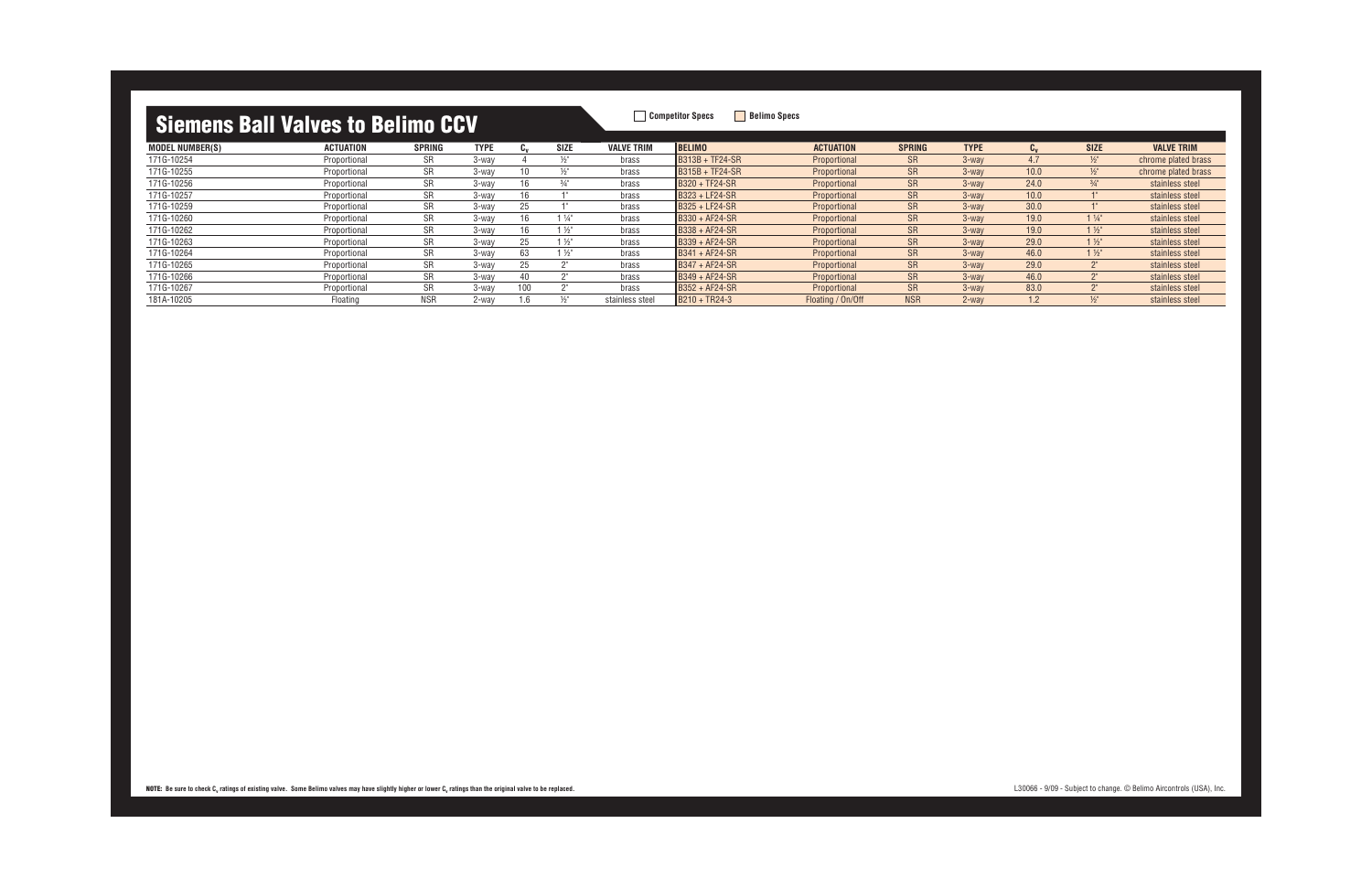| <u>Ululiulio Bull Vulfoo to Bollino OUT</u> |                  |               |             |     |                  |                   |                        |                   |               |             |           |                 |                     |
|---------------------------------------------|------------------|---------------|-------------|-----|------------------|-------------------|------------------------|-------------------|---------------|-------------|-----------|-----------------|---------------------|
| <b>MODEL NUMBER(S)</b>                      | <b>ACTUATION</b> | <b>SPRING</b> | <b>TYPE</b> | եա  | <b>SIZE</b>      | <b>VALVE TRIM</b> | <b>BELIMO</b>          | <b>ACTUATION</b>  | <b>SPRING</b> | <b>TYPE</b> | <b>Lv</b> | <b>SIZE</b>     | <b>VALVE TRIM</b>   |
| 171G-10254                                  | Proportional     | SR.           | 3-wav       |     | $\frac{1}{2}$ "  | brass             | <b>B313B + TF24-SR</b> | Proportional      | <b>SR</b>     | $3$ -way    | 4.7       | $\frac{1}{2}$ " | chrome plated brass |
| 171G-10255                                  | Proportional     | <b>SR</b>     | 3-wav       | 10  | $\frac{1}{2}$    | brass             | $BS15B + TF24-SR$      | Proportional      | SR.           | $3$ -way    | 10.0      | $\frac{1}{2}$   | chrome plated brass |
| 171G-10256                                  | Proportional     | SR.           | 3-wav       | 16  | $\frac{3}{4}$ "  | brass             | B320 + TF24-SR         | Proportional      | SR.           | $3$ -way    | 24.0      | $\frac{3}{4}$   | stainless steel     |
| 171G-10257                                  | Proportional     | SR.           | 3-wav       | 16  |                  | brass             | <b>B323 + LF24-SR</b>  | Proportional      | SR.           | $3$ -way    | 10.0      |                 | stainless steel     |
| 171G-10259                                  | Proportional     | <b>SR</b>     | 3-wav       | 25  |                  | brass             | <b>B325 + LF24-SR</b>  | Proportional      | <b>SR</b>     | $3$ -way    | 30.0      |                 | stainless steel     |
| 171G-10260                                  | Proportional     | <b>SR</b>     | 3-wav       | 16  | $1\frac{1}{4}$ " | brass             | B330 + AF24-SR         | Proportional      | <b>SR</b>     | $3$ -way    | 19.0      | $1\frac{1}{4}$  | stainless steel     |
| 171G-10262                                  | Proportional     | <b>SR</b>     | 3-wav       | 16  | $1\frac{1}{2}$   | brass             | $BS38 + AF24-SR$       | Proportional      | <b>SR</b>     | $3$ -way    | 19.0      | $1\frac{1}{2}$  | stainless steel     |
| 171G-10263                                  | Proportional     | <b>SR</b>     | 3-way       | 25  | $\frac{1}{2}$    | brass             | $BS39 + AF24-SR$       | Proportional      | <b>SR</b>     | $3$ -way    | 29.0      | $1\frac{1}{2}$  | stainless steel     |
| 171G-10264                                  | Proportional     | SR.           | 3-way       | 63  | $1\frac{1}{2}$   | brass             | $BS41 + AF24-SR$       | Proportional      | <b>SR</b>     | $3$ -way    | 46.0      | $1\frac{1}{2}$  | stainless steel     |
| 171G-10265                                  | Proportional     | <b>SR</b>     | 3-way       | 25  |                  | brass             | $BS47 + AF24-SR$       | Proportional      | <b>SR</b>     | $3$ -way    | 29.0      | יים             | stainless steel     |
| 171G-10266                                  | Proportional     | <b>SR</b>     | 3-wav       | 40  |                  | brass             | $BS49 + AF24-SR$       | Proportional      | <b>SR</b>     | $3$ -way    | 46.0      | ייר             | stainless steel     |
| 171G-10267                                  | Proportional     | <b>SR</b>     | 3-wav       | 100 |                  | brass             | B352 + AF24-SR         | Proportional      | <b>SR</b>     | $3$ -way    | 83.0      | ייר             | stainless steel     |
| 181A-10205                                  | Floating         | <b>NSR</b>    | 2-wav       | 1.6 | $\frac{1}{2}$    | stainless steel   | B210 + TR24-3          | Floating / On/Off | <b>NSR</b>    | $2$ -way    | 1.2       | $\frac{1}{2}$   | stainless steel     |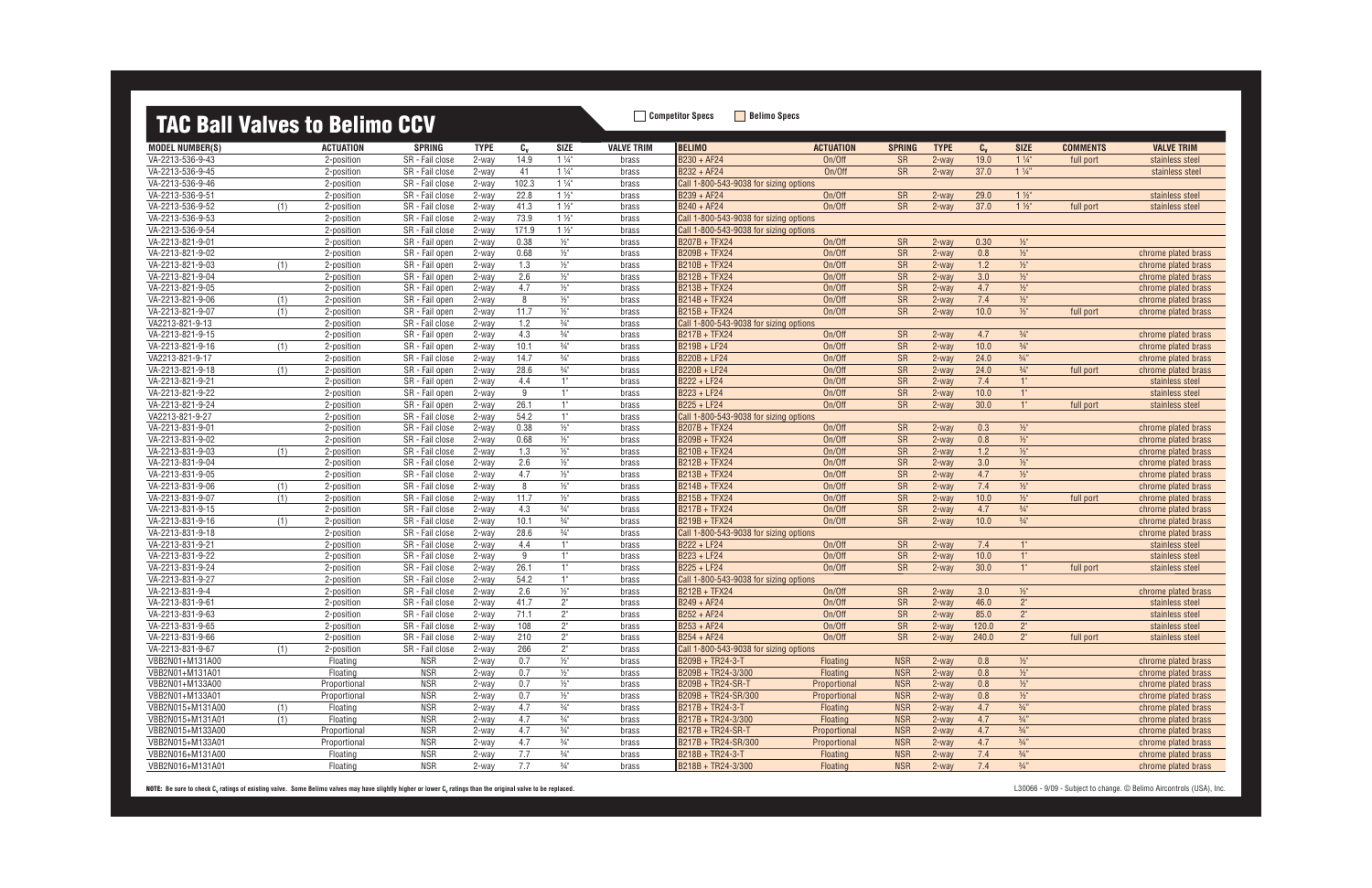## **TAC Ball Valves to Belimo CCV**

| <u>IAU DAII VAIVES LU DUIIIIIU UUV</u> |     |                          |                                    |                |                |                            |                   |                                                         |                  |                        |             |         |                 |                 |                                        |
|----------------------------------------|-----|--------------------------|------------------------------------|----------------|----------------|----------------------------|-------------------|---------------------------------------------------------|------------------|------------------------|-------------|---------|-----------------|-----------------|----------------------------------------|
| <b>MODEL NUMBER(S)</b>                 |     | ACTUATION                | <b>SPRING</b>                      | <b>TYPE</b>    | $c_{v}$        | <b>SIZE</b>                | <b>VALVE TRIM</b> | <b>BELIMO</b>                                           | <b>ACTUATION</b> | <b>SPRING</b>          | <b>TYPE</b> | $C_{V}$ | <b>SIZE</b>     | <b>COMMENTS</b> | <b>VALVE TRIM</b>                      |
| VA-2213-536-9-43                       |     | 2-position               | SR - Fail close                    | 2-way          | 14.9           | $1\frac{1}{4}$             | brass             | B230 + AF24                                             | On/Off           | <b>SR</b>              | 2-way       | 19.0    | $1\frac{1}{4}$  | full port       | stainless steel                        |
| VA-2213-536-9-45                       |     | 2-position               | SR - Fail close                    | 2-way          | 41             | $1\frac{1}{4}$             | brass             | B232 + AF24                                             | On/Off           | <b>SR</b>              | 2-way       | 37.0    | $1\frac{1}{4}$  |                 | stainless steel                        |
| VA-2213-536-9-46                       |     | 2-position               | SR - Fail close                    | 2-way          | 102.3          | $1\frac{1}{4}$             | brass             | Call 1-800-543-9038 for sizing options                  |                  |                        |             |         |                 |                 |                                        |
| VA-2213-536-9-51                       |     | 2-position               | SR - Fail close                    | 2-way          | 22.8           | $1\frac{1}{2}$             | brass             | B239 + AF24                                             | On/Off           | <b>SR</b>              | $2$ -way    | 29.0    | $1\frac{1}{2}$  |                 | stainless steel                        |
| VA-2213-536-9-52                       | (1) | 2-position               | SR - Fail close                    | 2-way          | 41.3           | $1\frac{1}{2}$             | brass             | B240 + AF24                                             | On/Off           | <b>SR</b>              | 2-way       | 37.0    | $1\frac{1}{2}$  | full port       | stainless steel                        |
| VA-2213-536-9-53                       |     | 2-position               | SR - Fail close                    | 2-way          | 73.9           | $1\frac{1}{2}$             | brass             | Call 1-800-543-9038 for sizing options                  |                  |                        |             |         |                 |                 |                                        |
| VA-2213-536-9-54                       |     | 2-position               | SR - Fail close                    | 2-way          | 171.9          | $1\frac{1}{2}$             | brass             | Call 1-800-543-9038 for sizing options                  |                  |                        |             |         |                 |                 |                                        |
| VA-2213-821-9-01                       |     | 2-position               | SR - Fail open                     | 2-way          | 0.38           | $1/2$ "                    | brass             | <b>B207B + TFX24</b>                                    | On/Off           | <b>SR</b>              | 2-way       | 0.30    | $\frac{1}{2}$   |                 |                                        |
| VA-2213-821-9-02                       |     | 2-position               | SR - Fail open                     | 2-way          | 0.68           | $\frac{1}{2}$              | brass             | B209B + TFX24                                           | On/Off           | <b>SR</b>              | 2-way       | 0.8     | $\frac{1}{2}$   |                 | chrome plated brass                    |
| VA-2213-821-9-03                       | (1) | 2-position               | SR - Fail open                     | 2-way          | 1.3            | $\frac{1}{2}$ "            | brass             | <b>B210B + TFX24</b>                                    | On/Off           | <b>SR</b>              | 2-way       | 1.2     | $\frac{1}{2}$   |                 | chrome plated brass                    |
| VA-2213-821-9-04                       |     | 2-position               | SR - Fail open                     | 2-way          | 2.6            | $1/2$ "                    | brass             | <b>B212B + TFX24</b>                                    | On/Off           | <b>SR</b>              | 2-way       | 3.0     | $1/2$ "         |                 | chrome plated brass                    |
| VA-2213-821-9-05                       |     | 2-position               | SR - Fail open                     | 2-way          | 4.7            | $\frac{1}{2}$ "            | brass             | B213B + TFX24                                           | On/Off           | SR                     | 2-way       | 4.7     | $\frac{1}{2}$   |                 | chrome plated brass                    |
| VA-2213-821-9-06                       | (1) | 2-position               | SR - Fail open                     | 2-way          | 8              | $1/2$ "                    | brass             | B214B + TFX24                                           | On/Off           | SR                     | 2-way       | 7.4     | $\frac{1}{2}$   |                 | chrome plated brass                    |
| VA-2213-821-9-07                       | (1) | 2-position               | SR - Fail open                     | 2-way          | 11.7           | $1/2$ "                    | brass             | <b>B215B + TFX24</b>                                    | On/Off           | <b>SR</b>              | 2-way       | 10.0    | $\frac{1}{2}$   | full port       | chrome plated brass                    |
| VA2213-821-9-13                        |     | 2-position               | SR - Fail close                    | 2-way          | 1.2            | $\frac{3}{4}$ <sup>"</sup> | brass             | Call 1-800-543-9038 for sizing options                  |                  |                        |             |         |                 |                 |                                        |
| VA-2213-821-9-15                       |     | 2-position               | SR - Fail open                     | 2-way          | 4.3            | $\frac{3}{4}$ "            | brass             | B217B + TFX24                                           | On/Off           | SR                     | 2-way       | 4.7     | $\frac{3}{4}$ " |                 | chrome plated brass                    |
| VA-2213-821-9-16                       | (1) | 2-position               | SR - Fail open                     | 2-way          | 10.1           | $\frac{3}{4}$ "            | brass             | B219B + LF24                                            | On/Off           | <b>SR</b>              | 2-way       | 10.0    | $\frac{3}{4}$ " |                 | chrome plated brass                    |
| VA2213-821-9-17                        |     | 2-position               | SR - Fail close                    | 2-way          | 14.7           | $\frac{3}{4}$ <sup>"</sup> | brass             | B220B + LF24                                            | On/Off           | SR                     | 2-way       | 24.0    | $3/4$ "         |                 | chrome plated brass                    |
| VA-2213-821-9-18                       | (1) | 2-position               | SR - Fail open                     | 2-way          | 28.6           | $\frac{3}{4}$ "            | brass             | B220B + LF24                                            | On/Off           | SR                     | $2$ -way    | 24.0    | $\frac{3}{4}$ " | full port       | chrome plated brass                    |
| VA-2213-821-9-21                       |     | 2-position               | SR - Fail open                     | 2-way          | 4.4            | 1"                         | brass             | B222 + LF24                                             | On/Off           | <b>SR</b>              | 2-way       | 7.4     | 1"              |                 | stainless steel                        |
| VA-2213-821-9-22                       |     | 2-position               | SR - Fail open                     | 2-way          | 9              | 1"                         | brass             | B223 + LF24                                             | On/Off           | <b>SR</b>              | 2-way       | 10.0    | 1"              |                 | stainless steel                        |
| VA-2213-821-9-24                       |     | 2-position               | SR - Fail open                     | 2-way          | 26.1           | 1"                         | brass             | B225 + LF24                                             | On/Off           | <b>SR</b>              | $2$ -way    | 30.0    | 1"              | full port       | stainless steel                        |
| VA2213-821-9-27                        |     | 2-position               | SR - Fail close                    | 2-way          | 54.2           | 1"                         | brass             | Call 1-800-543-9038 for sizing options                  |                  |                        |             |         |                 |                 |                                        |
| VA-2213-831-9-01                       |     | 2-position               | SR - Fail close                    | 2-way          | 0.38           | $\frac{1}{2}$ "            | brass             | <b>B207B + TFX24</b>                                    | On/Off           | SR                     | 2-way       | 0.3     | $\frac{1}{2}$   |                 | chrome plated brass                    |
| VA-2213-831-9-02                       |     | 2-position               | SR - Fail close                    | 2-way          | 0.68           | $\frac{1}{2}$ "            | brass             | <b>B209B + TFX24</b>                                    | On/Off           | SR                     | 2-way       | 0.8     | $\frac{1}{2}$   |                 | chrome plated brass                    |
| VA-2213-831-9-03                       | (1) | 2-position               | SR - Fail close                    | 2-way          | 1.3            | $1/2$ "                    | brass             | <b>B210B + TFX24</b>                                    | On/Off           | SR                     | 2-way       | 1.2     | $\frac{1}{2}$   |                 | chrome plated brass                    |
| VA-2213-831-9-04                       |     | 2-position               | SR - Fail close                    | 2-way          | 2.6            | $1/2$ "                    | brass             | B212B + TFX24                                           | On/Off           | SR                     | 2-way       | 3.0     | $1/2$ "         |                 | chrome plated brass                    |
| VA-2213-831-9-05                       |     | 2-position               | SR - Fail close                    | 2-way          | 4.7            | $1/2$ "                    | brass             | B213B + TFX24                                           | On/Off           | SR                     | 2-way       | 4.7     | $\frac{1}{2}$   |                 | chrome plated brass                    |
| VA-2213-831-9-06                       | (1) | 2-position               | SR - Fail close                    | 2-way          | $\overline{8}$ | $\frac{1}{2}$ "            | brass             | B214B + TFX24                                           | On/Off           | <b>SR</b>              | 2-way       | 7.4     | $1/2$ "         |                 | chrome plated brass                    |
| VA-2213-831-9-07                       | (1) | 2-position               | SR - Fail close                    | 2-way          | 11.7           | $\frac{1}{2}$              | brass             | B215B + TFX24                                           | On/Off           | <b>SR</b>              | $2$ -way    | 10.0    | $\frac{1}{2}$   | full port       | chrome plated brass                    |
| VA-2213-831-9-15                       |     | 2-position               | SR - Fail close                    | 2-way          | 4.3            | $\frac{3}{4}$ "            | brass             | <b>B217B + TFX24</b>                                    | On/Off           | <b>SR</b>              | 2-way       | 4.7     | $\frac{3}{4}$ " |                 | chrome plated brass                    |
| VA-2213-831-9-16                       | (1) | 2-position               | SR - Fail close                    | 2-way          | 10.1           | $\frac{3}{4}$ "            | brass             | B219B + TFX24                                           | On/Off           | <b>SR</b>              | 2-way       | 10.0    | $\frac{3}{4}$ " |                 | chrome plated brass                    |
| VA-2213-831-9-18                       |     | 2-position               | SR - Fail close                    | 2-way          | 28.6           | $3/4$ "                    | brass             | Call 1-800-543-9038 for sizing options                  |                  |                        |             |         |                 |                 | chrome plated brass                    |
| VA-2213-831-9-21                       |     | 2-position               | SR - Fail close                    | 2-way          | 4.4            | 1"<br>1"                   | brass             | B222 + LF24                                             | On/Off           | <b>SR</b>              | 2-way       | 7.4     | 1"              |                 | stainless steel                        |
| VA-2213-831-9-22                       |     | 2-position               | SR - Fail close                    | 2-way          | 9              | 1"                         | brass             | B223 + LF24<br>B225 + LF24                              | On/Off           | <b>SR</b>              | 2-way       | 10.0    | 1"              |                 | stainless steel                        |
| VA-2213-831-9-24                       |     | 2-position               | SR - Fail close                    | 2-way          | 26.1           | 1"                         | brass             |                                                         | On/Off           | <b>SR</b>              | 2-way       | 30.0    | $1^{\circ}$     | full port       | stainless steel                        |
| VA-2213-831-9-27<br>VA-2213-831-9-4    |     | 2-position               | SR - Fail close                    | 2-way          | 54.2<br>2.6    | $1/2$ "                    | brass             | Call 1-800-543-9038 for sizing options<br>B212B + TFX24 | On/Off           |                        | 2-way       | 3.0     | $1/2$ "         |                 |                                        |
| VA-2213-831-9-61                       |     | 2-position               | SR - Fail close<br>SR - Fail close | 2-way          | 41.7           | $2^{\circ}$                | brass             | B249 + AF24                                             | On/Off           | <b>SR</b>              | 2-way       | 46.0    | 2 <sup>n</sup>  |                 | chrome plated brass<br>stainless steel |
| VA-2213-831-9-63                       |     | 2-position<br>2-position | SR - Fail close                    | 2-way<br>2-way | 71.1           | $2^{\circ}$                | brass<br>brass    | B252 + AF24                                             | On/Off           | <b>SR</b><br><b>SR</b> | 2-way       | 85.0    | 2"              |                 | stainless steel                        |
| VA-2213-831-9-65                       |     | 2-position               | SR - Fail close                    | 2-way          | 108            | 2"                         | brass             | B253 + AF24                                             | On/Off           | <b>SR</b>              | $2$ -way    | 120.0   | 2 <sup>n</sup>  |                 |                                        |
| VA-2213-831-9-66                       |     | 2-position               | SR - Fail close                    | 2-way          | 210            | $2^{\circ}$                | brass             | $B254 + AF24$                                           | On/Off           | SR                     | 2-way       | 240.0   | $2^{\circ}$     |                 | stainless steel                        |
| VA-2213-831-9-67                       | (1) | 2-position               | SR - Fail close                    | 2-way          | 266            | $2^{\circ}$                | brass             | Call 1-800-543-9038 for sizing options                  |                  |                        |             |         |                 | full port       | stainless steel                        |
| VBB2N01+M131A00                        |     | Floating                 | NSR                                | 2-way          | 0.7            | $\frac{1}{2}$ "            | brass             | B209B + TR24-3-T                                        | Floating         | <b>NSR</b>             | 2-way       | 0.8     | $\frac{1}{2}$   |                 | chrome plated brass                    |
| VBB2N01+M131A01                        |     | Floating                 | <b>NSR</b>                         | 2-way          | 0.7            | $1/2$ "                    | brass             | B209B + TR24-3/300                                      | Floating         | <b>NSR</b>             | 2-way       | 0.8     | $1/2$ "         |                 | chrome plated brass                    |
| VBB2N01+M133A00                        |     | Proportional             | <b>NSR</b>                         | 2-way          | 0.7            | $1/2$ "                    | brass             | B209B + TR24-SR-T                                       | Proportional     | <b>NSR</b>             | 2-way       | 0.8     | $\frac{1}{2}$   |                 | chrome plated brass                    |
| VBB2N01+M133A01                        |     | Proportional             | <b>NSR</b>                         | 2-way          | 0.7            | $\frac{1}{2}$ "            | brass             | B209B + TR24-SR/300                                     | Proportional     | <b>NSR</b>             | 2-way       | 0.8     | $\frac{1}{2}$   |                 | chrome plated brass                    |
| VBB2N015+M131A00                       | (1) | Floating                 | <b>NSR</b>                         | 2-way          | 4.7            | $\frac{3}{4}$ "            | brass             | B217B + TR24-3-T                                        | <b>Floating</b>  | <b>NSR</b>             | $2$ -way    | 4.7     | $\frac{3}{4}$ " |                 | chrome plated brass                    |
| VBB2N015+M131A01                       | (1) | Floating                 | <b>NSR</b>                         | 2-way          | 4.7            | $3/4$ "                    | brass             | B217B + TR24-3/300                                      | Floating         | <b>NSR</b>             | 2-way       | 4.7     | $\frac{3}{4}$ " |                 | chrome plated brass                    |
| VBB2N015+M133A00                       |     | Proportional             | <b>NSR</b>                         | 2-way          | 4.7            | $\frac{3}{4}$ "            | brass             | B217B + TR24-SR-T                                       | Proportional     | <b>NSR</b>             | 2-way       | 4.7     | $\frac{3}{4}$ " |                 | chrome plated brass                    |
| VBB2N015+M133A01                       |     | Proportional             | <b>NSR</b>                         | 2-way          | 4.7            | $\frac{3}{4}$ "            | brass             | B217B + TR24-SR/300                                     | Proportional     | <b>NSR</b>             | $2$ -way    | 4.7     | $3/4$ "         |                 | chrome plated brass                    |
| VBB2N016+M131A00                       |     | Floating                 | <b>NSR</b>                         | 2-way          | 7.7            | $\frac{3}{4}$ "            | brass             | B218B + TR24-3-T                                        | <b>Floating</b>  | <b>NSR</b>             | 2-way       | 7.4     | $\frac{3}{4}$ " |                 | chrome plated brass                    |
| VBB2N016+M131A01                       |     | Floating                 | <b>NSR</b>                         | 2-way          | 7.7            | $\frac{3}{4}$ "            | brass             | B218B + TR24-3/300                                      | <b>Floating</b>  | <b>NSR</b>             | 2-way       | 7.4     | $3/4$ "         |                 | chrome plated brass                    |
|                                        |     |                          |                                    |                |                |                            |                   |                                                         |                  |                        |             |         |                 |                 |                                        |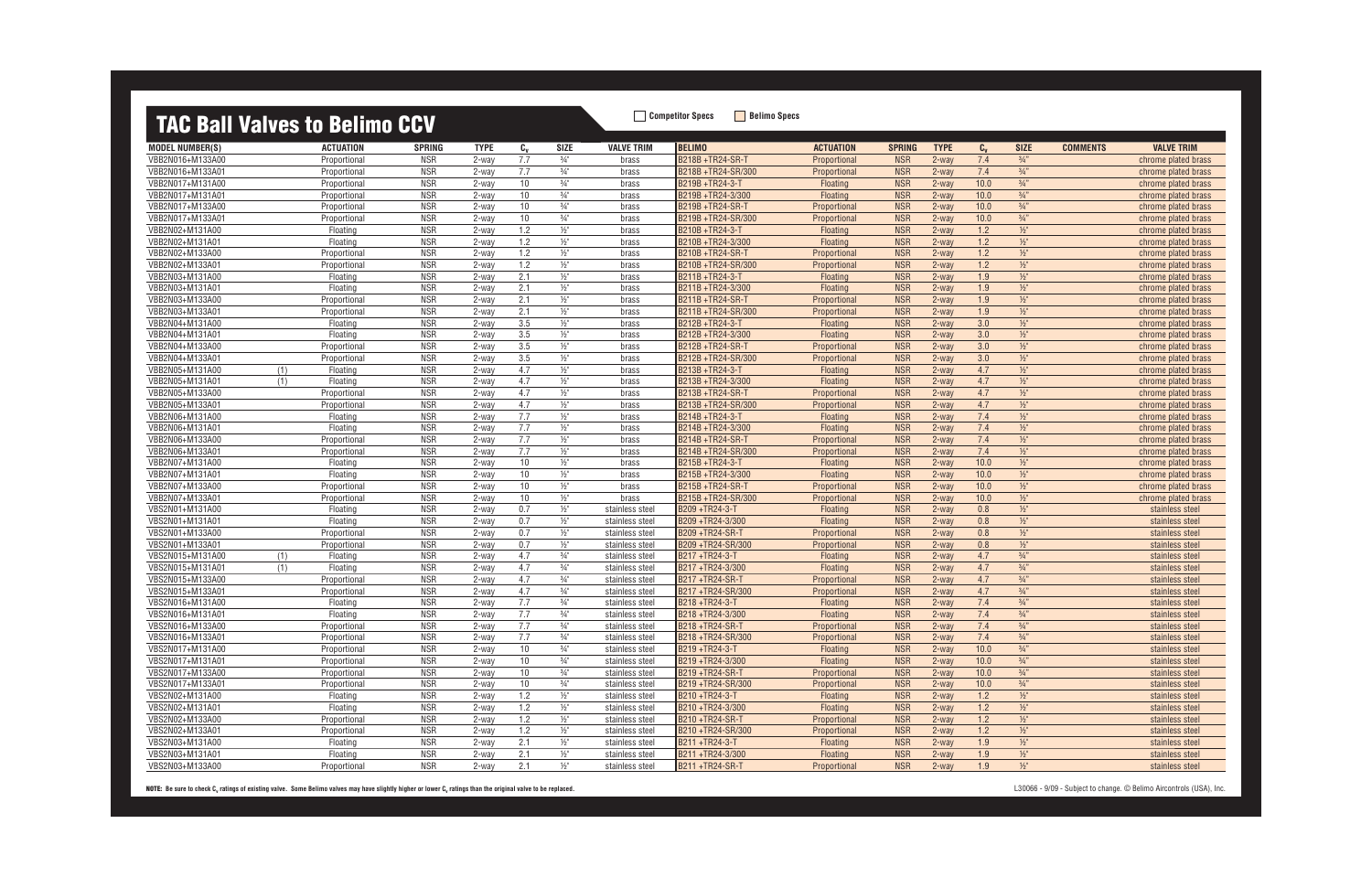## **TAC Ball Valves to Belimo CCV** Belimo Specs **Bellimo Specs**

|                        | ing pan valvoo to bonno oo t |               |             |             |                 |                   |                       |                  |               |             |         |                 |                 |                     |
|------------------------|------------------------------|---------------|-------------|-------------|-----------------|-------------------|-----------------------|------------------|---------------|-------------|---------|-----------------|-----------------|---------------------|
| <b>MODEL NUMBER(S)</b> | <b>ACTUATION</b>             | <b>SPRING</b> | <b>TYPE</b> | $C_{\rm V}$ | <b>SIZE</b>     | <b>VALVE TRIM</b> | <b>BELIMO</b>         | <b>ACTUATION</b> | <b>SPRING</b> | <b>TYPE</b> | $c_{v}$ | <b>SIZE</b>     | <b>COMMENTS</b> | <b>VALVE TRIM</b>   |
| VBB2N016+M133A00       | Proportional                 | <b>NSR</b>    | 2-way       | 7.7         | $\frac{3}{4}$ " | brass             | B218B +TR24-SR-T      | Proportional     | <b>NSR</b>    | $2$ -way    | 7.4     | $\frac{3}{4}$ " |                 | chrome plated brass |
| VBB2N016+M133A01       | Proportional                 | <b>NSR</b>    | 2-way       | 7.7         | $\frac{3}{4}$ " | brass             | B218B +TR24-SR/300    | Proportional     | <b>NSR</b>    | $2$ -way    | 7.4     | $\frac{3}{4}$ " |                 | chrome plated brass |
| VBB2N017+M131A00       | Proportional                 | <b>NSR</b>    | 2-way       | 10          | $\frac{3}{4}$ " | brass             | B219B +TR24-3-T       | Floating         | <b>NSR</b>    | 2-way       | 10.0    | $3/4$ "         |                 | chrome plated brass |
| VBB2N017+M131A01       | Proportional                 | <b>NSR</b>    | $2$ -way    | 10          | $\frac{3}{4}$ " | brass             | B219B +TR24-3/300     | <b>Floating</b>  | <b>NSR</b>    | $2$ -way    | 10.0    | $\frac{3}{4}$ " |                 | chrome plated brass |
| VBB2N017+M133A00       | Proportional                 | <b>NSR</b>    | 2-way       | 10          | $\frac{3}{4}$ " | brass             | B219B+TR24-SR-T       | Proportional     | <b>NSR</b>    | $2$ -way    | 10.0    | $\frac{3}{4}$ " |                 | chrome plated brass |
| VBB2N017+M133A01       | Proportional                 | <b>NSR</b>    | $2$ -way    | 10          | $\frac{3}{4}$ " | brass             | B219B +TR24-SR/300    | Proportional     | <b>NSR</b>    | $2$ -way    | 10.0    | $3/4$ "         |                 | chrome plated brass |
| VBB2N02+M131A00        | Floating                     | <b>NSR</b>    | 2-way       | 1.2         | $\frac{1}{2}$   | brass             | B210B +TR24-3-T       | Floating         | <b>NSR</b>    | 2-way       | 1.2     | $1/2$ "         |                 | chrome plated brass |
| VBB2N02+M131A01        | Floatinc                     | <b>NSR</b>    | $2$ -way    | 1.2         | $\frac{1}{2}$   | brass             | B210B +TR24-3/300     | Floating         | <b>NSR</b>    | $2$ -way    | 1.2     | $1/2$ "         |                 | chrome plated brass |
| VBB2N02+M133A00        | Proportional                 | <b>NSR</b>    | 2-way       | 1.2         | $\frac{1}{2}$   | brass             | B210B +TR24-SR-T      | Proportional     | <b>NSR</b>    | $2$ -way    | 1.2     | $\frac{1}{2}$   |                 | chrome plated brass |
| VBB2N02+M133A01        | Proportional                 | <b>NSR</b>    | 2-way       | 1.2         | $\frac{1}{2}$   | brass             | B210B +TR24-SR/300    | Proportional     | <b>NSR</b>    | $2$ -way    | 1.2     | $1/2$ "         |                 | chrome plated brass |
| VBB2N03+M131A00        | Floating                     | <b>NSR</b>    | 2-way       | 2.1         | $1/2$ "         | brass             | B211B +TR24-3-T       | Floating         | <b>NSR</b>    | $2$ -way    | 1.9     | $1/2$ "         |                 | chrome plated brass |
| VBB2N03+M131A01        | Floating                     | <b>NSR</b>    | $2$ -way    | 2.1         | $\frac{1}{2}$   | brass             | B211B+TR24-3/300      | Floating         | <b>NSR</b>    | $2$ -way    | 1.9     | $1/2$ "         |                 | chrome plated brass |
| VBB2N03+M133A00        | Proportional                 | <b>NSR</b>    | $2$ -way    | 2.1         | $\frac{1}{2}$ " | brass             | B211B+TR24-SR-T       | Proportional     | <b>NSR</b>    | $2$ -way    | 1.9     | $1/2"$          |                 | chrome plated brass |
| VBB2N03+M133A01        | Proportional                 | <b>NSR</b>    | 2-way       | 2.1         | $\frac{1}{2}$   | brass             | B211B +TR24-SR/300    | Proportional     | <b>NSR</b>    | $2$ -way    | 1.9     | $\frac{1}{2}$   |                 | chrome plated brass |
| VBB2N04+M131A00        | Floating                     | <b>NSR</b>    | 2-way       | 3.5         | $\frac{1}{2}$   | brass             | B212B +TR24-3-T       | Floating         | <b>NSR</b>    | $2$ -way    | 3.0     | $1/2$ "         |                 | chrome plated brass |
| VBB2N04+M131A01        | Floating                     | <b>NSR</b>    | 2-way       | 3.5         | $\frac{1}{2}$   | brass             | B212B +TR24-3/300     | Floating         | <b>NSR</b>    | $2$ -way    | 3.0     | $1/2$ "         |                 | chrome plated brass |
| VBB2N04+M133A00        | Proportional                 | <b>NSR</b>    | $2$ -way    | 3.5         | $\frac{1}{2}$ " | brass             | B212B +TR24-SR-T      | Proportional     | <b>NSR</b>    | $2$ -way    | 3.0     | $1/2$ "         |                 | chrome plated brass |
| VBB2N04+M133A01        | Proportional                 | <b>NSR</b>    | 2-way       | 3.5         | $\frac{1}{2}$   | brass             | B212B +TR24-SR/300    | Proportional     | <b>NSR</b>    | $2$ -way    | 3.0     | $\frac{1}{2}$   |                 | chrome plated brass |
| VBB2N05+M131A00        | (1)<br>Floating              | <b>NSR</b>    | $2$ -way    | 4.7         | $\frac{1}{2}$   | brass             | B213B +TR24-3-T       | <b>Floating</b>  | <b>NSR</b>    | $2$ -way    | 4.7     | $1/2$ "         |                 | chrome plated brass |
| VBB2N05+M131A01        | (1)<br>Floating              | <b>NSR</b>    | 2-way       | 4.7         | $\frac{1}{2}$   | brass             | B213B +TR24-3/300     | Floating         | <b>NSR</b>    | $2$ -way    | 4.7     | $1/2$ "         |                 | chrome plated brass |
| VBB2N05+M133A00        | Proportional                 | <b>NSR</b>    | 2-way       | 4.7         | $\frac{1}{2}$ " | brass             | B213B +TR24-SR-T      | Proportional     | <b>NSR</b>    | $2$ -way    | 4.7     | $1/2$ "         |                 | chrome plated brass |
| VBB2N05+M133A01        | Proportional                 | <b>NSR</b>    | 2-way       | 4.7         | $\frac{1}{2}$   | brass             | B213B +TR24-SR/300    | Proportional     | <b>NSR</b>    | $2$ -way    | 4.7     | $1/2$ "         |                 | chrome plated brass |
| VBB2N06+M131A00        | Floating                     | <b>NSR</b>    | 2-way       | 7.7         | $\frac{1}{2}$   | brass             | B214B +TR24-3-T       | Floating         | <b>NSR</b>    | $2$ -way    | 7.4     | $1/2$ "         |                 | chrome plated brass |
| VBB2N06+M131A01        | Floating                     | <b>NSR</b>    | 2-way       | 7.7         | $\frac{1}{2}$   | brass             | B214B+TR24-3/300      | <b>Floating</b>  | <b>NSR</b>    | $2$ -way    | 7.4     | $1/2$ "         |                 | chrome plated brass |
| VBB2N06+M133A00        | Proportional                 | <b>NSR</b>    | 2-way       | 7.7         | $\frac{1}{2}$   | brass             | B214B +TR24-SR-T      | Proportional     | <b>NSR</b>    | $2$ -way    | 7.4     | $1/2$ "         |                 | chrome plated brass |
| VBB2N06+M133A01        | Proportional                 | <b>NSR</b>    | 2-way       | 7.7         | $1/2$ "         | brass             | B214B +TR24-SR/300    | Proportional     | <b>NSR</b>    | $2$ -way    | 7.4     | $1/2"$          |                 | chrome plated brass |
| VBB2N07+M131A00        | Floating                     | <b>NSR</b>    | $2$ -way    | 10          | $\frac{1}{2}$ " | brass             | B215B +TR24-3-T       | Floating         | <b>NSR</b>    | $2$ -way    | 10.0    | $1/2$ "         |                 | chrome plated brass |
| VBB2N07+M131A01        | Floating                     | <b>NSR</b>    | 2-way       | 10          | $\frac{1}{2}$ " | brass             | B215B +TR24-3/300     | <b>Floating</b>  | <b>NSR</b>    | $2$ -way    | 10.0    | $1/2"$          |                 | chrome plated brass |
| VBB2N07+M133A00        | Proportional                 | <b>NSR</b>    | 2-way       | 10          | $\frac{1}{2}$   | brass             | B215B +TR24-SR-T      | Proportional     | <b>NSR</b>    | $2$ -way    | 10.0    | $\frac{1}{2}$   |                 | chrome plated brass |
| VBB2N07+M133A01        | Proportional                 | <b>NSR</b>    | 2-way       | 10          | $\frac{1}{2}$   | brass             | B215B +TR24-SR/300    | Proportional     | <b>NSR</b>    | $2$ -way    | 10.0    | $1/2$ "         |                 | chrome plated brass |
| VBS2N01+M131A00        | Floating                     | <b>NSR</b>    | 2-way       | 0.7         | $\frac{1}{2}$   | stainless steel   | B209+TR24-3-T         | Floating         | <b>NSR</b>    | $2$ -way    | 0.8     | $1/2$ "         |                 | stainless steel     |
| VBS2N01+M131A01        | Floating                     | <b>NSR</b>    | 2-way       | 0.7         | $\frac{1}{2}$   | stainless steel   | B209+TR24-3/300       | Floating         | <b>NSR</b>    | $2$ -way    | 0.8     | $1/2$ "         |                 | stainless steel     |
| VBS2N01+M133A00        | Proportional                 | <b>NSR</b>    | 2-way       | 0.7         | $\frac{1}{2}$   | stainless steel   | B209+TR24-SR-T        | Proportional     | <b>NSR</b>    | $2$ -way    | 0.8     | $1/2$ "         |                 | stainless steel     |
| VBS2N01+M133A01        | Proportional                 | <b>NSR</b>    | $2$ -way    | 0.7         | $\frac{1}{2}$   | stainless steel   | B209+TR24-SR/300      | Proportional     | <b>NSR</b>    | $2$ -way    | 0.8     | $1/2$ "         |                 | stainless steel     |
| VBS2N015+M131A00       | (1)<br>Floating              | <b>NSR</b>    | 2-way       | 4.7         | $\frac{3}{4}$ " | stainless steel   | B217+TR24-3-T         | <b>Floating</b>  | <b>NSR</b>    | $2$ -way    | 4.7     | $\frac{3}{4}$ " |                 | stainless steel     |
| VBS2N015+M131A01       | (1)<br>Floating              | <b>NSR</b>    | 2-way       | 4.7         | $\frac{3}{4}$ " | stainless steel   | B217+TR24-3/300       | <b>Floating</b>  | <b>NSR</b>    | $2$ -way    | 4.7     | $\frac{3}{4}$ " |                 | stainless steel     |
| VBS2N015+M133A00       | Proportional                 | <b>NSR</b>    | 2-way       | 4.7         | $\frac{3}{4}$ " | stainless steel   | B217+TR24-SR-T        | Proportional     | <b>NSR</b>    | $2$ -way    | 4.7     | $\frac{3}{4}$ " |                 | stainless steel     |
| VBS2N015+M133A01       | Proportional                 | <b>NSR</b>    | $2$ -way    | 4.7         | $\frac{3}{4}$ " | stainless steel   | B217 +TR24-SR/300     | Proportional     | <b>NSR</b>    | $2$ -way    | 4.7     | $\frac{3}{4}$ " |                 | stainless steel     |
| VBS2N016+M131A00       | Floatino                     | <b>NSR</b>    | 2-way       | 7.7         | $\frac{3}{4}$ " | stainless steel   | B218+TR24-3-T         | Floating         | <b>NSR</b>    | $2$ -way    | 7.4     | $\frac{3}{4}$ " |                 | stainless steel     |
| VBS2N016+M131A01       | Floatino                     | <b>NSR</b>    | 2-way       | 7.7         | $\frac{3}{4}$ " | stainless steel   | B218 +TR24-3/300      | Floating         | <b>NSR</b>    | $2$ -way    | 7.4     | $\frac{3}{4}$ " |                 | stainless steel     |
| VBS2N016+M133A00       | Proportional                 | <b>NSR</b>    | 2-way       | 7.7         | $\frac{3}{4}$ " | stainless steel   | B218+TR24-SR-T        | Proportional     | <b>NSR</b>    | $2$ -way    | 7.4     | $\frac{3}{4}$ " |                 | stainless steel     |
| VBS2N016+M133A01       | Proportional                 | <b>NSR</b>    | 2-way       | 7.7         | $\frac{3}{4}$ " | stainless steel   | B218+TR24-SR/300      | Proportional     | <b>NSR</b>    | 2-way       | 7.4     | $\frac{3}{4}$ " |                 | stainless steel     |
| VBS2N017+M131A00       | Proportional                 | <b>NSR</b>    | 2-way       | 10          | $\frac{3}{4}$ " | stainless steel   | B219+TR24-3-T         | Floating         | <b>NSR</b>    | 2-way       | 10.0    | $\frac{3}{4}$ " |                 | stainless steel     |
| VBS2N017+M131A01       | Proportional                 | <b>NSR</b>    | 2-way       | 10          | $\frac{3}{4}$ " | stainless steel   | B219+TR24-3/300       | Floating         | <b>NSR</b>    | 2-way       | 10.0    | $\frac{3}{4}$ " |                 | stainless steel     |
| VBS2N017+M133A00       | Proportional                 | <b>NSR</b>    | 2-way       | 10          | $\frac{3}{4}$ " | stainless steel   | <b>B219+TR24-SR-T</b> | Proportional     | <b>NSR</b>    | 2-way       | 10.0    | $\frac{3}{4}$ " |                 | stainless steel     |
| VBS2N017+M133A01       | Proportional                 | <b>NSR</b>    | 2-way       | 10          | $\frac{3}{4}$ " | stainless steel   | B219+TR24-SR/300      | Proportional     | <b>NSR</b>    | 2-way       | 10.0    | $\frac{3}{4}$ " |                 | stainless steel     |
| VBS2N02+M131A00        | Floating                     | <b>NSR</b>    | 2-way       | 1.2         | $\frac{1}{2}$ " | stainless steel   | B210+TR24-3-T         | Floating         | <b>NSR</b>    | 2-way       | 1.2     | $\frac{1}{2}$   |                 | stainless steel     |
| VBS2N02+M131A01        | Floating                     | <b>NSR</b>    | 2-way       | 1.2         | $\frac{1}{2}$   | stainless steel   | B210+TR24-3/300       | Floating         | <b>NSR</b>    | 2-way       | 1.2     | $\frac{1}{2}$   |                 | stainless steel     |
| VBS2N02+M133A00        | Proportional                 | NSR           | 2-way       | 1.2         | $\frac{1}{2}$ " | stainless steel   | B210+TR24-SR-T        | Proportional     | <b>NSR</b>    | 2-way       | 1.2     | $\frac{1}{2}$   |                 | stainless steel     |
| VBS2N02+M133A01        | Proportional                 | <b>NSR</b>    | 2-way       | 1.2         | $\frac{1}{2}$ " | stainless steel   | B210+TR24-SR/300      | Proportional     | <b>NSR</b>    | 2-way       | 1.2     | $1/2$ "         |                 | stainless steel     |
| VBS2N03+M131A00        | Floating                     | <b>NSR</b>    | 2-way       | 2.1         | $\frac{1}{2}$ " | stainless steel   | B211 +TR24-3-T        | Floating         | <b>NSR</b>    | 2-way       | 1.9     | $\frac{1}{2}$   |                 | stainless steel     |
| VBS2N03+M131A01        | Floating                     | <b>NSR</b>    | 2-way       | 2.1         | $\frac{1}{2}$   | stainless steel   | B211+TR24-3/300       | Floating         | <b>NSR</b>    | 2-way       | 1.9     | $1/2$ "         |                 | stainless steel     |
| VBS2N03+M133A00        | Proportional                 | <b>NSR</b>    | 2-way       | 2.1         | $\frac{1}{2}$   | stainless steel   | B211+TR24-SR-T        | Proportional     | <b>NSR</b>    | 2-way       | 1.9     | $1/2$ "         |                 | stainless steel     |
|                        |                              |               |             |             |                 |                   |                       |                  |               |             |         |                 |                 |                     |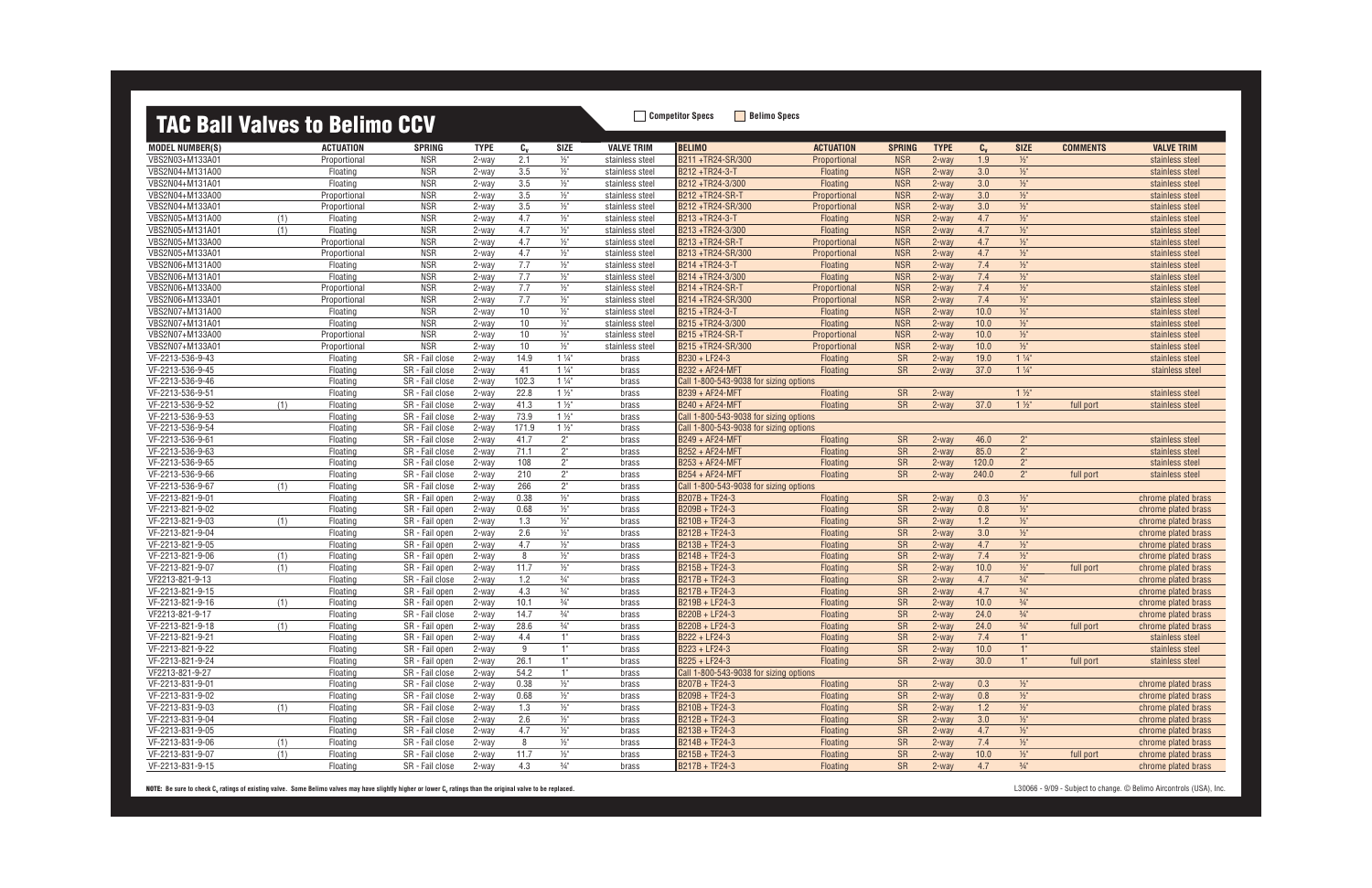### **TAC Ball Valves to Belimo CCV** Beling Specs **Bellino Specs**

| <u>ing ban valvos to bolimo oo r</u> |     |                  |                 |             |         |                     |                   |                                        |                  |               |             |         |                 |                 |                     |
|--------------------------------------|-----|------------------|-----------------|-------------|---------|---------------------|-------------------|----------------------------------------|------------------|---------------|-------------|---------|-----------------|-----------------|---------------------|
| <b>MODEL NUMBER(S)</b>               |     | <b>ACTUATION</b> | <b>SPRING</b>   | <b>TYPE</b> | $c_{v}$ | <b>SIZE</b>         | <b>VALVE TRIM</b> | <b>BELIMO</b>                          | <b>ACTUATION</b> | <b>SPRING</b> | <b>TYPE</b> | $C_{v}$ | <b>SIZE</b>     | <b>COMMENTS</b> | <b>VALVE TRIM</b>   |
| VBS2N03+M133A01                      |     | Proportional     | <b>NSR</b>      | 2-way       | 2.1     | $\frac{1}{2}$       | stainless steel   | B211+TR24-SR/300                       | Proportional     | <b>NSR</b>    | 2-way       | 1.9     | $\frac{1}{2}$   |                 | stainless steel     |
| VBS2N04+M131A00                      |     | Floating         | <b>NSR</b>      | 2-way       | 3.5     | $\frac{1}{2}$ "     | stainless steel   | B212+TR24-3-T                          | Floating         | <b>NSR</b>    | $2$ -way    | 3.0     | $1/2$ "         |                 | stainless steel     |
| VBS2N04+M131A01                      |     | Floating         | <b>NSR</b>      | 2-way       | 3.5     | $\frac{1}{2}$       | stainless steel   | B212+TR24-3/300                        | Floating         | <b>NSR</b>    | 2-way       | 3.0     | $\frac{1}{2}$   |                 | stainless steel     |
| VBS2N04+M133A00                      |     | Proportional     | <b>NSR</b>      | 2-way       | 3.5     | $\frac{1}{2}$ "     | stainless steel   | B212+TR24-SR-T                         | Proportional     | <b>NSR</b>    | 2-way       | 3.0     | $\frac{1}{2}$   |                 | stainless steel     |
| VBS2N04+M133A01                      |     | Proportional     | <b>NSR</b>      | 2-way       | 3.5     | $\frac{1}{2}$       | stainless steel   | B212+TR24-SR/300                       | Proportional     | <b>NSR</b>    | 2-way       | 3.0     | $1/2$ "         |                 | stainless steel     |
| VBS2N05+M131A00                      | (1) | Floating         | <b>NSR</b>      | 2-way       | 4.7     | $\frac{1}{2}$ "     | stainless steel   | B213+TR24-3-T                          | Floating         | <b>NSR</b>    | $2-way$     | 4.7     | $\frac{1}{2}$   |                 | stainless steel     |
| VBS2N05+M131A01                      | (1) | Floating         | <b>NSR</b>      | 2-way       | 4.7     | $1/2$ "             | stainless steel   | B213+TR24-3/300                        | Floating         | <b>NSR</b>    | $2$ -way    | 4.7     | $\frac{1}{2}$   |                 | stainless steel     |
| VBS2N05+M133A00                      |     | Proportional     | <b>NSR</b>      | 2-way       | 4.7     | $\frac{1}{2}$       | stainless steel   | B213+TR24-SR-T                         | Proportional     | <b>NSR</b>    | $2-way$     | 4.7     | $1/2$ "         |                 | stainless steel     |
| VBS2N05+M133A01                      |     | Proportional     | <b>NSR</b>      | 2-way       | 4.7     | $\frac{1}{2}$       | stainless steel   | B213+TR24-SR/300                       | Proportional     | <b>NSR</b>    | $2$ -way    | 4.7     | $1/2$ "         |                 | stainless steel     |
| VBS2N06+M131A00                      |     | Floating         | <b>NSR</b>      | 2-way       | 7.7     | $\frac{1}{2}$       | stainless steel   | B214+TR24-3-T                          | Floating         | <b>NSR</b>    | $2-way$     | 7.4     | $\frac{1}{2}$   |                 | stainless steel     |
| VBS2N06+M131A01                      |     | Floating         | <b>NSR</b>      | 2-way       | 7.7     | $\frac{1}{2}$ "     | stainless steel   | B214+TR24-3/300                        | Floating         | <b>NSR</b>    | $2-way$     | 7.4     | $\frac{1}{2}$   |                 | stainless steel     |
| VBS2N06+M133A00                      |     | Proportional     | <b>NSR</b>      | 2-way       | 7.7     | $\frac{1}{2}$ "     | stainless steel   | B214+TR24-SR-T                         | Proportional     | <b>NSR</b>    | 2-way       | 7.4     | $\frac{1}{2}$   |                 | stainless steel     |
| VBS2N06+M133A01                      |     | Proportional     | <b>NSR</b>      | 2-way       | 7.7     | $\frac{1}{2}$       | stainless steel   | B214 +TR24-SR/300                      | Proportional     | <b>NSR</b>    | $2-way$     | 7.4     | $\frac{1}{2}$   |                 | stainless steel     |
| VBS2N07+M131A00                      |     | Floating         | <b>NSR</b>      | 2-way       | 10      | $\frac{1}{2}$       | stainless steel   | B215+TR24-3-T                          | <b>Floating</b>  | <b>NSR</b>    | $2$ -way    | 10.0    | $\frac{1}{2}$   |                 | stainless steel     |
| VBS2N07+M131A01                      |     | Floating         | <b>NSR</b>      | 2-way       | 10      | $\frac{1}{2}$       | stainless steel   | B215+TR24-3/300                        | Floating         | <b>NSR</b>    | $2-way$     | 10.0    | $\frac{1}{2}$   |                 | stainless steel     |
| VBS2N07+M133A00                      |     | Proportional     | <b>NSR</b>      | 2-way       | 10      | $\frac{1}{2}$       | stainless steel   | B215+TR24-SR-T                         | Proportional     | <b>NSR</b>    | $2-way$     | 10.0    | $\frac{1}{2}$   |                 | stainless steel     |
| VBS2N07+M133A01                      |     | Proportional     | <b>NSR</b>      | 2-way       | 10      | $\frac{1}{2}$       | stainless steel   | B215+TR24-SR/300                       | Proportional     | <b>NSR</b>    | $2-way$     | 10.0    | $\frac{1}{2}$   |                 | stainless steel     |
| VF-2213-536-9-43                     |     | Floating         | SR - Fail close | 2-way       | 14.9    | $1\frac{1}{4}$      | brass             | B230 + LF24-3                          | <b>Floating</b>  | <b>SR</b>     | $2$ -way    | 19.0    | $1\frac{1}{4}$  |                 | stainless steel     |
| VF-2213-536-9-45                     |     | Floating         | SR - Fail close | 2-way       | 41      | $1\frac{1}{4}$      | brass             | B232 + AF24-MFT                        | Floating         | <b>SR</b>     | $2-way$     | 37.0    | $1\frac{1}{4}$  |                 | stainless steel     |
| VF-2213-536-9-46                     |     | Floating         | SR - Fail close | 2-way       | 102.3   | $1\frac{1}{4}$      | brass             | Call 1-800-543-9038 for sizing options |                  |               |             |         |                 |                 |                     |
| VF-2213-536-9-51                     |     | Floating         | SR - Fail close | 2-way       | 22.8    | $1\frac{1}{2}$      | brass             | B239 + AF24-MFT                        | Floating         | <b>SR</b>     | $2$ -way    |         | $1\frac{1}{2}$  |                 | stainless steel     |
| VF-2213-536-9-52                     | (1) | Floating         | SR - Fail close | 2-way       | 41.3    | $1\frac{1}{2}$      | brass             | B240 + AF24-MFT                        | Floating         | <b>SR</b>     | 2-way       | 37.0    | $1\frac{1}{2}$  | full port       | stainless steel     |
| VF-2213-536-9-53                     |     | Floating         | SR - Fail close | 2-way       | 73.9    | $1\frac{1}{2}$      | brass             | Call 1-800-543-9038 for sizing options |                  |               |             |         |                 |                 |                     |
| VF-2213-536-9-54                     |     | Floating         | SR - Fail close | 2-way       | 171.9   | $1\frac{1}{2}$      | brass             | Call 1-800-543-9038 for sizing options |                  |               |             |         |                 |                 |                     |
| VF-2213-536-9-61                     |     | Floating         | SR - Fail close | 2-way       | 41.7    | $2^{\circ}$         | brass             | B249 + AF24-MFT                        | Floating         | <b>SR</b>     | 2-way       | 46.0    | $2^{\circ}$     |                 | stainless steel     |
| VF-2213-536-9-63                     |     | Floating         | SR - Fail close | 2-way       | 71.1    | $2^{\circ}$         | brass             | B252 + AF24-MFT                        | Floating         | <b>SR</b>     | $2-way$     | 85.0    | 2 <sup>n</sup>  |                 | stainless steel     |
| VF-2213-536-9-65                     |     | Floatino         | SR - Fail close | 2-way       | 108     | 2"                  | brass             | B253 + AF24-MFT                        | Floating         | <b>SR</b>     | $2$ -way    | 120.0   | 2 <sup>n</sup>  |                 | stainless steel     |
| VF-2213-536-9-66                     |     | Floating         | SR - Fail close | 2-way       | 210     | $2^{\circ}$         | brass             | B254 + AF24-MFT                        | Floating         | <b>SR</b>     | $2-way$     | 240.0   | $2^{\circ}$     | full port       | stainless steel     |
| VF-2213-536-9-67                     | (1) | Floating         | SR - Fail close | 2-way       | 266     | $2^{\circ}$         | brass             | Call 1-800-543-9038 for sizing options |                  |               |             |         |                 |                 |                     |
| VF-2213-821-9-01                     |     | Floating         | SR - Fail open  | 2-way       | 0.38    | $\frac{1}{2}$       | brass             | B207B + TF24-3                         | Floating         | <b>SR</b>     | 2-way       | 0.3     | $\frac{1}{2}$   |                 | chrome plated brass |
| VF-2213-821-9-02                     |     | Floating         | SR - Fail open  | 2-way       | 0.68    | $1/2$ "             | brass             | B209B + TF24-3                         | Floating         | <b>SR</b>     | 2-way       | 0.8     | $1/2$ "         |                 | chrome plated brass |
| VF-2213-821-9-03                     | (1) | Floating         | SR - Fail open  | 2-way       | 1.3     | $\frac{1}{2}$ "     | brass             | B210B + TF24-3                         | Floating         | <b>SR</b>     | $2-way$     | 1.2     | $1/2$ "         |                 | chrome plated brass |
| VF-2213-821-9-04                     |     | Floating         | SR - Fail open  | 2-way       | 2.6     | $1/2$ "             | brass             | B212B + TF24-3                         | Floating         | <b>SR</b>     | 2-way       | 3.0     | $\frac{1}{2}$   |                 | chrome plated brass |
| VF-2213-821-9-05                     |     | Floating         | SR - Fail open  | 2-way       | 4.7     | $\frac{1}{2}$ "     | brass             | B213B + TF24-3                         | Floating         | <b>SR</b>     | $2-way$     | 4.7     | $\frac{1}{2}$   |                 | chrome plated brass |
| VF-2213-821-9-06                     | (1) | Floating         | SR - Fail open  | 2-way       | 8       | $\frac{1}{2}$       | brass             | B214B + TF24-3                         | Floating         | <b>SR</b>     | $2-way$     | 7.4     | $1/2$ "         |                 | chrome plated brass |
| VF-2213-821-9-07                     | (1) | Floating         | SR - Fail open  | 2-way       | 11.7    | $\frac{1}{2}$ "     | brass             | B215B + TF24-3                         | Floating         | <b>SR</b>     | $2-way$     | 10.0    | $\frac{1}{2}$   | full port       | chrome plated brass |
| VF2213-821-9-13                      |     | Floating         | SR - Fail close | 2-way       | 1.2     | $\frac{3}{4}$ "     | brass             | B217B + TF24-3                         | Floating         | <b>SR</b>     | 2-way       | 4.7     | $\frac{3}{4}$ " |                 | chrome plated brass |
| VF-2213-821-9-15                     |     | Floating         | SR - Fail open  | 2-way       | 4.3     | $\frac{3}{4}$ "     | brass             | B217B + TF24-3                         | Floating         | <b>SR</b>     | $2-way$     | 4.7     | $\frac{3}{4}$ " |                 | chrome plated brass |
| VF-2213-821-9-16                     | (1) | Floating         | SR - Fail open  | 2-way       | 10.1    | $\frac{3}{4}$ "     | brass             | B219B + LF24-3                         | Floating         | <b>SR</b>     | $2-way$     | 10.0    | $\frac{3}{4}$ " |                 | chrome plated brass |
| VF2213-821-9-17                      |     | Floating         | SR - Fail close | 2-way       | 14.7    | $\frac{3}{4}$ "     | brass             | B220B + LF24-3                         | Floating         | <b>SR</b>     | $2$ -way    | 24.0    | $\frac{3}{4}$ " |                 | chrome plated brass |
| VF-2213-821-9-18                     | (1) | Floating         | SR - Fail open  | 2-way       | 28.6    | $3/4$ <sup>11</sup> | brass             | B220B + LF24-3                         | Floating         | <b>SR</b>     | $2-way$     | 24.0    | $3/4$ "         | full port       | chrome plated brass |
| VF-2213-821-9-21                     |     | Floating         | SR - Fail open  | 2-way       | 4.4     | $1^{\circ}$         | brass             | B222 + LF24-3                          | <b>Floating</b>  | <b>SR</b>     | 2-way       | 7.4     | 1"              |                 | stainless steel     |
| VF-2213-821-9-22                     |     | Floating         | SR - Fail open  | 2-way       | 9       | 1"                  | brass             | B223 + LF24-3                          | Floating         | <b>SR</b>     | 2-way       | 10.0    | $1^{\circ}$     |                 | stainless steel     |
| VF-2213-821-9-24                     |     | Floating         | SR - Fail open  | 2-way       | 26.1    | $1^{\circ}$         | brass             | B225 + LF24-3                          | Floating         | <b>SR</b>     | 2-way       | 30.0    | $1^{\circ}$     | full port       | stainless steel     |
| VF2213-821-9-27                      |     | Floating         | SR - Fail close | 2-way       | 54.2    | $1^{\circ}$         | brass             | Call 1-800-543-9038 for sizing options |                  |               |             |         |                 |                 |                     |
| VF-2213-831-9-01                     |     | Floating         | SR - Fail close | 2-way       | 0.38    | $\frac{1}{2}$       | brass             | B207B + TF24-3                         | Floating         | SR            | 2-way       | 0.3     | $\frac{1}{2}$   |                 | chrome plated brass |
| VF-2213-831-9-02                     |     | Floating         | SR - Fail close | 2-way       | 0.68    | $\frac{1}{2}$ "     | brass             | B209B + TF24-3                         | Floating         | <b>SR</b>     | 2-way       | 0.8     | $\frac{1}{2}$   |                 | chrome plated brass |
| VF-2213-831-9-03                     | (1) | Floating         | SR - Fail close | 2-way       | 1.3     | $1/2$ "             | brass             | B210B + TF24-3                         | Floating         | <b>SR</b>     | 2-way       | 1.2     | $\frac{1}{2}$   |                 | chrome plated brass |
| VF-2213-831-9-04                     |     | Floating         | SR - Fail close | 2-way       | 2.6     | $\frac{1}{2}$       | brass             | B212B + TF24-3                         | Floating         | <b>SR</b>     | 2-way       | 3.0     | $1/2$ "         |                 | chrome plated brass |
| VF-2213-831-9-05                     |     | Floating         | SR - Fail close | 2-way       | 4.7     | $\frac{1}{2}$       | brass             | B213B + TF24-3                         | Floating         | <b>SR</b>     | $2$ -way    | 4.7     | $\frac{1}{2}$   |                 | chrome plated brass |
| VF-2213-831-9-06                     | (1) | Floating         | SR - Fail close | 2-way       | 8       | $\frac{1}{2}$       | brass             | B214B + TF24-3                         | Floating         | <b>SR</b>     | 2-way       | 7.4     | $\frac{1}{2}$   |                 | chrome plated brass |
| VF-2213-831-9-07                     | (1) | Floating         | SR - Fail close | 2-way       | 11.7    | $\frac{1}{2}$       | brass             | B215B + TF24-3                         | Floating         | <b>SR</b>     | 2-way       | 10.0    | $\frac{1}{2}$   | full port       | chrome plated brass |
| VF-2213-831-9-15                     |     | Floating         | SR - Fail close | 2-way       | 4.3     | $\frac{3}{4}$ "     | brass             | B217B + TF24-3                         | Floating         | SR            | 2-way       | 4.7     | $\frac{3}{4}$ " |                 | chrome plated brass |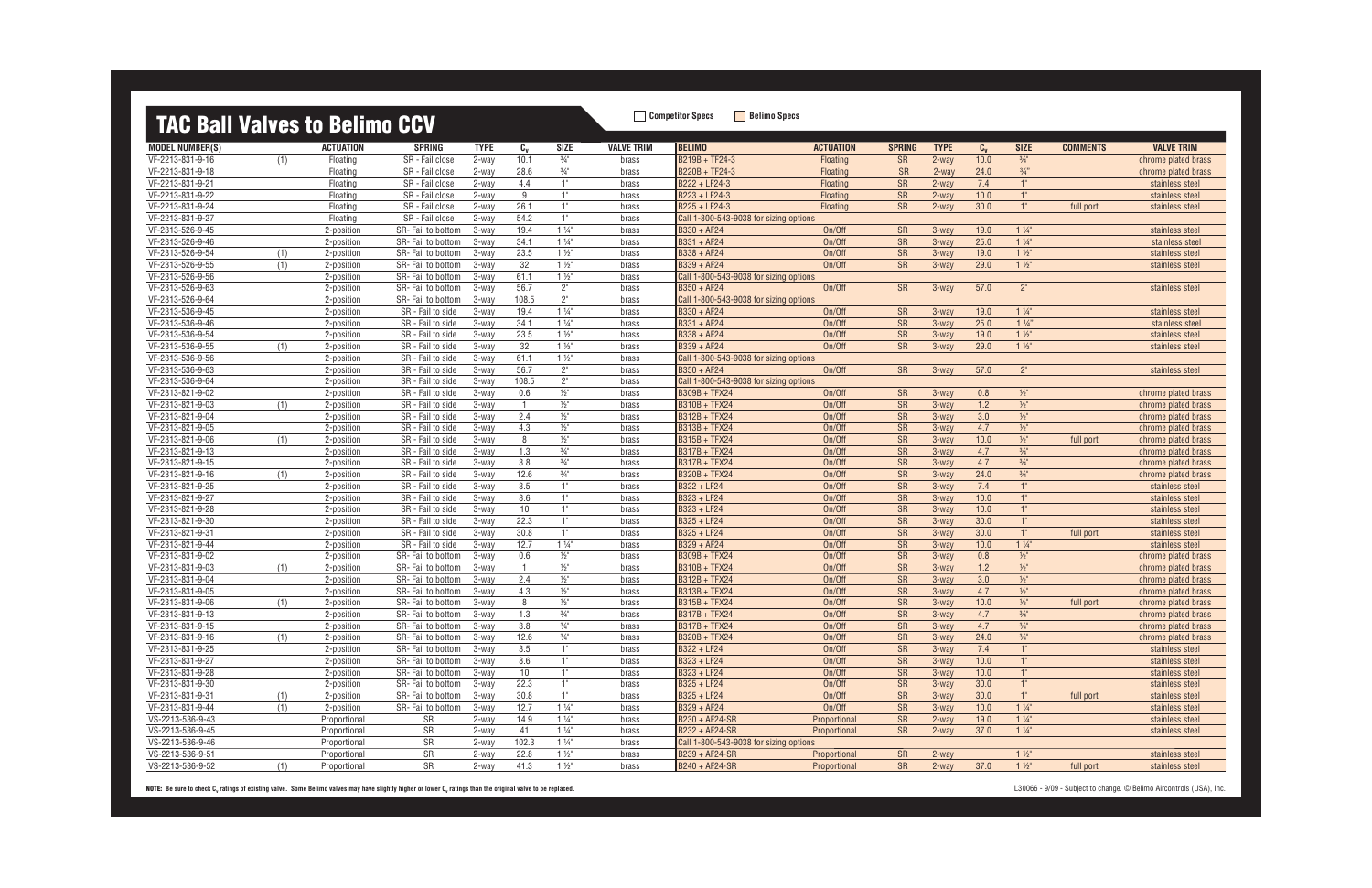## **TAC Ball Valves to Belimo CCV** Belimo Specs **Bellimo Specs**

| <u>ING BUIL LUILOG 10 BOILING OO L</u> |     |                  |                    |             |                |                 |                   |                                        |                  |               |             |         |                     |                 |                     |
|----------------------------------------|-----|------------------|--------------------|-------------|----------------|-----------------|-------------------|----------------------------------------|------------------|---------------|-------------|---------|---------------------|-----------------|---------------------|
| <b>MODEL NUMBER(S)</b>                 |     | <b>ACTUATION</b> | <b>SPRING</b>      | <b>TYPE</b> | $C_{\rm V}$    | <b>SIZE</b>     | <b>VALVE TRIM</b> | <b>BELIMO</b>                          | <b>ACTUATION</b> | <b>SPRING</b> | <b>TYPE</b> | $C_{v}$ | <b>SIZE</b>         | <b>COMMENTS</b> | <b>VALVE TRIM</b>   |
| VF-2213-831-9-16                       | (1) | Floating         | SR - Fail close    | 2-way       | 10.1           | $\frac{3}{4}$ " | brass             | B219B + TF24-3                         | Floating         | <b>SR</b>     | $2$ -way    | 10.0    | $\frac{3}{4}$ "     |                 | chrome plated brass |
| VF-2213-831-9-18                       |     | Floating         | SR - Fail close    | 2-way       | 28.6           | $\frac{3}{4}$ " | brass             | B220B + TF24-3                         | Floating         | <b>SR</b>     | 2-way       | 24.0    | $\frac{3}{4}$ "     |                 | chrome plated brass |
| VF-2213-831-9-21                       |     | Floating         | SR - Fail close    | 2-way       | 4.4            | 1"              | brass             | B222 + LF24-3                          | Floating         | <b>SR</b>     | $2$ -way    | 7.4     | 1"                  |                 | stainless steel     |
| VF-2213-831-9-22                       |     | Floating         | SR - Fail close    | 2-way       | 9              | 1"              | brass             | B223 + LF24-3                          | Floating         | SR            | $2$ -way    | 10.0    | 1"                  |                 | stainless steel     |
| VF-2213-831-9-24                       |     | Floating         | SR - Fail close    | 2-way       | 26.1           | 1"              | brass             | B225 + LF24-3                          | <b>Floating</b>  | <b>SR</b>     | $2$ -way    | 30.0    | 1"                  | full port       | stainless steel     |
| VF-2213-831-9-27                       |     | Floating         | SR - Fail close    | 2-way       | 54.2           | 1"              | brass             | Call 1-800-543-9038 for sizing options |                  |               |             |         |                     |                 |                     |
| VF-2313-526-9-45                       |     | 2-position       | SR-Fail to bottom  | 3-way       | 19.4           | $1\frac{1}{4}$  | brass             | B330 + AF24                            | On/Off           | <b>SR</b>     | 3-way       | 19.0    | $1\frac{1}{4}$      |                 | stainless steel     |
| VF-2313-526-9-46                       |     | 2-position       | SR-Fail to bottom  | 3-way       | 34.1           | $1\frac{1}{4}$  | brass             | $B331 + AF24$                          | On/Off           | SR            | 3-way       | 25.0    | $1\frac{1}{4}$      |                 | stainless steel     |
| VF-2313-526-9-54                       | (1) | 2-position       | SR-Fail to bottom  | 3-way       | 23.5           | $1\frac{1}{2}$  | brass             | B338 + AF24                            | On/Off           | <b>SR</b>     | $3-way$     | 19.0    | $1\frac{1}{2}$      |                 | stainless steel     |
| VF-2313-526-9-55                       | (1) | 2-position       | SR-Fail to bottom  | 3-way       | 32             | $1\frac{1}{2}$  | brass             | B339 + AF24                            | On/Off           | <b>SR</b>     | 3-way       | 29.0    | $1\frac{1}{2}$      |                 | stainless steel     |
| VF-2313-526-9-56                       |     | 2-position       | SR-Fail to bottom  | 3-way       | 61.1           | $1\frac{1}{2}$  | brass             | Call 1-800-543-9038 for sizing options |                  |               |             |         |                     |                 |                     |
| VF-2313-526-9-63                       |     | 2-position       | SR-Fail to bottom  | 3-way       | 56.7           | $2^{\circ}$     | brass             | $B350 + AF24$                          | On/Off           | SR            | 3-way       | 57.0    | 2 <sup>''</sup>     |                 | stainless steel     |
| VF-2313-526-9-64                       |     | 2-position       | SR-Fail to bottom  | 3-way       | 108.5          | $2^{\circ}$     | brass             | Call 1-800-543-9038 for sizing options |                  |               |             |         |                     |                 |                     |
| VF-2313-536-9-45                       |     | 2-position       | SR - Fail to side  | 3-way       | 19.4           | $1\frac{1}{4}$  | brass             | B330 + AF24                            | On/Off           | <b>SR</b>     | 3-way       | 19.0    | $1\frac{1}{4}$      |                 | stainless steel     |
| VF-2313-536-9-46                       |     | 2-position       | SR - Fail to side  | 3-way       | 34.1           | $1\frac{1}{4}$  | brass             | B331 + AF24                            | On/Off           | SR            | 3-way       | 25.0    | $1\frac{1}{4}$      |                 | stainless steel     |
| VF-2313-536-9-54                       |     | 2-position       | SR - Fail to side  | 3-way       | 23.5           | $1\frac{1}{2}$  | brass             | B338 + AF24                            | On/Off           | <b>SR</b>     | $3-way$     | 19.0    | $1\frac{1}{2}$      |                 | stainless steel     |
| VF-2313-536-9-55                       | (1) | 2-position       | SR - Fail to side  | 3-way       | 32             | $1\frac{1}{2}$  | brass             | B339 + AF24                            | On/Off           | <b>SR</b>     | $3-way$     | 29.0    | $1\frac{1}{2}$      |                 | stainless steel     |
| VF-2313-536-9-56                       |     | 2-position       | SR - Fail to side  | 3-way       | 61.1           | $1\frac{1}{2}$  | brass             | Call 1-800-543-9038 for sizing options |                  |               |             |         |                     |                 |                     |
| VF-2313-536-9-63                       |     | 2-position       | SR - Fail to side  | 3-way       | 56.7           | $2^{\circ}$     | brass             | B350 + AF24                            | On/Off           | SR            | 3-way       | 57.0    | 2 <sup>''</sup>     |                 | stainless steel     |
| VF-2313-536-9-64                       |     | 2-position       | SR - Fail to side  | 3-way       | 108.5          | $2^{\circ}$     | brass             | Call 1-800-543-9038 for sizing options |                  |               |             |         |                     |                 |                     |
| VF-2313-821-9-02                       |     | 2-position       | SR - Fail to side  | 3-way       | 0.6            | $1/2$ "         | brass             | B309B + TFX24                          | On/Off           | SR            | 3-way       | 0.8     | $\frac{1}{2}$       |                 | chrome plated brass |
| VF-2313-821-9-03                       | (1) | 2-position       | SR - Fail to side  | 3-way       | $\overline{1}$ | $1/2$ "         | brass             | <b>B310B + TFX24</b>                   | On/Off           | SR            | 3-way       | 1.2     | $\frac{1}{2}$       |                 | chrome plated brass |
| VF-2313-821-9-04                       |     | 2-position       | SR - Fail to side  | 3-way       | 2.4            | $\frac{1}{2}$ " | brass             | B312B + TFX24                          | On/Off           | <b>SR</b>     | 3-way       | 3.0     | $\frac{1}{2}$       |                 | chrome plated brass |
| VF-2313-821-9-05                       |     | 2-position       | SR - Fail to side  | 3-way       | 4.3            | $\frac{1}{2}$   | brass             | B313B + TFX24                          | On/Off           | <b>SR</b>     | $3$ -way    | 4.7     | $\frac{1}{2}$       |                 | chrome plated brass |
| VF-2313-821-9-06                       | (1) | 2-position       | SR - Fail to side  | 3-way       | 8              | $\frac{1}{2}$ " | brass             | B315B + TFX24                          | On/Off           | SR            | 3-way       | 10.0    | $\frac{1}{2}$       | full port       | chrome plated brass |
| VF-2313-821-9-13                       |     | 2-position       | SR - Fail to side  | 3-way       | 1.3            | $\frac{3}{4}$ " | brass             | B317B + TFX24                          | On/Off           | <b>SR</b>     | $3$ -way    | 4.7     | $3/4$ <sup>11</sup> |                 | chrome plated brass |
| VF-2313-821-9-15                       |     | 2-position       | SR - Fail to side  | 3-way       | 3.8            | $\frac{3}{4}$ " | brass             | B317B + TFX24                          | On/Off           | <b>SR</b>     | 3-way       | 4.7     | $3/4$ <sup>11</sup> |                 | chrome plated brass |
| VF-2313-821-9-16                       | (1) | 2-position       | SR - Fail to side  | 3-way       | 12.6           | $\frac{3}{4}$ " | brass             | B320B + TFX24                          | On/Off           | <b>SR</b>     | $3-way$     | 24.0    | $\frac{3}{4}$ "     |                 | chrome plated brass |
| VF-2313-821-9-25                       |     | 2-position       | SR - Fail to side  | 3-way       | 3.5            | 1"              | brass             | B322 + LF24                            | On/Off           | SR            | 3-way       | 7.4     | 1"                  |                 | stainless steel     |
| VF-2313-821-9-27                       |     | 2-position       | SR - Fail to side  | 3-way       | 8.6            | 1"              | brass             | B323 + LF24                            | On/Off           | <b>SR</b>     | 3-way       | 10.0    | 1"                  |                 | stainless steel     |
| VF-2313-821-9-28                       |     | 2-position       | SR - Fail to side  | 3-way       | 10             | 1"              | brass             | B323 + LF24                            | On/Off           | <b>SR</b>     | $3-way$     | 10.0    | 1"                  |                 | stainless steel     |
| VF-2313-821-9-30                       |     | 2-position       | SR - Fail to side  | 3-way       | 22.3           | 1"              | brass             | B325 + LF24                            | On/Off           | <b>SR</b>     | $3-way$     | 30.0    | 1"                  |                 | stainless steel     |
| VF-2313-821-9-31                       |     | 2-position       | SR - Fail to side  | 3-way       | 30.8           | 1"              | brass             | B325 + LF24                            | On/Off           | <b>SR</b>     | 3-way       | 30.0    | 1"                  | full port       | stainless steel     |
| VF-2313-821-9-44                       |     | 2-position       | SR - Fail to side  | 3-way       | 12.7           | $1\frac{1}{4}$  | brass             | B329 + AF24                            | On/Off           | SR            | 3-way       | 10.0    | $1\frac{1}{4}$      |                 | stainless steel     |
| VF-2313-831-9-02                       |     | 2-position       | SR-Fail to bottom  | 3-way       | 0.6            | $1/2$ "         | brass             | B309B + TFX24                          | On/Off           | <b>SR</b>     | $3-way$     | 0.8     | $\frac{1}{2}$       |                 | chrome plated brass |
| VF-2313-831-9-03                       | (1) | 2-position       | SR-Fail to bottom  | 3-way       | $\overline{1}$ | $\frac{1}{2}$ " | brass             | B310B + TFX24                          | On/Off           | SR            | 3-way       | 1.2     | $\frac{1}{2}$       |                 | chrome plated brass |
| VF-2313-831-9-04                       |     | 2-position       | SR-Fail to bottom  | 3-way       | 2.4            | $\frac{1}{2}$ " | brass             | B312B + TFX24                          | On/Off           | <b>SR</b>     | $3$ -way    | 3.0     | $\frac{1}{2}$       |                 | chrome plated brass |
| VF-2313-831-9-05                       |     | 2-position       | SR-Fail to bottom  | 3-way       | 4.3            | $\frac{1}{2}$ " | brass             | B313B + TFX24                          | On/Off           | SR            | 3-way       | 4.7     | $\frac{1}{2}$       |                 | chrome plated brass |
| VF-2313-831-9-06                       | (1) | 2-position       | SR-Fail to bottom  | 3-way       | 8              | $\frac{1}{2}$ " | brass             | B315B + TFX24                          | On/Off           | SR            | $3-wav$     | 10.0    | $\frac{1}{2}$       | full port       | chrome plated brass |
| VF-2313-831-9-13                       |     | 2-position       | SR-Fail to bottom  | 3-way       | 1.3            | $\frac{3}{4}$ " | brass             | B317B + TFX24                          | On/Off           | SR            | 3-way       | 4.7     | $\frac{3}{4}$ "     |                 | chrome plated brass |
| VF-2313-831-9-15                       |     | 2-position       | SR-Fail to bottom  | 3-way       | 3.8            | $\frac{3}{4}$ " | brass             | B317B + TFX24                          | On/Off           | <b>SR</b>     | $3$ -way    | 4.7     | $\frac{3}{4}$ "     |                 | chrome plated brass |
| VF-2313-831-9-16                       | (1) | 2-position       | SR- Fail to bottom | 3-way       | 12.6           | $3/4$ "         | brass             | <b>B320B + TFX24</b>                   | On/Off           | SR            | 3-way       | 24.0    | $\frac{3}{4}$ "     |                 | chrome plated brass |
| VF-2313-831-9-25                       |     | 2-position       | SR-Fail to bottom  | 3-way       | 3.5            | 1"              | brass             | B322 + LF24                            | On/Off           | SR            | $3$ -way    | 7.4     | 1"                  |                 | stainless steel     |
| VF-2313-831-9-27                       |     | 2-position       | SR-Fail to bottom  | 3-way       | 8.6            | 1"              | brass             | B323 + LF24                            | On/Off           | SR            | 3-way       | 10.0    | 1"                  |                 | stainless steel     |
| VF-2313-831-9-28                       |     | 2-position       | SR-Fail to bottom  | 3-way       | 10             | 1"              | brass             | B323 + LF24                            | On/Off           | SR            | $3$ -way    | 10.0    | 1"                  |                 | stainless steel     |
| VF-2313-831-9-30                       |     | 2-position       | SR-Fail to bottom  | 3-way       | 22.3           | 1"              | brass             | B325 + LF24                            | On/Off           | SR            | $3$ -way    | 30.0    | 1"                  |                 | stainless steel     |
| VF-2313-831-9-31                       | (1) | 2-position       | SR-Fail to bottom  | 3-way       | 30.8           | 1"              | brass             | B325 + LF24                            | On/Off           | SR            | $3$ -way    | 30.0    | $1^{\circ}$         | full port       | stainless steel     |
| VF-2313-831-9-44                       | (1) | 2-position       | SR-Fail to bottom  | 3-way       | 12.7           | $1\frac{1}{4}$  | brass             | B329 + AF24                            | On/Off           | <b>SR</b>     | $3$ -way    | 10.0    | $1\frac{1}{4}$      |                 | stainless steel     |
| VS-2213-536-9-43                       |     | Proportional     | SR                 | 2-way       | 14.9           | $1\frac{1}{4}$  | brass             | B230 + AF24-SR                         | Proportional     | SR            | $2$ -way    | 19.0    | $1\frac{1}{4}$      |                 | stainless steel     |
| VS-2213-536-9-45                       |     | Proportional     | SR                 | 2-way       | 41             | $1\frac{1}{4}$  | brass             | B232 + AF24-SR                         | Proportional     | SR            | 2-way       | 37.0    | $1\frac{1}{4}$      |                 | stainless steel     |
| VS-2213-536-9-46                       |     | Proportional     | SR                 | 2-way       | 102.3          | $1\frac{1}{4}$  | brass             | Call 1-800-543-9038 for sizing options |                  |               |             |         |                     |                 |                     |
| VS-2213-536-9-51                       |     | Proportional     | SR                 | 2-way       | 22.8           | $1\frac{1}{2}$  | brass             | B239 + AF24-SR                         | Proportional     | SR            | 2-way       |         | $1\frac{1}{2}$      |                 | stainless steel     |
| VS-2213-536-9-52                       | (1) | Proportional     | SR                 | 2-way       | 41.3           | $1\frac{1}{2}$  | brass             | B240 + AF24-SR                         | Proportional     | SR            | 2-way       | 37.0    | $1\frac{1}{2}$      | full port       | stainless steel     |
|                                        |     |                  |                    |             |                |                 |                   |                                        |                  |               |             |         |                     |                 |                     |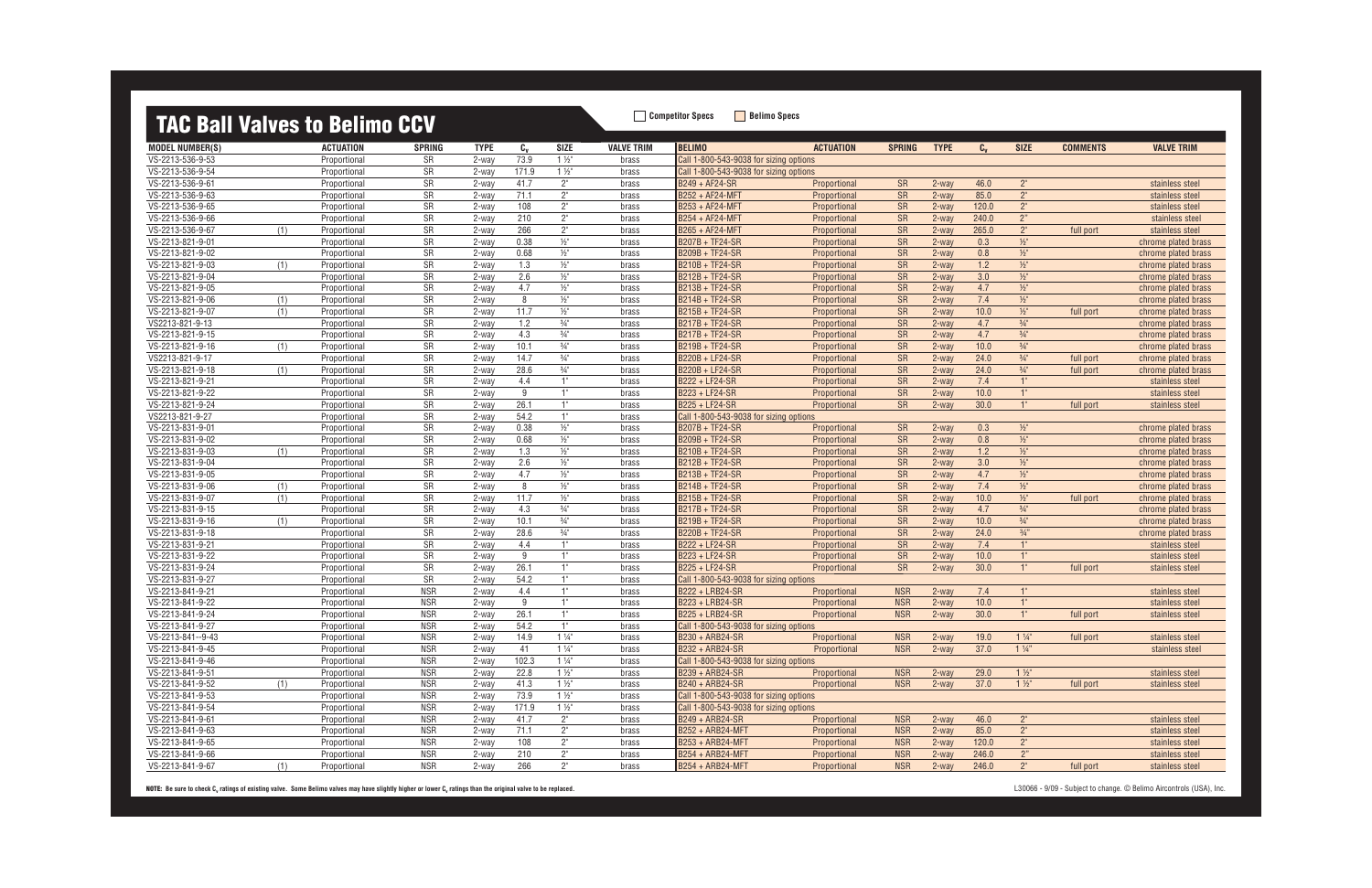## **TAC Rall Valves to Relimo CCV**<br> **Competitor Specs Belimo Specs**

| <b>IAU DAII VAIVGS LU DGIIIIIU UUV</b> |     |                              |                          |                |            |                                  |                   |                                                                                  |                  |                          |                |              |                                  |                 |                                    |
|----------------------------------------|-----|------------------------------|--------------------------|----------------|------------|----------------------------------|-------------------|----------------------------------------------------------------------------------|------------------|--------------------------|----------------|--------------|----------------------------------|-----------------|------------------------------------|
| <b>MODEL NUMBER(S)</b>                 |     | <b>ACTUATION</b>             | <b>SPRING</b>            | <b>TYPE</b>    | $c_{v}$    | <b>SIZE</b>                      | <b>VALVE TRIM</b> | <b>BELIMO</b>                                                                    | <b>ACTUATION</b> | <b>SPRING</b>            | <b>TYPE</b>    | $C_{v}$      | <b>SIZE</b>                      | <b>COMMENTS</b> | <b>VALVE TRIM</b>                  |
| VS-2213-536-9-53                       |     | Proportional                 | SR                       | 2-way          | 73.9       | $1\frac{1}{2}$                   | brass             | Call 1-800-543-9038 for sizing options                                           |                  |                          |                |              |                                  |                 |                                    |
| VS-2213-536-9-54                       |     | Proportional                 | SR                       | 2-way          | 171.9      | $1\frac{1}{2}$                   | brass             | Call 1-800-543-9038 for sizing options                                           |                  |                          |                |              |                                  |                 |                                    |
| VS-2213-536-9-61                       |     | Proportional                 | SR                       | 2-way          | 41.7       | $2^{\circ}$                      | brass             | B249 + AF24-SR                                                                   | Proportional     | <b>SR</b>                | 2-way          | 46.0         | $2^{\circ}$                      |                 | stainless steel                    |
| VS-2213-536-9-63                       |     | Proportional                 | SR                       | 2-way          | 71.1       | $2^{\circ}$                      | brass             | B252 + AF24-MFT                                                                  | Proportional     | SR                       | 2-way          | 85.0         | 2 <sup>''</sup>                  |                 | stainless steel                    |
| VS-2213-536-9-65                       |     | Proportional                 | SR                       | 2-way          | 108        | 2"                               | brass             | B253 + AF24-MFT                                                                  | Proportional     | SR                       | 2-way          | 120.0        | 2 <sup>''</sup>                  |                 | stainless steel                    |
| VS-2213-536-9-66                       |     | Proportional                 | SR                       | 2-way          | 210        | 2 <sup>n</sup>                   | brass             | B254 + AF24-MFT                                                                  | Proportional     | SR                       | 2-way          | 240.0        | $2"$                             |                 | stainless steel                    |
| VS-2213-536-9-67                       | (1) | Proportional                 | SR                       | 2-way          | 266        | 2 <sup>n</sup>                   | brass             | B265 + AF24-MFT                                                                  | Proportional     | SR                       | 2-way          | 265.0        | 2 <sup>n</sup>                   | full port       | stainless steel                    |
| VS-2213-821-9-01                       |     | Proportional                 | SR                       | 2-way          | 0.38       | $\frac{1}{2}$ "                  | brass             | B207B + TF24-SR                                                                  | Proportional     | SR                       | 2-way          | 0.3          | $\frac{1}{2}$                    |                 | chrome plated brass                |
| VS-2213-821-9-02                       |     | Proportional                 | SR                       | 2-way          | 0.68       | $1/2$ "                          | brass             | B209B + TF24-SR                                                                  | Proportional     | SR                       | 2-way          | 0.8          | $1/2$ "                          |                 | chrome plated brass                |
| VS-2213-821-9-03                       | (1) | Proportional                 | SR                       | 2-way          | 1.3        | $1/2$ "                          | brass             | B210B + TF24-SR                                                                  | Proportional     | SR                       | 2-way          | 1.2          | $1/2$ "                          |                 | chrome plated brass                |
| VS-2213-821-9-04                       |     | Proportional                 | SR                       | 2-way          | 2.6        | $1/2$ "                          | brass             | B212B + TF24-SR                                                                  | Proportional     | SR                       | 2-way          | 3.0          | $1/2$ "                          |                 | chrome plated brass                |
| VS-2213-821-9-05                       |     | Proportional                 | SR                       | 2-way          | 4.7        | $\frac{1}{2}$ "                  | brass             | B213B + TF24-SR                                                                  | Proportional     | SR                       | 2-way          | 4.7          | $1/2$ "                          |                 | chrome plated brass                |
| VS-2213-821-9-06                       | (1) | Proportional                 | SR                       | 2-way          | 8          | $\frac{1}{2}$ "                  | brass             | B214B + TF24-SR                                                                  | Proportional     | SR                       | 2-way          | 7.4          | $1/2$ "                          |                 | chrome plated brass                |
| VS-2213-821-9-07                       | (1) | Proportional                 | SR                       | 2-way          | 11.7       | $\frac{1}{2}$                    | brass             | B215B + TF24-SR                                                                  | Proportional     | SR                       | 2-way          | 10.0         | $\frac{1}{2}$                    | full port       | chrome plated brass                |
| VS2213-821-9-13                        |     | Proportional                 | SR                       | 2-way          | 1.2        | $\frac{3}{4}$ "                  | brass             | B217B + TF24-SR                                                                  | Proportional     | SR                       | $2$ -way       | 4.7          | $\frac{3}{4}$ "                  |                 | chrome plated brass                |
| VS-2213-821-9-15                       |     | Proportional                 | SR                       | 2-way          | 4.3        | $\frac{3}{4}$ "                  | brass             | <b>B217B + TF24-SR</b>                                                           | Proportional     | SR                       | 2-way          | 4.7          | $\frac{3}{4}$ "                  |                 | chrome plated brass                |
| VS-2213-821-9-16                       | (1) | Proportional                 | SR                       | 2-way          | 10.1       | $3/4$ "                          | brass             | B219B + TF24-SR                                                                  | Proportional     | SR                       | 2-way          | 10.0         | $\frac{3}{4}$ "                  |                 | chrome plated brass                |
| VS2213-821-9-17                        |     | Proportional                 | SR                       | 2-way          | 14.7       | $\frac{3}{4}$ "                  | brass             | B220B + LF24-SR                                                                  | Proportional     | SR                       | 2-way          | 24.0         | $\frac{3}{4}$ "                  | full port       | chrome plated brass                |
| VS-2213-821-9-18                       | (1) | Proportional                 | SR                       | 2-way          | 28.6       | $\frac{3}{4}$ "                  | brass             | B220B + LF24-SR                                                                  | Proportional     | SR                       | 2-way          | 24.0         | $\frac{3}{4}$ "                  | full port       | chrome plated brass                |
| VS-2213-821-9-21                       |     | Proportional                 | SR                       | 2-way          | 4.4        | 1"                               | brass             | B222 + LF24-SR                                                                   | Proportional     | SR                       | 2-way          | 7.4          | 1"                               |                 | stainless steel                    |
| VS-2213-821-9-22                       |     | Proportional                 | SR                       | 2-way          | 9          | 1"                               | brass             | B223 + LF24-SR                                                                   | Proportional     | SR                       | 2-way          | 10.0         | 1"                               |                 | stainless steel                    |
| VS-2213-821-9-24                       |     | Proportional                 | SR                       | 2-way          | 26.1       | 1"                               | brass             | B225 + LF24-SR                                                                   | Proportional     | SR                       | 2-way          | 30.0         | 1"                               | full port       | stainless steel                    |
| VS2213-821-9-27                        |     | Proportional                 | SR                       | 2-way          | 54.2       | 1"                               | brass             | Call 1-800-543-9038 for sizing options                                           |                  |                          |                |              |                                  |                 |                                    |
| VS-2213-831-9-01                       |     | Proportional                 | SR                       | 2-way          | 0.38       | $\frac{1}{2}$ "                  | brass             | B207B + TF24-SR                                                                  | Proportional     | SR                       | 2-way          | 0.3          | $\frac{1}{2}$                    |                 | chrome plated brass                |
| VS-2213-831-9-02                       |     | Proportional                 | SR                       | 2-way          | 0.68       | $1/2$ "                          | brass             | B209B + TF24-SR                                                                  | Proportional     | SR                       | 2-way          | 0.8          | $1/2$ "                          |                 | chrome plated brass                |
| VS-2213-831-9-03                       | (1) | Proportional                 | SR                       | 2-way          | 1.3        | $\frac{1}{2}$ "                  | brass             | B210B + TF24-SR                                                                  | Proportional     | SR                       | 2-way          | 1.2          | $\frac{1}{2}$                    |                 | chrome plated brass                |
| VS-2213-831-9-04                       |     | Proportional                 | SR                       | 2-way          | 2.6        | $\frac{1}{2}$ "                  | brass             | B212B + TF24-SR                                                                  | Proportional     | SR                       | 2-way          | 3.0          | $1/2$ "                          |                 | chrome plated brass                |
| VS-2213-831-9-05                       |     | Proportional                 | SR                       | 2-way          | 4.7        | $1/2$ "                          | brass             | B213B + TF24-SR                                                                  | Proportional     | SR                       | 2-way          | 4.7          | $\frac{1}{2}$                    |                 | chrome plated brass                |
| VS-2213-831-9-06                       | (1) | Proportional                 | SR                       | 2-way          | 8          | $\frac{1}{2}$ "                  | brass             | B214B + TF24-SR                                                                  | Proportional     | SR                       | 2-way          | 7.4          | $1/2$ "                          |                 | chrome plated brass                |
| VS-2213-831-9-07                       | (1) | Proportional                 | SR                       | 2-way          | 11.7       | $\frac{1}{2}$                    | brass             | B215B + TF24-SR                                                                  | Proportional     | SR                       | $2$ -way       | 10.0         | $\frac{1}{2}$                    | full port       | chrome plated brass                |
| VS-2213-831-9-15                       |     | Proportional                 | SR                       | 2-way          | 4.3        | $\frac{3}{4}$ "                  | brass             | B217B + TF24-SR                                                                  | Proportional     | SR                       | 2-way          | 4.7          | $\frac{3}{4}$ "                  |                 | chrome plated brass                |
| VS-2213-831-9-16                       | (1) | Proportional                 | SR                       | 2-way          | 10.1       | $\frac{3}{4}$                    | brass             | B219B + TF24-SR                                                                  | Proportional     | SR                       | 2-way          | 10.0         | $\frac{3}{4}$ "                  |                 | chrome plated brass                |
| VS-2213-831-9-18                       |     | Proportional                 | SR                       | 2-way          | 28.6       | $\frac{3}{4}$ "                  | brass             | B220B + TF24-SR                                                                  | Proportional     | SR                       | 2-way          | 24.0         | 3/4"                             |                 | chrome plated brass                |
| VS-2213-831-9-21                       |     | Proportional                 | SR                       | 2-way          | 4.4        | 1"                               | brass             | B222 + LF24-SR                                                                   | Proportional     | SR                       | 2-way          | 7.4          | 1"                               |                 | stainless steel                    |
| VS-2213-831-9-22                       |     | Proportional                 | SR                       | 2-way          | 9          | 1"                               | brass             | B223 + LF24-SR                                                                   | Proportional     | SR                       | 2-way          | 10.0         | 1"                               |                 | stainless steel                    |
| VS-2213-831-9-24                       |     | Proportional                 | SR                       | 2-way          | 26.1       | 1"                               | brass             | B225 + LF24-SR                                                                   | Proportional     | SR                       | 2-way          | 30.0         | 1"                               | full port       | stainless steel                    |
| VS-2213-831-9-27                       |     | Proportional                 | SR                       | 2-way          | 54.2       | 1"                               | brass             | Call 1-800-543-9038 for sizing options                                           |                  |                          |                |              |                                  |                 |                                    |
| VS-2213-841-9-21                       |     | Proportional                 | <b>NSR</b>               | 2-way          | 4.4        | 1"<br>1"                         | brass             | B222 + LRB24-SR                                                                  | Proportional     | <b>NSR</b>               | 2-way          | 7.4          | 1"                               |                 | stainless steel                    |
| VS-2213-841-9-22                       |     | Proportional                 | <b>NSR</b>               | 2-way          | 9          |                                  | brass             | B223 + LRB24-SR                                                                  | Proportional     | <b>NSR</b>               | 2-way          | 10.0         | 1"                               |                 | stainless steel                    |
| VS-2213-841-9-24                       |     | Proportional                 | <b>NSR</b>               | 2-way          | 26.1       | 1"<br>1"                         | brass             | B225 + LRB24-SR                                                                  | Proportional     | <b>NSR</b>               | 2-way          | 30.0         | 1"                               | full port       | stainless steel                    |
| VS-2213-841-9-27                       |     | Proportional                 | <b>NSR</b>               | 2-way          | 54.2       |                                  | brass             | Call 1-800-543-9038 for sizing options                                           |                  |                          |                |              |                                  |                 |                                    |
| VS-2213-841--9-43<br>VS-2213-841-9-45  |     | Proportional                 | <b>NSR</b><br><b>NSR</b> | 2-way          | 14.9<br>41 | $1\frac{1}{4}$<br>$1\frac{1}{4}$ | brass             | B230 + ARB24-SR<br>B232 + ARB24-SR                                               | Proportional     | <b>NSR</b><br><b>NSR</b> | 2-way          | 19.0<br>37.0 | $1\frac{1}{4}$<br>$1\frac{1}{4}$ | full port       | stainless steel<br>stainless steel |
| VS-2213-841-9-46                       |     | Proportional<br>Proportional |                          | 2-way          | 102.3      |                                  | brass             |                                                                                  | Proportional     |                          | 2-way          |              |                                  |                 |                                    |
| VS-2213-841-9-51                       |     |                              | <b>NSR</b><br><b>NSR</b> | 2-way          | 22.8       | $1\frac{1}{4}$<br>$1\frac{1}{2}$ | brass             | Call 1-800-543-9038 for sizing options<br>B239 + ARB24-SR                        |                  | <b>NSR</b>               |                |              |                                  |                 | stainless steel                    |
|                                        |     | Proportional                 | <b>NSR</b>               | 2-way          | 41.3       | $1\frac{1}{2}$                   | brass             |                                                                                  | Proportional     | <b>NSR</b>               | 2-way<br>2-way | 29.0<br>37.0 | $1\frac{1}{2}$<br>$1\frac{1}{2}$ | full port       |                                    |
| VS-2213-841-9-52<br>VS-2213-841-9-53   | (1) | Proportional<br>Proportional | <b>NSR</b>               | 2-way          | 73.9       | $1\frac{1}{2}$                   | brass             | B240 + ARB24-SR                                                                  | Proportional     |                          |                |              |                                  |                 | stainless steel                    |
| VS-2213-841-9-54                       |     | Proportional                 | <b>NSR</b>               | 2-way          | 171.9      | $1\frac{1}{2}$                   | brass             | Call 1-800-543-9038 for sizing options<br>Call 1-800-543-9038 for sizing options |                  |                          |                |              |                                  |                 |                                    |
| VS-2213-841-9-61                       |     | Proportional                 | <b>NSR</b>               | 2-way<br>2-way | 41.7       | $2^{\circ}$                      | brass<br>brass    | B249 + ARB24-SR                                                                  | Proportional     | <b>NSR</b>               | 2-way          | 46.0         | $2^{\circ}$                      |                 | stainless steel                    |
| VS-2213-841-9-63                       |     | Proportional                 | <b>NSR</b>               | 2-way          | 71.1       | $2^{\circ}$                      | brass             | <b>B252 + ARB24-MFT</b>                                                          | Proportional     | <b>NSR</b>               | 2-way          | 85.0         | 2 <sup>n</sup>                   |                 | stainless steel                    |
| VS-2213-841-9-65                       |     | Proportional                 | <b>NSR</b>               | 2-way          | 108        | $2^{\circ}$                      | brass             | B253 + ARB24-MFT                                                                 | Proportional     | <b>NSR</b>               | 2-way          | 120.0        | $2^{\circ}$                      |                 | stainless steel                    |
| VS-2213-841-9-66                       |     | Proportional                 | <b>NSR</b>               | 2-way          | 210        | $2^{\circ}$                      | brass             | <b>B254 + ARB24-MFT</b>                                                          | Proportional     | <b>NSR</b>               | 2-way          | 246.0        | 2"                               |                 | stainless steel                    |
| VS-2213-841-9-67                       | (1) | Proportional                 | <b>NSR</b>               | 2-way          | 266        | $2^{\circ}$                      | brass             | <b>B254 + ARB24-MFT</b>                                                          | Proportional     | <b>NSR</b>               | 2-way          | 246.0        | $2^{\circ}$                      | full port       | stainless steel                    |
|                                        |     |                              |                          |                |            |                                  |                   |                                                                                  |                  |                          |                |              |                                  |                 |                                    |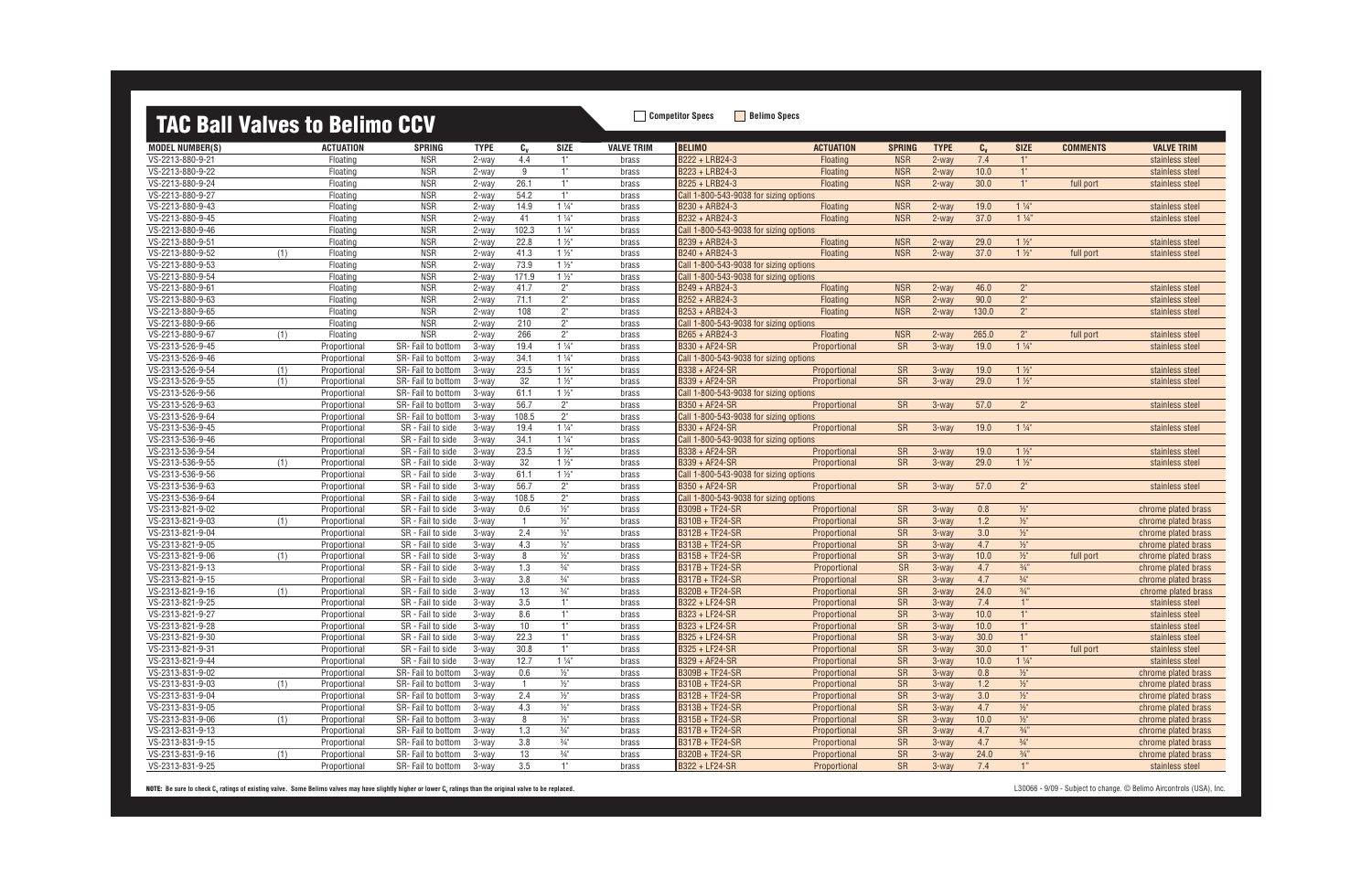## **TAC Ball Valves to Belimo CCV** Belimo Specs **Bellimo Specs**

|                        |     | 1110 DUII TUITOO 10 DOINNO |                    |             |                 |                 |                   |                                        |                  |               |             |         |                 |                 |                     |
|------------------------|-----|----------------------------|--------------------|-------------|-----------------|-----------------|-------------------|----------------------------------------|------------------|---------------|-------------|---------|-----------------|-----------------|---------------------|
| <b>MODEL NUMBER(S)</b> |     | <b>ACTUATION</b>           | <b>SPRING</b>      | <b>TYPE</b> | $C_{V}$         | SIZE            | <b>VALVE TRIM</b> | <b>BELIMO</b>                          | <b>ACTUATION</b> | <b>SPRING</b> | <b>TYPE</b> | $c_{v}$ | <b>SIZE</b>     | <b>COMMENTS</b> | <b>VALVE TRIM</b>   |
| VS-2213-880-9-21       |     | Floating                   | <b>NSR</b>         | 2-way       | 4.4             | 1"              | brass             | B222 + LRB24-3                         | Floating         | <b>NSR</b>    | $2$ -way    | 7.4     | 1"              |                 | stainless steel     |
| VS-2213-880-9-22       |     | Floating                   | <b>NSR</b>         | 2-way       | 9               | 1"              | brass             | B223 + LRB24-3                         | Floating         | <b>NSR</b>    | 2-way       | 10.0    | $\mathbb{T}$    |                 | stainless steel     |
| VS-2213-880-9-24       |     | Floating                   | <b>NSR</b>         | 2-way       | 26.1            | 1"              | brass             | B225 + LRB24-3                         | Floating         | <b>NSR</b>    | 2-way       | 30.0    | 1"              | full port       | stainless steel     |
| VS-2213-880-9-27       |     | Floating                   | <b>NSR</b>         | 2-way       | 54.2            | 1"              | brass             | Call 1-800-543-9038 for sizing options |                  |               |             |         |                 |                 |                     |
| VS-2213-880-9-43       |     | Floating                   | <b>NSR</b>         | $2$ -way    | 14.9            | $1\frac{1}{4}$  | brass             | B230 + ARB24-3                         | Floating         | <b>NSR</b>    | $2$ -way    | 19.0    | $1\frac{1}{4}$  |                 | stainless steel     |
| VS-2213-880-9-45       |     | Floating                   | <b>NSR</b>         | 2-way       | 41              | $1\frac{1}{4}$  | brass             | B232 + ARB24-3                         | <b>Floating</b>  | <b>NSR</b>    | $2$ -way    | 37.0    | $1\frac{1}{4}$  |                 | stainless steel     |
| VS-2213-880-9-46       |     | Floating                   | <b>NSR</b>         | 2-way       | 102.3           | $1\frac{1}{4}$  | brass             | Call 1-800-543-9038 for sizing options |                  |               |             |         |                 |                 |                     |
| VS-2213-880-9-51       |     | Floating                   | <b>NSR</b>         | 2-way       | 22.8            | $1\frac{1}{2}$  | brass             | B239 + ARB24-3                         | Floating         | <b>NSR</b>    | $2$ -way    | 29.0    | $1\frac{1}{2}$  |                 | stainless steel     |
| VS-2213-880-9-52       | (1) | Floating                   | <b>NSR</b>         | 2-way       | 41.3            | $1\frac{1}{2}$  | brass             | B240 + ARB24-3                         | Floating         | <b>NSR</b>    | $2$ -way    | 37.0    | $1\frac{1}{2}$  | full port       | stainless steel     |
| VS-2213-880-9-53       |     | Floating                   | <b>NSR</b>         | 2-way       | 73.9            | $1\frac{1}{2}$  | brass             | Call 1-800-543-9038 for sizing options |                  |               |             |         |                 |                 |                     |
| VS-2213-880-9-54       |     | Floating                   | <b>NSR</b>         | 2-way       | 171.9           | $1\frac{1}{2}$  | brass             | Call 1-800-543-9038 for sizing options |                  |               |             |         |                 |                 |                     |
| VS-2213-880-9-61       |     | Floating                   | <b>NSR</b>         | $2$ -way    | 41.7            | 2"              | brass             | B249 + ARB24-3                         | Floating         | <b>NSR</b>    | $2$ -way    | 46.0    | 2 <sup>n</sup>  |                 | stainless steel     |
| VS-2213-880-9-63       |     | Floating                   | <b>NSR</b>         | $2$ -way    | 71.1            | $2^{\circ}$     | brass             | B252 + ARB24-3                         | Floating         | <b>NSR</b>    | $2$ -way    | 90.0    | $2^{\circ}$     |                 | stainless steel     |
| VS-2213-880-9-65       |     | Floating                   | <b>NSR</b>         | $2$ -way    | 108             | 2"              | brass             | B253 + ARB24-3                         | Floating         | <b>NSR</b>    | $2$ -way    | 130.0   | 2 <sup>n</sup>  |                 | stainless steel     |
| VS-2213-880-9-66       |     | Floating                   | <b>NSR</b>         | 2-way       | 210             | 2"              | brass             | Call 1-800-543-9038 for sizing options |                  |               |             |         |                 |                 |                     |
| VS-2213-880-9-67       | (1) | Floating                   | <b>NSR</b>         | 2-way       | 266             | 2"              | brass             | B265 + ARB24-3                         | Floating         | <b>NSR</b>    | $2$ -way    | 265.0   | $2^{\circ}$     | full port       | stainless steel     |
| VS-2313-526-9-45       |     | Proportional               | SR-Fail to bottom  | 3-way       | 19.4            | $1\frac{1}{4}$  | brass             | B330 + AF24-SR                         | Proportional     | <b>SR</b>     | $3-wav$     | 19.0    | $1\frac{1}{4}$  |                 | stainless steel     |
| VS-2313-526-9-46       |     | Proportional               | SR-Fail to bottom  | 3-way       | 34.1            | $1\frac{1}{4}$  | brass             | Call 1-800-543-9038 for sizing options |                  |               |             |         |                 |                 |                     |
| VS-2313-526-9-54       | (1) | Proportional               | SR-Fail to bottom  | 3-way       | 23.5            | $1\frac{1}{2}$  | brass             | B338 + AF24-SR                         | Proportional     | <b>SR</b>     | 3-way       | 19.0    | $1\frac{1}{2}$  |                 | stainless steel     |
| VS-2313-526-9-55       | (1) | Proportional               | SR-Fail to bottom  | 3-way       | 32              | $1\frac{1}{2}$  | brass             | B339 + AF24-SR                         | Proportional     | <b>SR</b>     | 3-way       | 29.0    | $1\frac{1}{2}$  |                 | stainless steel     |
| VS-2313-526-9-56       |     | Proportional               | SR-Fail to bottom  | 3-way       | 61.1            | $1\frac{1}{2}$  | brass             | Call 1-800-543-9038 for sizing options |                  |               |             |         |                 |                 |                     |
| VS-2313-526-9-63       |     | Proportional               | SR- Fail to bottom | 3-way       | 56.7            | 2"              | brass             | B350 + AF24-SR                         | Proportional     | <b>SR</b>     | $3-wav$     | 57.0    | 2 <sup>n</sup>  |                 | stainless steel     |
| VS-2313-526-9-64       |     | Proportional               | SR-Fail to bottom  | 3-way       | 108.5           | 2"              | brass             | Call 1-800-543-9038 for sizing options |                  |               |             |         |                 |                 |                     |
| VS-2313-536-9-45       |     | Proportional               | SR - Fail to side  | 3-way       | 19.4            | $1\frac{1}{4}$  | brass             | B330 + AF24-SR                         | Proportional     | <b>SR</b>     | $3-wav$     | 19.0    | $1\frac{1}{4}$  |                 | stainless steel     |
| VS-2313-536-9-46       |     | Proportional               | SR - Fail to side  | 3-way       | 34.1            | $1\frac{1}{4}$  | brass             | Call 1-800-543-9038 for sizing options |                  |               |             |         |                 |                 |                     |
| VS-2313-536-9-54       |     | Proportional               | SR - Fail to side  | 3-way       | 23.5            | $1\frac{1}{2}$  | brass             | B338 + AF24-SR                         | Proportional     | <b>SR</b>     | $3-way$     | 19.0    | $1\frac{1}{2}$  |                 | stainless steel     |
| VS-2313-536-9-55       | (1) | Proportional               | SR - Fail to side  | 3-way       | 32              | $1\frac{1}{2}$  | brass             | B339 + AF24-SR                         | Proportional     | <b>SR</b>     | $3-way$     | 29.0    | $1\frac{1}{2}$  |                 | stainless steel     |
| VS-2313-536-9-56       |     | Proportional               | SR - Fail to side  | 3-way       | 61.1            | $1\frac{1}{2}$  | brass             | Call 1-800-543-9038 for sizing options |                  |               |             |         |                 |                 |                     |
| VS-2313-536-9-63       |     | Proportional               | SR - Fail to side  | 3-way       | 56.7            | 2"              | brass             | B350 + AF24-SR                         | Proportional     | <b>SR</b>     | $3-wav$     | 57.0    | $2^{n}$         |                 | stainless steel     |
| VS-2313-536-9-64       |     | Proportional               | SR - Fail to side  | 3-way       | 108.5           | 2"              | brass             | Call 1-800-543-9038 for sizing options |                  |               |             |         |                 |                 |                     |
| VS-2313-821-9-02       |     | Proportional               | SR - Fail to side  | 3-way       | 0.6             | $\frac{1}{2}$   | brass             | <b>B309B + TF24-SR</b>                 | Proportional     | <b>SR</b>     | $3-wav$     | 0.8     | $\frac{1}{2}$   |                 | chrome plated brass |
| VS-2313-821-9-03       | (1) | Proportional               | SR - Fail to side  | 3-way       | $\overline{1}$  | $\frac{1}{2}$ " | brass             | B310B + TF24-SR                        | Proportional     | <b>SR</b>     | 3-way       | 1.2     | $\frac{1}{2}$   |                 | chrome plated brass |
| VS-2313-821-9-04       |     | Proportional               | SR - Fail to side  | 3-way       | 2.4             | $\frac{1}{2}$ " | brass             | <b>B312B + TF24-SR</b>                 | Proportional     | <b>SR</b>     | $3-way$     | 3.0     | $\frac{1}{2}$   |                 | chrome plated brass |
| VS-2313-821-9-05       |     | Proportional               | SR - Fail to side  | 3-way       | 4.3             | $\frac{1}{2}$ " | brass             | B313B + TF24-SR                        | Proportional     | <b>SR</b>     | 3-way       | 4.7     | $1/2$ "         |                 | chrome plated brass |
| VS-2313-821-9-06       | (1) | Proportional               | SR - Fail to side  | 3-way       | 8               | $\frac{1}{2}$ " | brass             | <b>B315B + TF24-SR</b>                 | Proportional     | <b>SR</b>     | $3-way$     | 10.0    | $\frac{1}{2}$   | full port       | chrome plated brass |
| VS-2313-821-9-13       |     | Proportional               | SR - Fail to side  | 3-way       | 1.3             | $\frac{3}{4}$ " | brass             | <b>B317B + TF24-SR</b>                 | Proportional     | <b>SR</b>     | $3-wav$     | 4.7     | $\frac{3}{4}$ " |                 | chrome plated brass |
| VS-2313-821-9-15       |     | Proportional               | SR - Fail to side  | 3-way       | 3.8             | $\frac{3}{4}$ " | brass             | <b>B317B + TF24-SR</b>                 | Proportional     | <b>SR</b>     | $3-way$     | 4.7     | $\frac{3}{4}$ " |                 | chrome plated brass |
| VS-2313-821-9-16       | (1) | Proportional               | SR - Fail to side  | 3-way       | 13              | $\frac{3}{4}$ " | brass             | <b>B320B + TF24-SR</b>                 | Proportional     | <b>SR</b>     | $3-way$     | 24.0    | $\frac{3}{4}$ " |                 | chrome plated brass |
| VS-2313-821-9-25       |     | Proportional               | SR - Fail to side  | 3-way       | 3.5             | 1"              | brass             | B322 + LF24-SR                         | Proportional     | <b>SR</b>     | $3-way$     | 7.4     | 1"              |                 | stainless steel     |
| VS-2313-821-9-27       |     | Proportional               | SR - Fail to side  | 3-way       | 8.6             | 1"              | brass             | B323 + LF24-SR                         | Proportional     | <b>SR</b>     | $3-way$     | 10.0    | 1"              |                 | stainless steel     |
| VS-2313-821-9-28       |     | Proportional               | SR - Fail to side  | 3-way       | 10 <sup>°</sup> | 1"              | brass             | B323 + LF24-SR                         | Proportional     | <b>SR</b>     | $3$ -way    | 10.0    | 1"              |                 | stainless steel     |
| VS-2313-821-9-30       |     | Proportional               | SR - Fail to side  | 3-way       | 22.3            |                 | brass             | B325 + LF24-SR                         | Proportional     | <b>SR</b>     | 3-way       | 30.0    |                 |                 | stainless steel     |
| VS-2313-821-9-31       |     | Proportional               | SR - Fail to side  | 3-way       | 30.8            | 1"              | brass             | B325 + LF24-SR                         | Proportional     | <b>SR</b>     | 3-way       | 30.0    | $1^{\circ}$     | full port       | stainless steel     |
| VS-2313-821-9-44       |     | Proportional               | SR - Fail to side  | 3-way       | 12.7            | $1\frac{1}{4}$  | brass             | B329 + AF24-SR                         | Proportional     | <b>SR</b>     | 3-way       | 10.0    | $1\frac{1}{4}$  |                 | stainless steel     |
| VS-2313-831-9-02       |     | Proportional               | SR-Fail to bottom  | 3-way       | 0.6             | $\frac{1}{2}$   | brass             | B309B + TF24-SR                        | Proportional     | <b>SR</b>     | 3-way       | 0.8     | $\frac{1}{2}$   |                 | chrome plated brass |
| VS-2313-831-9-03       | (1) | Proportional               | SR-Fail to bottom  | 3-way       | $\overline{1}$  | $\frac{1}{2}$   | brass             | B310B + TF24-SR                        | Proportional     | <b>SR</b>     | 3-way       | 1.2     | $\frac{1}{2}$   |                 | chrome plated brass |
| VS-2313-831-9-04       |     | Proportional               | SR-Fail to bottom  | 3-way       | 2.4             | $\frac{1}{2}$ " | brass             | B312B + TF24-SR                        | Proportional     | <b>SR</b>     | $3-wav$     | 3.0     | $\frac{1}{2}$   |                 | chrome plated brass |
| VS-2313-831-9-05       |     | Proportional               | SR-Fail to bottom  | 3-way       | 4.3             | $\frac{1}{2}$   | brass             | <b>B313B + TF24-SR</b>                 | Proportional     | <b>SR</b>     | 3-way       | 4.7     | $\frac{1}{2}$   |                 | chrome plated brass |
| VS-2313-831-9-06       | (1) | Proportional               | SR-Fail to bottom  | 3-way       | 8               | $\frac{1}{2}$ " | brass             | B315B + TF24-SR                        | Proportional     | <b>SR</b>     | 3-way       | 10.0    | $\frac{1}{2}$   |                 | chrome plated brass |
| VS-2313-831-9-13       |     | Proportional               | SR-Fail to bottom  | 3-way       | 1.3             | $\frac{3}{4}$ " | brass             | B317B + TF24-SR                        | Proportional     | <b>SR</b>     | $3$ -way    | 4.7     | $3/4$ "         |                 | chrome plated brass |
| VS-2313-831-9-15       |     | Proportional               | SR-Fail to bottom  | 3-way       | 3.8             | $\frac{3}{4}$ " | brass             | B317B + TF24-SR                        | Proportional     | <b>SR</b>     | $3-wav$     | 4.7     | $\frac{3}{4}$ " |                 | chrome plated brass |
| VS-2313-831-9-16       | (1) | Proportional               | SR-Fail to bottom  | 3-way       | 13              | $\frac{3}{4}$ " | brass             | B320B + TF24-SR                        | Proportional     | <b>SR</b>     | 3-way       | 24.0    | 3/4"            |                 | chrome plated brass |
| VS-2313-831-9-25       |     | Proportional               | SR-Fail to bottom  | 3-way       | 3.5             | 1"              | brass             | B322 + LF24-SR                         | Proportional     | <b>SR</b>     | 3-way       | 7.4     | 1"              |                 | stainless steel     |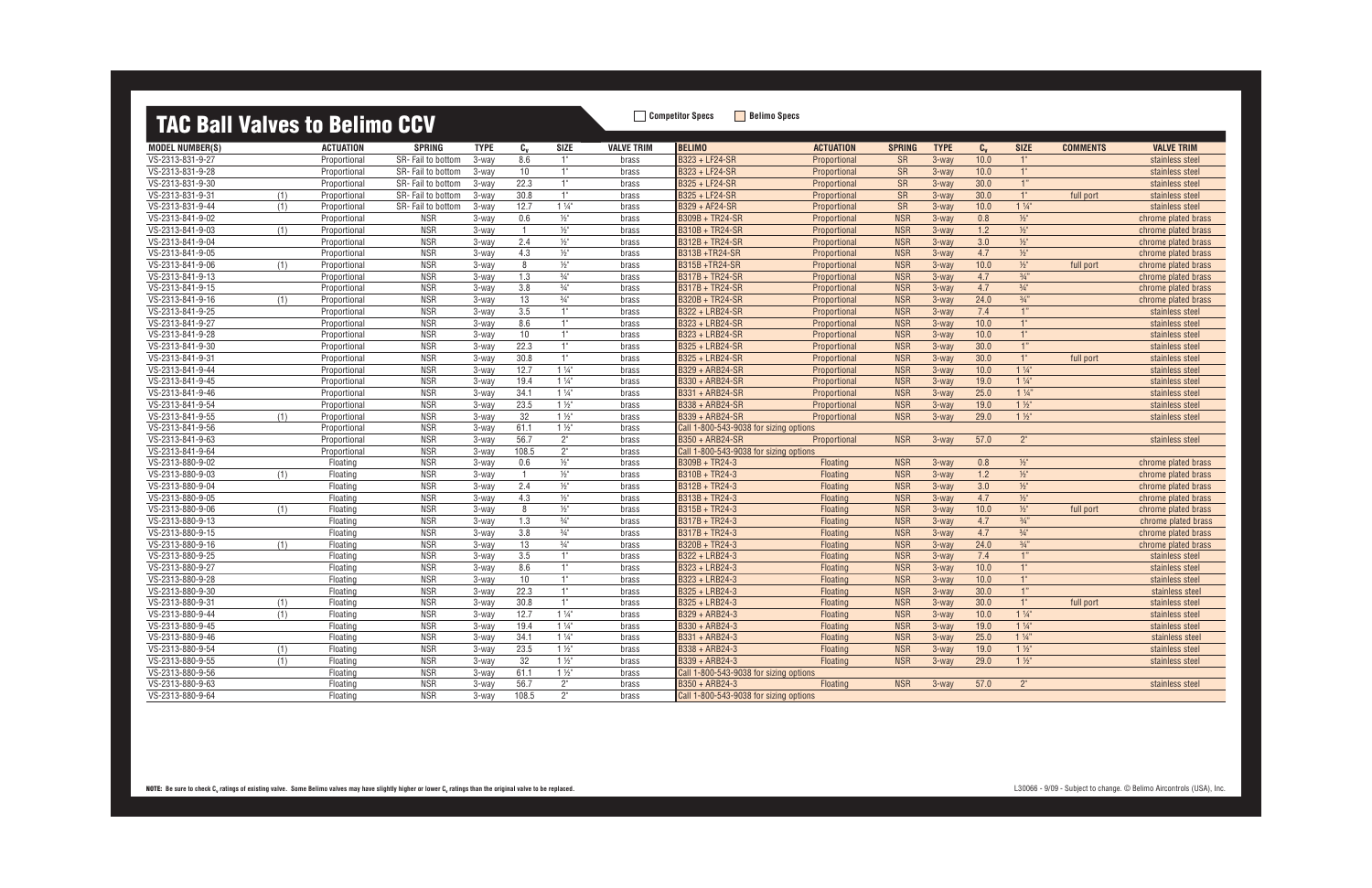### **TAC Ball Valves to Belimo CCV**

| <b>MODEL NUMBER(S)</b> |     | <b>ACTUATION</b> | <b>SPRING</b>     | <b>TYPE</b> | $c_{v}$        | <b>SIZE</b>     | <b>VALVE TRIM</b> | <b>BELIMO</b>                          | <b>ACTUATION</b> | <b>SPRING</b> | <b>TYPE</b> | $C_{V}$ | <b>SIZE</b>     | <b>COMMENTS</b> | <b>VALVE TRIM</b>   |
|------------------------|-----|------------------|-------------------|-------------|----------------|-----------------|-------------------|----------------------------------------|------------------|---------------|-------------|---------|-----------------|-----------------|---------------------|
| VS-2313-831-9-27       |     | Proportional     | SR-Fail to bottom | 3-way       | 8.6            | 1"              | brass             | B323 + LF24-SR                         | Proportional     | <b>SR</b>     | 3-way       | 10.0    | 1"              |                 | stainless steel     |
| VS-2313-831-9-28       |     | Proportional     | SR-Fail to bottom | 3-way       | 10             | 1"              | brass             | B323 + LF24-SR                         | Proportional     | <b>SR</b>     | 3-way       | 10.0    | 1"              |                 | stainless steel     |
| VS-2313-831-9-30       |     | Proportional     | SR-Fail to bottom | 3-way       | 22.3           | 1"              | brass             | B325 + LF24-SR                         | Proportional     | SR            | 3-way       | 30.0    | 1"              |                 | stainless steel     |
| VS-2313-831-9-31       | (1) | Proportional     | SR-Fail to bottom | 3-way       | 30.8           | 1"              | brass             | B325 + LF24-SR                         | Proportional     | <b>SR</b>     | 3-way       | 30.0    | 1"              | full port       | stainless steel     |
| VS-2313-831-9-44       | (1) | Proportional     | SR-Fail to bottom | 3-way       | 12.7           | $1\frac{1}{4}$  | brass             | B329 + AF24-SR                         | Proportional     | <b>SR</b>     | 3-way       | 10.0    | $1\frac{1}{4}$  |                 | stainless steel     |
| VS-2313-841-9-02       |     | Proportional     | <b>NSR</b>        | 3-way       | 0.6            | $\frac{1}{2}$   | brass             | <b>B309B + TR24-SR</b>                 | Proportional     | <b>NSR</b>    | $3 -$ way   | 0.8     | $\frac{1}{2}$   |                 | chrome plated brass |
| VS-2313-841-9-03       | (1) | Proportional     | <b>NSR</b>        | $3-way$     | $\overline{1}$ | $\frac{1}{2}$   | brass             | B310B + TR24-SR                        | Proportional     | <b>NSR</b>    | $3 -$ way   | 1.2     | $\frac{1}{2}$   |                 | chrome plated brass |
| VS-2313-841-9-04       |     | Proportional     | NSR               | 3-way       | 2.4            | $\frac{1}{2}$   | brass             | B312B + TR24-SR                        | Proportional     | <b>NSR</b>    | $3 -$ way   | 3.0     | $\frac{1}{2}$   |                 | chrome plated brass |
| VS-2313-841-9-05       |     | Proportional     | <b>NSR</b>        | $3-way$     | 4.3            | $\frac{1}{2}$   | brass             | <b>B313B+TR24-SR</b>                   | Proportional     | <b>NSR</b>    | 3-way       | 4.7     | $\frac{1}{2}$   |                 | chrome plated brass |
| VS-2313-841-9-06       | (1) | Proportional     | <b>NSR</b>        | $3-wav$     | 8              | $1/2$ "         | brass             | <b>B315B+TR24-SR</b>                   | Proportional     | <b>NSR</b>    | 3-way       | 10.0    | $\frac{1}{2}$   | full port       | chrome plated brass |
| VS-2313-841-9-13       |     | Proportional     | <b>NSR</b>        | 3-way       | 1.3            | $\frac{3}{4}$ " | brass             | <b>B317B + TR24-SR</b>                 | Proportional     | <b>NSR</b>    | 3-way       | 4.7     | $3/4$ "         |                 | chrome plated brass |
| VS-2313-841-9-15       |     | Proportional     | <b>NSR</b>        | $3-way$     | 3.8            | $\frac{3}{4}$ " | brass             | B317B + TR24-SR                        | Proportional     | <b>NSR</b>    | 3-way       | 4.7     | $3/4$ "         |                 | chrome plated brass |
| VS-2313-841-9-16       | (1) | Proportional     | <b>NSR</b>        | $3-way$     | 13             | $\frac{3}{4}$ " | brass             | B320B + TR24-SR                        | Proportional     | <b>NSR</b>    | 3-way       | 24.0    | 3/4"            |                 | chrome plated brass |
| VS-2313-841-9-25       |     | Proportional     | <b>NSR</b>        | 3-way       | 3.5            | 1"              | brass             | B322 + LRB24-SR                        | Proportional     | <b>NSR</b>    | $3 -$ way   | 7.4     | 1"              |                 | stainless steel     |
| VS-2313-841-9-27       |     | Proportional     | <b>NSR</b>        | 3-way       | 8.6            | 1"              | brass             | B323 + LRB24-SR                        | Proportional     | <b>NSR</b>    | 3-way       | 10.0    | 1"              |                 | stainless steel     |
| VS-2313-841-9-28       |     | Proportional     | <b>NSR</b>        | 3-way       | 10             | 1"              | brass             | B323 + LRB24-SR                        | Proportional     | <b>NSR</b>    | 3-way       | 10.0    | 1"              |                 | stainless steel     |
| VS-2313-841-9-30       |     | Proportional     | <b>NSR</b>        | 3-way       | 22.3           | 1"              | brass             | B325 + LRB24-SR                        | Proportional     | <b>NSR</b>    | 3-way       | 30.0    | 1"              |                 | stainless steel     |
| VS-2313-841-9-31       |     | Proportional     | <b>NSR</b>        | 3-wav       | 30.8           | 1"              | brass             | B325 + LRB24-SR                        | Proportional     | <b>NSR</b>    | 3-way       | 30.0    | 1"              | full port       | stainless steel     |
| VS-2313-841-9-44       |     | Proportional     | <b>NSR</b>        | 3-way       | 12.7           | $1\frac{1}{4}$  | brass             | B329 + ARB24-SR                        | Proportional     | <b>NSR</b>    | 3-way       | 10.0    | $1\frac{1}{4}$  |                 | stainless steel     |
| VS-2313-841-9-45       |     | Proportional     | <b>NSR</b>        | 3-way       | 19.4           | $1\frac{1}{4}$  | brass             | B330 + ARB24-SR                        | Proportional     | <b>NSR</b>    | 3-way       | 19.0    | $1\frac{1}{4}$  |                 | stainless steel     |
| VS-2313-841-9-46       |     | Proportional     | <b>NSR</b>        | 3-way       | 34.1           | $1\frac{1}{4}$  | brass             | B331 + ARB24-SR                        | Proportional     | <b>NSR</b>    | 3-way       | 25.0    | $1\frac{1}{4}$  |                 | stainless steel     |
| VS-2313-841-9-54       |     | Proportional     | <b>NSR</b>        | $3-way$     | 23.5           | $1\frac{1}{2}$  | brass             | B338 + ARB24-SR                        | Proportional     | <b>NSR</b>    | $3 -$ way   | 19.0    | $1\frac{1}{2}$  |                 | stainless steel     |
| VS-2313-841-9-55       | (1) | Proportional     | <b>NSR</b>        | $3-wav$     | 32             | $1\frac{1}{2}$  | brass             | B339 + ARB24-SR                        | Proportional     | <b>NSR</b>    | 3-way       | 29.0    | $1\frac{1}{2}$  |                 | stainless steel     |
| VS-2313-841-9-56       |     | Proportional     | <b>NSR</b>        | 3-way       | 61.1           | $1\frac{1}{2}$  | brass             | Call 1-800-543-9038 for sizing options |                  |               |             |         |                 |                 |                     |
| VS-2313-841-9-63       |     | Proportional     | <b>NSR</b>        | 3-way       | 56.7           | $2^{\circ}$     | brass             | B350 + ARB24-SR                        | Proportional     | <b>NSR</b>    | 3-way       | 57.0    | $2^{\circ}$     |                 | stainless steel     |
| VS-2313-841-9-64       |     | Proportional     | <b>NSR</b>        | $3-way$     | 108.5          | $2^{\circ}$     | brass             | Call 1-800-543-9038 for sizing options |                  |               |             |         |                 |                 |                     |
| VS-2313-880-9-02       |     | Floating         | <b>NSR</b>        | $3-way$     | 0.6            | $\frac{1}{2}$ " | brass             | B309B + TR24-3                         | <b>Floating</b>  | <b>NSR</b>    | 3-way       | 0.8     | $1/2$ "         |                 | chrome plated brass |
| VS-2313-880-9-03       | (1) | Floating         | NSR               | 3-way       | $\overline{1}$ | $\frac{1}{2}$   | brass             | B310B + TR24-3                         | <b>Floating</b>  | <b>NSR</b>    | 3-way       | 1.2     | $1/2$ "         |                 | chrome plated brass |
| VS-2313-880-9-04       |     | Floating         | <b>NSR</b>        | 3-way       | 2.4            | $1/2$ "         | brass             | B312B + TR24-3                         | Floating         | <b>NSR</b>    | 3-way       | 3.0     | $1/2$ "         |                 | chrome plated brass |
| VS-2313-880-9-05       |     | Floating         | <b>NSR</b>        | 3-way       | 4.3            | $\frac{1}{2}$   | brass             | B313B + TR24-3                         | <b>Floating</b>  | <b>NSR</b>    | 3-way       | 4.7     | $\frac{1}{2}$   |                 | chrome plated brass |
| VS-2313-880-9-06       | (1) | Floating         | <b>NSR</b>        | 3-way       | 8              | $\frac{1}{2}$ " | brass             | B315B + TR24-3                         | Floating         | <b>NSR</b>    | 3-way       | 10.0    | $\frac{1}{2}$   | full port       | chrome plated brass |
| VS-2313-880-9-13       |     | Floating         | NSR               | 3-way       | 1.3            | $\frac{3}{4}$   | brass             | B317B + TR24-3                         | Floating         | <b>NSR</b>    | 3-way       | 4.7     | 3/4"            |                 | chrome plated brass |
| VS-2313-880-9-15       |     | Floating         | <b>NSR</b>        | 3-way       | 3.8            | $\frac{3}{4}$ " | brass             | B317B + TR24-3                         | <b>Floating</b>  | <b>NSR</b>    | 3-way       | 4.7     | $\frac{3}{4}$ " |                 | chrome plated brass |
| VS-2313-880-9-16       | (1) | Floating         | <b>NSR</b>        | 3-way       | 13             | $\frac{3}{4}$ " | brass             | B320B + TR24-3                         | Floating         | <b>NSR</b>    | 3-way       | 24.0    | 3/4"            |                 | chrome plated brass |
| VS-2313-880-9-25       |     | Floating         | <b>NSR</b>        | 3-way       | 3.5            | 1"              | brass             | B322 + LRB24-3                         | Floating         | <b>NSR</b>    | 3-way       | 7.4     | 1"              |                 | stainless steel     |
| VS-2313-880-9-27       |     | Floating         | <b>NSR</b>        | 3-way       | 8.6            | 1"              | brass             | B323 + LRB24-3                         | Floating         | <b>NSR</b>    | 3-way       | 10.0    | 1"              |                 | stainless steel     |
| VS-2313-880-9-28       |     | Floating         | <b>NSR</b>        | $3-wav$     | 10             | 1"              | brass             | B323 + LRB24-3                         | Floating         | <b>NSR</b>    | 3-way       | 10.0    | 1"              |                 | stainless steel     |
| VS-2313-880-9-30       |     | Floating         | <b>NSR</b>        | 3-way       | 22.3           | 1"              | brass             | B325 + LRB24-3                         | Floating         | <b>NSR</b>    | 3-way       | 30.0    | 1"              |                 | stainless stee      |
| VS-2313-880-9-31       | (1) | Floating         | <b>NSR</b>        | 3-way       | 30.8           | 1"              | brass             | B325 + LRB24-3                         | Floating         | <b>NSR</b>    | $3 -$ way   | 30.0    | 1"              | full port       | stainless steel     |
| VS-2313-880-9-44       | (1) | Floatinc         | <b>NSR</b>        | 3-way       | 12.7           | $1\frac{1}{4}$  | brass             | B329 + ARB24-3                         | Floating         | <b>NSR</b>    | $3 -$ way   | 10.0    | $1\frac{1}{4}$  |                 | stainless steel     |
| VS-2313-880-9-45       |     | Floating         | <b>NSR</b>        | $3-way$     | 19.4           | $1\frac{1}{4}$  | brass             | B330 + ARB24-3                         | <b>Floating</b>  | <b>NSR</b>    | 3-way       | 19.0    | $1\frac{1}{4}$  |                 | stainless steel     |
| VS-2313-880-9-46       |     | Floating         | <b>NSR</b>        | 3-way       | 34.1           | $1\frac{1}{4}$  | brass             | B331 + ARB24-3                         | <b>Floating</b>  | <b>NSR</b>    | 3-way       | 25.0    | $1\frac{1}{4}$  |                 | stainless steel     |
| VS-2313-880-9-54       | (1) | Floating         | <b>NSR</b>        | 3-way       | 23.5           | $1\frac{1}{2}$  | brass             | B338 + ARB24-3                         | <b>Floating</b>  | <b>NSR</b>    | 3-way       | 19.0    | $1\frac{1}{2}$  |                 | stainless steel     |
| VS-2313-880-9-55       | (1) | Floating         | <b>NSR</b>        | 3-wav       | 32             | $1\frac{1}{2}$  | brass             | B339 + ARB24-3                         | Floating         | <b>NSR</b>    | 3-way       | 29.0    | $1\frac{1}{2}$  |                 | stainless steel     |
| VS-2313-880-9-56       |     | Floating         | <b>NSR</b>        | 3-way       | 61.1           | $1\frac{1}{2}$  | brass             | Call 1-800-543-9038 for sizing options |                  |               |             |         |                 |                 |                     |
| VS-2313-880-9-63       |     | Floating         | <b>NSR</b>        | 3-way       | 56.7           | 2 <sup>n</sup>  | brass             | B350 + ARB24-3                         | <b>Floating</b>  | <b>NSR</b>    | 3-way       | 57.0    | 2 <sup>n</sup>  |                 | stainless steel     |
| VS-2313-880-9-64       |     | Floating         | <b>NSR</b>        | 3-way       | 108.5          | 2"              | brass             | Call 1-800-543-9038 for sizing options |                  |               |             |         |                 |                 |                     |